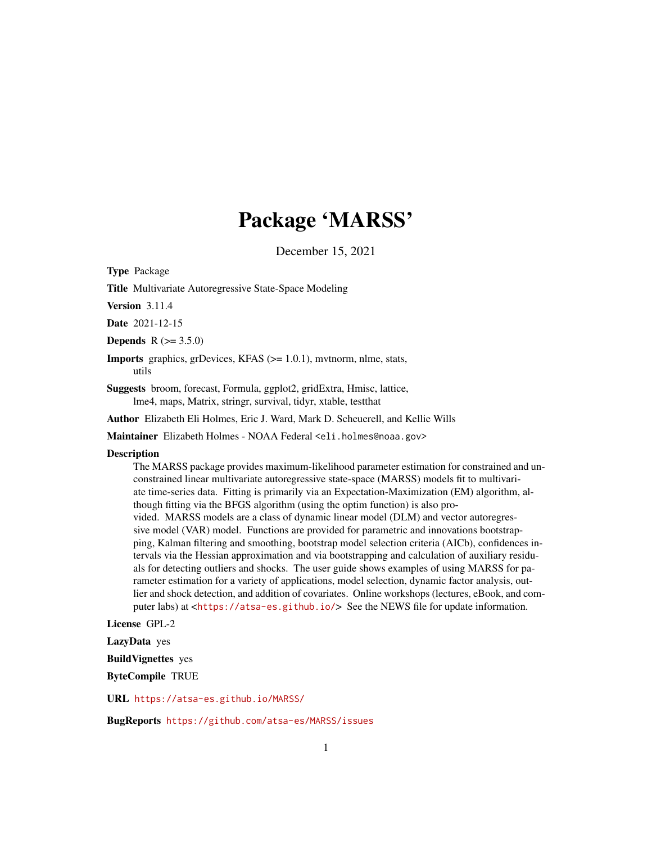# Package 'MARSS'

December 15, 2021

<span id="page-0-0"></span>Type Package

Title Multivariate Autoregressive State-Space Modeling

Version 3.11.4

Date 2021-12-15

**Depends** R  $(>= 3.5.0)$ 

**Imports** graphics, grDevices, KFAS  $(>= 1.0.1)$ , mythorm, nlme, stats, utils

Suggests broom, forecast, Formula, ggplot2, gridExtra, Hmisc, lattice, lme4, maps, Matrix, stringr, survival, tidyr, xtable, testthat

Author Elizabeth Eli Holmes, Eric J. Ward, Mark D. Scheuerell, and Kellie Wills

Maintainer Elizabeth Holmes - NOAA Federal <eli.holmes@noaa.gov>

#### **Description**

The MARSS package provides maximum-likelihood parameter estimation for constrained and unconstrained linear multivariate autoregressive state-space (MARSS) models fit to multivariate time-series data. Fitting is primarily via an Expectation-Maximization (EM) algorithm, although fitting via the BFGS algorithm (using the optim function) is also provided. MARSS models are a class of dynamic linear model (DLM) and vector autoregressive model (VAR) model. Functions are provided for parametric and innovations bootstrapping, Kalman filtering and smoothing, bootstrap model selection criteria (AICb), confidences intervals via the Hessian approximation and via bootstrapping and calculation of auxiliary residuals for detecting outliers and shocks. The user guide shows examples of using MARSS for parameter estimation for a variety of applications, model selection, dynamic factor analysis, outlier and shock detection, and addition of covariates. Online workshops (lectures, eBook, and computer labs) at <<https://atsa-es.github.io/>> See the NEWS file for update information.

License GPL-2

LazyData yes

BuildVignettes yes

ByteCompile TRUE

URL <https://atsa-es.github.io/MARSS/>

BugReports <https://github.com/atsa-es/MARSS/issues>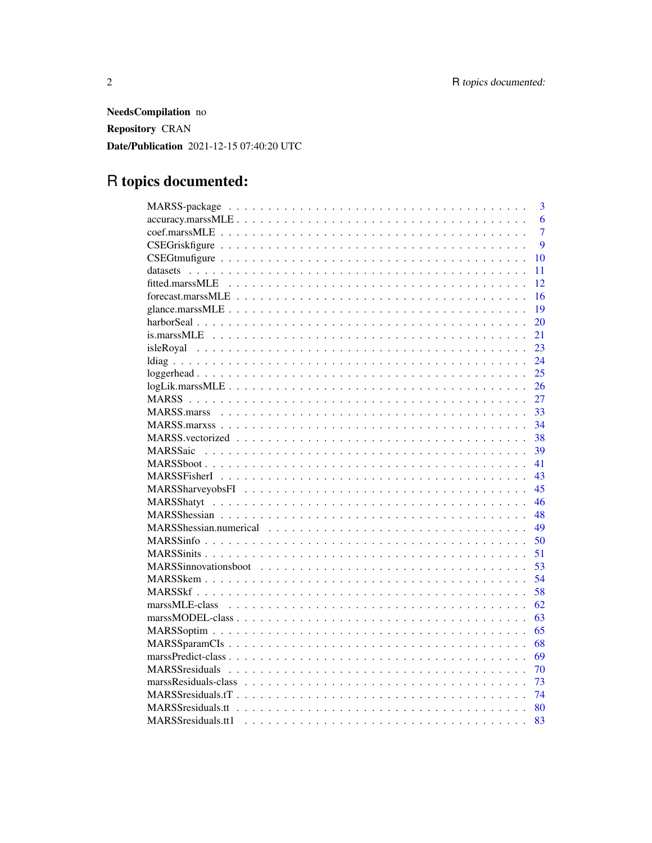NeedsCompilation no Repository CRAN Date/Publication 2021-12-15 07:40:20 UTC

# R topics documented:

| 3                |
|------------------|
| 6                |
| $\overline{7}$   |
| $\boldsymbol{Q}$ |
| 10               |
| 11               |
| 12               |
| 16               |
| 19               |
| 20               |
| 21               |
| 23               |
| 24               |
| 25               |
| 26               |
| 27               |
| 33               |
| 34               |
| 38               |
| 39               |
| 41               |
| 43               |
| 45               |
| 46               |
| 48               |
| 49               |
| 50               |
| 51               |
| 53               |
| 54               |
| 58               |
| 62               |
| 63               |
| 65               |
| 68               |
| 69               |
| 70               |
| 73               |
| 74               |
| 80               |
| 83               |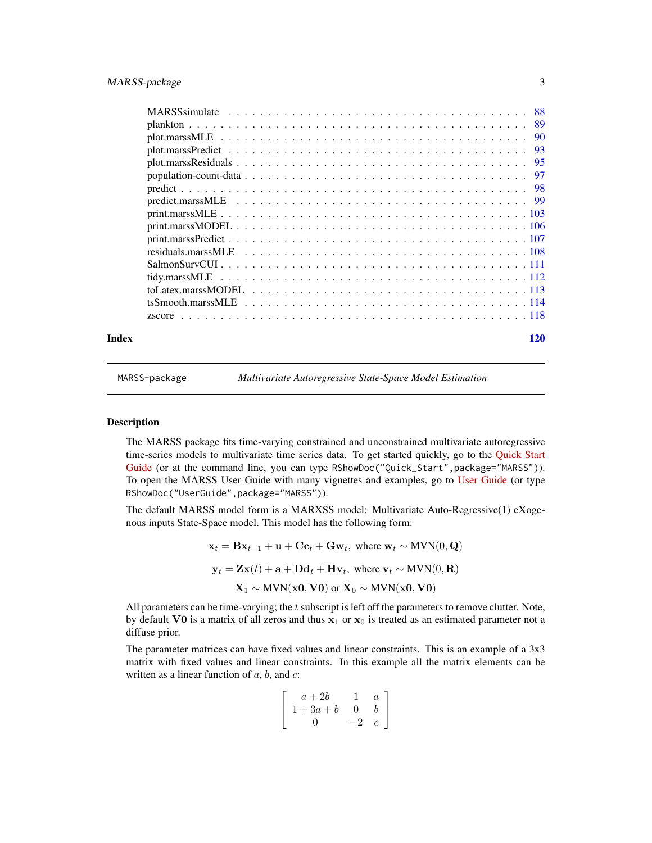<span id="page-2-0"></span>

|       | predict.marssMLE $\ldots \ldots \ldots \ldots \ldots \ldots \ldots \ldots \ldots \ldots \ldots \ldots \ldots$ |     |
|-------|---------------------------------------------------------------------------------------------------------------|-----|
|       |                                                                                                               |     |
|       |                                                                                                               |     |
|       |                                                                                                               |     |
|       |                                                                                                               |     |
|       |                                                                                                               |     |
|       |                                                                                                               |     |
|       |                                                                                                               |     |
|       |                                                                                                               |     |
|       |                                                                                                               |     |
| Index |                                                                                                               | 120 |

<span id="page-2-1"></span>

MARSS-package *Multivariate Autoregressive State-Space Model Estimation*

# Description

The MARSS package fits time-varying constrained and unconstrained multivariate autoregressive time-series models to multivariate time series data. To get started quickly, go to the [Quick Start](https://cran.r-project.org/package=MARSS/vignettes/Quick_Start.pdf) [Guide](https://cran.r-project.org/package=MARSS/vignettes/Quick_Start.pdf) (or at the command line, you can type RShowDoc("Quick\_Start",package="MARSS")). To open the MARSS User Guide with many vignettes and examples, go to [User Guide](https://cran.r-project.org/package=MARSS/vignettes/UserGuide.pdf) (or type RShowDoc("UserGuide",package="MARSS")).

The default MARSS model form is a MARXSS model: Multivariate Auto-Regressive(1) eXogenous inputs State-Space model. This model has the following form:

$$
\mathbf{x}_t = \mathbf{B}\mathbf{x}_{t-1} + \mathbf{u} + \mathbf{C}\mathbf{c}_t + \mathbf{G}\mathbf{w}_t, \text{ where } \mathbf{w}_t \sim \text{MVN}(0, \mathbf{Q})
$$
\n
$$
\mathbf{y}_t = \mathbf{Z}\mathbf{x}(t) + \mathbf{a} + \mathbf{D}\mathbf{d}_t + \mathbf{H}\mathbf{v}_t, \text{ where } \mathbf{v}_t \sim \text{MVN}(0, \mathbf{R})
$$
\n
$$
\mathbf{X}_1 \sim \text{MVN}(\mathbf{x0}, \mathbf{V0}) \text{ or } \mathbf{X}_0 \sim \text{MVN}(\mathbf{x0}, \mathbf{V0})
$$

All parameters can be time-varying; the  $t$  subscript is left off the parameters to remove clutter. Note, by default V0 is a matrix of all zeros and thus  $x_1$  or  $x_0$  is treated as an estimated parameter not a diffuse prior.

The parameter matrices can have fixed values and linear constraints. This is an example of a 3x3 matrix with fixed values and linear constraints. In this example all the matrix elements can be written as a linear function of  $a$ ,  $b$ , and  $c$ :

$$
\left[\begin{array}{ccc} a+2b & 1 & a \\ 1+3a+b & 0 & b \\ 0 & -2 & c \end{array}\right]
$$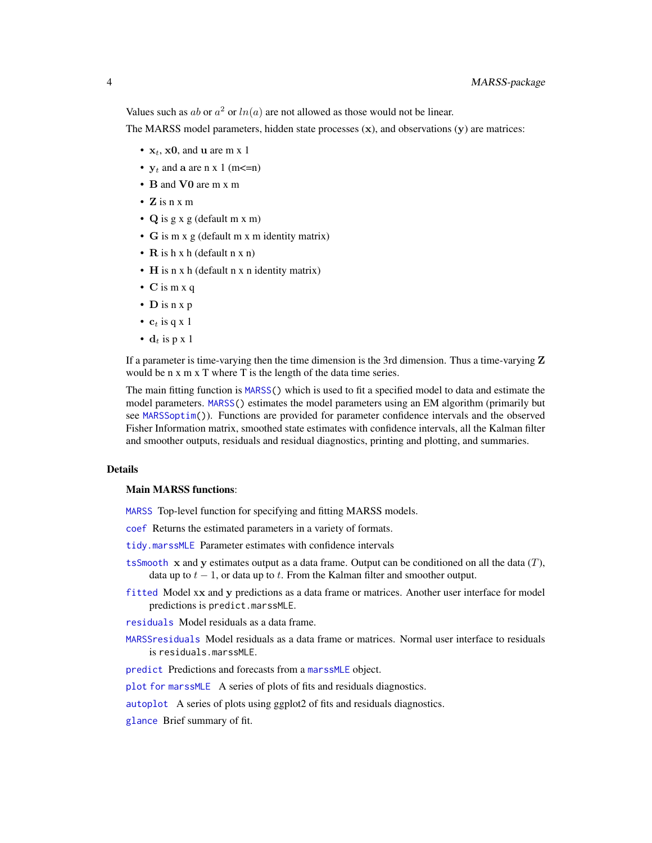Values such as ab or  $a^2$  or  $ln(a)$  are not allowed as those would not be linear.

The MARSS model parameters, hidden state processes  $(x)$ , and observations  $(y)$  are matrices:

- $x_t$ , x0, and u are m x 1
- $y_t$  and a are n x 1 (m <= n)
- B and V0 are m x m
- Z is  $n \times m$
- Q is g x g (default m x m)
- G is m x g (default m x m identity matrix)
- $\mathbf R$  is h x h (default n x n)
- H is n x h (default n x n identity matrix)
- C is m x q
- D is n x p
- $c_t$  is q x 1
- $\mathbf{d}_t$  is p x 1

If a parameter is time-varying then the time dimension is the 3rd dimension. Thus a time-varying  $Z$ would be n x m x T where T is the length of the data time series.

The main fitting function is [MARSS\(](#page-26-1)) which is used to fit a specified model to data and estimate the model parameters. [MARSS\(](#page-26-1)) estimates the model parameters using an EM algorithm (primarily but see [MARSSoptim\(](#page-64-1))). Functions are provided for parameter confidence intervals and the observed Fisher Information matrix, smoothed state estimates with confidence intervals, all the Kalman filter and smoother outputs, residuals and residual diagnostics, printing and plotting, and summaries.

# Details

#### Main MARSS functions:

[MARSS](#page-26-1) Top-level function for specifying and fitting MARSS models.

[coef](#page-6-1) Returns the estimated parameters in a variety of formats.

[tidy.marssMLE](#page-111-1) Parameter estimates with confidence intervals

- [tsSmooth](#page-113-1)  $x$  and  $y$  estimates output as a data frame. Output can be conditioned on all the data  $(T)$ , data up to  $t - 1$ , or data up to t. From the Kalman filter and smoother output.
- [fitted](#page-11-1) Model xx and y predictions as a data frame or matrices. Another user interface for model predictions is predict.marssMLE.
- [residuals](#page-107-1) Model residuals as a data frame.
- [MARSSresiduals](#page-69-1) Model residuals as a data frame or matrices. Normal user interface to residuals is residuals.marssMLE.

[predict](#page-98-1) Predictions and forecasts from a [marssMLE](#page-61-1) object.

[plot for marssMLE](#page-89-1) A series of plots of fits and residuals diagnostics.

[autoplot](#page-89-2) A series of plots using ggplot2 of fits and residuals diagnostics.

[glance](#page-18-1) Brief summary of fit.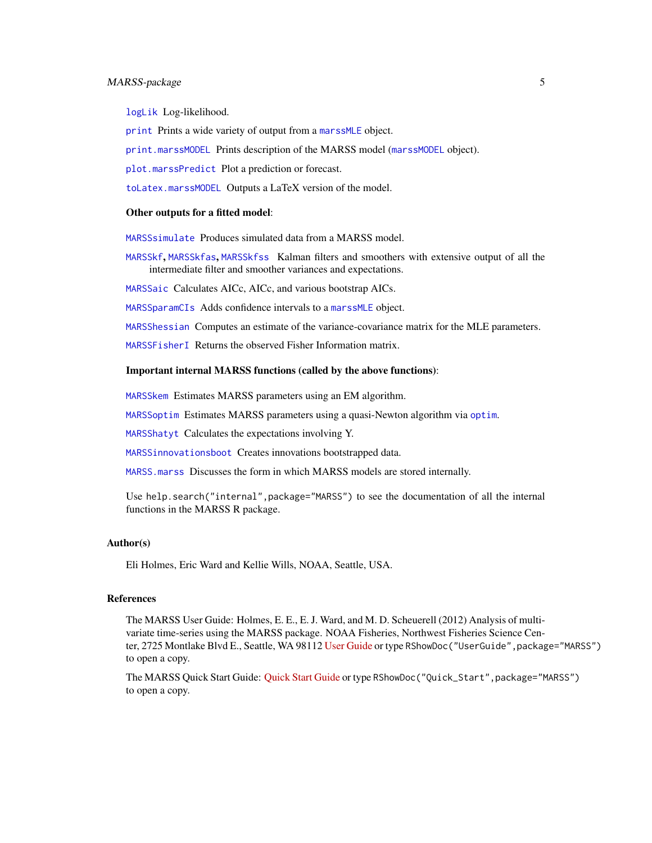# MARSS-package 5

[logLik](#page-25-1) Log-likelihood.

[print](#page-102-1) Prints a wide variety of output from a [marssMLE](#page-61-1) object.

[print.marssMODEL](#page-105-1) Prints description of the MARSS model ([marssMODEL](#page-62-1) object).

[plot.marssPredict](#page-92-1) Plot a prediction or forecast.

[toLatex.marssMODEL](#page-112-1) Outputs a LaTeX version of the model.

#### Other outputs for a fitted model:

[MARSSsimulate](#page-87-1) Produces simulated data from a MARSS model.

[MARSSkf](#page-57-1), [MARSSkfas](#page-57-2), [MARSSkfss](#page-57-2) Kalman filters and smoothers with extensive output of all the intermediate filter and smoother variances and expectations.

[MARSSaic](#page-38-1) Calculates AICc, AICc, and various bootstrap AICs.

[MARSSparamCIs](#page-67-1) Adds confidence intervals to a [marssMLE](#page-61-1) object.

[MARSShessian](#page-47-1) Computes an estimate of the variance-covariance matrix for the MLE parameters.

[MARSSFisherI](#page-42-1) Returns the observed Fisher Information matrix.

#### Important internal MARSS functions (called by the above functions):

[MARSSkem](#page-53-1) Estimates MARSS parameters using an EM algorithm.

[MARSSoptim](#page-64-1) Estimates MARSS parameters using a quasi-Newton algorithm via [optim](#page-0-0).

[MARSShatyt](#page-45-1) Calculates the expectations involving Y.

[MARSSinnovationsboot](#page-52-1) Creates innovations bootstrapped data.

[MARSS.marss](#page-32-1) Discusses the form in which MARSS models are stored internally.

Use help.search("internal",package="MARSS") to see the documentation of all the internal functions in the MARSS R package.

# Author(s)

Eli Holmes, Eric Ward and Kellie Wills, NOAA, Seattle, USA.

#### References

The MARSS User Guide: Holmes, E. E., E. J. Ward, and M. D. Scheuerell (2012) Analysis of multivariate time-series using the MARSS package. NOAA Fisheries, Northwest Fisheries Science Center, 2725 Montlake Blvd E., Seattle, WA 98112 [User Guide](https://cran.r-project.org/package=MARSS/vignettes/UserGuide.pdf) or type RShowDoc("UserGuide",package="MARSS") to open a copy.

The MARSS Quick Start Guide: [Quick Start Guide](https://cran.r-project.org/package=MARSS/vignettes/Quick_Start.pdf) or type RShowDoc("Quick\_Start",package="MARSS") to open a copy.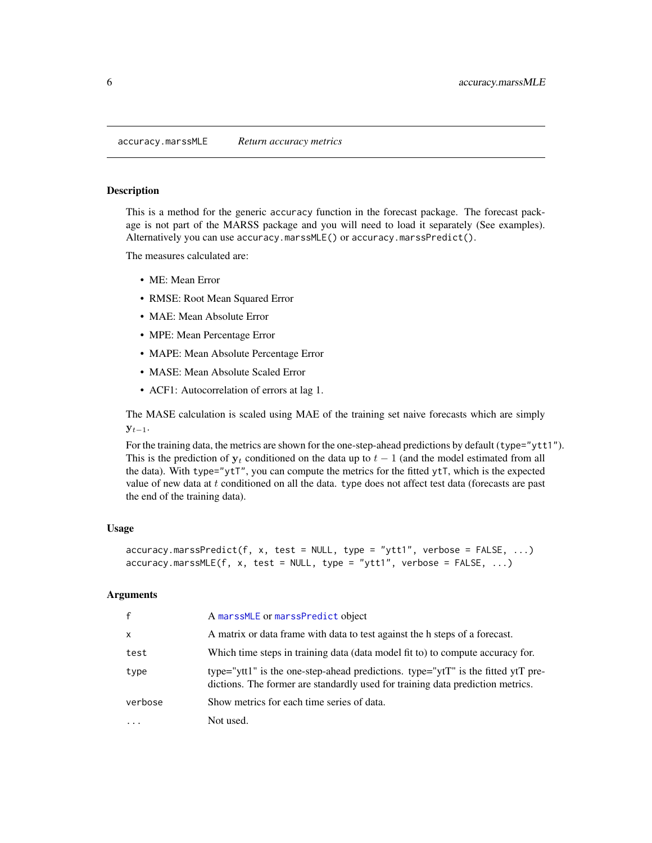<span id="page-5-0"></span>accuracy.marssMLE *Return accuracy metrics*

#### Description

This is a method for the generic accuracy function in the forecast package. The forecast package is not part of the MARSS package and you will need to load it separately (See examples). Alternatively you can use accuracy.marssMLE() or accuracy.marssPredict().

The measures calculated are:

- ME: Mean Error
- RMSE: Root Mean Squared Error
- MAE: Mean Absolute Error
- MPE: Mean Percentage Error
- MAPE: Mean Absolute Percentage Error
- MASE: Mean Absolute Scaled Error
- ACF1: Autocorrelation of errors at lag 1.

The MASE calculation is scaled using MAE of the training set naive forecasts which are simply  $y_{t-1}$ .

For the training data, the metrics are shown for the one-step-ahead predictions by default (type="ytt1"). This is the prediction of  $y_t$  conditioned on the data up to  $t - 1$  (and the model estimated from all the data). With type="ytT", you can compute the metrics for the fitted  $y\tau T$ , which is the expected value of new data at  $t$  conditioned on all the data. type does not affect test data (forecasts are past the end of the training data).

#### Usage

```
accuracy.marssPredict(f, x, test = NULL, type = "ytt1", verbose = FALSE, ...)
accuracy.maxSMLE(f, x, test = NULL, type = "ytt1", verbose = FALSE, ...)
```
# **Arguments**

| $\mathbf{f}$ | A marssMLE or marssPredict object                                                                                                                                  |
|--------------|--------------------------------------------------------------------------------------------------------------------------------------------------------------------|
| $\mathsf{x}$ | A matrix or data frame with data to test against the h steps of a forecast.                                                                                        |
| test         | Which time steps in training data (data model fit to) to compute accuracy for.                                                                                     |
| type         | type="ytt1" is the one-step-ahead predictions. type="ytT" is the fitted ytT pre-<br>dictions. The former are standardly used for training data prediction metrics. |
| verbose      | Show metrics for each time series of data.                                                                                                                         |
| $\ddotsc$    | Not used.                                                                                                                                                          |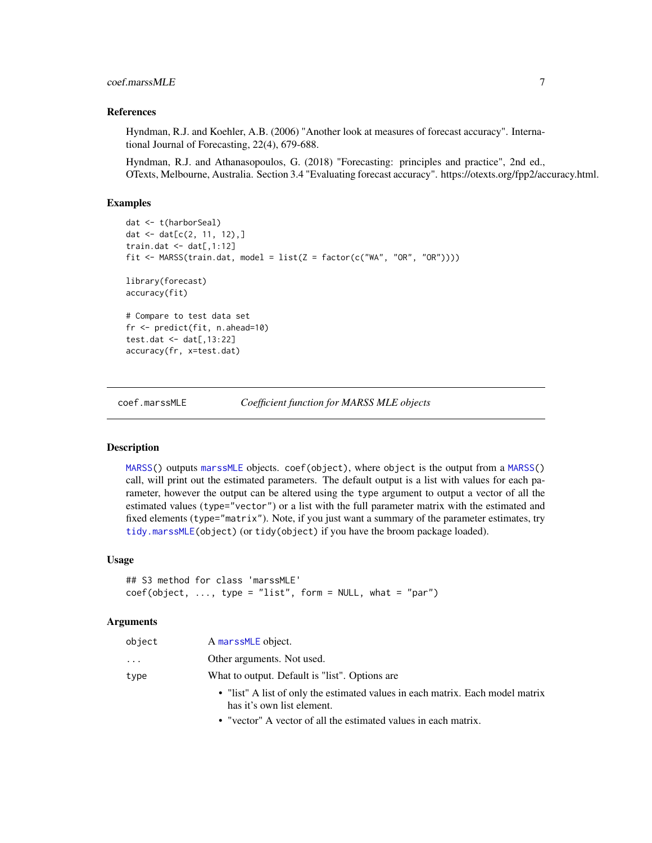# <span id="page-6-0"></span>coef.marssMLE 7

#### References

Hyndman, R.J. and Koehler, A.B. (2006) "Another look at measures of forecast accuracy". International Journal of Forecasting, 22(4), 679-688.

Hyndman, R.J. and Athanasopoulos, G. (2018) "Forecasting: principles and practice", 2nd ed., OTexts, Melbourne, Australia. Section 3.4 "Evaluating forecast accuracy". https://otexts.org/fpp2/accuracy.html.

# Examples

```
dat <- t(harborSeal)
dat <- dat[c(2, 11, 12),]
train.dat \leq dat[,1:12]
fit <- MARSS(train.dat, model = list(Z = factor(c("WA", "OR", "OR"))))
library(forecast)
accuracy(fit)
# Compare to test data set
fr <- predict(fit, n.ahead=10)
test.dat <- dat[,13:22]
accuracy(fr, x=test.dat)
```
<span id="page-6-1"></span>coef.marssMLE *Coefficient function for MARSS MLE objects*

# Description

[MARSS\(](#page-26-1)) outputs [marssMLE](#page-61-1) objects. coef(object), where object is the output from a [MARSS\(](#page-26-1)) call, will print out the estimated parameters. The default output is a list with values for each parameter, however the output can be altered using the type argument to output a vector of all the estimated values (type="vector") or a list with the full parameter matrix with the estimated and fixed elements (type="matrix"). Note, if you just want a summary of the parameter estimates, try [tidy.marssMLE\(](#page-111-1)object) (or tidy(object) if you have the broom package loaded).

#### Usage

```
## S3 method for class 'marssMLE'
coef(object, ..., type = "list", form = NULL, what = "par")
```
#### Arguments

| object | A marssMLE object.                                                                                           |
|--------|--------------------------------------------------------------------------------------------------------------|
| .      | Other arguments. Not used.                                                                                   |
| type   | What to output. Default is "list". Options are                                                               |
|        | • "list" A list of only the estimated values in each matrix. Each model matrix<br>has it's own list element. |

• "vector" A vector of all the estimated values in each matrix.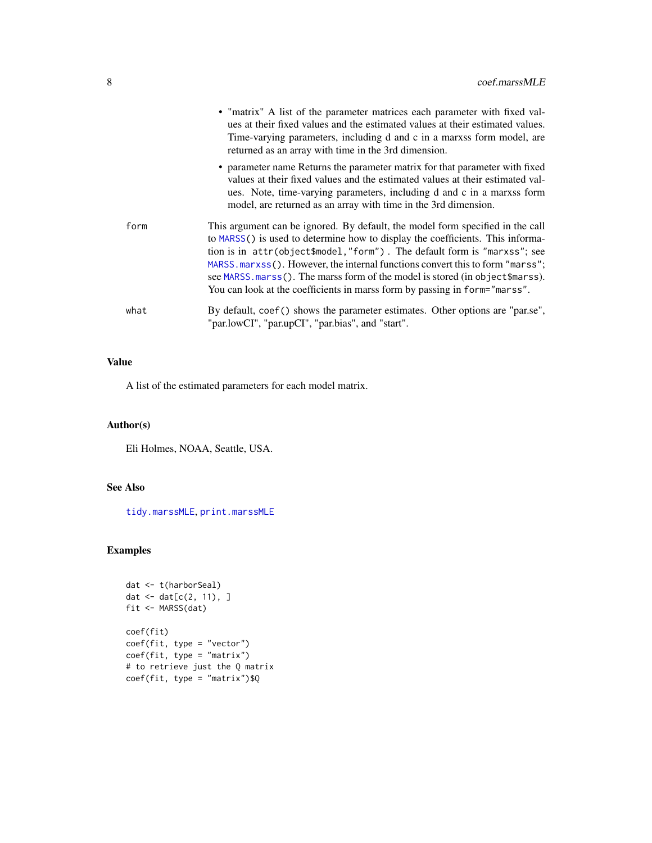|      | • "matrix" A list of the parameter matrices each parameter with fixed val-<br>ues at their fixed values and the estimated values at their estimated values.<br>Time-varying parameters, including d and c in a marxs form model, are<br>returned as an array with time in the 3rd dimension.                                                                                                                                                                                                 |
|------|----------------------------------------------------------------------------------------------------------------------------------------------------------------------------------------------------------------------------------------------------------------------------------------------------------------------------------------------------------------------------------------------------------------------------------------------------------------------------------------------|
|      | • parameter name Returns the parameter matrix for that parameter with fixed<br>values at their fixed values and the estimated values at their estimated val-<br>ues. Note, time-varying parameters, including d and c in a marxss form<br>model, are returned as an array with time in the 3rd dimension.                                                                                                                                                                                    |
| form | This argument can be ignored. By default, the model form specified in the call<br>to MARSS() is used to determine how to display the coefficients. This informa-<br>tion is in attr(object\$model,"form"). The default form is "marxss"; see<br>MARSS.marxss(). However, the internal functions convert this to form "marss";<br>see MARSS.marss(). The marss form of the model is stored (in object \$marss).<br>You can look at the coefficients in marss form by passing in form="marss". |
| what | By default, coef () shows the parameter estimates. Other options are "par.se",<br>"par.lowCI", "par.upCI", "par.bias", and "start".                                                                                                                                                                                                                                                                                                                                                          |

# Value

A list of the estimated parameters for each model matrix.

# Author(s)

Eli Holmes, NOAA, Seattle, USA.

# See Also

[tidy.marssMLE](#page-111-1), [print.marssMLE](#page-102-1)

# Examples

```
dat <- t(harborSeal)
dat \leq dat[c(2, 11), ]fit <- MARSS(dat)
coef(fit)
coef(fit, type = "vector")
coef(fit, type = "matrix")
# to retrieve just the Q matrix
coef(fit, type = "matrix")$Q
```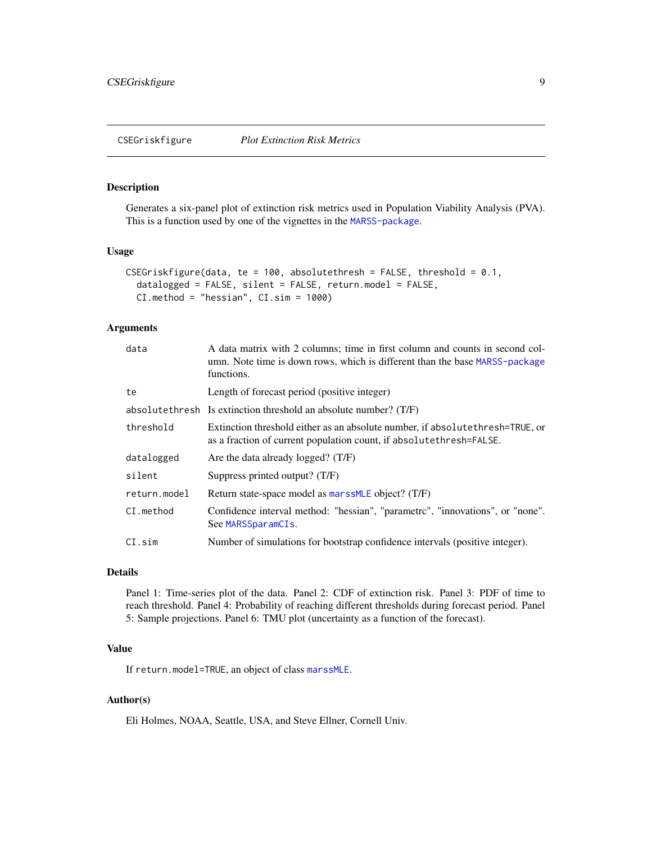<span id="page-8-1"></span><span id="page-8-0"></span>CSEGriskfigure *Plot Extinction Risk Metrics*

# Description

Generates a six-panel plot of extinction risk metrics used in Population Viability Analysis (PVA). This is a function used by one of the vignettes in the [MARSS-package](#page-2-1).

# Usage

```
CSEGriskfigure(data, te = 100, absolutethresh = FALSE, threshold = 0.1,
  datalogged = FALSE, silent = FALSE, return.model = FALSE,
 CI.method = "hessian", CI.sim = 1000)
```
# Arguments

| data         | A data matrix with 2 columns; time in first column and counts in second col-<br>umn. Note time is down rows, which is different than the base MARSS-package<br>functions. |
|--------------|---------------------------------------------------------------------------------------------------------------------------------------------------------------------------|
| te           | Length of forecast period (positive integer)                                                                                                                              |
|              | absolute thresh Is extinction threshold an absolute number? $(T/F)$                                                                                                       |
| threshold    | Extinction threshold either as an absolute number, if absolute thresh=TRUE, or<br>as a fraction of current population count, if absolute thresh=FALSE.                    |
| datalogged   | Are the data already logged? (T/F)                                                                                                                                        |
| silent       | Suppress printed output? (T/F)                                                                                                                                            |
| return.model | Return state-space model as marssMLE object? (T/F)                                                                                                                        |
| CI.method    | Confidence interval method: "hessian", "parametrc", "innovations", or "none".<br>See MARSSparamCIs.                                                                       |
| $CI$ .sim    | Number of simulations for bootstrap confidence intervals (positive integer).                                                                                              |

# Details

Panel 1: Time-series plot of the data. Panel 2: CDF of extinction risk. Panel 3: PDF of time to reach threshold. Panel 4: Probability of reaching different thresholds during forecast period. Panel 5: Sample projections. Panel 6: TMU plot (uncertainty as a function of the forecast).

# Value

If return.model=TRUE, an object of class [marssMLE](#page-61-1).

# Author(s)

Eli Holmes, NOAA, Seattle, USA, and Steve Ellner, Cornell Univ.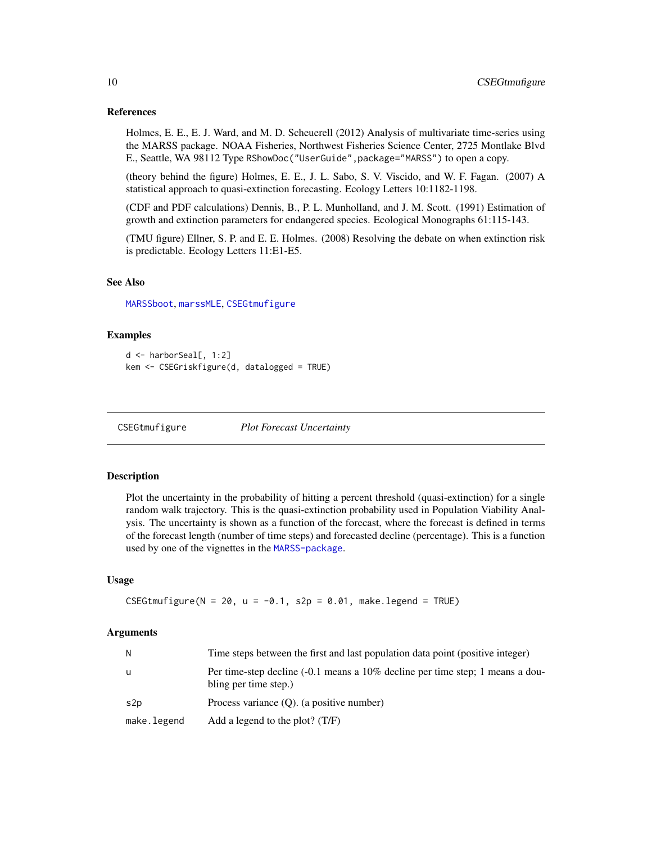#### <span id="page-9-0"></span>References

Holmes, E. E., E. J. Ward, and M. D. Scheuerell (2012) Analysis of multivariate time-series using the MARSS package. NOAA Fisheries, Northwest Fisheries Science Center, 2725 Montlake Blvd E., Seattle, WA 98112 Type RShowDoc("UserGuide",package="MARSS") to open a copy.

(theory behind the figure) Holmes, E. E., J. L. Sabo, S. V. Viscido, and W. F. Fagan. (2007) A statistical approach to quasi-extinction forecasting. Ecology Letters 10:1182-1198.

(CDF and PDF calculations) Dennis, B., P. L. Munholland, and J. M. Scott. (1991) Estimation of growth and extinction parameters for endangered species. Ecological Monographs 61:115-143.

(TMU figure) Ellner, S. P. and E. E. Holmes. (2008) Resolving the debate on when extinction risk is predictable. Ecology Letters 11:E1-E5.

# See Also

[MARSSboot](#page-40-1), [marssMLE](#page-61-1), [CSEGtmufigure](#page-9-1)

#### Examples

```
d <- harborSeal[, 1:2]
kem <- CSEGriskfigure(d, datalogged = TRUE)
```
<span id="page-9-1"></span>CSEGtmufigure *Plot Forecast Uncertainty*

#### **Description**

Plot the uncertainty in the probability of hitting a percent threshold (quasi-extinction) for a single random walk trajectory. This is the quasi-extinction probability used in Population Viability Analysis. The uncertainty is shown as a function of the forecast, where the forecast is defined in terms of the forecast length (number of time steps) and forecasted decline (percentage). This is a function used by one of the vignettes in the [MARSS-package](#page-2-1).

#### Usage

CSEGtmufigure(N = 20, u =  $-0.1$ , s2p = 0.01, make.legend = TRUE)

#### Arguments

| N           | Time steps between the first and last population data point (positive integer)                                     |
|-------------|--------------------------------------------------------------------------------------------------------------------|
| u           | Per time-step decline $(-0.1 \text{ means a } 10\%$ decline per time step; 1 means a dou-<br>bling per time step.) |
| s2p         | Process variance $(O)$ . (a positive number)                                                                       |
| make.legend | Add a legend to the plot? $(T/F)$                                                                                  |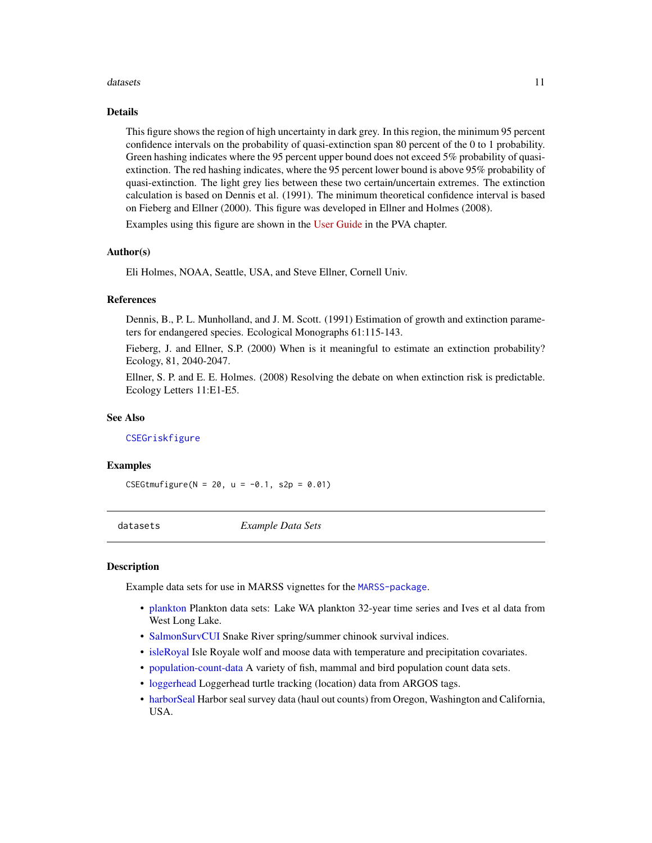#### <span id="page-10-0"></span>datasets and the contract of the contract of the contract of the contract of the contract of the contract of the contract of the contract of the contract of the contract of the contract of the contract of the contract of t

#### Details

This figure shows the region of high uncertainty in dark grey. In this region, the minimum 95 percent confidence intervals on the probability of quasi-extinction span 80 percent of the 0 to 1 probability. Green hashing indicates where the 95 percent upper bound does not exceed 5% probability of quasiextinction. The red hashing indicates, where the 95 percent lower bound is above 95% probability of quasi-extinction. The light grey lies between these two certain/uncertain extremes. The extinction calculation is based on Dennis et al. (1991). The minimum theoretical confidence interval is based on Fieberg and Ellner (2000). This figure was developed in Ellner and Holmes (2008).

Examples using this figure are shown in the [User Guide](https://cran.r-project.org/package=MARSS/vignettes/UserGuide.pdf) in the PVA chapter.

#### Author(s)

Eli Holmes, NOAA, Seattle, USA, and Steve Ellner, Cornell Univ.

### References

Dennis, B., P. L. Munholland, and J. M. Scott. (1991) Estimation of growth and extinction parameters for endangered species. Ecological Monographs 61:115-143.

Fieberg, J. and Ellner, S.P. (2000) When is it meaningful to estimate an extinction probability? Ecology, 81, 2040-2047.

Ellner, S. P. and E. E. Holmes. (2008) Resolving the debate on when extinction risk is predictable. Ecology Letters 11:E1-E5.

#### See Also

[CSEGriskfigure](#page-8-1)

#### Examples

CSEGtmufigure(N = 20, u =  $-0.1$ , s2p = 0.01)

datasets *Example Data Sets*

#### Description

Example data sets for use in MARSS vignettes for the [MARSS-package](#page-2-1).

- [plankton](#page-88-1) Plankton data sets: Lake WA plankton 32-year time series and Ives et al data from West Long Lake.
- [SalmonSurvCUI](#page-110-1) Snake River spring/summer chinook survival indices.
- [isleRoyal](#page-22-1) Isle Royale wolf and moose data with temperature and precipitation covariates.
- [population-count-data](#page-96-1) A variety of fish, mammal and bird population count data sets.
- [loggerhead](#page-24-1) Loggerhead turtle tracking (location) data from ARGOS tags.
- [harborSeal](#page-19-1) Harbor seal survey data (haul out counts) from Oregon, Washington and California, USA.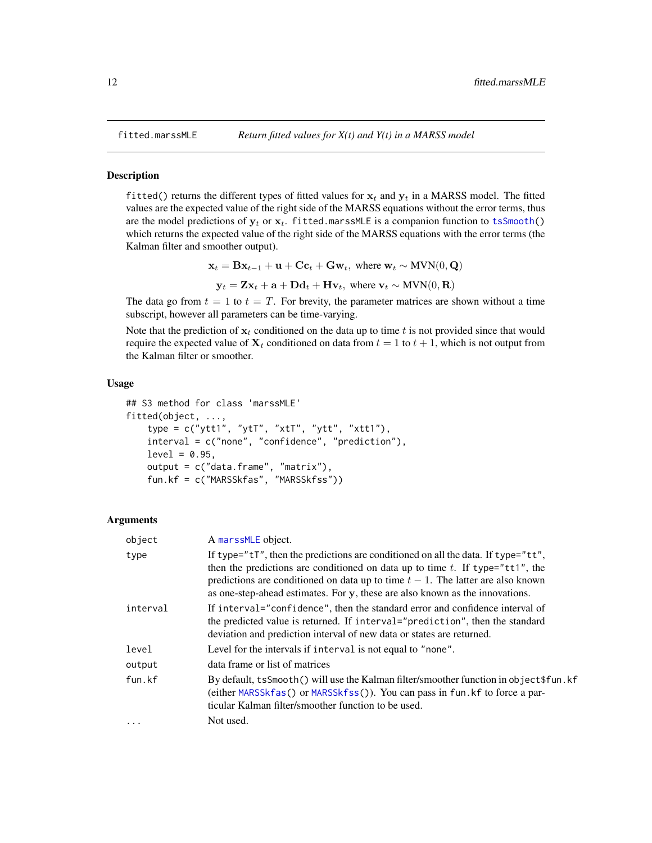# **Description**

fitted() returns the different types of fitted values for  $x_t$  and  $y_t$  in a MARSS model. The fitted values are the expected value of the right side of the MARSS equations without the error terms, thus are the model predictions of  $y_t$  or  $x_t$ . fitted.marssMLE is a companion function to [tsSmooth\(](#page-113-1)) which returns the expected value of the right side of the MARSS equations with the error terms (the Kalman filter and smoother output).

$$
\mathbf{x}_t = \mathbf{B}\mathbf{x}_{t-1} + \mathbf{u} + \mathbf{C}\mathbf{c}_t + \mathbf{G}\mathbf{w}_t, \text{ where } \mathbf{w}_t \sim \text{MVN}(0, \mathbf{Q})
$$

$$
\mathbf{y}_t = \mathbf{Z}\mathbf{x}_t + \mathbf{a} + \mathbf{D}\mathbf{d}_t + \mathbf{H}\mathbf{v}_t, \text{ where } \mathbf{v}_t \sim \text{MVN}(0, \mathbf{R})
$$

The data go from  $t = 1$  to  $t = T$ . For brevity, the parameter matrices are shown without a time subscript, however all parameters can be time-varying.

Note that the prediction of  $x_t$  conditioned on the data up to time t is not provided since that would require the expected value of  $X_t$  conditioned on data from  $t = 1$  to  $t + 1$ , which is not output from the Kalman filter or smoother.

#### Usage

```
## S3 method for class 'marssMLE'
fitted(object, ...,
    type = c("ytt1", "ytt", "xtT", "ytt", "xtt", "xtt1"),interval = c("none", "confidence", "prediction"),
    level = 0.95,output = c("data.frame", "matrix"),
    fun.kf = c("MARSSkfas", "MARSSkfss"))
```
### Arguments

| object   | A marssMLE object.                                                                                                                                                                                                                                                                                                                               |
|----------|--------------------------------------------------------------------------------------------------------------------------------------------------------------------------------------------------------------------------------------------------------------------------------------------------------------------------------------------------|
| type     | If type=" $tT$ ", then the predictions are conditioned on all the data. If type=" $tT$ ",<br>then the predictions are conditioned on data up to time t. If type="tt1", the<br>predictions are conditioned on data up to time $t - 1$ . The latter are also known<br>as one-step-ahead estimates. For y, these are also known as the innovations. |
| interval | If interval="confidence", then the standard error and confidence interval of<br>the predicted value is returned. If interval="prediction", then the standard<br>deviation and prediction interval of new data or states are returned.                                                                                                            |
| level    | Level for the intervals if interval is not equal to "none".                                                                                                                                                                                                                                                                                      |
| output   | data frame or list of matrices                                                                                                                                                                                                                                                                                                                   |
| fun.kf   | By default, tsSmooth() will use the Kalman filter/smoother function in object \$fun.kf<br>(either MARSSkfas() or MARSSkfss()). You can pass in fun. kf to force a par-<br>ticular Kalman filter/smoother function to be used.                                                                                                                    |
| $\cdot$  | Not used.                                                                                                                                                                                                                                                                                                                                        |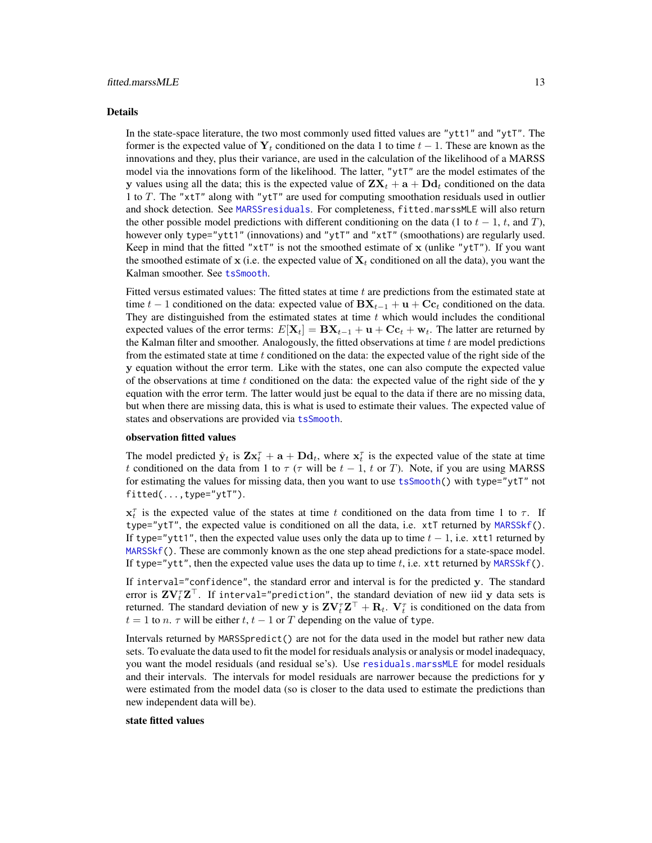#### Details

In the state-space literature, the two most commonly used fitted values are "ytt1" and "ytT". The former is the expected value of  $Y_t$  conditioned on the data 1 to time  $t - 1$ . These are known as the innovations and they, plus their variance, are used in the calculation of the likelihood of a MARSS model via the innovations form of the likelihood. The latter, "ytT" are the model estimates of the y values using all the data; this is the expected value of  $\mathbf{Z}\mathbf{X}_t + \mathbf{a} + \mathbf{D}\mathbf{d}_t$  conditioned on the data 1 to T. The "xtT" along with "ytT" are used for computing smoothation residuals used in outlier and shock detection. See [MARSSresiduals](#page-69-1). For completeness, fitted.marssMLE will also return the other possible model predictions with different conditioning on the data (1 to  $t - 1$ ,  $t$ , and  $T$ ), however only type="ytt1" (innovations) and "ytT" and "xtT" (smoothations) are regularly used. Keep in mind that the fitted " $x$ tT" is not the smoothed estimate of x (unlike " $y$ tT"). If you want the smoothed estimate of  $x$  (i.e. the expected value of  $X_t$  conditioned on all the data), you want the Kalman smoother. See [tsSmooth](#page-113-1).

Fitted versus estimated values: The fitted states at time  $t$  are predictions from the estimated state at time  $t - 1$  conditioned on the data: expected value of  $\mathbf{B} \mathbf{X}_{t-1} + \mathbf{u} + \mathbf{C} \mathbf{c}_t$  conditioned on the data. They are distinguished from the estimated states at time  $t$  which would includes the conditional expected values of the error terms:  $E[\mathbf{X}_t] = \mathbf{B} \mathbf{X}_{t-1} + \mathbf{u} + \mathbf{C} \mathbf{c}_t + \mathbf{w}_t$ . The latter are returned by the Kalman filter and smoother. Analogously, the fitted observations at time  $t$  are model predictions from the estimated state at time  $t$  conditioned on the data: the expected value of the right side of the y equation without the error term. Like with the states, one can also compute the expected value of the observations at time  $t$  conditioned on the data: the expected value of the right side of the  $y$ equation with the error term. The latter would just be equal to the data if there are no missing data, but when there are missing data, this is what is used to estimate their values. The expected value of states and observations are provided via [tsSmooth](#page-113-1).

#### observation fitted values

The model predicted  $\hat{\mathbf{y}}_t$  is  $\mathbf{Z} \mathbf{x}_t^{\tau} + \mathbf{a} + \mathbf{D} \mathbf{d}_t$ , where  $\mathbf{x}_t^{\tau}$  is the expected value of the state at time t conditioned on the data from 1 to  $\tau$  ( $\tau$  will be  $t - 1$ , t or T). Note, if you are using MARSS for estimating the values for missing data, then you want to use [tsSmooth\(](#page-113-1)) with type="ytT" not fitted(...,type="ytT").

 $x_t^{\tau}$  is the expected value of the states at time t conditioned on the data from time 1 to  $\tau$ . If type="ytT", the expected value is conditioned on all the data, i.e. xtT returned by [MARSSkf\(](#page-57-1)). If type="ytt1", then the expected value uses only the data up to time  $t - 1$ , i.e. xtt1 returned by [MARSSkf\(](#page-57-1)). These are commonly known as the one step ahead predictions for a state-space model. If type="ytt", then the expected value uses the data up to time  $t$ , i.e. xtt returned by [MARSSkf\(](#page-57-1)).

If interval="confidence", the standard error and interval is for the predicted y. The standard error is  $\mathbf{Z} \mathbf{V}_t^{\tau} \mathbf{Z}^{\top}$ . If interval="prediction", the standard deviation of new iid  $\mathbf{y}$  data sets is returned. The standard deviation of new y is  $ZV_t^\tau Z^\top + R_t$ .  $V_t^\tau$  is conditioned on the data from  $t = 1$  to n.  $\tau$  will be either t,  $t - 1$  or T depending on the value of type.

Intervals returned by MARSSpredict() are not for the data used in the model but rather new data sets. To evaluate the data used to fit the model for residuals analysis or analysis or model inadequacy, you want the model residuals (and residual se's). Use [residuals.marssMLE](#page-107-1) for model residuals and their intervals. The intervals for model residuals are narrower because the predictions for y were estimated from the model data (so is closer to the data used to estimate the predictions than new independent data will be).

# state fitted values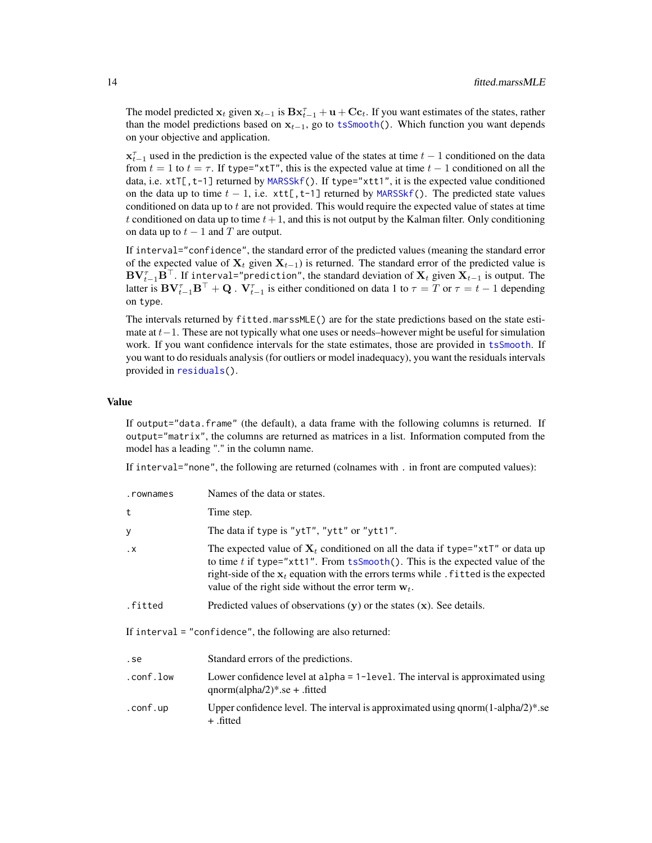The model predicted  $x_t$  given  $x_{t-1}$  is  $Bx_{t-1}^{\tau} + u + Cc_t$ . If you want estimates of the states, rather than the model predictions based on  $x_{t-1}$ , go to [tsSmooth\(](#page-113-1)). Which function you want depends on your objective and application.

 $x_{t-1}^{\tau}$  used in the prediction is the expected value of the states at time  $t-1$  conditioned on the data from  $t = 1$  to  $t = \tau$ . If type="xtT", this is the expected value at time  $t - 1$  conditioned on all the data, i.e. xtT[, t-1] returned by [MARSSkf\(](#page-57-1)). If type="xtt1", it is the expected value conditioned on the data up to time  $t - 1$ , i.e.  $xtt[, t-1]$  returned by [MARSSkf\(](#page-57-1)). The predicted state values conditioned on data up to  $t$  are not provided. This would require the expected value of states at time t conditioned on data up to time  $t + 1$ , and this is not output by the Kalman filter. Only conditioning on data up to  $t - 1$  and T are output.

If interval="confidence", the standard error of the predicted values (meaning the standard error of the expected value of  $X_t$  given  $X_{t-1}$ ) is returned. The standard error of the predicted value is  $\mathbf{BV}_{t-1}^\tau \mathbf{B}^\top.$  If interval="prediction", the standard deviation of  $\mathbf{X}_t$  given  $\mathbf{X}_{t-1}$  is output. The latter is  $BV_{t-1}^{\tau}B^{\top} + Q$  .  $V_{t-1}^{\tau}$  is either conditioned on data 1 to  $\tau = T$  or  $\tau = t - 1$  depending on type.

The intervals returned by fitted.marssMLE() are for the state predictions based on the state estimate at  $t-1$ . These are not typically what one uses or needs–however might be useful for simulation work. If you want confidence intervals for the state estimates, those are provided in [tsSmooth](#page-113-1). If you want to do residuals analysis (for outliers or model inadequacy), you want the residuals intervals provided in [residuals\(](#page-107-1)).

#### Value

If output="data.frame" (the default), a data frame with the following columns is returned. If output="matrix", the columns are returned as matrices in a list. Information computed from the model has a leading "." in the column name.

If interval="none", the following are returned (colnames with . in front are computed values):

| .rownames                                                    | Names of the data or states.                                                                                                                                                                                                                                                                                       |  |
|--------------------------------------------------------------|--------------------------------------------------------------------------------------------------------------------------------------------------------------------------------------------------------------------------------------------------------------------------------------------------------------------|--|
| t                                                            | Time step.                                                                                                                                                                                                                                                                                                         |  |
| у                                                            | The data if type is "ytT", "ytt" or "ytt1".                                                                                                                                                                                                                                                                        |  |
| $\cdot$ X                                                    | The expected value of $X_t$ conditioned on all the data if type="xtT" or data up<br>to time t if type="xtt1". From tsSmooth(). This is the expected value of the<br>right-side of the $x_t$ equation with the errors terms while. fitted is the expected<br>value of the right side without the error term $w_t$ . |  |
| .fitted                                                      | Predicted values of observations $(y)$ or the states $(x)$ . See details.                                                                                                                                                                                                                                          |  |
| If interval = "confidence", the following are also returned: |                                                                                                                                                                                                                                                                                                                    |  |
| .se                                                          | Standard errors of the predictions.                                                                                                                                                                                                                                                                                |  |
| .conf.low                                                    | Lower confidence level at $alpha = 1$ -level. The interval is approximated using<br>$qnorm(alpha/2)*.se + .fitted$                                                                                                                                                                                                 |  |
| .conf.up                                                     | Upper confidence level. The interval is approximated using qnorm(1-alpha/2)*.se<br>+ .fitted                                                                                                                                                                                                                       |  |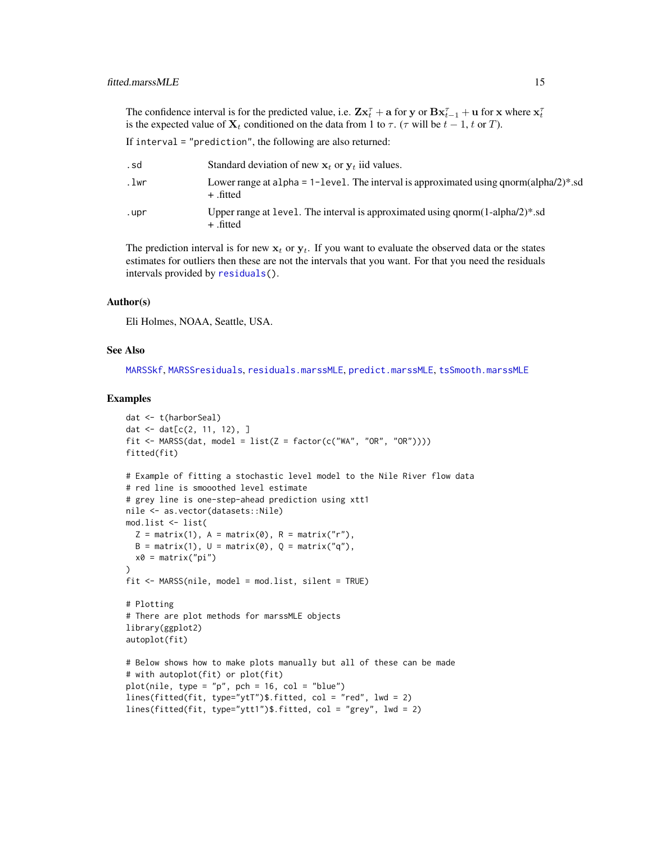The confidence interval is for the predicted value, i.e.  $\mathbf{Z} \mathbf{x}_t^{\tau} + \mathbf{a}$  for y or  $\mathbf{B} \mathbf{x}_{t-1}^{\tau} + \mathbf{u}$  for x where  $\mathbf{x}_t^{\tau}$ is the expected value of  $X_t$  conditioned on the data from 1 to  $\tau$ . ( $\tau$  will be  $t - 1$ ,  $t$  or  $T$ ).

If interval = "prediction", the following are also returned:

| . sd | Standard deviation of new $x_t$ or $y_t$ iid values.                                                          |
|------|---------------------------------------------------------------------------------------------------------------|
| .lwr | Lower range at a 1 pha = 1-1 evel. The interval is approximated using q norm (alpha/2)*. sd<br>+ .fitted      |
| .upr | Upper range at level. The interval is approximated using qnorm( $1$ -alpha $/2$ <sup>*</sup> .sd<br>+ .fitted |

The prediction interval is for new  $x_t$  or  $y_t$ . If you want to evaluate the observed data or the states estimates for outliers then these are not the intervals that you want. For that you need the residuals intervals provided by [residuals\(](#page-107-1)).

# Author(s)

Eli Holmes, NOAA, Seattle, USA.

#### See Also

[MARSSkf](#page-57-1), [MARSSresiduals](#page-69-1), [residuals.marssMLE](#page-107-1), [predict.marssMLE](#page-98-1), [tsSmooth.marssMLE](#page-113-1)

#### Examples

```
dat <- t(harborSeal)
dat \leq - dat[c(2, 11, 12), ]fit \leq MARSS(dat, model = list(Z = factor(c("WA", "OR", "OR"))))
fitted(fit)
# Example of fitting a stochastic level model to the Nile River flow data
# red line is smooothed level estimate
# grey line is one-step-ahead prediction using xtt1
nile <- as.vector(datasets::Nile)
mod.list <- list(
  Z = matrix(1), A = matrix(0), R = matrix("r"),
  B = matrix(1), U = matrix(0), Q = matrix("q"),
  x0 = matrix("pi"))
fit \leq MARSS(nile, model = mod.list, silent = TRUE)
# Plotting
# There are plot methods for marssMLE objects
library(ggplot2)
autoplot(fit)
# Below shows how to make plots manually but all of these can be made
# with autoplot(fit) or plot(fit)
plot(nile, type = "p", pch = 16, col = "blue")lines(fitted(fit, type="ytT")$.fitted, col = "red", lwd = 2)
lines(fitted(fit, type="ytt1")$.fitted, col = "grey", lwd = 2)
```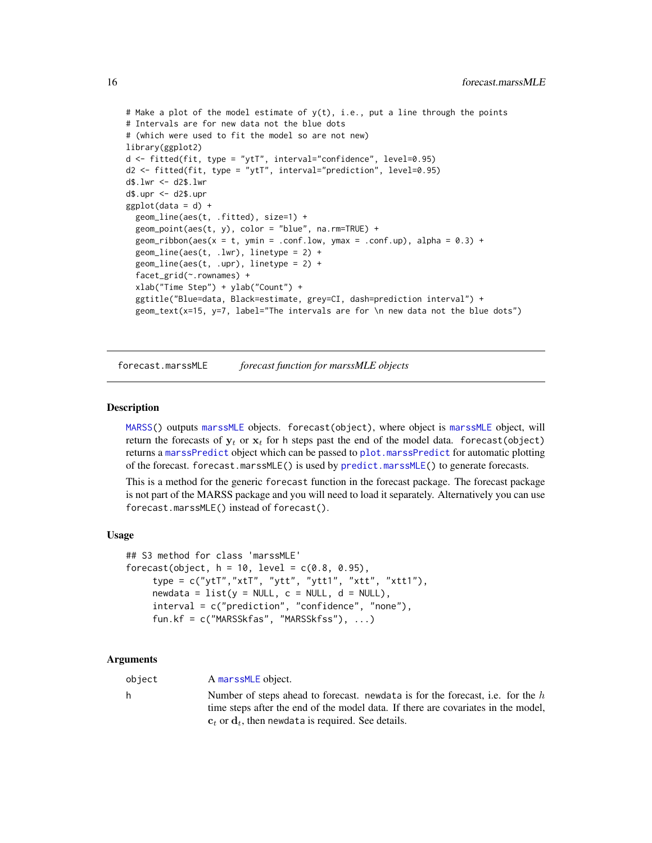```
# Make a plot of the model estimate of y(t), i.e., put a line through the points
# Intervals are for new data not the blue dots
# (which were used to fit the model so are not new)
library(ggplot2)
d <- fitted(fit, type = "ytT", interval="confidence", level=0.95)
d2 <- fitted(fit, type = "ytT", interval="prediction", level=0.95)
d$.lwr <- d2$.lwr
d$.upr <- d2$.upr
ggplot(data = d) +geom_line(aes(t, .fitted), size=1) +
 geom_point(aes(t, y), color = "blue", na.rm=TRUE) +
 geom\_ribbon(aes(x = t, ymin = .conf.low, ymax = .conf.up), alpha = 0.3) +geom\_line(aes(t, .lw), linetype = 2) +geom_line(aes(t, .upr), linetype = 2) +
 facet_grid(~.rownames) +
 xlab("Time Step") + ylab("Count") +
 ggtitle("Blue=data, Black=estimate, grey=CI, dash=prediction interval") +
 geom_text(x=15, y=7, label="The intervals are for \n new data not the blue dots")
```
forecast.marssMLE *forecast function for marssMLE objects*

### Description

[MARSS\(](#page-26-1)) outputs [marssMLE](#page-61-1) objects. forecast(object), where object is [marssMLE](#page-61-1) object, will return the forecasts of  $y_t$  or  $x_t$  for h steps past the end of the model data. forecast(object) returns a [marssPredict](#page-68-1) object which can be passed to [plot.marssPredict](#page-92-1) for automatic plotting of the forecast. forecast.marssMLE() is used by [predict.marssMLE\(](#page-98-1)) to generate forecasts.

This is a method for the generic forecast function in the forecast package. The forecast package is not part of the MARSS package and you will need to load it separately. Alternatively you can use forecast.marssMLE() instead of forecast().

#### Usage

```
## S3 method for class 'marssMLE'
forecast(object, h = 10, level = c(0.8, 0.95),
     type = c("ytT", "xtT", "ytt", "ytt1", "xtt", "xtt", "xtt1"),newdata = list(y = NULL, c = NULL, d = NULL),interval = c("prediction", "confidence", "none"),
     fun.kf = c("MARSSkfas", "MARSSkfss"), ...)
```
#### Arguments

object A [marssMLE](#page-61-1) object.

h Number of steps ahead to forecast. newdata is for the forecast, i.e. for the  $h$ time steps after the end of the model data. If there are covariates in the model,  $c_t$  or  $d_t$ , then newdata is required. See details.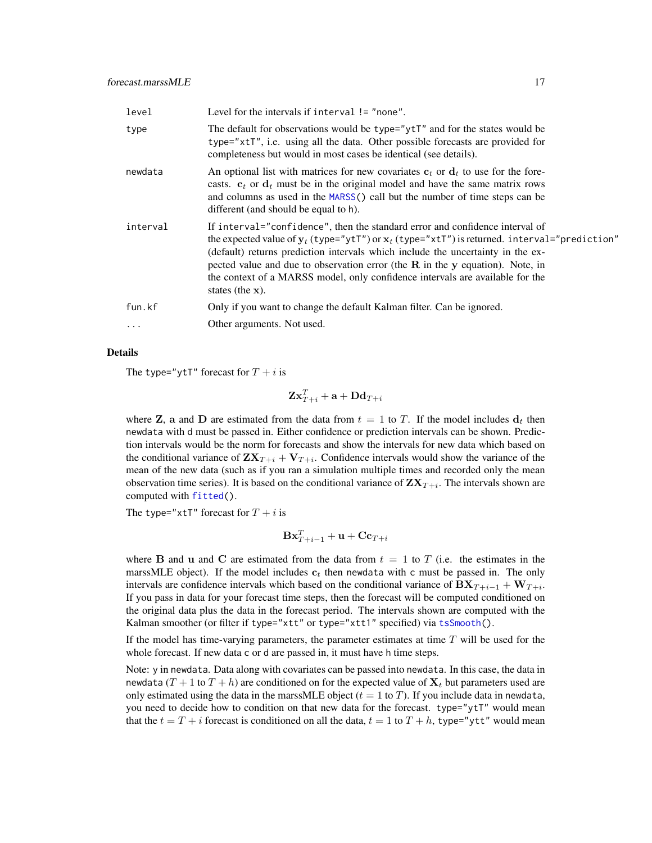| level     | Level for the intervals if interval $!=$ "none".                                                                                                                                                                                                                                                                                                                                                                                                                 |
|-----------|------------------------------------------------------------------------------------------------------------------------------------------------------------------------------------------------------------------------------------------------------------------------------------------------------------------------------------------------------------------------------------------------------------------------------------------------------------------|
| type      | The default for observations would be type="ytT" and for the states would be<br>type="xtT", i.e. using all the data. Other possible forecasts are provided for<br>completeness but would in most cases be identical (see details).                                                                                                                                                                                                                               |
| newdata   | An optional list with matrices for new covariates $c_t$ or $d_t$ to use for the fore-<br>casts. $c_t$ or $d_t$ must be in the original model and have the same matrix rows<br>and columns as used in the MARSS() call but the number of time steps can be<br>different (and should be equal to h).                                                                                                                                                               |
| interval  | If interval="confidence", then the standard error and confidence interval of<br>the expected value of $y_t$ (type="ytT") or $x_t$ (type="xtT") is returned. interval="prediction"<br>(default) returns prediction intervals which include the uncertainty in the ex-<br>pected value and due to observation error (the $R$ in the $y$ equation). Note, in<br>the context of a MARSS model, only confidence intervals are available for the<br>states (the $x)$ . |
| fun.kf    | Only if you want to change the default Kalman filter. Can be ignored.                                                                                                                                                                                                                                                                                                                                                                                            |
| $\ddotsc$ | Other arguments. Not used.                                                                                                                                                                                                                                                                                                                                                                                                                                       |
|           |                                                                                                                                                                                                                                                                                                                                                                                                                                                                  |

### Details

The type="ytT" forecast for  $T + i$  is

 $\mathbf{Z}\mathbf{x}_{T+i}^T + \mathbf{a} + \mathbf{D}\mathbf{d}_{T+i}$ 

where **Z**, a and **D** are estimated from the data from  $t = 1$  to T. If the model includes  $d_t$  then newdata with d must be passed in. Either confidence or prediction intervals can be shown. Prediction intervals would be the norm for forecasts and show the intervals for new data which based on the conditional variance of  $\mathbf{Z} \mathbf{X}_{T+i} + \mathbf{V}_{T+i}$ . Confidence intervals would show the variance of the mean of the new data (such as if you ran a simulation multiple times and recorded only the mean observation time series). It is based on the conditional variance of  $ZX_{T+i}$ . The intervals shown are computed with [fitted\(](#page-11-1)).

The type=" $xtT$ " forecast for  $T + i$  is

$$
\mathbf{Bx}^T_{T+i-1} + \mathbf{u} + \mathbf{Cc}_{T+i}
$$

where **B** and **u** and **C** are estimated from the data from  $t = 1$  to T (i.e. the estimates in the marssMLE object). If the model includes  $c_t$  then newdata with c must be passed in. The only intervals are confidence intervals which based on the conditional variance of  $\mathbf{B}\mathbf{X}_{T+i-1} + \mathbf{W}_{T+i}$ . If you pass in data for your forecast time steps, then the forecast will be computed conditioned on the original data plus the data in the forecast period. The intervals shown are computed with the Kalman smoother (or filter if type="xtt" or type="xtt1" specified) via [tsSmooth\(](#page-113-1)).

If the model has time-varying parameters, the parameter estimates at time  $T$  will be used for the whole forecast. If new data c or d are passed in, it must have h time steps.

Note: y in newdata. Data along with covariates can be passed into newdata. In this case, the data in newdata  $(T + 1$  to  $T + h$ ) are conditioned on for the expected value of  $X_t$  but parameters used are only estimated using the data in the marss MLE object  $(t = 1 \text{ to } T)$ . If you include data in newdata, you need to decide how to condition on that new data for the forecast. type="ytT" would mean that the  $t = T + i$  forecast is conditioned on all the data,  $t = 1$  to  $T + h$ , type="ytt" would mean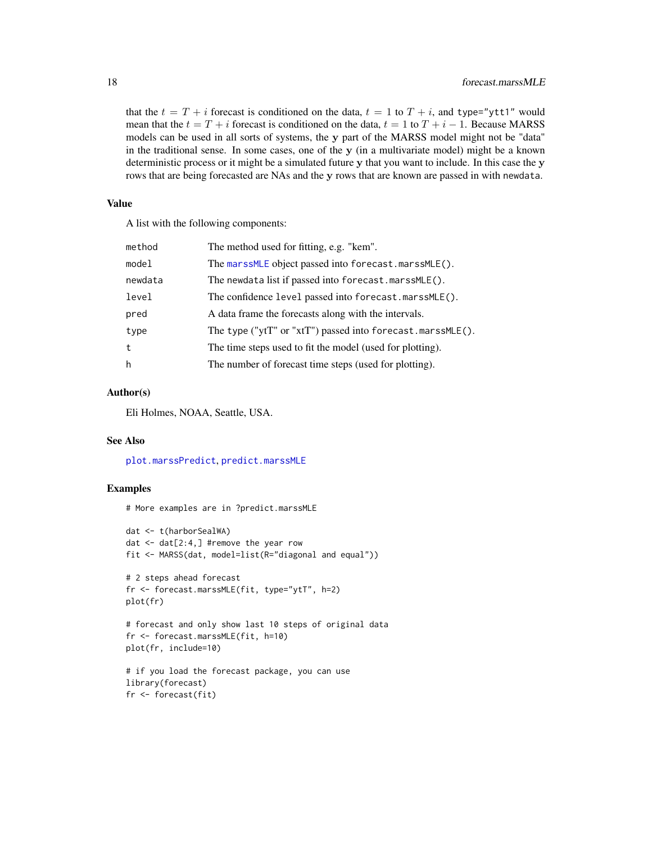that the  $t = T + i$  forecast is conditioned on the data,  $t = 1$  to  $T + i$ , and type="ytt1" would mean that the  $t = T + i$  forecast is conditioned on the data,  $t = 1$  to  $T + i - 1$ . Because MARSS models can be used in all sorts of systems, the y part of the MARSS model might not be "data" in the traditional sense. In some cases, one of the y (in a multivariate model) might be a known deterministic process or it might be a simulated future y that you want to include. In this case the y rows that are being forecasted are NAs and the y rows that are known are passed in with newdata.

#### Value

A list with the following components:

| method  | The method used for fitting, e.g. "kem".                   |
|---------|------------------------------------------------------------|
| model   | The marssMLE object passed into forecast.marssMLE().       |
| newdata | The newdata list if passed into forecast.marssMLE().       |
| level   | The confidence level passed into forecast.marssMLE().      |
| pred    | A data frame the forecasts along with the intervals.       |
| type    | The type ("ytT" or "xtT") passed into forecast.marssMLE(). |
| t       | The time steps used to fit the model (used for plotting).  |
| h       | The number of forecast time steps (used for plotting).     |
|         |                                                            |

# Author(s)

Eli Holmes, NOAA, Seattle, USA.

#### See Also

[plot.marssPredict](#page-92-1), [predict.marssMLE](#page-98-1)

#### Examples

```
# More examples are in ?predict.marssMLE
```

```
dat <- t(harborSealWA)
dat <- dat[2:4,] #remove the year row
fit <- MARSS(dat, model=list(R="diagonal and equal"))
# 2 steps ahead forecast
fr <- forecast.marssMLE(fit, type="ytT", h=2)
plot(fr)
# forecast and only show last 10 steps of original data
fr <- forecast.marssMLE(fit, h=10)
plot(fr, include=10)
# if you load the forecast package, you can use
library(forecast)
fr <- forecast(fit)
```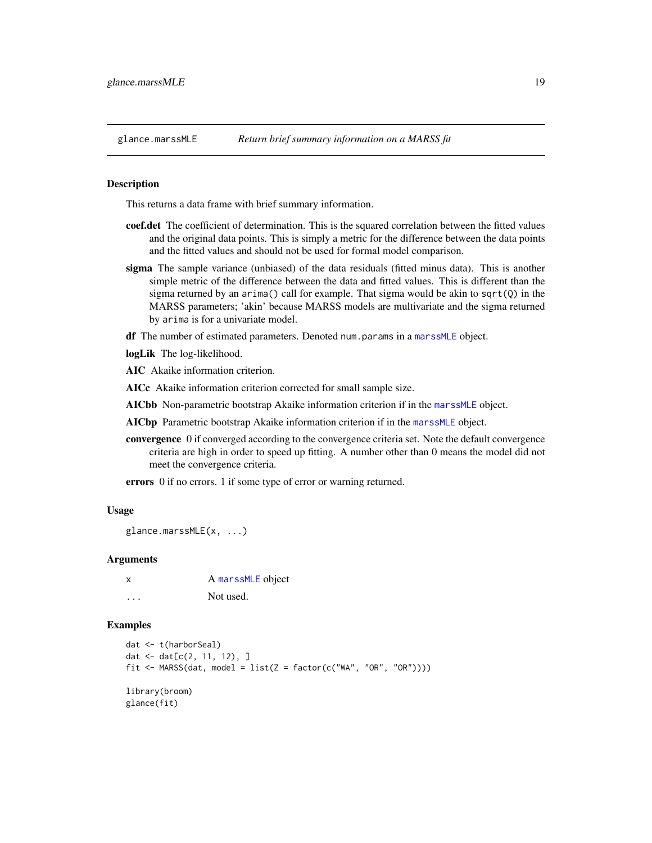<span id="page-18-1"></span><span id="page-18-0"></span>

#### Description

This returns a data frame with brief summary information.

- coef.det The coefficient of determination. This is the squared correlation between the fitted values and the original data points. This is simply a metric for the difference between the data points and the fitted values and should not be used for formal model comparison.
- sigma The sample variance (unbiased) of the data residuals (fitted minus data). This is another simple metric of the difference between the data and fitted values. This is different than the sigma returned by an arima() call for example. That sigma would be akin to sqrt $(Q)$  in the MARSS parameters; 'akin' because MARSS models are multivariate and the sigma returned by arima is for a univariate model.

df The number of estimated parameters. Denoted num.params in a [marssMLE](#page-61-1) object.

logLik The log-likelihood.

AIC Akaike information criterion.

AICc Akaike information criterion corrected for small sample size.

AICbb Non-parametric bootstrap Akaike information criterion if in the [marssMLE](#page-61-1) object.

AICbp Parametric bootstrap Akaike information criterion if in the [marssMLE](#page-61-1) object.

convergence 0 if converged according to the convergence criteria set. Note the default convergence criteria are high in order to speed up fitting. A number other than 0 means the model did not meet the convergence criteria.

errors 0 if no errors. 1 if some type of error or warning returned.

#### Usage

glance.marssMLE(x, ...)

### Arguments

x A [marssMLE](#page-61-1) object ... Not used.

### Examples

```
dat <- t(harborSeal)
dat <- dat[c(2, 11, 12), ]
fit <- MARSS(dat, model = list(Z = factor(c("WA", "OR", "OR"))))
library(broom)
glance(fit)
```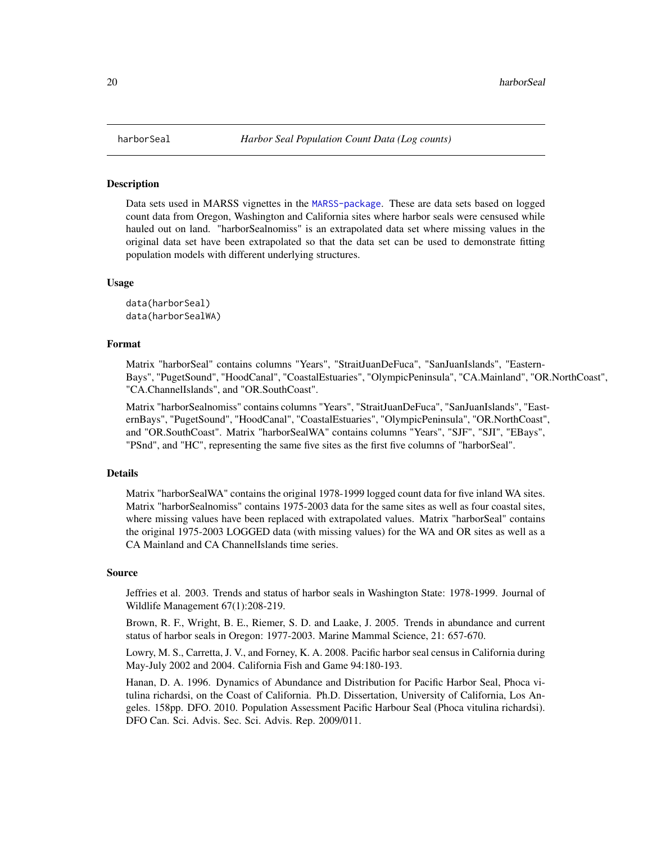#### **Description**

Data sets used in MARSS vignettes in the [MARSS-package](#page-2-1). These are data sets based on logged count data from Oregon, Washington and California sites where harbor seals were censused while hauled out on land. "harborSealnomiss" is an extrapolated data set where missing values in the original data set have been extrapolated so that the data set can be used to demonstrate fitting population models with different underlying structures.

#### Usage

data(harborSeal) data(harborSealWA)

#### Format

Matrix "harborSeal" contains columns "Years", "StraitJuanDeFuca", "SanJuanIslands", "Eastern-Bays", "PugetSound", "HoodCanal", "CoastalEstuaries", "OlympicPeninsula", "CA.Mainland", "OR.NorthCoast", "CA.ChannelIslands", and "OR.SouthCoast".

Matrix "harborSealnomiss" contains columns "Years", "StraitJuanDeFuca", "SanJuanIslands", "EasternBays", "PugetSound", "HoodCanal", "CoastalEstuaries", "OlympicPeninsula", "OR.NorthCoast", and "OR.SouthCoast". Matrix "harborSealWA" contains columns "Years", "SJF", "SJI", "EBays", "PSnd", and "HC", representing the same five sites as the first five columns of "harborSeal".

# Details

Matrix "harborSealWA" contains the original 1978-1999 logged count data for five inland WA sites. Matrix "harborSealnomiss" contains 1975-2003 data for the same sites as well as four coastal sites, where missing values have been replaced with extrapolated values. Matrix "harborSeal" contains the original 1975-2003 LOGGED data (with missing values) for the WA and OR sites as well as a CA Mainland and CA ChannelIslands time series.

#### Source

Jeffries et al. 2003. Trends and status of harbor seals in Washington State: 1978-1999. Journal of Wildlife Management 67(1):208-219.

Brown, R. F., Wright, B. E., Riemer, S. D. and Laake, J. 2005. Trends in abundance and current status of harbor seals in Oregon: 1977-2003. Marine Mammal Science, 21: 657-670.

Lowry, M. S., Carretta, J. V., and Forney, K. A. 2008. Pacific harbor seal census in California during May-July 2002 and 2004. California Fish and Game 94:180-193.

Hanan, D. A. 1996. Dynamics of Abundance and Distribution for Pacific Harbor Seal, Phoca vitulina richardsi, on the Coast of California. Ph.D. Dissertation, University of California, Los Angeles. 158pp. DFO. 2010. Population Assessment Pacific Harbour Seal (Phoca vitulina richardsi). DFO Can. Sci. Advis. Sec. Sci. Advis. Rep. 2009/011.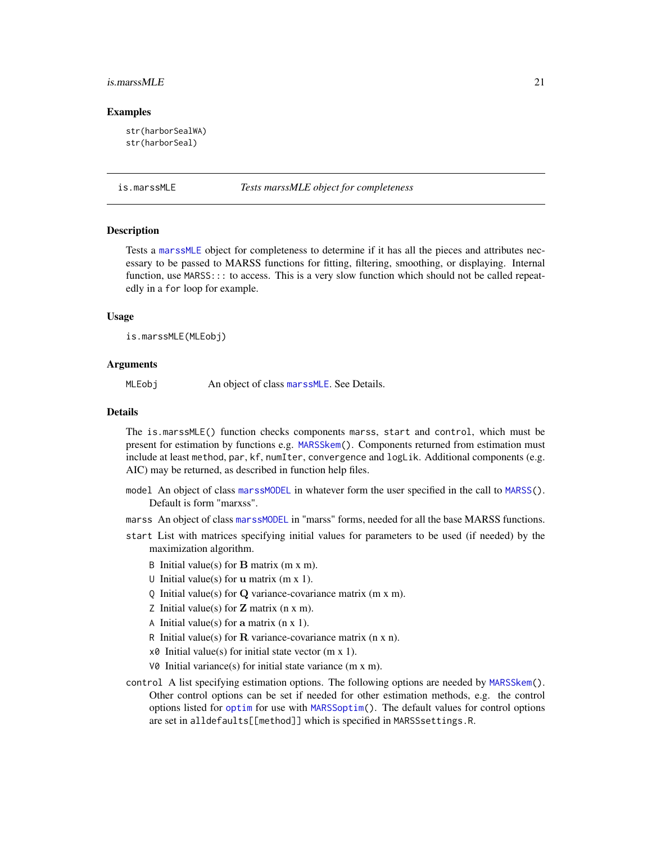#### <span id="page-20-0"></span>is.marssMLE 21

#### Examples

```
str(harborSealWA)
str(harborSeal)
```
#### is.marssMLE *Tests marssMLE object for completeness*

## **Description**

Tests a [marssMLE](#page-61-1) object for completeness to determine if it has all the pieces and attributes necessary to be passed to MARSS functions for fitting, filtering, smoothing, or displaying. Internal function, use MARSS::: to access. This is a very slow function which should not be called repeatedly in a for loop for example.

#### Usage

is.marssMLE(MLEobj)

#### Arguments

MLEobj An object of class [marssMLE](#page-61-1). See Details.

# Details

The is.marssMLE() function checks components marss, start and control, which must be present for estimation by functions e.g. [MARSSkem\(](#page-53-1)). Components returned from estimation must include at least method, par, kf, numIter, convergence and logLik. Additional components (e.g. AIC) may be returned, as described in function help files.

- model An object of class [marssMODEL](#page-62-1) in whatever form the user specified in the call to [MARSS\(](#page-26-1)). Default is form "marxss".
- marss An object of class [marssMODEL](#page-62-1) in "marss" forms, needed for all the base MARSS functions.
- start List with matrices specifying initial values for parameters to be used (if needed) by the maximization algorithm.
	- B Initial value(s) for  $\bf{B}$  matrix (m x m).
	- U Initial value(s) for **u** matrix  $(m x 1)$ .
	- Q Initial value(s) for Q variance-covariance matrix (m x m).
	- Z Initial value(s) for  $Z$  matrix (n x m).
	- A Initial value(s) for a matrix  $(n \times 1)$ .
	- R Initial value(s) for  $\bf{R}$  variance-covariance matrix (n x n).
	- $x\theta$  Initial value(s) for initial state vector (m x 1).
	- $V\&$  Initial variance(s) for initial state variance (m x m).
- control A list specifying estimation options. The following options are needed by [MARSSkem\(](#page-53-1)). Other control options can be set if needed for other estimation methods, e.g. the control options listed for [optim](#page-0-0) for use with [MARSSoptim\(](#page-64-1)). The default values for control options are set in alldefaults[[method]] which is specified in MARSSsettings.R.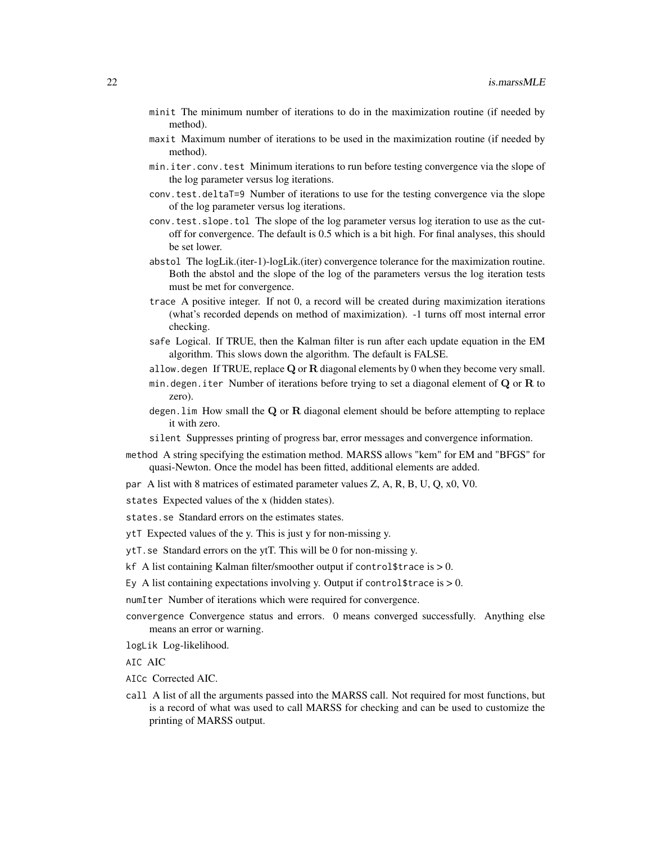- minit The minimum number of iterations to do in the maximization routine (if needed by method).
- maxit Maximum number of iterations to be used in the maximization routine (if needed by method).
- min.iter.conv.test Minimum iterations to run before testing convergence via the slope of the log parameter versus log iterations.
- conv.test.deltaT=9 Number of iterations to use for the testing convergence via the slope of the log parameter versus log iterations.
- conv.test.slope.tol The slope of the log parameter versus log iteration to use as the cutoff for convergence. The default is 0.5 which is a bit high. For final analyses, this should be set lower.
- abstol The logLik.(iter-1)-logLik.(iter) convergence tolerance for the maximization routine. Both the abstol and the slope of the log of the parameters versus the log iteration tests must be met for convergence.
- trace A positive integer. If not 0, a record will be created during maximization iterations (what's recorded depends on method of maximization). -1 turns off most internal error checking.
- safe Logical. If TRUE, then the Kalman filter is run after each update equation in the EM algorithm. This slows down the algorithm. The default is FALSE.
- allow.degen If TRUE, replace  $Q$  or  $R$  diagonal elements by 0 when they become very small.
- min. degen. iter Number of iterations before trying to set a diagonal element of  $Q$  or  $R$  to zero).
- degen. Lim How small the  $Q$  or  $R$  diagonal element should be before attempting to replace it with zero.
- silent Suppresses printing of progress bar, error messages and convergence information.
- method A string specifying the estimation method. MARSS allows "kem" for EM and "BFGS" for quasi-Newton. Once the model has been fitted, additional elements are added.
- par A list with 8 matrices of estimated parameter values Z, A, R, B, U, Q, x0, V0.
- states Expected values of the x (hidden states).
- states.se Standard errors on the estimates states.
- ytT Expected values of the y. This is just y for non-missing y.
- ytT.se Standard errors on the ytT. This will be 0 for non-missing y.
- kf A list containing Kalman filter/smoother output if control \$trace is  $> 0$ .
- Ey A list containing expectations involving y. Output if control \$trace is  $> 0$ .
- numIter Number of iterations which were required for convergence.
- convergence Convergence status and errors. 0 means converged successfully. Anything else means an error or warning.
- logLik Log-likelihood.
- AIC AIC
- AICc Corrected AIC.
- call A list of all the arguments passed into the MARSS call. Not required for most functions, but is a record of what was used to call MARSS for checking and can be used to customize the printing of MARSS output.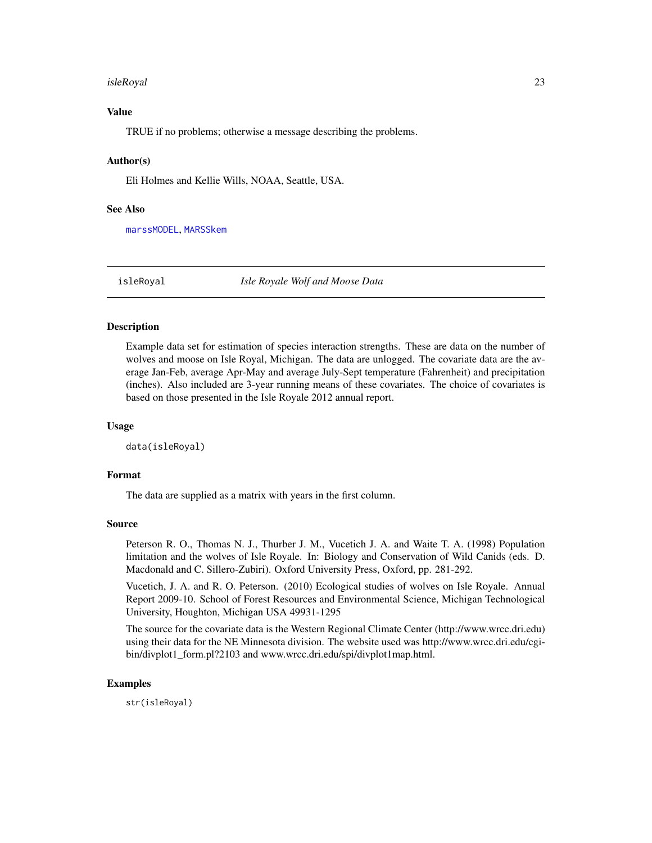#### <span id="page-22-0"></span>isleRoyal 23

# Value

TRUE if no problems; otherwise a message describing the problems.

# Author(s)

Eli Holmes and Kellie Wills, NOAA, Seattle, USA.

# See Also

[marssMODEL](#page-62-1), [MARSSkem](#page-53-1)

<span id="page-22-1"></span>isleRoyal *Isle Royale Wolf and Moose Data*

### Description

Example data set for estimation of species interaction strengths. These are data on the number of wolves and moose on Isle Royal, Michigan. The data are unlogged. The covariate data are the average Jan-Feb, average Apr-May and average July-Sept temperature (Fahrenheit) and precipitation (inches). Also included are 3-year running means of these covariates. The choice of covariates is based on those presented in the Isle Royale 2012 annual report.

### Usage

data(isleRoyal)

#### Format

The data are supplied as a matrix with years in the first column.

# Source

Peterson R. O., Thomas N. J., Thurber J. M., Vucetich J. A. and Waite T. A. (1998) Population limitation and the wolves of Isle Royale. In: Biology and Conservation of Wild Canids (eds. D. Macdonald and C. Sillero-Zubiri). Oxford University Press, Oxford, pp. 281-292.

Vucetich, J. A. and R. O. Peterson. (2010) Ecological studies of wolves on Isle Royale. Annual Report 2009-10. School of Forest Resources and Environmental Science, Michigan Technological University, Houghton, Michigan USA 49931-1295

The source for the covariate data is the Western Regional Climate Center (http://www.wrcc.dri.edu) using their data for the NE Minnesota division. The website used was http://www.wrcc.dri.edu/cgibin/divplot1\_form.pl?2103 and www.wrcc.dri.edu/spi/divplot1map.html.

# Examples

str(isleRoyal)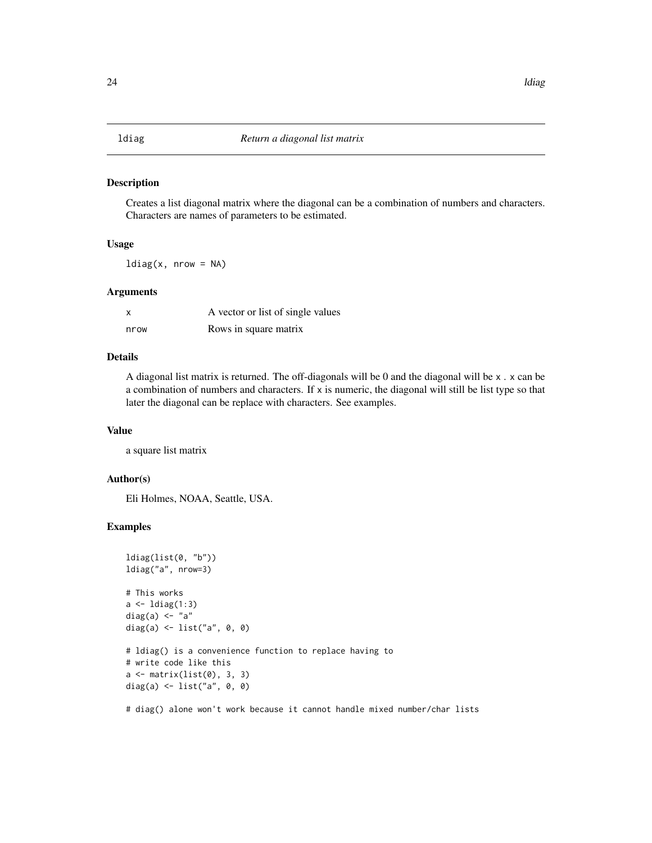#### <span id="page-23-0"></span>Description

Creates a list diagonal matrix where the diagonal can be a combination of numbers and characters. Characters are names of parameters to be estimated.

## Usage

 $ldiag(x, nrow = NA)$ 

#### Arguments

| X    | A vector or list of single values |
|------|-----------------------------------|
| nrow | Rows in square matrix             |

# Details

A diagonal list matrix is returned. The off-diagonals will be 0 and the diagonal will be  $x \cdot x$  can be a combination of numbers and characters. If  $x$  is numeric, the diagonal will still be list type so that later the diagonal can be replace with characters. See examples.

#### Value

a square list matrix

### Author(s)

Eli Holmes, NOAA, Seattle, USA.

# Examples

```
ldiag(list(0, "b"))
ldiag("a", nrow=3)
# This works
a \leftarrow ldiag(1:3)diag(a) <- "a"
diag(a) <- list("a", 0, 0)
# ldiag() is a convenience function to replace having to
# write code like this
a \leftarrow matrix(list(0), 3, 3)diag(a) <- list("a", 0, 0)
```
# diag() alone won't work because it cannot handle mixed number/char lists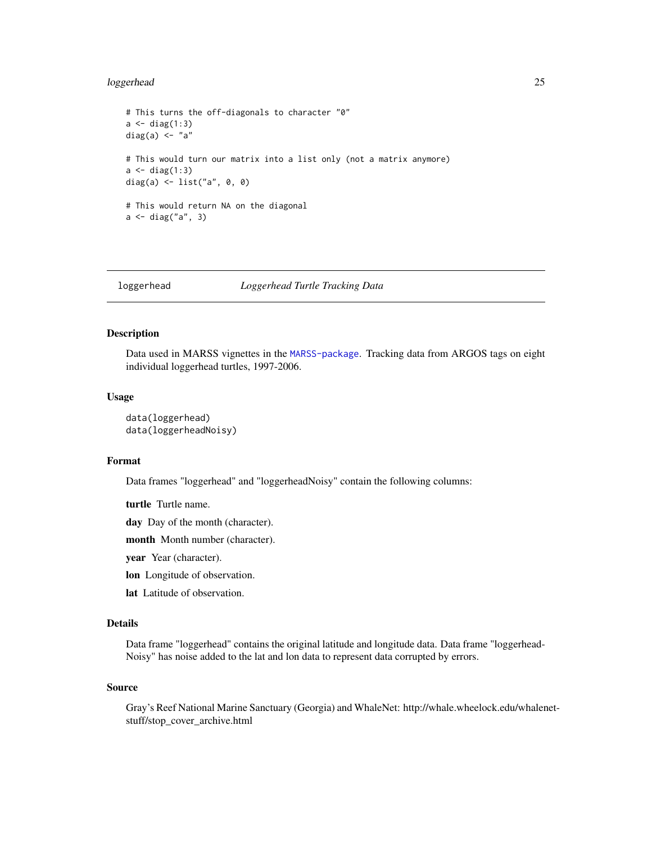# <span id="page-24-0"></span>loggerhead 25

```
# This turns the off-diagonals to character "0"
a \leftarrow diag(1:3)diag(a) \leftarrow "a"
# This would turn our matrix into a list only (not a matrix anymore)
a \leftarrow diag(1:3)diag(a) <- list("a", 0, 0)
# This would return NA on the diagonal
a <- diag("a", 3)
```
<span id="page-24-1"></span>

# loggerhead *Loggerhead Turtle Tracking Data*

# Description

Data used in MARSS vignettes in the [MARSS-package](#page-2-1). Tracking data from ARGOS tags on eight individual loggerhead turtles, 1997-2006.

# Usage

```
data(loggerhead)
data(loggerheadNoisy)
```
# Format

Data frames "loggerhead" and "loggerheadNoisy" contain the following columns:

turtle Turtle name.

day Day of the month (character).

month Month number (character).

year Year (character).

- lon Longitude of observation.
- lat Latitude of observation.

### Details

Data frame "loggerhead" contains the original latitude and longitude data. Data frame "loggerhead-Noisy" has noise added to the lat and lon data to represent data corrupted by errors.

#### Source

Gray's Reef National Marine Sanctuary (Georgia) and WhaleNet: http://whale.wheelock.edu/whalenetstuff/stop\_cover\_archive.html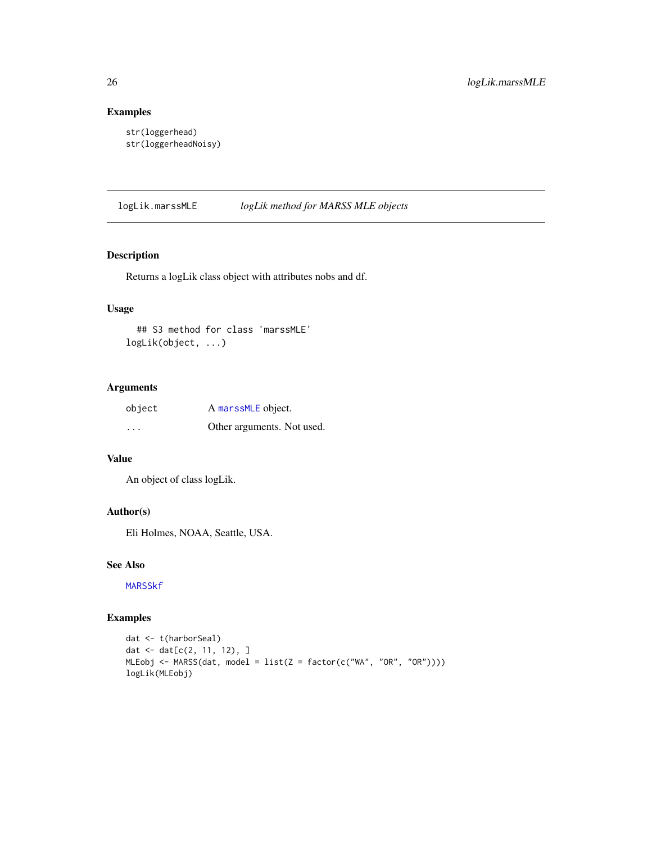# Examples

```
str(loggerhead)
str(loggerheadNoisy)
```
<span id="page-25-1"></span>logLik.marssMLE *logLik method for MARSS MLE objects*

# Description

Returns a logLik class object with attributes nobs and df.

### Usage

## S3 method for class 'marssMLE' logLik(object, ...)

# Arguments

| object                  | A marssMLE object.         |
|-------------------------|----------------------------|
| $\cdot$ $\cdot$ $\cdot$ | Other arguments. Not used. |

# Value

An object of class logLik.

# Author(s)

Eli Holmes, NOAA, Seattle, USA.

#### See Also

[MARSSkf](#page-57-1)

# Examples

```
dat <- t(harborSeal)
dat <- dat[c(2, 11, 12), ]
MLEobj <- MARSS(dat, model = list(Z = factor(c("WA", "OR", "OR"))))
logLik(MLEobj)
```
<span id="page-25-0"></span>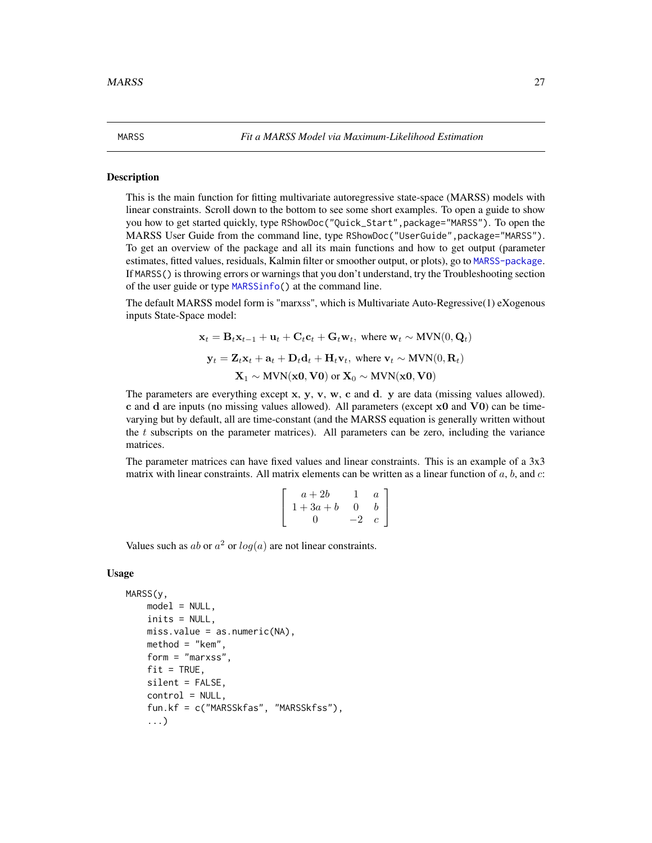#### Description

This is the main function for fitting multivariate autoregressive state-space (MARSS) models with linear constraints. Scroll down to the bottom to see some short examples. To open a guide to show you how to get started quickly, type RShowDoc("Quick\_Start",package="MARSS"). To open the MARSS User Guide from the command line, type RShowDoc("UserGuide",package="MARSS"). To get an overview of the package and all its main functions and how to get output (parameter estimates, fitted values, residuals, Kalmin filter or smoother output, or plots), go to [MARSS-package](#page-2-1). If MARSS() is throwing errors or warnings that you don't understand, try the Troubleshooting section of the user guide or type [MARSSinfo\(](#page-49-1)) at the command line.

<span id="page-26-1"></span><span id="page-26-0"></span>MARSS *Fit a MARSS Model via Maximum-Likelihood Estimation*

The default MARSS model form is "marxss", which is Multivariate Auto-Regressive(1) eXogenous inputs State-Space model:

$$
\mathbf{x}_t = \mathbf{B}_t \mathbf{x}_{t-1} + \mathbf{u}_t + \mathbf{C}_t \mathbf{c}_t + \mathbf{G}_t \mathbf{w}_t, \text{ where } \mathbf{w}_t \sim \text{MVN}(0, \mathbf{Q}_t)
$$
  

$$
\mathbf{y}_t = \mathbf{Z}_t \mathbf{x}_t + \mathbf{a}_t + \mathbf{D}_t \mathbf{d}_t + \mathbf{H}_t \mathbf{v}_t, \text{ where } \mathbf{v}_t \sim \text{MVN}(0, \mathbf{R}_t)
$$
  

$$
\mathbf{X}_1 \sim \text{MVN}(\mathbf{x_0}, \mathbf{V0}) \text{ or } \mathbf{X}_0 \sim \text{MVN}(\mathbf{x_0}, \mathbf{V0})
$$

The parameters are everything except  $x, y, v, w, c$  and d. y are data (missing values allowed). c and d are inputs (no missing values allowed). All parameters (except  $x0$  and  $V0$ ) can be timevarying but by default, all are time-constant (and the MARSS equation is generally written without the  $t$  subscripts on the parameter matrices). All parameters can be zero, including the variance matrices.

The parameter matrices can have fixed values and linear constraints. This is an example of a 3x3 matrix with linear constraints. All matrix elements can be written as a linear function of  $a, b$ , and  $c$ :

$$
\left[\begin{array}{ccc}a+2b&1&a\\1+3a+b&0&b\\0&-2&c\end{array}\right]
$$

Values such as ab or  $a^2$  or  $log(a)$  are not linear constraints.

#### Usage

```
MARSS(y,
    model = NULL,inits = NULL,
    miss.value = as.numeric(NA),method = "kem",
    form = "marxss",
    fit = TRUE,silent = FALSE,
    control = NULL,
    fun.kf = c("MARSSkfas", "MARSSkfss"),
    ...)
```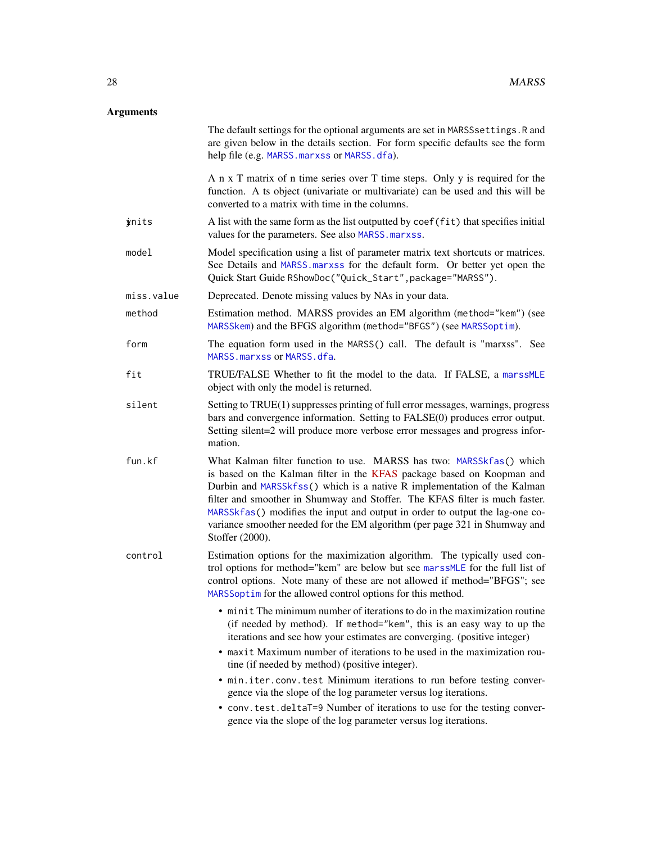# Arguments

|              | The default settings for the optional arguments are set in MARSS settings. R and<br>are given below in the details section. For form specific defaults see the form<br>help file (e.g. MARSS. marxss or MARSS. dfa).                                                                                                                                                                                                                                                                      |
|--------------|-------------------------------------------------------------------------------------------------------------------------------------------------------------------------------------------------------------------------------------------------------------------------------------------------------------------------------------------------------------------------------------------------------------------------------------------------------------------------------------------|
|              | A n x T matrix of n time series over T time steps. Only y is required for the<br>function. A ts object (univariate or multivariate) can be used and this will be<br>converted to a matrix with time in the columns.                                                                                                                                                                                                                                                                       |
| <i>inits</i> | A list with the same form as the list outputted by coef(fit) that specifies initial<br>values for the parameters. See also MARSS. marxss.                                                                                                                                                                                                                                                                                                                                                 |
| model        | Model specification using a list of parameter matrix text shortcuts or matrices.<br>See Details and MARSS marxss for the default form. Or better yet open the<br>Quick Start Guide RShowDoc("Quick_Start", package="MARSS").                                                                                                                                                                                                                                                              |
| miss.value   | Deprecated. Denote missing values by NAs in your data.                                                                                                                                                                                                                                                                                                                                                                                                                                    |
| method       | Estimation method. MARSS provides an EM algorithm (method="kem") (see<br>MARSSkem) and the BFGS algorithm (method="BFGS") (see MARSSoptim).                                                                                                                                                                                                                                                                                                                                               |
| form         | The equation form used in the MARSS() call. The default is "marxss". See<br>MARSS. marxss or MARSS. dfa.                                                                                                                                                                                                                                                                                                                                                                                  |
| fit          | TRUE/FALSE Whether to fit the model to the data. If FALSE, a marssMLE<br>object with only the model is returned.                                                                                                                                                                                                                                                                                                                                                                          |
| silent       | Setting to TRUE(1) suppresses printing of full error messages, warnings, progress<br>bars and convergence information. Setting to FALSE(0) produces error output.<br>Setting silent=2 will produce more verbose error messages and progress infor-<br>mation.                                                                                                                                                                                                                             |
| fun.kf       | What Kalman filter function to use. MARSS has two: MARSSkfas() which<br>is based on the Kalman filter in the KFAS package based on Koopman and<br>Durbin and MARSSkfss() which is a native R implementation of the Kalman<br>filter and smoother in Shumway and Stoffer. The KFAS filter is much faster.<br>MARSSkfas() modifies the input and output in order to output the lag-one co-<br>variance smoother needed for the EM algorithm (per page 321 in Shumway and<br>Stoffer (2000). |
| control      | Estimation options for the maximization algorithm. The typically used con-<br>trol options for method="kem" are below but see marssMLE for the full list of<br>control options. Note many of these are not allowed if method="BFGS"; see<br>MARSSoptim for the allowed control options for this method.                                                                                                                                                                                   |
|              | • minit The minimum number of iterations to do in the maximization routine<br>(if needed by method). If method="kem", this is an easy way to up the<br>iterations and see how your estimates are converging. (positive integer)<br>• maxit Maximum number of iterations to be used in the maximization rou-<br>tine (if needed by method) (positive integer).                                                                                                                             |
|              | . min.iter.conv.test Minimum iterations to run before testing conver-<br>gence via the slope of the log parameter versus log iterations.                                                                                                                                                                                                                                                                                                                                                  |
|              | • conv.test.deltaT=9 Number of iterations to use for the testing conver-<br>gence via the slope of the log parameter versus log iterations.                                                                                                                                                                                                                                                                                                                                               |
|              |                                                                                                                                                                                                                                                                                                                                                                                                                                                                                           |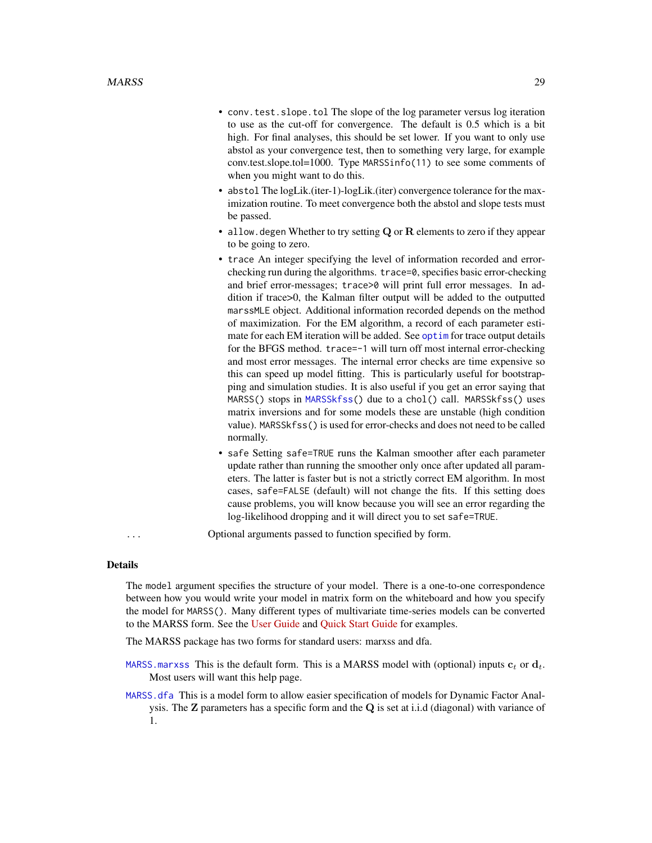- conv.test.slope.tol The slope of the log parameter versus log iteration to use as the cut-off for convergence. The default is 0.5 which is a bit high. For final analyses, this should be set lower. If you want to only use abstol as your convergence test, then to something very large, for example conv.test.slope.tol=1000. Type MARSSinfo(11) to see some comments of when you might want to do this.
- abstol The logLik.(iter-1)-logLik.(iter) convergence tolerance for the maximization routine. To meet convergence both the abstol and slope tests must be passed.
- allow. degen Whether to try setting  $Q$  or  $R$  elements to zero if they appear to be going to zero.
- trace An integer specifying the level of information recorded and errorchecking run during the algorithms. trace=0, specifies basic error-checking and brief error-messages; trace>0 will print full error messages. In addition if trace>0, the Kalman filter output will be added to the outputted marssMLE object. Additional information recorded depends on the method of maximization. For the EM algorithm, a record of each parameter estimate for each EM iteration will be added. See [optim](#page-0-0) for trace output details for the BFGS method. trace=-1 will turn off most internal error-checking and most error messages. The internal error checks are time expensive so this can speed up model fitting. This is particularly useful for bootstrapping and simulation studies. It is also useful if you get an error saying that MARSS() stops in [MARSSkfss\(](#page-57-2)) due to a chol() call. MARSSkfss() uses matrix inversions and for some models these are unstable (high condition value). MARSSkfss() is used for error-checks and does not need to be called normally.
- safe Setting safe=TRUE runs the Kalman smoother after each parameter update rather than running the smoother only once after updated all parameters. The latter is faster but is not a strictly correct EM algorithm. In most cases, safe=FALSE (default) will not change the fits. If this setting does cause problems, you will know because you will see an error regarding the log-likelihood dropping and it will direct you to set safe=TRUE.

... Optional arguments passed to function specified by form.

#### Details

The model argument specifies the structure of your model. There is a one-to-one correspondence between how you would write your model in matrix form on the whiteboard and how you specify the model for MARSS(). Many different types of multivariate time-series models can be converted to the MARSS form. See the [User Guide](https://cran.r-project.org/package=MARSS/vignettes/UserGuide.pdf) and [Quick Start Guide](https://cran.r-project.org/package=MARSS/vignettes/Quick_Start.pdf) for examples.

The MARSS package has two forms for standard users: marxss and dfa.

- MARSS. marxss This is the default form. This is a MARSS model with (optional) inputs  $c_t$  or  $d_t$ . Most users will want this help page.
- [MARSS.dfa](#page-0-0) This is a model form to allow easier specification of models for Dynamic Factor Analysis. The Z parameters has a specific form and the Q is set at i.i.d (diagonal) with variance of 1.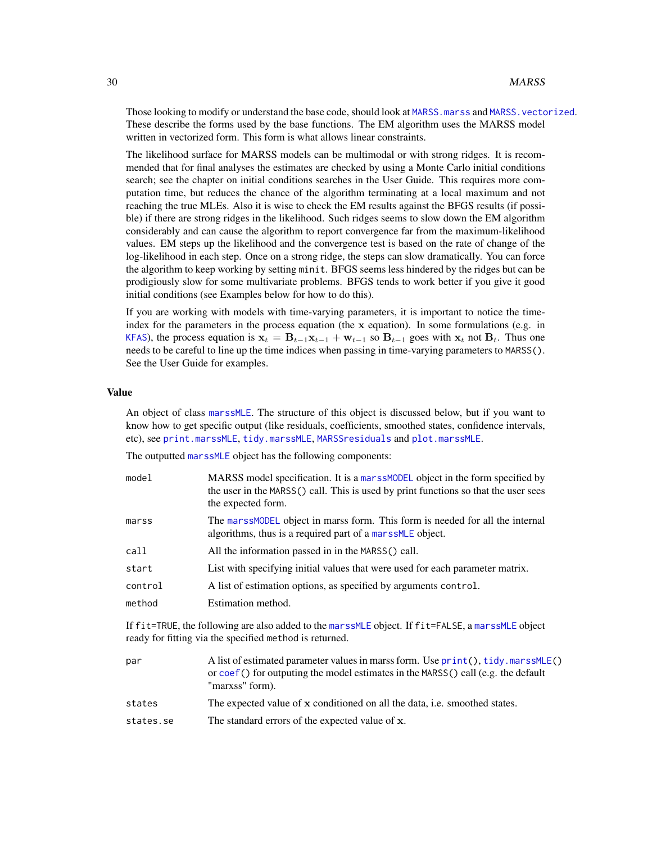Those looking to modify or understand the base code, should look at MARSS. marss and MARSS. vectorized. These describe the forms used by the base functions. The EM algorithm uses the MARSS model written in vectorized form. This form is what allows linear constraints.

The likelihood surface for MARSS models can be multimodal or with strong ridges. It is recommended that for final analyses the estimates are checked by using a Monte Carlo initial conditions search; see the chapter on initial conditions searches in the User Guide. This requires more computation time, but reduces the chance of the algorithm terminating at a local maximum and not reaching the true MLEs. Also it is wise to check the EM results against the BFGS results (if possible) if there are strong ridges in the likelihood. Such ridges seems to slow down the EM algorithm considerably and can cause the algorithm to report convergence far from the maximum-likelihood values. EM steps up the likelihood and the convergence test is based on the rate of change of the log-likelihood in each step. Once on a strong ridge, the steps can slow dramatically. You can force the algorithm to keep working by setting minit. BFGS seems less hindered by the ridges but can be prodigiously slow for some multivariate problems. BFGS tends to work better if you give it good initial conditions (see Examples below for how to do this).

If you are working with models with time-varying parameters, it is important to notice the timeindex for the parameters in the process equation (the  $x$  equation). In some formulations (e.g. in [KFAS](#page-0-0)), the process equation is  $x_t = B_{t-1}x_{t-1} + w_{t-1}$  so  $B_{t-1}$  goes with  $x_t$  not  $B_t$ . Thus one needs to be careful to line up the time indices when passing in time-varying parameters to MARSS(). See the User Guide for examples.

#### Value

An object of class [marssMLE](#page-61-1). The structure of this object is discussed below, but if you want to know how to get specific output (like residuals, coefficients, smoothed states, confidence intervals, etc), see [print.marssMLE](#page-102-1), [tidy.marssMLE](#page-111-1), [MARSSresiduals](#page-69-1) and [plot.marssMLE](#page-89-1).

The outputted [marssMLE](#page-61-1) object has the following components:

| model   | MARSS model specification. It is a marssMODEL object in the form specified by<br>the user in the MARSS() call. This is used by print functions so that the user sees<br>the expected form. |
|---------|--------------------------------------------------------------------------------------------------------------------------------------------------------------------------------------------|
| marss   | The mars SMODEL object in marss form. This form is needed for all the internal<br>algorithms, thus is a required part of a marssMLE object.                                                |
| call    | All the information passed in in the MARSS() call.                                                                                                                                         |
| start   | List with specifying initial values that were used for each parameter matrix.                                                                                                              |
| control | A list of estimation options, as specified by arguments control.                                                                                                                           |
| method  | Estimation method.                                                                                                                                                                         |
|         |                                                                                                                                                                                            |

If fit=TRUE, the following are also added to the [marssMLE](#page-61-1) object. If fit=FALSE, a [marssMLE](#page-61-1) object ready for fitting via the specified method is returned.

| par       | A list of estimated parameter values in marss form. Use print(), tidy, marss MLE()<br>or $\cos f()$ for outputing the model estimates in the MARSS() call (e.g. the default<br>"marxss" form). |
|-----------|------------------------------------------------------------------------------------------------------------------------------------------------------------------------------------------------|
| states    | The expected value of x conditioned on all the data, i.e. smoothed states.                                                                                                                     |
| states.se | The standard errors of the expected value of x.                                                                                                                                                |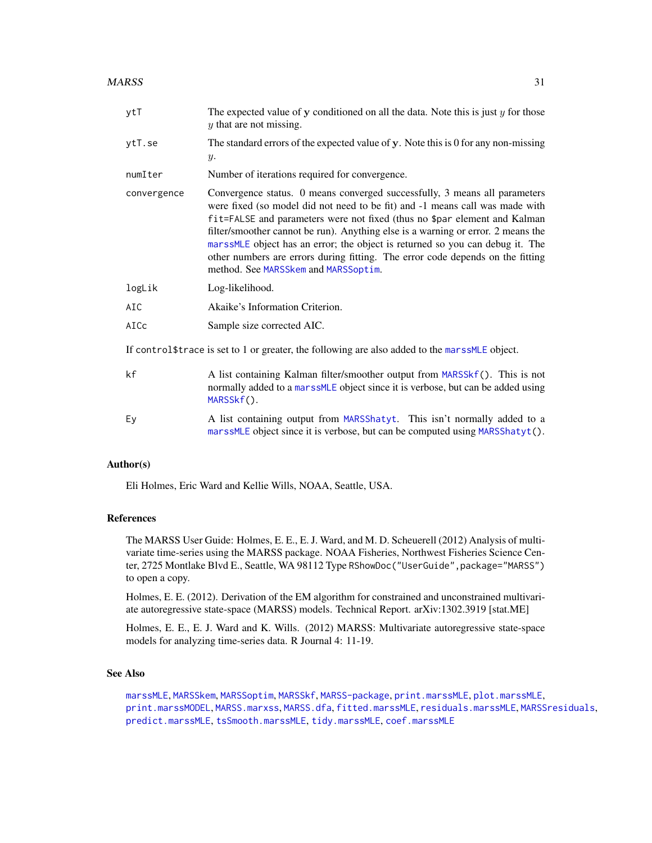#### $MARSS$  31

| ytT         | The expected value of $y$ conditioned on all the data. Note this is just $y$ for those<br>$y$ that are not missing.                                                                                                                                                                                                                                                                                                                                                                                                                    |
|-------------|----------------------------------------------------------------------------------------------------------------------------------------------------------------------------------------------------------------------------------------------------------------------------------------------------------------------------------------------------------------------------------------------------------------------------------------------------------------------------------------------------------------------------------------|
| ytT.se      | The standard errors of the expected value of y. Note this is 0 for any non-missing<br>$y$ .                                                                                                                                                                                                                                                                                                                                                                                                                                            |
| numIter     | Number of iterations required for convergence.                                                                                                                                                                                                                                                                                                                                                                                                                                                                                         |
| convergence | Convergence status. 0 means converged successfully, 3 means all parameters<br>were fixed (so model did not need to be fit) and -1 means call was made with<br>fit=FALSE and parameters were not fixed (thus no \$par element and Kalman<br>filter/smoother cannot be run). Anything else is a warning or error. 2 means the<br>marssMLE object has an error; the object is returned so you can debug it. The<br>other numbers are errors during fitting. The error code depends on the fitting<br>method. See MARSSkem and MARSSoptim. |
| logLik      | Log-likelihood.                                                                                                                                                                                                                                                                                                                                                                                                                                                                                                                        |
| AIC         | Akaike's Information Criterion.                                                                                                                                                                                                                                                                                                                                                                                                                                                                                                        |
| AICc        | Sample size corrected AIC.                                                                                                                                                                                                                                                                                                                                                                                                                                                                                                             |
|             | If control \$trace is set to 1 or greater, the following are also added to the mars SMLE object.                                                                                                                                                                                                                                                                                                                                                                                                                                       |
| kf          | A list containing Kalman filter/smoother output from MARSSkf(). This is not<br>normally added to a marssMLE object since it is verbose, but can be added using<br>MARSSkf().                                                                                                                                                                                                                                                                                                                                                           |
| Ey          | A list containing output from MARSShatyt. This isn't normally added to a<br>marssMLE object since it is verbose, but can be computed using MARSShatyt().                                                                                                                                                                                                                                                                                                                                                                               |

# Author(s)

Eli Holmes, Eric Ward and Kellie Wills, NOAA, Seattle, USA.

# References

The MARSS User Guide: Holmes, E. E., E. J. Ward, and M. D. Scheuerell (2012) Analysis of multivariate time-series using the MARSS package. NOAA Fisheries, Northwest Fisheries Science Center, 2725 Montlake Blvd E., Seattle, WA 98112 Type RShowDoc ("UserGuide", package="MARSS") to open a copy.

Holmes, E. E. (2012). Derivation of the EM algorithm for constrained and unconstrained multivariate autoregressive state-space (MARSS) models. Technical Report. arXiv:1302.3919 [stat.ME]

Holmes, E. E., E. J. Ward and K. Wills. (2012) MARSS: Multivariate autoregressive state-space models for analyzing time-series data. R Journal 4: 11-19.

# See Also

[marssMLE](#page-61-1), [MARSSkem](#page-53-1), [MARSSoptim](#page-64-1), [MARSSkf](#page-57-1), [MARSS-package](#page-2-1), [print.marssMLE](#page-102-1), [plot.marssMLE](#page-89-1), [print.marssMODEL](#page-105-1), [MARSS.marxss](#page-33-1), [MARSS.dfa](#page-0-0), [fitted.marssMLE](#page-11-1), [residuals.marssMLE](#page-107-1), [MARSSresiduals](#page-69-1), [predict.marssMLE](#page-98-1), [tsSmooth.marssMLE](#page-113-1), [tidy.marssMLE](#page-111-1), [coef.marssMLE](#page-6-1)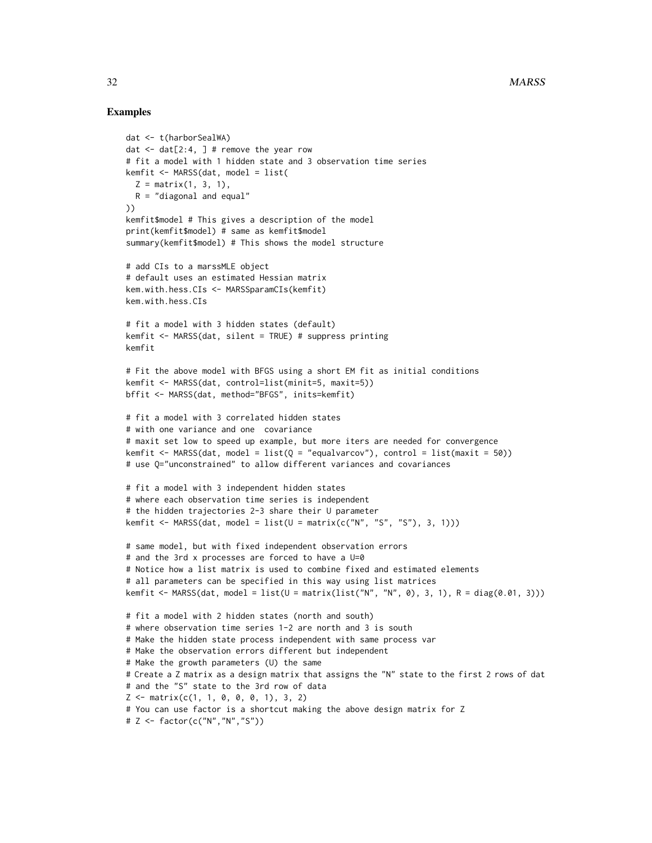# Examples

```
dat <- t(harborSealWA)
dat \leq dat [2:4, 1] # remove the year row
# fit a model with 1 hidden state and 3 observation time series
kemfit <- MARSS(dat, model = list(
  Z = matrix(1, 3, 1),R = "diagonal and equal"))
kemfit$model # This gives a description of the model
print(kemfit$model) # same as kemfit$model
summary(kemfit$model) # This shows the model structure
# add CIs to a marssMLE object
# default uses an estimated Hessian matrix
kem.with.hess.CIs <- MARSSparamCIs(kemfit)
kem.with.hess.CIs
# fit a model with 3 hidden states (default)
kemfit <- MARSS(dat, silent = TRUE) # suppress printing
kemfit
# Fit the above model with BFGS using a short EM fit as initial conditions
kemfit <- MARSS(dat, control=list(minit=5, maxit=5))
bffit <- MARSS(dat, method="BFGS", inits=kemfit)
# fit a model with 3 correlated hidden states
# with one variance and one covariance
# maxit set low to speed up example, but more iters are needed for convergence
kemfit <- MARSS(dat, model = list(Q = "equalvarcov"), control = list(maxit = 50))
# use Q="unconstrained" to allow different variances and covariances
# fit a model with 3 independent hidden states
# where each observation time series is independent
# the hidden trajectories 2-3 share their U parameter
kemfit <- MARSS(dat, model = list(U = matrix(c("N", "S", "S"), 3, 1)))# same model, but with fixed independent observation errors
# and the 3rd x processes are forced to have a U=0
# Notice how a list matrix is used to combine fixed and estimated elements
# all parameters can be specified in this way using list matrices
kemfit <- MARSS(dat, model = list(U = matrix(list("N", "N", 0), 3, 1), R = diag(0.01, 3)))
# fit a model with 2 hidden states (north and south)
# where observation time series 1-2 are north and 3 is south
# Make the hidden state process independent with same process var
# Make the observation errors different but independent
# Make the growth parameters (U) the same
# Create a Z matrix as a design matrix that assigns the "N" state to the first 2 rows of dat
# and the "S" state to the 3rd row of data
Z \leq - matrix(c(1, 1, 0, 0, 0, 1), 3, 2)
# You can use factor is a shortcut making the above design matrix for Z
# Z <- factor(c("N","N","S"))
```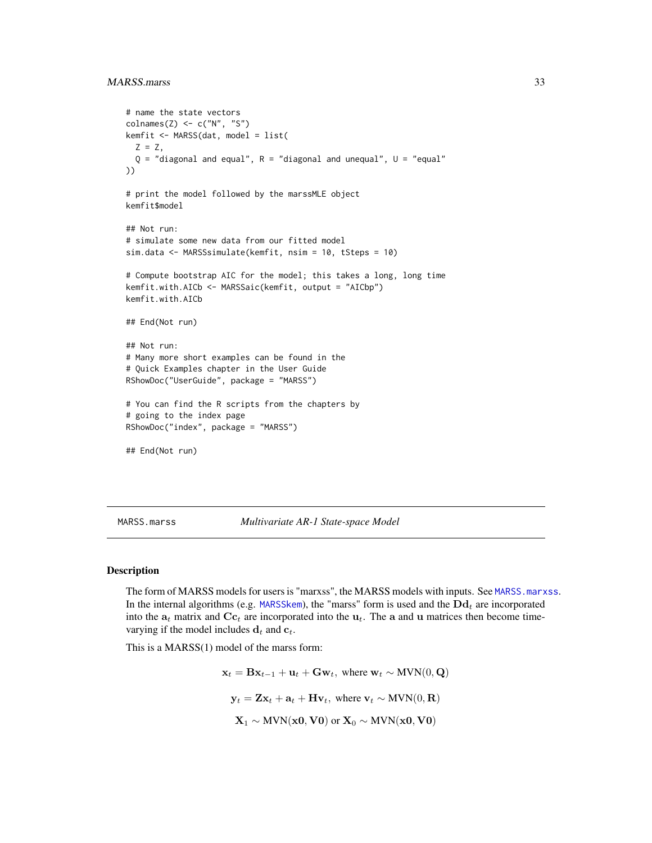# <span id="page-32-0"></span>MARSS.marss 33

```
# name the state vectors
colnames(Z) \leftarrow c("N", "S")kemfit <- MARSS(dat, model = list(
 Z = Z,
  Q = "diagonal and equal", R = "diagonal and unequal", U = "equal"))
# print the model followed by the marssMLE object
kemfit$model
## Not run:
# simulate some new data from our fitted model
sim.data <- MARSSsimulate(kemfit, nsim = 10, tSteps = 10)
# Compute bootstrap AIC for the model; this takes a long, long time
kemfit.with.AICb <- MARSSaic(kemfit, output = "AICbp")
kemfit.with.AICb
## End(Not run)
## Not run:
# Many more short examples can be found in the
# Quick Examples chapter in the User Guide
RShowDoc("UserGuide", package = "MARSS")
# You can find the R scripts from the chapters by
# going to the index page
RShowDoc("index", package = "MARSS")
## End(Not run)
```
<span id="page-32-1"></span>MARSS.marss *Multivariate AR-1 State-space Model*

### **Description**

The form of MARSS models for users is "marxss", the MARSS models with inputs. See [MARSS.marxss](#page-33-1). In the internal algorithms (e.g. [MARSSkem](#page-53-1)), the "marss" form is used and the  $\text{Dd}_t$  are incorporated into the  $a_t$  matrix and  $\mathbf{C}\mathbf{c}_t$  are incorporated into the  $\mathbf{u}_t$ . The a and u matrices then become timevarying if the model includes  $\mathbf{d}_t$  and  $\mathbf{c}_t$ .

This is a MARSS(1) model of the marss form:

 $\mathbf{x}_t = \mathbf{B}\mathbf{x}_{t-1} + \mathbf{u}_t + \mathbf{G}\mathbf{w}_t$ , where  $\mathbf{w}_t \sim \text{MVN}(0, \mathbf{Q})$  $y_t = \mathbf{Z} \mathbf{x}_t + \mathbf{a}_t + \mathbf{H} \mathbf{v}_t$ , where  $\mathbf{v}_t \sim \text{MVN}(0, \mathbf{R})$  $\mathbf{X}_1 \sim \text{MVN}(\mathbf{x0}, \mathbf{V0})$  or  $\mathbf{X}_0 \sim \text{MVN}(\mathbf{x0}, \mathbf{V0})$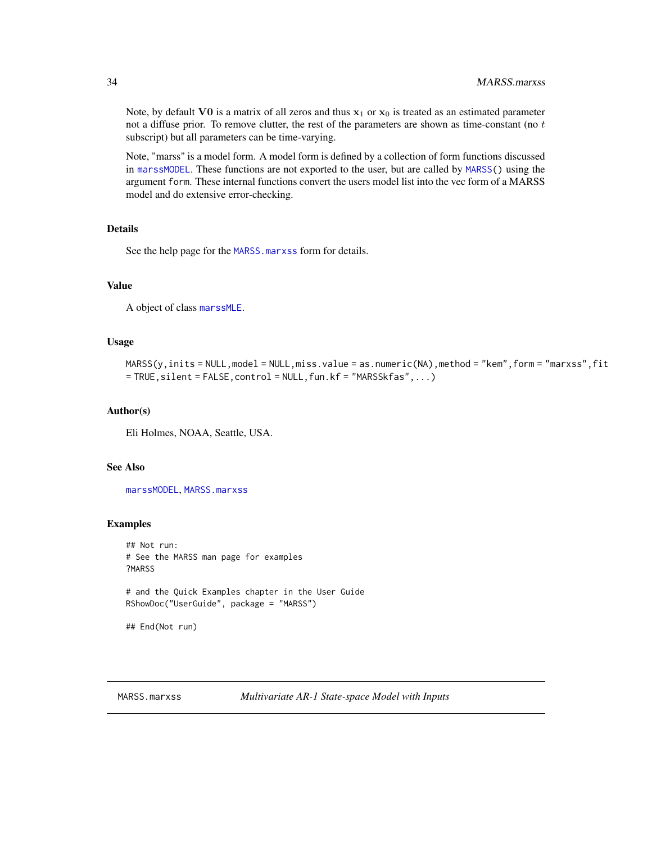Note, by default VO is a matrix of all zeros and thus  $x_1$  or  $x_0$  is treated as an estimated parameter not a diffuse prior. To remove clutter, the rest of the parameters are shown as time-constant (no  $t$ subscript) but all parameters can be time-varying.

Note, "marss" is a model form. A model form is defined by a collection of form functions discussed in [marssMODEL](#page-62-1). These functions are not exported to the user, but are called by [MARSS\(](#page-26-1)) using the argument form. These internal functions convert the users model list into the vec form of a MARSS model and do extensive error-checking.

# Details

See the help page for the [MARSS.marxss](#page-33-1) form for details.

#### Value

A object of class [marssMLE](#page-61-1).

#### Usage

```
MARSS(y,inits = NULL,model = NULL,miss.value = as.numeric(NA),method = "kem",form = "marxss",fit
= TRUE,silent = FALSE,control = NULL,fun.kf = "MARSSkfas",...)
```
# Author(s)

Eli Holmes, NOAA, Seattle, USA.

# See Also

[marssMODEL](#page-62-1), [MARSS.marxss](#page-33-1)

# Examples

## Not run: # See the MARSS man page for examples ?MARSS

# and the Quick Examples chapter in the User Guide RShowDoc("UserGuide", package = "MARSS")

## End(Not run)

<span id="page-33-1"></span>

<span id="page-33-0"></span>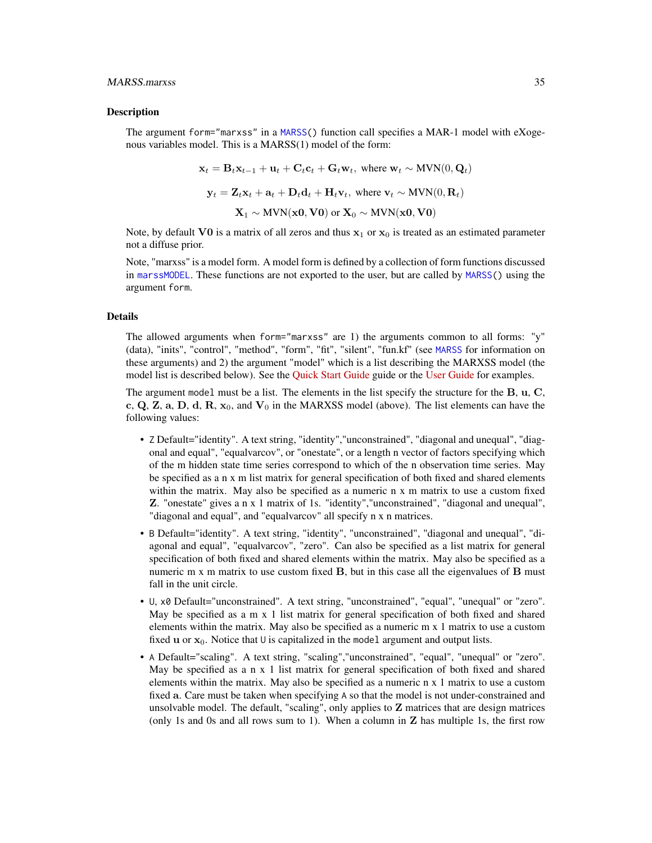#### MARSS.marxss 35

#### Description

The argument form="marxss" in a [MARSS\(](#page-26-1)) function call specifies a MAR-1 model with eXogenous variables model. This is a MARSS(1) model of the form:

$$
\mathbf{x}_t = \mathbf{B}_t \mathbf{x}_{t-1} + \mathbf{u}_t + \mathbf{C}_t \mathbf{c}_t + \mathbf{G}_t \mathbf{w}_t, \text{ where } \mathbf{w}_t \sim \text{MVN}(0, \mathbf{Q}_t)
$$
\n
$$
\mathbf{y}_t = \mathbf{Z}_t \mathbf{x}_t + \mathbf{a}_t + \mathbf{D}_t \mathbf{d}_t + \mathbf{H}_t \mathbf{v}_t, \text{ where } \mathbf{v}_t \sim \text{MVN}(0, \mathbf{R}_t)
$$
\n
$$
\mathbf{X}_1 \sim \text{MVN}(\mathbf{x}_0, \mathbf{V}_0) \text{ or } \mathbf{X}_0 \sim \text{MVN}(\mathbf{x}_0, \mathbf{V}_0)
$$

Note, by default VO is a matrix of all zeros and thus  $x_1$  or  $x_0$  is treated as an estimated parameter not a diffuse prior.

Note, "marxss" is a model form. A model form is defined by a collection of form functions discussed in [marssMODEL](#page-62-1). These functions are not exported to the user, but are called by [MARSS\(](#page-26-1)) using the argument form.

#### Details

The allowed arguments when form="marxss" are 1) the arguments common to all forms: " $v$ " (data), "inits", "control", "method", "form", "fit", "silent", "fun.kf" (see [MARSS](#page-26-1) for information on these arguments) and 2) the argument "model" which is a list describing the MARXSS model (the model list is described below). See the [Quick Start Guide](https://cran.r-project.org/package=MARSS/vignettes/Quick_Start.pdf) guide or the [User Guide](https://cran.r-project.org/package=MARSS/vignettes/UserGuide.pdf) for examples.

The argument model must be a list. The elements in the list specify the structure for the B, u, C, c, Q, Z, a, D, d, R,  $x_0$ , and  $V_0$  in the MARXSS model (above). The list elements can have the following values:

- Z Default="identity". A text string, "identity","unconstrained", "diagonal and unequal", "diagonal and equal", "equalvarcov", or "onestate", or a length n vector of factors specifying which of the m hidden state time series correspond to which of the n observation time series. May be specified as a n x m list matrix for general specification of both fixed and shared elements within the matrix. May also be specified as a numeric n x m matrix to use a custom fixed Z. "onestate" gives a n x 1 matrix of 1s. "identity","unconstrained", "diagonal and unequal", "diagonal and equal", and "equalvarcov" all specify n x n matrices.
- B Default="identity". A text string, "identity", "unconstrained", "diagonal and unequal", "diagonal and equal", "equalvarcov", "zero". Can also be specified as a list matrix for general specification of both fixed and shared elements within the matrix. May also be specified as a numeric  $m \times m$  matrix to use custom fixed  $B$ , but in this case all the eigenvalues of  $B$  must fall in the unit circle.
- U, x0 Default="unconstrained". A text string, "unconstrained", "equal", "unequal" or "zero". May be specified as a m x 1 list matrix for general specification of both fixed and shared elements within the matrix. May also be specified as a numeric m x 1 matrix to use a custom fixed u or  $x_0$ . Notice that U is capitalized in the model argument and output lists.
- A Default="scaling". A text string, "scaling","unconstrained", "equal", "unequal" or "zero". May be specified as a  $n \times 1$  list matrix for general specification of both fixed and shared elements within the matrix. May also be specified as a numeric n x 1 matrix to use a custom fixed a. Care must be taken when specifying A so that the model is not under-constrained and unsolvable model. The default, "scaling", only applies to Z matrices that are design matrices (only 1s and 0s and all rows sum to 1). When a column in  $Z$  has multiple 1s, the first row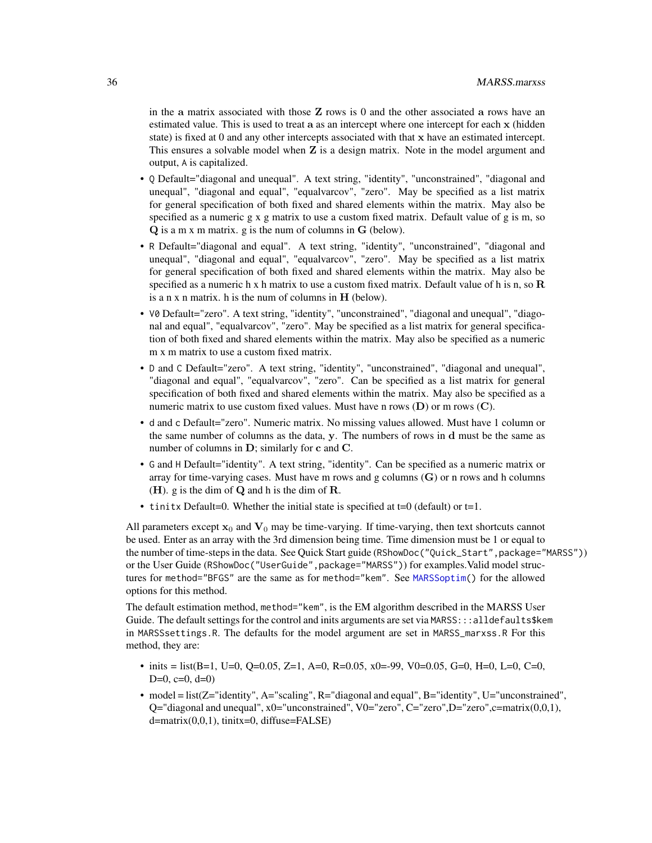in the a matrix associated with those  $Z$  rows is 0 and the other associated a rows have an estimated value. This is used to treat a as an intercept where one intercept for each x (hidden state) is fixed at 0 and any other intercepts associated with that x have an estimated intercept. This ensures a solvable model when  $Z$  is a design matrix. Note in the model argument and output, A is capitalized.

- Q Default="diagonal and unequal". A text string, "identity", "unconstrained", "diagonal and unequal", "diagonal and equal", "equalvarcov", "zero". May be specified as a list matrix for general specification of both fixed and shared elements within the matrix. May also be specified as a numeric  $g \times g$  matrix to use a custom fixed matrix. Default value of  $g$  is m, so Q is a m x m matrix. g is the num of columns in G (below).
- R Default="diagonal and equal". A text string, "identity", "unconstrained", "diagonal and unequal", "diagonal and equal", "equalvarcov", "zero". May be specified as a list matrix for general specification of both fixed and shared elements within the matrix. May also be specified as a numeric h x h matrix to use a custom fixed matrix. Default value of h is n, so  $\bf{R}$ is a n x n matrix. h is the num of columns in  $H$  (below).
- V0 Default="zero". A text string, "identity", "unconstrained", "diagonal and unequal", "diagonal and equal", "equalvarcov", "zero". May be specified as a list matrix for general specification of both fixed and shared elements within the matrix. May also be specified as a numeric m x m matrix to use a custom fixed matrix.
- D and C Default="zero". A text string, "identity", "unconstrained", "diagonal and unequal", "diagonal and equal", "equalvarcov", "zero". Can be specified as a list matrix for general specification of both fixed and shared elements within the matrix. May also be specified as a numeric matrix to use custom fixed values. Must have n rows  $(D)$  or m rows  $(C)$ .
- d and c Default="zero". Numeric matrix. No missing values allowed. Must have 1 column or the same number of columns as the data, y. The numbers of rows in d must be the same as number of columns in D; similarly for c and C.
- G and H Default="identity". A text string, "identity". Can be specified as a numeric matrix or array for time-varying cases. Must have m rows and g columns  $(G)$  or n rows and h columns  $(H)$ . g is the dim of  $Q$  and h is the dim of  $R$ .
- tinitx Default=0. Whether the initial state is specified at  $t=0$  (default) or  $t=1$ .

All parameters except  $x_0$  and  $V_0$  may be time-varying. If time-varying, then text shortcuts cannot be used. Enter as an array with the 3rd dimension being time. Time dimension must be 1 or equal to the number of time-steps in the data. See Quick Start guide (RShowDoc("Quick\_Start",package="MARSS")) or the User Guide (RShowDoc("UserGuide", package="MARSS")) for examples. Valid model structures for method="BFGS" are the same as for method="kem". See [MARSSoptim\(](#page-64-1)) for the allowed options for this method.

The default estimation method, method="kem", is the EM algorithm described in the MARSS User Guide. The default settings for the control and inits arguments are set via MARSS:::alldefaults\$kem in MARSSsettings.R. The defaults for the model argument are set in MARSS\_marxss.R For this method, they are:

- inits = list(B=1, U=0, Q=0.05, Z=1, A=0, R=0.05, x0=-99, V0=0.05, G=0, H=0, L=0, C=0,  $D=0$ ,  $c=0$ ,  $d=0$ )
- model = list(Z="identity", A="scaling", R="diagonal and equal", B="identity", U="unconstrained",  $Q=$ "diagonal and unequal", x0="unconstrained", V0="zero", C="zero", D="zero", $c=$ matrix $(0,0,1)$ , d=matrix(0,0,1), tinitx=0, diffuse=FALSE)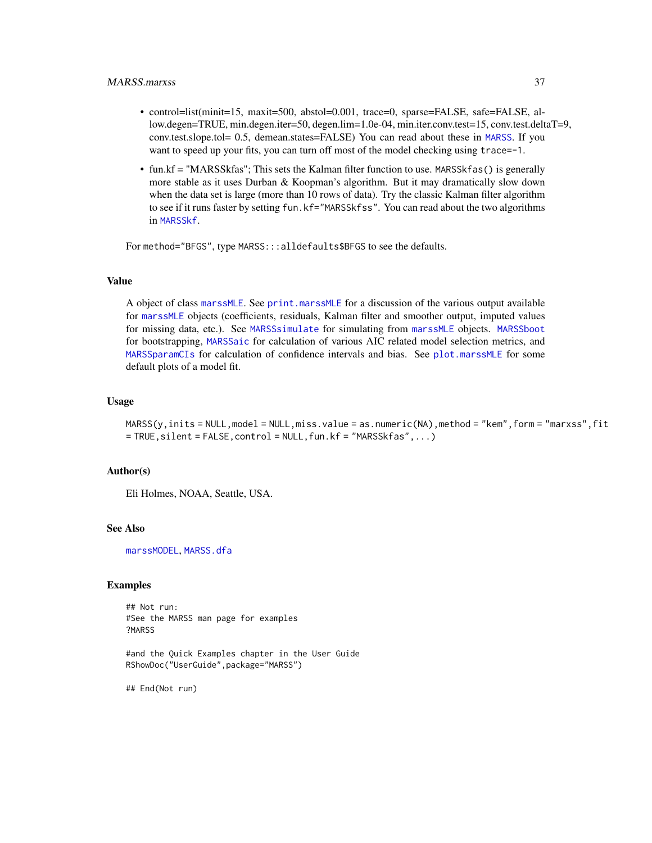- control=list(minit=15, maxit=500, abstol=0.001, trace=0, sparse=FALSE, safe=FALSE, allow.degen=TRUE, min.degen.iter=50, degen.lim=1.0e-04, min.iter.conv.test=15, conv.test.deltaT=9, conv.test.slope.tol= 0.5, demean.states=FALSE) You can read about these in [MARSS](#page-26-0). If you want to speed up your fits, you can turn off most of the model checking using trace=-1.
- fun.kf = "MARSSkfas"; This sets the Kalman filter function to use. MARSSkfas() is generally more stable as it uses Durban & Koopman's algorithm. But it may dramatically slow down when the data set is large (more than 10 rows of data). Try the classic Kalman filter algorithm to see if it runs faster by setting fun.kf="MARSSkfss". You can read about the two algorithms in [MARSSkf](#page-57-0).

For method="BFGS", type MARSS:::alldefaults\$BFGS to see the defaults.

### Value

A object of class [marssMLE](#page-61-0). See [print.marssMLE](#page-102-0) for a discussion of the various output available for [marssMLE](#page-61-0) objects (coefficients, residuals, Kalman filter and smoother output, imputed values for missing data, etc.). See [MARSSsimulate](#page-87-0) for simulating from [marssMLE](#page-61-0) objects. [MARSSboot](#page-40-0) for bootstrapping, [MARSSaic](#page-38-0) for calculation of various AIC related model selection metrics, and [MARSSparamCIs](#page-67-0) for calculation of confidence intervals and bias. See [plot.marssMLE](#page-89-0) for some default plots of a model fit.

#### Usage

MARSS(y,inits = NULL,model = NULL,miss.value = as.numeric(NA),method = "kem",form = "marxss",fit = TRUE,silent = FALSE,control = NULL,fun.kf = "MARSSkfas",...)

#### Author(s)

Eli Holmes, NOAA, Seattle, USA.

#### See Also

[marssMODEL](#page-62-0), [MARSS.dfa](#page-0-0)

### Examples

## Not run: #See the MARSS man page for examples ?MARSS

#and the Quick Examples chapter in the User Guide RShowDoc("UserGuide",package="MARSS")

## End(Not run)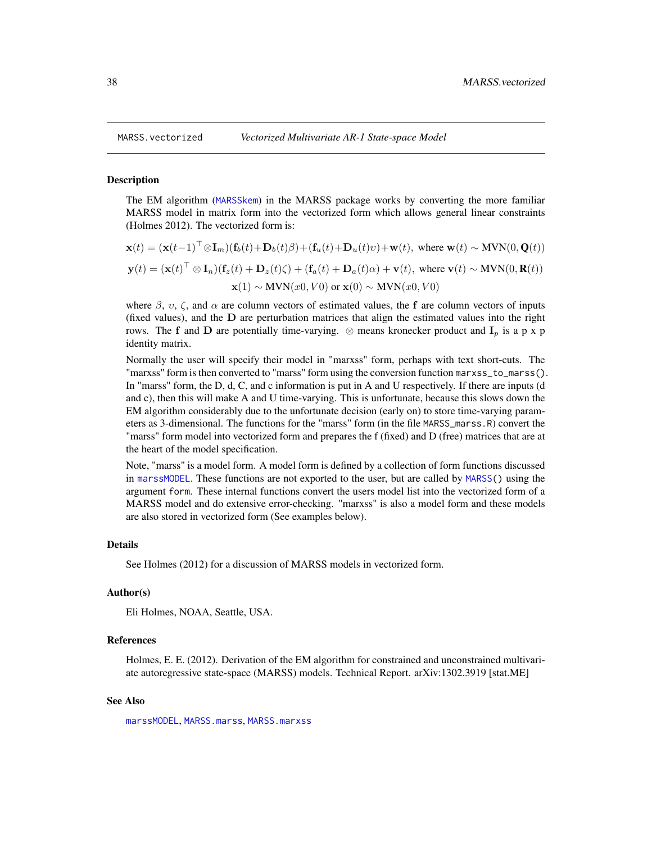#### **Description**

The EM algorithm ([MARSSkem](#page-53-0)) in the MARSS package works by converting the more familiar MARSS model in matrix form into the vectorized form which allows general linear constraints (Holmes 2012). The vectorized form is:

$$
\mathbf{x}(t) = (\mathbf{x}(t-1)^{\top} \otimes \mathbf{I}_m)(\mathbf{f}_b(t) + \mathbf{D}_b(t)\beta) + (\mathbf{f}_u(t) + \mathbf{D}_u(t)v) + \mathbf{w}(t), \text{ where } \mathbf{w}(t) \sim \text{MVN}(0, \mathbf{Q}(t))
$$
  

$$
\mathbf{y}(t) = (\mathbf{x}(t)^{\top} \otimes \mathbf{I}_n)(\mathbf{f}_z(t) + \mathbf{D}_z(t)\zeta) + (\mathbf{f}_a(t) + \mathbf{D}_a(t)\alpha) + \mathbf{v}(t), \text{ where } \mathbf{v}(t) \sim \text{MVN}(0, \mathbf{R}(t))
$$
  

$$
\mathbf{x}(1) \sim \text{MVN}(x0, V0) \text{ or } \mathbf{x}(0) \sim \text{MVN}(x0, V0)
$$

where  $\beta$ ,  $\upsilon$ ,  $\zeta$ , and  $\alpha$  are column vectors of estimated values, the f are column vectors of inputs (fixed values), and the D are perturbation matrices that align the estimated values into the right rows. The f and D are potentially time-varying. ⊗ means kronecker product and  $I_p$  is a p x p identity matrix.

Normally the user will specify their model in "marxss" form, perhaps with text short-cuts. The "marxss" form is then converted to "marss" form using the conversion function marxss\_to\_marss(). In "marss" form, the D, d, C, and c information is put in A and U respectively. If there are inputs (d and c), then this will make A and U time-varying. This is unfortunate, because this slows down the EM algorithm considerably due to the unfortunate decision (early on) to store time-varying parameters as 3-dimensional. The functions for the "marss" form (in the file MARSS\_marss.R) convert the "marss" form model into vectorized form and prepares the f (fixed) and D (free) matrices that are at the heart of the model specification.

Note, "marss" is a model form. A model form is defined by a collection of form functions discussed in [marssMODEL](#page-62-0). These functions are not exported to the user, but are called by [MARSS\(](#page-26-0)) using the argument form. These internal functions convert the users model list into the vectorized form of a MARSS model and do extensive error-checking. "marxss" is also a model form and these models are also stored in vectorized form (See examples below).

#### Details

See Holmes (2012) for a discussion of MARSS models in vectorized form.

### Author(s)

Eli Holmes, NOAA, Seattle, USA.

#### References

Holmes, E. E. (2012). Derivation of the EM algorithm for constrained and unconstrained multivariate autoregressive state-space (MARSS) models. Technical Report. arXiv:1302.3919 [stat.ME]

## See Also

[marssMODEL](#page-62-0), [MARSS.marss](#page-32-0), [MARSS.marxss](#page-33-0)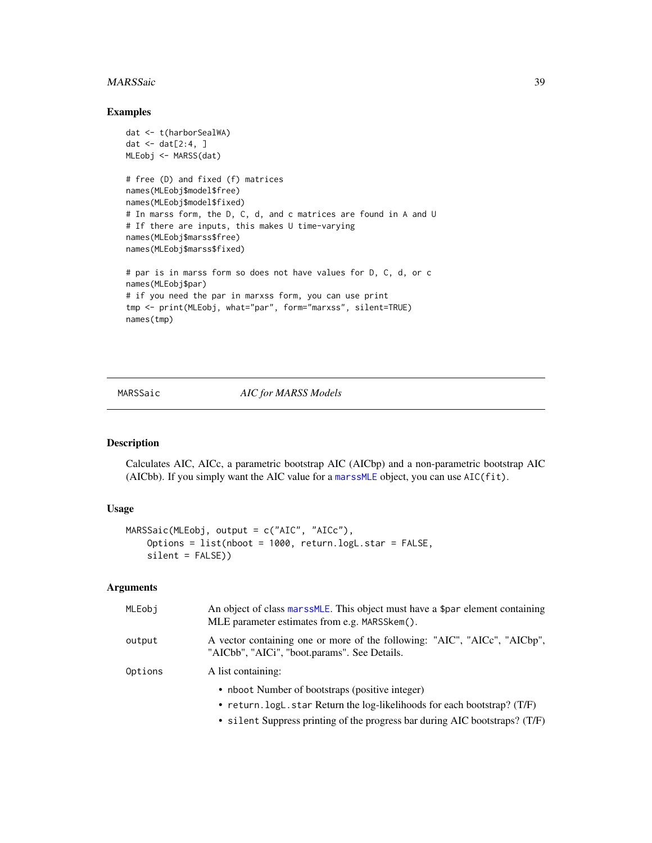#### MARSSaic 39

### Examples

```
dat <- t(harborSealWA)
dat \leq dat[2:4, ]
MLEobj <- MARSS(dat)
# free (D) and fixed (f) matrices
names(MLEobj$model$free)
names(MLEobj$model$fixed)
# In marss form, the D, C, d, and c matrices are found in A and U
# If there are inputs, this makes U time-varying
names(MLEobj$marss$free)
names(MLEobj$marss$fixed)
# par is in marss form so does not have values for D, C, d, or c
names(MLEobj$par)
# if you need the par in marxss form, you can use print
tmp <- print(MLEobj, what="par", form="marxss", silent=TRUE)
names(tmp)
```
<span id="page-38-0"></span>MARSSaic *AIC for MARSS Models*

#### Description

Calculates AIC, AICc, a parametric bootstrap AIC (AICbp) and a non-parametric bootstrap AIC (AICbb). If you simply want the AIC value for a [marssMLE](#page-61-0) object, you can use AIC(fit).

## Usage

```
MARSSaic(MLEobj, output = c("AIC", "AICc"),
    Options = list(nboot = 1000, return.logL.star = FALSE,
    silent = FALSE))
```
### Arguments

| MLEobi  | An object of class marss MLE. This object must have a \$par element containing<br>MLE parameter estimates from e.g. MARSSkem(). |
|---------|---------------------------------------------------------------------------------------------------------------------------------|
| output  | A vector containing one or more of the following: "AIC", "AICc", "AICbp",<br>"AICbb", "AICi", "boot.params". See Details.       |
| Options | A list containing:                                                                                                              |
|         | • nboot Number of bootstraps (positive integer)                                                                                 |
|         | • return. logL. star Return the log-likelihoods for each bootstrap? $(T/F)$                                                     |
|         | • silent Suppress printing of the progress bar during AIC bootstraps? (T/F)                                                     |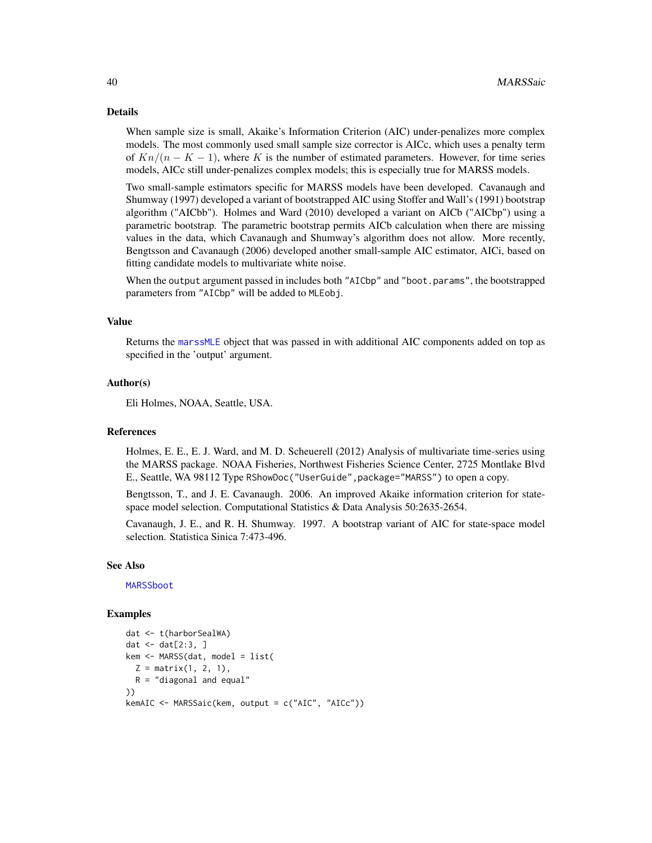### Details

When sample size is small, Akaike's Information Criterion (AIC) under-penalizes more complex models. The most commonly used small sample size corrector is AICc, which uses a penalty term of  $Kn/(n - K - 1)$ , where K is the number of estimated parameters. However, for time series models, AICc still under-penalizes complex models; this is especially true for MARSS models.

Two small-sample estimators specific for MARSS models have been developed. Cavanaugh and Shumway (1997) developed a variant of bootstrapped AIC using Stoffer and Wall's (1991) bootstrap algorithm ("AICbb"). Holmes and Ward (2010) developed a variant on AICb ("AICbp") using a parametric bootstrap. The parametric bootstrap permits AICb calculation when there are missing values in the data, which Cavanaugh and Shumway's algorithm does not allow. More recently, Bengtsson and Cavanaugh (2006) developed another small-sample AIC estimator, AICi, based on fitting candidate models to multivariate white noise.

When the output argument passed in includes both "AICbp" and "boot.params", the bootstrapped parameters from "AICbp" will be added to MLEobj.

## Value

Returns the [marssMLE](#page-61-0) object that was passed in with additional AIC components added on top as specified in the 'output' argument.

#### Author(s)

Eli Holmes, NOAA, Seattle, USA.

#### References

Holmes, E. E., E. J. Ward, and M. D. Scheuerell (2012) Analysis of multivariate time-series using the MARSS package. NOAA Fisheries, Northwest Fisheries Science Center, 2725 Montlake Blvd E., Seattle, WA 98112 Type RShowDoc ("UserGuide", package="MARSS") to open a copy.

Bengtsson, T., and J. E. Cavanaugh. 2006. An improved Akaike information criterion for statespace model selection. Computational Statistics & Data Analysis 50:2635-2654.

Cavanaugh, J. E., and R. H. Shumway. 1997. A bootstrap variant of AIC for state-space model selection. Statistica Sinica 7:473-496.

#### See Also

[MARSSboot](#page-40-0)

## Examples

```
dat <- t(harborSealWA)
dat \leq dat[2:3, 1]kem <- MARSS(dat, model = list(
 Z = matrix(1, 2, 1),R = "diagonal and equal"))
kemAIC <- MARSSaic(kem, output = c("AIC", "AICc"))
```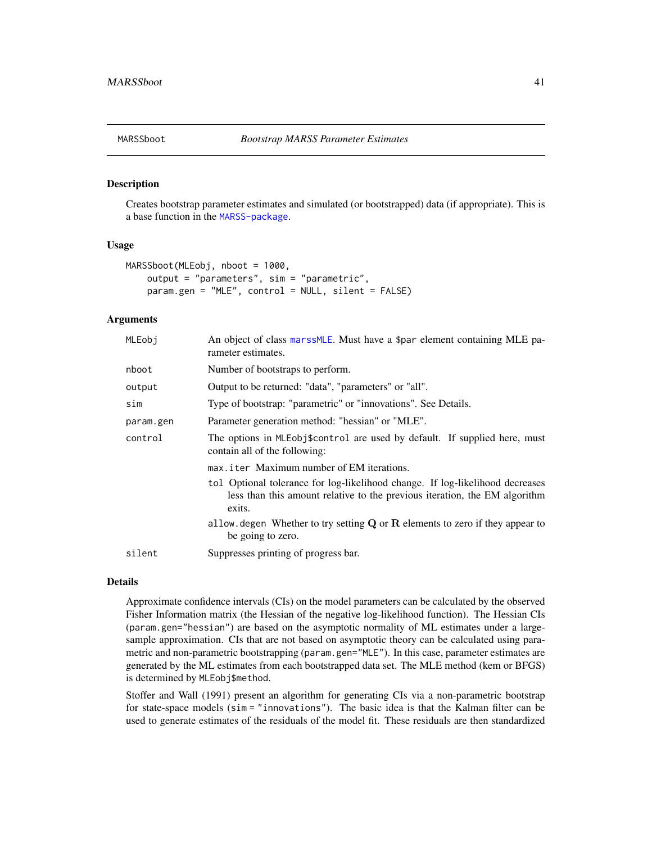<span id="page-40-0"></span>

### Description

Creates bootstrap parameter estimates and simulated (or bootstrapped) data (if appropriate). This is a base function in the [MARSS-package](#page-2-0).

#### Usage

```
MARSSboot(MLEobj, nboot = 1000,
   output = "parameters", sim = "parametric",
   param.gen = "MLE", control = NULL, silent = FALSE)
```
#### Arguments

| MLEobi    | An object of class marss MLE. Must have a \$par element containing MLE pa-<br>rameter estimates.                                                                      |
|-----------|-----------------------------------------------------------------------------------------------------------------------------------------------------------------------|
| nboot     | Number of bootstraps to perform.                                                                                                                                      |
| output    | Output to be returned: "data", "parameters" or "all".                                                                                                                 |
| sim       | Type of bootstrap: "parametric" or "innovations". See Details.                                                                                                        |
| param.gen | Parameter generation method: "hessian" or "MLE".                                                                                                                      |
| control   | The options in MLEobj\$control are used by default. If supplied here, must<br>contain all of the following:                                                           |
|           | max.iter Maximum number of EM iterations.                                                                                                                             |
|           | tol Optional tolerance for log-likelihood change. If log-likelihood decreases<br>less than this amount relative to the previous iteration, the EM algorithm<br>exits. |
|           | allow degen Whether to try setting $Q$ or $R$ elements to zero if they appear to<br>be going to zero.                                                                 |
| silent    | Suppresses printing of progress bar.                                                                                                                                  |
|           |                                                                                                                                                                       |

#### Details

Approximate confidence intervals (CIs) on the model parameters can be calculated by the observed Fisher Information matrix (the Hessian of the negative log-likelihood function). The Hessian CIs (param.gen="hessian") are based on the asymptotic normality of ML estimates under a largesample approximation. CIs that are not based on asymptotic theory can be calculated using parametric and non-parametric bootstrapping (param.gen="MLE"). In this case, parameter estimates are generated by the ML estimates from each bootstrapped data set. The MLE method (kem or BFGS) is determined by MLEobj\$method.

Stoffer and Wall (1991) present an algorithm for generating CIs via a non-parametric bootstrap for state-space models (sim = "innovations"). The basic idea is that the Kalman filter can be used to generate estimates of the residuals of the model fit. These residuals are then standardized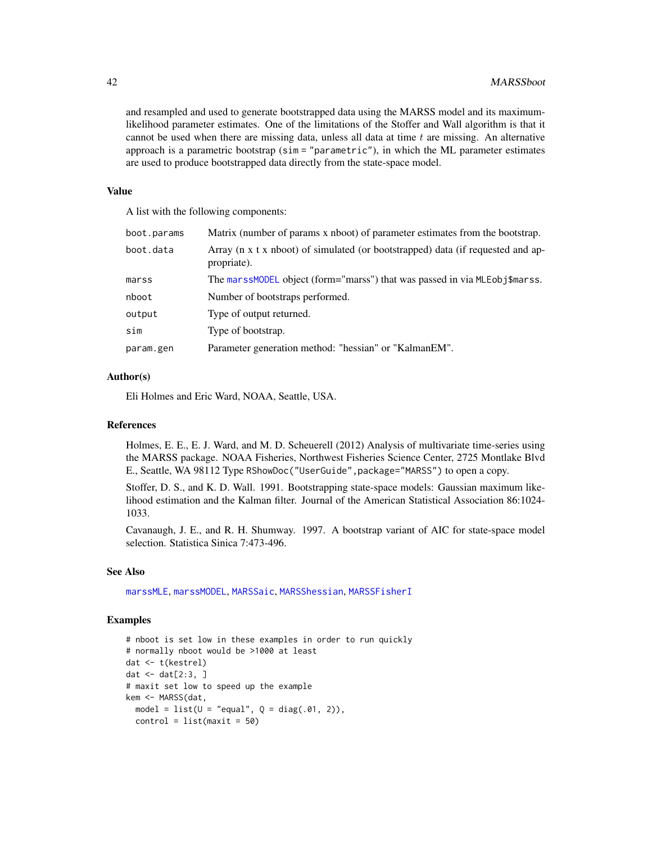and resampled and used to generate bootstrapped data using the MARSS model and its maximumlikelihood parameter estimates. One of the limitations of the Stoffer and Wall algorithm is that it cannot be used when there are missing data, unless all data at time  $t$  are missing. An alternative approach is a parametric bootstrap ( $sim = "parametric",$ ), in which the ML parameter estimates are used to produce bootstrapped data directly from the state-space model.

#### Value

A list with the following components:

| boot.params | Matrix (number of params x nboot) of parameter estimates from the bootstrap.                   |
|-------------|------------------------------------------------------------------------------------------------|
| boot.data   | Array (n x t x nboot) of simulated (or bootstrapped) data (if requested and ap-<br>propriate). |
| marss       | The marssMODEL object (form="marss") that was passed in via MLEobj\$marss.                     |
| nboot       | Number of bootstraps performed.                                                                |
| output      | Type of output returned.                                                                       |
| sim         | Type of bootstrap.                                                                             |
| param.gen   | Parameter generation method: "hessian" or "KalmanEM".                                          |

### Author(s)

Eli Holmes and Eric Ward, NOAA, Seattle, USA.

#### References

Holmes, E. E., E. J. Ward, and M. D. Scheuerell (2012) Analysis of multivariate time-series using the MARSS package. NOAA Fisheries, Northwest Fisheries Science Center, 2725 Montlake Blvd E., Seattle, WA 98112 Type RShowDoc("UserGuide",package="MARSS") to open a copy.

Stoffer, D. S., and K. D. Wall. 1991. Bootstrapping state-space models: Gaussian maximum likelihood estimation and the Kalman filter. Journal of the American Statistical Association 86:1024- 1033.

Cavanaugh, J. E., and R. H. Shumway. 1997. A bootstrap variant of AIC for state-space model selection. Statistica Sinica 7:473-496.

#### See Also

[marssMLE](#page-61-0), [marssMODEL](#page-62-0), [MARSSaic](#page-38-0), [MARSShessian](#page-47-0), [MARSSFisherI](#page-42-0)

## Examples

```
# nboot is set low in these examples in order to run quickly
# normally nboot would be >1000 at least
dat <- t(kestrel)
dat \leq dat[2:3, ]# maxit set low to speed up the example
kem <- MARSS(dat,
 model = list(U = "equal", Q = diag(.01, 2)),control = list(maxit = 50)
```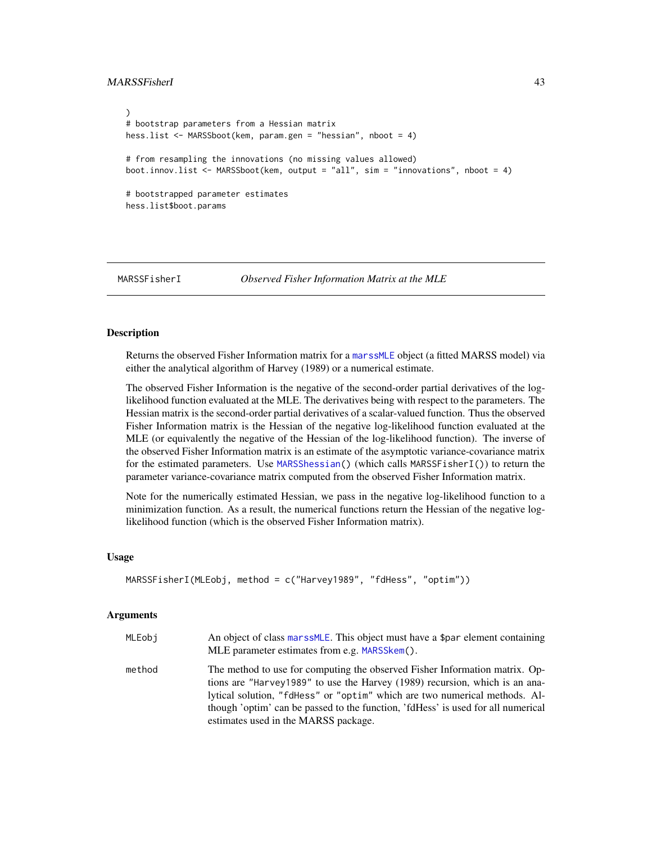## MARSSFisherI 43

```
)
# bootstrap parameters from a Hessian matrix
hess.list <- MARSSboot(kem, param.gen = "hessian", nboot = 4)
# from resampling the innovations (no missing values allowed)
boot.innov.list <- MARSSboot(kem, output = "all", sim = "innovations", nboot = 4)
# bootstrapped parameter estimates
hess.list$boot.params
```
<span id="page-42-0"></span>MARSSFisherI *Observed Fisher Information Matrix at the MLE*

## Description

Returns the observed Fisher Information matrix for a [marssMLE](#page-61-0) object (a fitted MARSS model) via either the analytical algorithm of Harvey (1989) or a numerical estimate.

The observed Fisher Information is the negative of the second-order partial derivatives of the loglikelihood function evaluated at the MLE. The derivatives being with respect to the parameters. The Hessian matrix is the second-order partial derivatives of a scalar-valued function. Thus the observed Fisher Information matrix is the Hessian of the negative log-likelihood function evaluated at the MLE (or equivalently the negative of the Hessian of the log-likelihood function). The inverse of the observed Fisher Information matrix is an estimate of the asymptotic variance-covariance matrix for the estimated parameters. Use [MARSShessian\(](#page-47-0)) (which calls MARSSFisherI()) to return the parameter variance-covariance matrix computed from the observed Fisher Information matrix.

Note for the numerically estimated Hessian, we pass in the negative log-likelihood function to a minimization function. As a result, the numerical functions return the Hessian of the negative loglikelihood function (which is the observed Fisher Information matrix).

#### Usage

```
MARSSFisherI(MLEobj, method = c("Harvey1989", "fdHess", "optim"))
```
### Arguments

| MLEobi | An object of class marss MLE. This object must have a \$par element containing<br>MLE parameter estimates from e.g. MARSSkem().                                                                                                                                                                                                                                      |
|--------|----------------------------------------------------------------------------------------------------------------------------------------------------------------------------------------------------------------------------------------------------------------------------------------------------------------------------------------------------------------------|
| method | The method to use for computing the observed Fisher Information matrix. Op-<br>tions are "Harvey1989" to use the Harvey (1989) recursion, which is an ana-<br>lytical solution, "fdHess" or "optim" which are two numerical methods. Al-<br>though 'optim' can be passed to the function, 'fdHess' is used for all numerical<br>estimates used in the MARSS package. |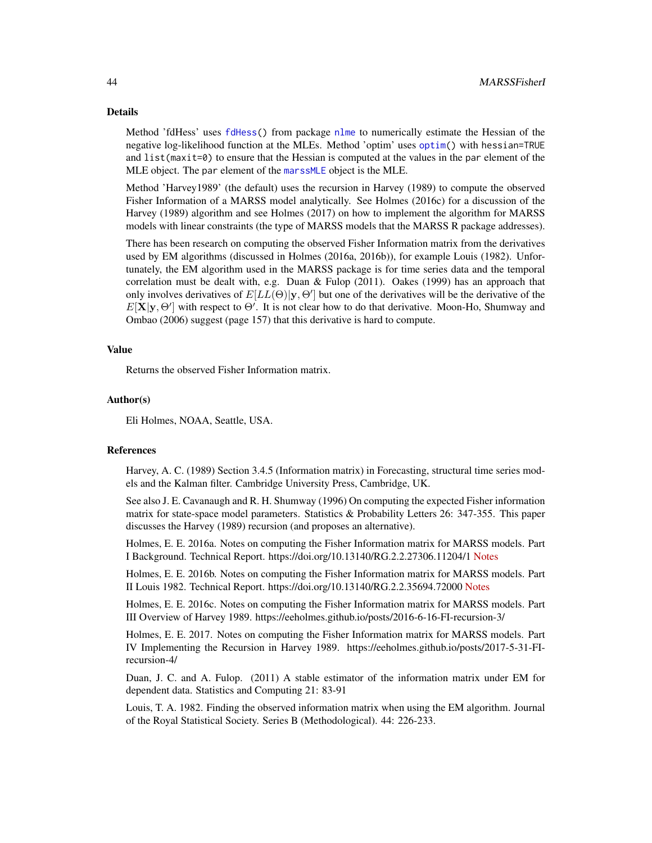### Details

Method 'fdHess' uses [fdHess\(](#page-0-0)) from package [nlme](#page-0-0) to numerically estimate the Hessian of the negative log-likelihood function at the MLEs. Method 'optim' uses [optim\(](#page-0-0)) with hessian=TRUE and list(maxit=0) to ensure that the Hessian is computed at the values in the par element of the MLE object. The par element of the [marssMLE](#page-61-0) object is the MLE.

Method 'Harvey1989' (the default) uses the recursion in Harvey (1989) to compute the observed Fisher Information of a MARSS model analytically. See Holmes (2016c) for a discussion of the Harvey (1989) algorithm and see Holmes (2017) on how to implement the algorithm for MARSS models with linear constraints (the type of MARSS models that the MARSS R package addresses).

There has been research on computing the observed Fisher Information matrix from the derivatives used by EM algorithms (discussed in Holmes (2016a, 2016b)), for example Louis (1982). Unfortunately, the EM algorithm used in the MARSS package is for time series data and the temporal correlation must be dealt with, e.g. Duan & Fulop  $(2011)$ . Oakes  $(1999)$  has an approach that only involves derivatives of  $E[LL(\Theta)|y, \Theta']$  but one of the derivatives will be the derivative of the  $E[X|y, \Theta']$  with respect to  $\Theta'$ . It is not clear how to do that derivative. Moon-Ho, Shumway and Ombao (2006) suggest (page 157) that this derivative is hard to compute.

### Value

Returns the observed Fisher Information matrix.

### Author(s)

Eli Holmes, NOAA, Seattle, USA.

## References

Harvey, A. C. (1989) Section 3.4.5 (Information matrix) in Forecasting, structural time series models and the Kalman filter. Cambridge University Press, Cambridge, UK.

See also J. E. Cavanaugh and R. H. Shumway (1996) On computing the expected Fisher information matrix for state-space model parameters. Statistics & Probability Letters 26: 347-355. This paper discusses the Harvey (1989) recursion (and proposes an alternative).

Holmes, E. E. 2016a. Notes on computing the Fisher Information matrix for MARSS models. Part I Background. Technical Report. https://doi.org/10.13140/RG.2.2.27306.11204/1 [Notes](https://eeholmes.github.io/posts/2016-5-18-FI-recursion-1/)

Holmes, E. E. 2016b. Notes on computing the Fisher Information matrix for MARSS models. Part II Louis 1982. Technical Report. https://doi.org/10.13140/RG.2.2.35694.72000 [Notes](https://eeholmes.github.io/posts/2016-5-19-FI-recursion-2/)

Holmes, E. E. 2016c. Notes on computing the Fisher Information matrix for MARSS models. Part III Overview of Harvey 1989. https://eeholmes.github.io/posts/2016-6-16-FI-recursion-3/

Holmes, E. E. 2017. Notes on computing the Fisher Information matrix for MARSS models. Part IV Implementing the Recursion in Harvey 1989. https://eeholmes.github.io/posts/2017-5-31-FIrecursion-4/

Duan, J. C. and A. Fulop. (2011) A stable estimator of the information matrix under EM for dependent data. Statistics and Computing 21: 83-91

Louis, T. A. 1982. Finding the observed information matrix when using the EM algorithm. Journal of the Royal Statistical Society. Series B (Methodological). 44: 226-233.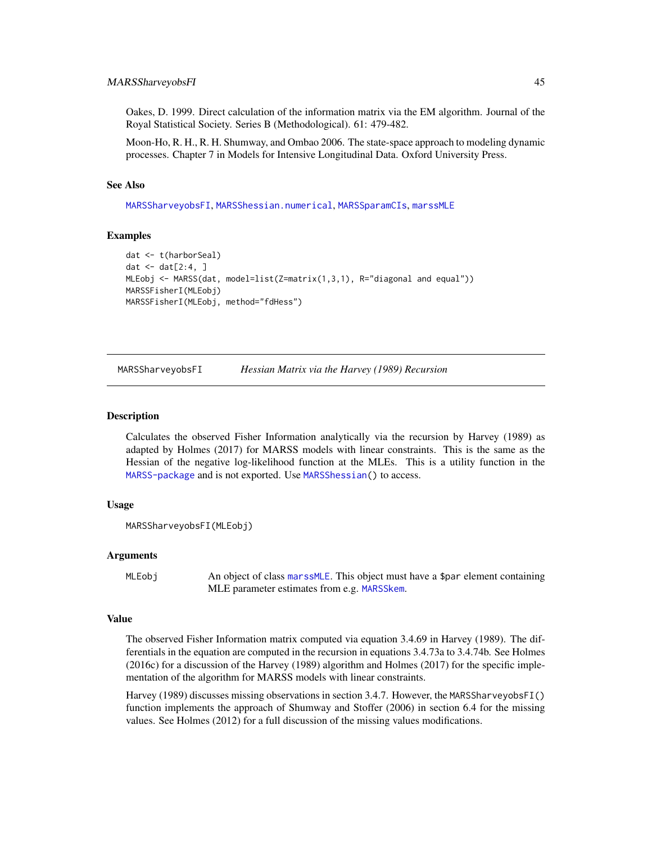#### MARSSharveyobsFI 45

Oakes, D. 1999. Direct calculation of the information matrix via the EM algorithm. Journal of the Royal Statistical Society. Series B (Methodological). 61: 479-482.

Moon-Ho, R. H., R. H. Shumway, and Ombao 2006. The state-space approach to modeling dynamic processes. Chapter 7 in Models for Intensive Longitudinal Data. Oxford University Press.

#### See Also

[MARSSharveyobsFI](#page-44-0), [MARSShessian.numerical](#page-48-0), [MARSSparamCIs](#page-67-0), [marssMLE](#page-61-0)

### Examples

```
dat <- t(harborSeal)
dat \leq - dat[2:4, 1]MLEobj <- MARSS(dat, model=list(Z=matrix(1,3,1), R="diagonal and equal"))
MARSSFisherI(MLEobj)
MARSSFisherI(MLEobj, method="fdHess")
```
<span id="page-44-0"></span>MARSSharveyobsFI *Hessian Matrix via the Harvey (1989) Recursion*

#### Description

Calculates the observed Fisher Information analytically via the recursion by Harvey (1989) as adapted by Holmes (2017) for MARSS models with linear constraints. This is the same as the Hessian of the negative log-likelihood function at the MLEs. This is a utility function in the [MARSS-package](#page-2-0) and is not exported. Use [MARSShessian\(](#page-47-0)) to access.

#### Usage

```
MARSSharveyobsFI(MLEobj)
```
## Arguments

MLEobj An object of class [marssMLE](#page-61-0). This object must have a \$par element containing MLE parameter estimates from e.g. [MARSSkem](#page-53-0).

### Value

The observed Fisher Information matrix computed via equation 3.4.69 in Harvey (1989). The differentials in the equation are computed in the recursion in equations 3.4.73a to 3.4.74b. See Holmes (2016c) for a discussion of the Harvey (1989) algorithm and Holmes (2017) for the specific implementation of the algorithm for MARSS models with linear constraints.

Harvey (1989) discusses missing observations in section 3.4.7. However, the MARSSharveyobsFI() function implements the approach of Shumway and Stoffer (2006) in section 6.4 for the missing values. See Holmes (2012) for a full discussion of the missing values modifications.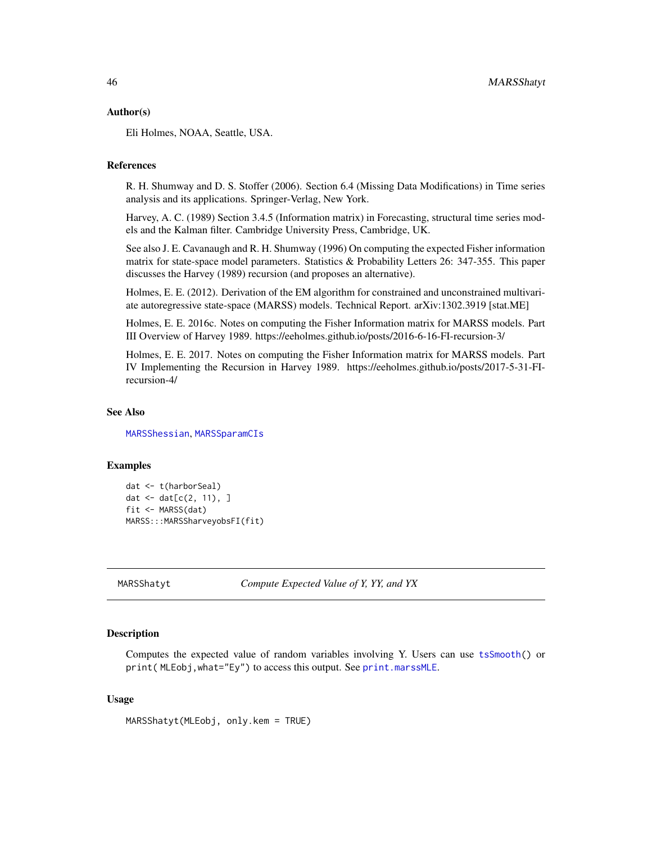### Author(s)

Eli Holmes, NOAA, Seattle, USA.

### References

R. H. Shumway and D. S. Stoffer (2006). Section 6.4 (Missing Data Modifications) in Time series analysis and its applications. Springer-Verlag, New York.

Harvey, A. C. (1989) Section 3.4.5 (Information matrix) in Forecasting, structural time series models and the Kalman filter. Cambridge University Press, Cambridge, UK.

See also J. E. Cavanaugh and R. H. Shumway (1996) On computing the expected Fisher information matrix for state-space model parameters. Statistics & Probability Letters 26: 347-355. This paper discusses the Harvey (1989) recursion (and proposes an alternative).

Holmes, E. E. (2012). Derivation of the EM algorithm for constrained and unconstrained multivariate autoregressive state-space (MARSS) models. Technical Report. arXiv:1302.3919 [stat.ME]

Holmes, E. E. 2016c. Notes on computing the Fisher Information matrix for MARSS models. Part III Overview of Harvey 1989. https://eeholmes.github.io/posts/2016-6-16-FI-recursion-3/

Holmes, E. E. 2017. Notes on computing the Fisher Information matrix for MARSS models. Part IV Implementing the Recursion in Harvey 1989. https://eeholmes.github.io/posts/2017-5-31-FIrecursion-4/

### See Also

[MARSShessian](#page-47-0), [MARSSparamCIs](#page-67-0)

#### Examples

```
dat <- t(harborSeal)
dat \leq - dat[c(2, 11), ]fit <- MARSS(dat)
MARSS:::MARSSharveyobsFI(fit)
```
MARSShatyt *Compute Expected Value of Y, YY, and YX*

## Description

Computes the expected value of random variables involving Y. Users can use [tsSmooth\(](#page-113-0)) or print( MLEobj,what="Ey") to access this output. See [print.marssMLE](#page-102-0).

### Usage

MARSShatyt(MLEobj, only.kem = TRUE)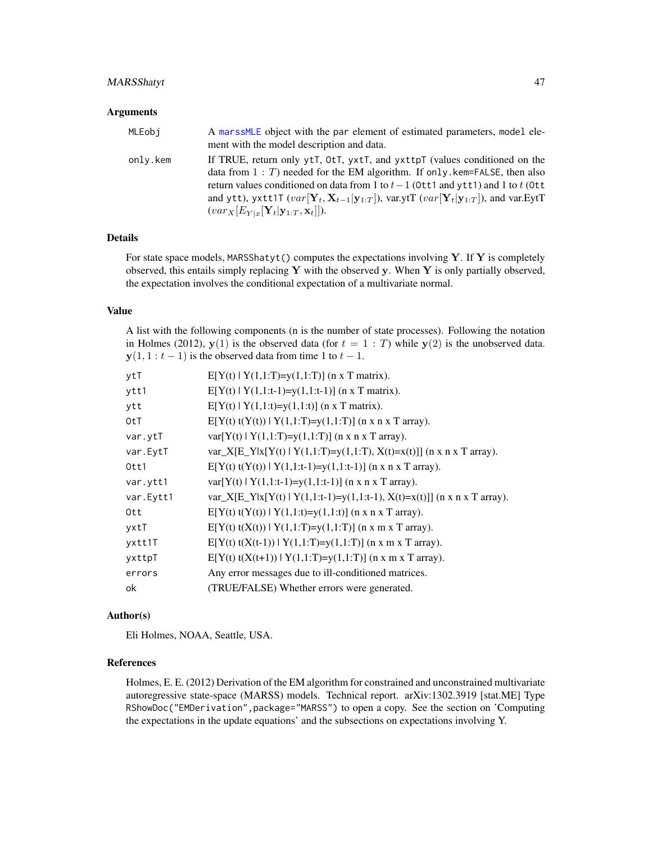## MARSShatyt 47

#### **Arguments**

| MLEobi   | A marssMLE object with the par element of estimated parameters, model ele-<br>ment with the model description and data.                                                                                                                                                                                                                                                                                                                                          |
|----------|------------------------------------------------------------------------------------------------------------------------------------------------------------------------------------------------------------------------------------------------------------------------------------------------------------------------------------------------------------------------------------------------------------------------------------------------------------------|
| only.kem | If TRUE, return only ytt, 0tt, yxtt, and yxttpT (values conditioned on the<br>data from $1: T$ ) needed for the EM algorithm. If only, kem=FALSE, then also<br>return values conditioned on data from 1 to $t-1$ (0tt1 and ytt1) and 1 to t (0tt<br>and ytt), yxtt1T $(var[\mathbf{Y}_t, \mathbf{X}_{t-1} \mathbf{y}_{1:T}])$ , var.ytT $(var[\mathbf{Y}_t \mathbf{y}_{1:T}])$ , and var.EytT<br>$(var_X[E_{Y x}[\mathbf{Y}_t \mathbf{y}_{1:T},\mathbf{x}_t]]).$ |

## Details

For state space models, MARSShatyt() computes the expectations involving  $Y$ . If  $Y$  is completely observed, this entails simply replacing Y with the observed y. When Y is only partially observed, the expectation involves the conditional expectation of a multivariate normal.

### Value

A list with the following components (n is the number of state processes). Following the notation in Holmes (2012),  $y(1)$  is the observed data (for  $t = 1 : T$ ) while  $y(2)$  is the unobserved data.  $y(1, 1 : t - 1)$  is the observed data from time 1 to  $t - 1$ .

| ytT       | $E[Y(t)   Y(1,1:T)=y(1,1:T)]$ (n x T matrix).                            |
|-----------|--------------------------------------------------------------------------|
| ytt1      | $E[Y(t)   Y(1,1:t-1)=y(1,1:t-1)]$ (n x T matrix).                        |
| ytt       | $E[Y(t)   Y(1,1:t)=y(1,1:t)]$ (n x T matrix).                            |
| 0tT       | $E[Y(t) t(Y(t))   Y(1,1:T)=y(1,1:T)]$ (n x n x T array).                 |
| var.ytT   | $var[Y(t)   Y(1,1:T)=y(1,1:T)]$ (n x n x T array).                       |
| var.EytT  | var_X[E_Y x[Y(t)   Y(1,1:T)=y(1,1:T), X(t)=x(t)]] (n x n x T array).     |
| Ott1      | $E[Y(t) t(Y(t))   Y(1,1:t-1)=y(1,1:t-1)]$ (n x n x T array).             |
| var.ytt1  | $var[Y(t)   Y(1,1:t-1)=y(1,1:t-1)]$ (n x n x T array).                   |
| var.Eytt1 | var_X[E_Y x[Y(t)   Y(1,1:t-1)=y(1,1:t-1), X(t)=x(t)]] (n x n x T array). |
| Ott       | $E[Y(t) t(Y(t))   Y(1,1:t)=y(1,1:t)]$ (n x n x T array).                 |
| yxtT      | $E[Y(t) t(X(t))   Y(1,1:T)=y(1,1:T)]$ (n x m x T array).                 |
| yxtt1T    | $E[Y(t) t(X(t-1))   Y(1,1:T)=y(1,1:T)]$ (n x m x T array).               |
| yxttpT    | $E[Y(t) t(X(t+1))   Y(1,1:T)=y(1,1:T)]$ (n x m x T array).               |
| errors    | Any error messages due to ill-conditioned matrices.                      |
| ok        | (TRUE/FALSE) Whether errors were generated.                              |

### Author(s)

Eli Holmes, NOAA, Seattle, USA.

### References

Holmes, E. E. (2012) Derivation of the EM algorithm for constrained and unconstrained multivariate autoregressive state-space (MARSS) models. Technical report. arXiv:1302.3919 [stat.ME] Type RShowDoc("EMDerivation",package="MARSS") to open a copy. See the section on 'Computing the expectations in the update equations' and the subsections on expectations involving Y.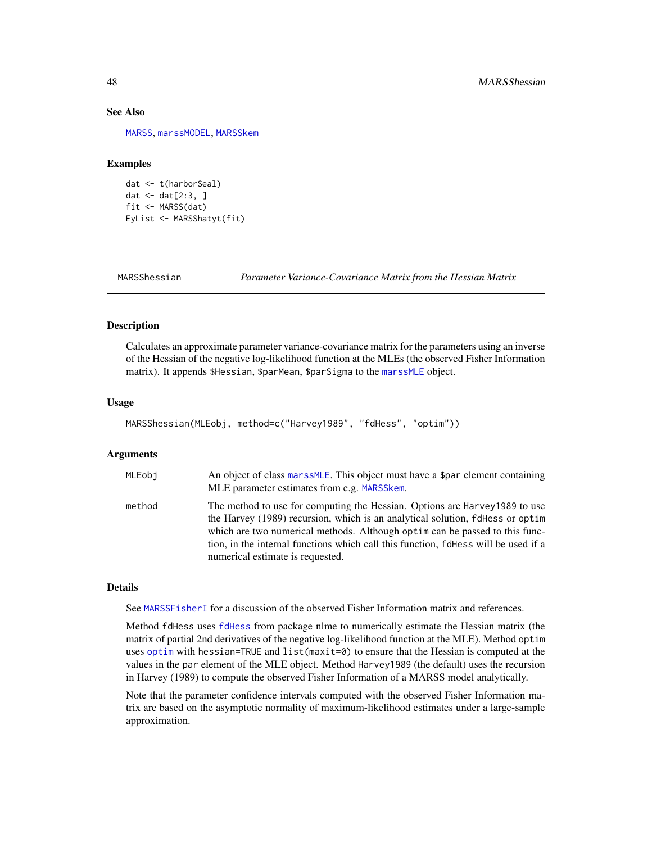### See Also

[MARSS](#page-26-0), [marssMODEL](#page-62-0), [MARSSkem](#page-53-0)

## Examples

```
dat <- t(harborSeal)
dat \leq dat[2:3, ]fit <- MARSS(dat)
EyList <- MARSShatyt(fit)
```
<span id="page-47-0"></span>

MARSShessian *Parameter Variance-Covariance Matrix from the Hessian Matrix*

### **Description**

Calculates an approximate parameter variance-covariance matrix for the parameters using an inverse of the Hessian of the negative log-likelihood function at the MLEs (the observed Fisher Information matrix). It appends \$Hessian, \$parMean, \$parSigma to the [marssMLE](#page-61-0) object.

## Usage

```
MARSShessian(MLEobj, method=c("Harvey1989", "fdHess", "optim"))
```
#### Arguments

| MLEobi | An object of class marssMLE. This object must have a \$par element containing<br>MLE parameter estimates from e.g. MARSSkem.                                                                                                                                                                                                                                          |
|--------|-----------------------------------------------------------------------------------------------------------------------------------------------------------------------------------------------------------------------------------------------------------------------------------------------------------------------------------------------------------------------|
| method | The method to use for computing the Hessian. Options are Harvey 1989 to use<br>the Harvey (1989) recursion, which is an analytical solution, fdHess or optim<br>which are two numerical methods. Although optim can be passed to this func-<br>tion, in the internal functions which call this function, fdHess will be used if a<br>numerical estimate is requested. |

#### Details

See [MARSSFisherI](#page-42-0) for a discussion of the observed Fisher Information matrix and references.

Method fdHess uses [fdHess](#page-0-0) from package nlme to numerically estimate the Hessian matrix (the matrix of partial 2nd derivatives of the negative log-likelihood function at the MLE). Method optim uses [optim](#page-0-0) with hessian=TRUE and list(maxit=0) to ensure that the Hessian is computed at the values in the par element of the MLE object. Method Harvey1989 (the default) uses the recursion in Harvey (1989) to compute the observed Fisher Information of a MARSS model analytically.

Note that the parameter confidence intervals computed with the observed Fisher Information matrix are based on the asymptotic normality of maximum-likelihood estimates under a large-sample approximation.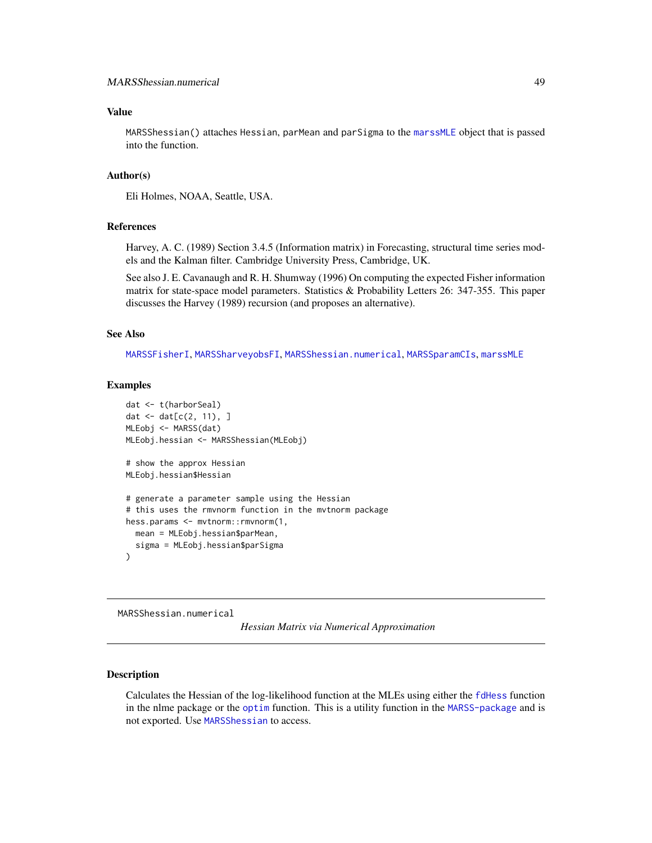### Value

MARSShessian() attaches Hessian, parMean and parSigma to the [marssMLE](#page-61-0) object that is passed into the function.

## Author(s)

Eli Holmes, NOAA, Seattle, USA.

### References

Harvey, A. C. (1989) Section 3.4.5 (Information matrix) in Forecasting, structural time series models and the Kalman filter. Cambridge University Press, Cambridge, UK.

See also J. E. Cavanaugh and R. H. Shumway (1996) On computing the expected Fisher information matrix for state-space model parameters. Statistics & Probability Letters 26: 347-355. This paper discusses the Harvey (1989) recursion (and proposes an alternative).

#### See Also

[MARSSFisherI](#page-42-0), [MARSSharveyobsFI](#page-44-0), [MARSShessian.numerical](#page-48-0), [MARSSparamCIs](#page-67-0), [marssMLE](#page-61-0)

## Examples

```
dat <- t(harborSeal)
dat <- dat[c(2, 11), ]
MLEobj <- MARSS(dat)
MLEobj.hessian <- MARSShessian(MLEobj)
# show the approx Hessian
MLEobj.hessian$Hessian
# generate a parameter sample using the Hessian
# this uses the rmvnorm function in the mvtnorm package
hess.params <- mvtnorm::rmvnorm(1,
  mean = MLEobj.hessian$parMean,
  sigma = MLEobj.hessian$parSigma
)
```
<span id="page-48-0"></span>MARSShessian.numerical

*Hessian Matrix via Numerical Approximation*

#### Description

Calculates the Hessian of the log-likelihood function at the MLEs using either the [fdHess](#page-0-0) function in the nlme package or the [optim](#page-0-0) function. This is a utility function in the [MARSS-package](#page-2-0) and is not exported. Use [MARSShessian](#page-47-0) to access.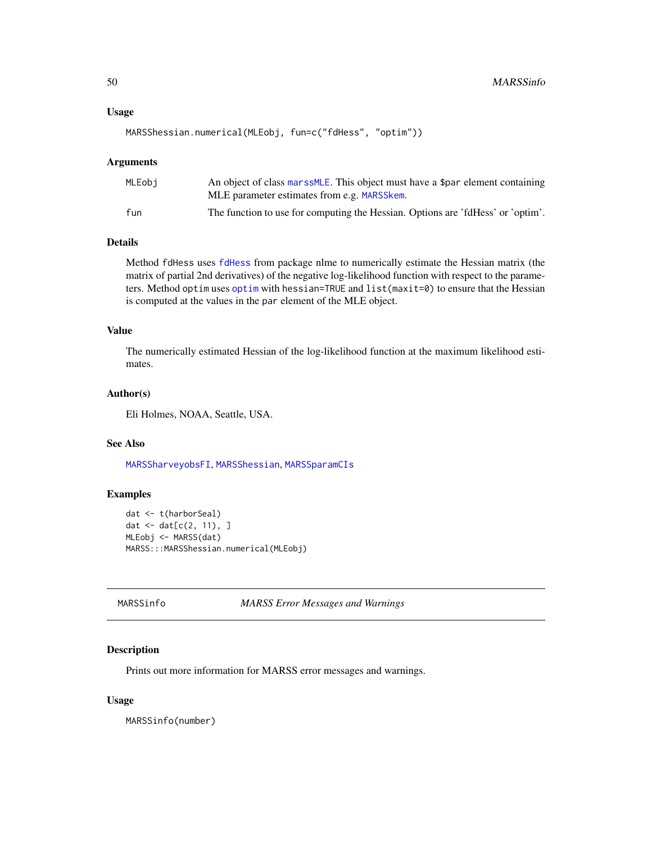#### Usage

```
MARSShessian.numerical(MLEobj, fun=c("fdHess", "optim"))
```
#### Arguments

| MLEobi | An object of class marssMLE. This object must have a \$par element containing<br>MLE parameter estimates from e.g. MARSSkem. |
|--------|------------------------------------------------------------------------------------------------------------------------------|
| fun    | The function to use for computing the Hessian. Options are 'fdHess' or 'optim'.                                              |

## Details

Method fdHess uses [fdHess](#page-0-0) from package nlme to numerically estimate the Hessian matrix (the matrix of partial 2nd derivatives) of the negative log-likelihood function with respect to the parameters. Method optim uses [optim](#page-0-0) with hessian=TRUE and list(maxit=0) to ensure that the Hessian is computed at the values in the par element of the MLE object.

#### Value

The numerically estimated Hessian of the log-likelihood function at the maximum likelihood estimates.

# Author(s)

Eli Holmes, NOAA, Seattle, USA.

## See Also

[MARSSharveyobsFI](#page-44-0), [MARSShessian](#page-47-0), [MARSSparamCIs](#page-67-0)

#### Examples

```
dat <- t(harborSeal)
dat <- dat[c(2, 11), ]MLEobj <- MARSS(dat)
MARSS:::MARSShessian.numerical(MLEobj)
```
<span id="page-49-0"></span>MARSSinfo *MARSS Error Messages and Warnings*

## Description

Prints out more information for MARSS error messages and warnings.

### Usage

MARSSinfo(number)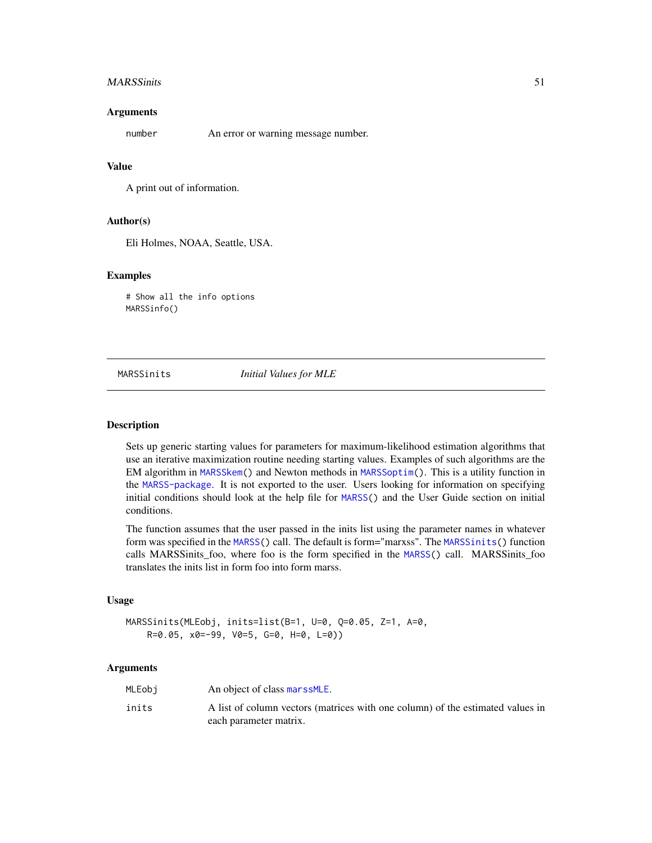#### MARSSinits 51

### **Arguments**

number An error or warning message number.

## Value

A print out of information.

### Author(s)

Eli Holmes, NOAA, Seattle, USA.

## Examples

# Show all the info options MARSSinfo()

<span id="page-50-0"></span>

MARSSinits *Initial Values for MLE*

#### Description

Sets up generic starting values for parameters for maximum-likelihood estimation algorithms that use an iterative maximization routine needing starting values. Examples of such algorithms are the EM algorithm in [MARSSkem\(](#page-53-0)) and Newton methods in [MARSSoptim\(](#page-64-0)). This is a utility function in the [MARSS-package](#page-2-0). It is not exported to the user. Users looking for information on specifying initial conditions should look at the help file for [MARSS\(](#page-26-0)) and the User Guide section on initial conditions.

The function assumes that the user passed in the inits list using the parameter names in whatever form was specified in the [MARSS\(](#page-26-0)) call. The default is form="marxss". The [MARSSinits\(](#page-50-0)) function calls MARSSinits\_foo, where foo is the form specified in the [MARSS\(](#page-26-0)) call. MARSSinits\_foo translates the inits list in form foo into form marss.

#### Usage

```
MARSSinits(MLEobj, inits=list(B=1, U=0, Q=0.05, Z=1, A=0,
    R=0.05, x0=-99, V0=5, G=0, H=0, L=0))
```
## Arguments

| MLEobi | An object of class marssMLE.                                                   |
|--------|--------------------------------------------------------------------------------|
| inits  | A list of column vectors (matrices with one column) of the estimated values in |
|        | each parameter matrix.                                                         |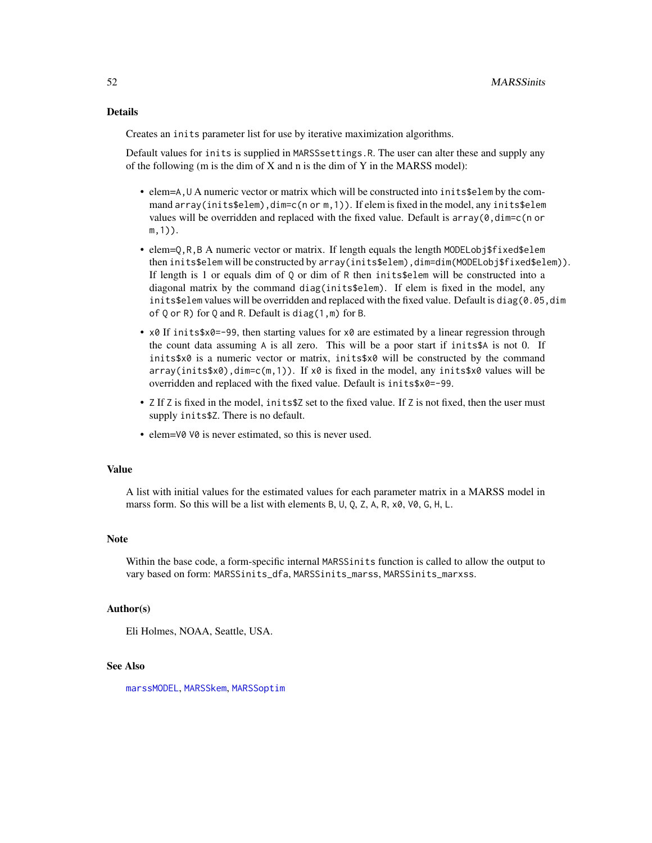## Details

Creates an inits parameter list for use by iterative maximization algorithms.

Default values for inits is supplied in MARSSsettings.R. The user can alter these and supply any of the following (m is the dim of X and n is the dim of Y in the MARSS model):

- elem=A,U A numeric vector or matrix which will be constructed into inits\$elem by the command array(inits\$elem),dim=c(n or m, 1)). If elem is fixed in the model, any inits\$elem values will be overridden and replaced with the fixed value. Default is  $array(\theta, dim=c(n \text{ or } n))$ m,1)).
- elem= $Q, R, B$  A numeric vector or matrix. If length equals the length MODELobj\$fixed\$elem then inits\$elem will be constructed by array(inits\$elem),dim=dim(MODELobj\$fixed\$elem)). If length is 1 or equals dim of Q or dim of R then inits\$elem will be constructed into a diagonal matrix by the command diag(inits\$elem). If elem is fixed in the model, any inits\$elem values will be overridden and replaced with the fixed value. Default is diag(0.05,dim of Q or R) for Q and R. Default is diag(1,m) for B.
- x0 If inits  $x_0 = -99$ , then starting values for x0 are estimated by a linear regression through the count data assuming  $A$  is all zero. This will be a poor start if inits\$A is not 0. If inits  $x \delta x$  is a numeric vector or matrix, inits  $x \delta x$  will be constructed by the command  $array(inits$ \$x0),dim=c(m,1)). If x0 is fixed in the model, any inits\$x0 values will be overridden and replaced with the fixed value. Default is inits\$x0=-99.
- Z If Z is fixed in the model, inits\$Z set to the fixed value. If Z is not fixed, then the user must supply inits\$Z. There is no default.
- elem=V0 V0 is never estimated, so this is never used.

## Value

A list with initial values for the estimated values for each parameter matrix in a MARSS model in marss form. So this will be a list with elements B, U, Q, Z, A, R, x0, V0, G, H, L.

### Note

Within the base code, a form-specific internal MARSSinits function is called to allow the output to vary based on form: MARSSinits\_dfa, MARSSinits\_marss, MARSSinits\_marxss.

### Author(s)

Eli Holmes, NOAA, Seattle, USA.

### See Also

[marssMODEL](#page-62-0), [MARSSkem](#page-53-0), [MARSSoptim](#page-64-0)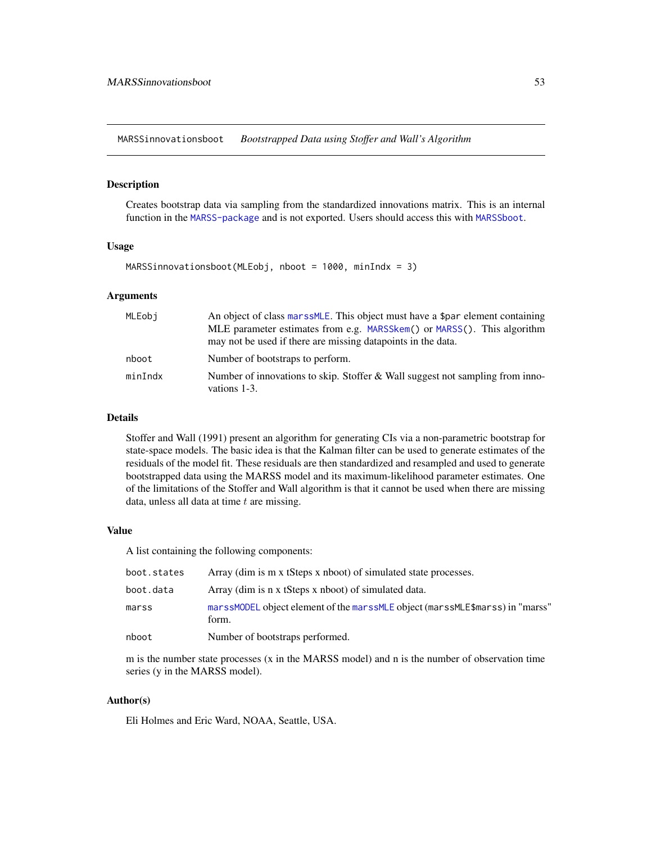<span id="page-52-0"></span>MARSSinnovationsboot *Bootstrapped Data using Stoffer and Wall's Algorithm*

### Description

Creates bootstrap data via sampling from the standardized innovations matrix. This is an internal function in the [MARSS-package](#page-2-0) and is not exported. Users should access this with [MARSSboot](#page-40-0).

### Usage

MARSSinnovationsboot(MLEobj, nboot = 1000, minIndx = 3)

### Arguments

| MLEobi  | An object of class marssMLE. This object must have a \$par element containing                 |
|---------|-----------------------------------------------------------------------------------------------|
|         | MLE parameter estimates from e.g. MARSSkem() or MARSS(). This algorithm                       |
|         | may not be used if there are missing datapoints in the data.                                  |
| nboot   | Number of bootstraps to perform.                                                              |
| minIndx | Number of innovations to skip. Stoffer & Wall suggest not sampling from inno-<br>vations 1-3. |

### Details

Stoffer and Wall (1991) present an algorithm for generating CIs via a non-parametric bootstrap for state-space models. The basic idea is that the Kalman filter can be used to generate estimates of the residuals of the model fit. These residuals are then standardized and resampled and used to generate bootstrapped data using the MARSS model and its maximum-likelihood parameter estimates. One of the limitations of the Stoffer and Wall algorithm is that it cannot be used when there are missing data, unless all data at time  $t$  are missing.

#### Value

A list containing the following components:

| boot.states | Array (dim is m x tSteps x nboot) of simulated state processes.                        |
|-------------|----------------------------------------------------------------------------------------|
| boot.data   | Array (dim is n x tSteps x nboot) of simulated data.                                   |
| marss       | marssMODEL object element of the marssMLE object (marssMLE\$marss) in "marss"<br>form. |
| nboot       | Number of bootstraps performed.                                                        |

m is the number state processes (x in the MARSS model) and n is the number of observation time series (y in the MARSS model).

## Author(s)

Eli Holmes and Eric Ward, NOAA, Seattle, USA.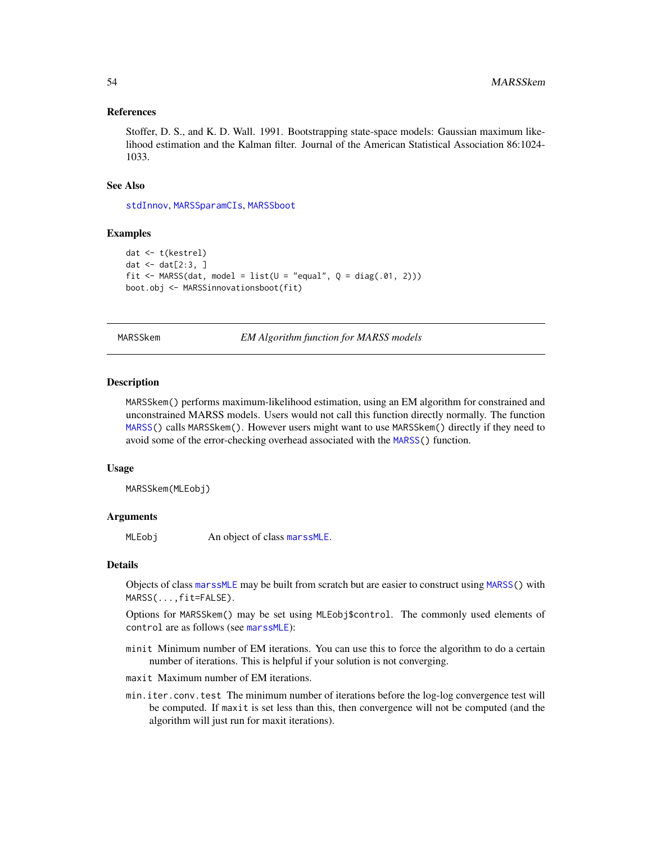### References

Stoffer, D. S., and K. D. Wall. 1991. Bootstrapping state-space models: Gaussian maximum likelihood estimation and the Kalman filter. Journal of the American Statistical Association 86:1024- 1033.

### See Also

[stdInnov](#page-0-0), [MARSSparamCIs](#page-67-0), [MARSSboot](#page-40-0)

## Examples

```
dat <- t(kestrel)
dat \leq dat[2:3,  ]fit <- MARSS(dat, model = list(U = "equal", Q = diag(.01, 2)))
boot.obj <- MARSSinnovationsboot(fit)
```
<span id="page-53-0"></span>MARSSkem *EM Algorithm function for MARSS models*

#### **Description**

MARSSkem() performs maximum-likelihood estimation, using an EM algorithm for constrained and unconstrained MARSS models. Users would not call this function directly normally. The function [MARSS\(](#page-26-0)) calls MARSSkem(). However users might want to use MARSSkem() directly if they need to avoid some of the error-checking overhead associated with the [MARSS\(](#page-26-0)) function.

#### Usage

MARSSkem(MLEobj)

### Arguments

MLEobj An object of class [marssMLE](#page-61-0).

#### Details

Objects of class [marssMLE](#page-61-0) may be built from scratch but are easier to construct using [MARSS\(](#page-26-0)) with MARSS(...,fit=FALSE).

Options for MARSSkem() may be set using MLEobj\$control. The commonly used elements of control are as follows (see [marssMLE](#page-61-0)):

- minit Minimum number of EM iterations. You can use this to force the algorithm to do a certain number of iterations. This is helpful if your solution is not converging.
- maxit Maximum number of EM iterations.
- min.iter.conv.test The minimum number of iterations before the log-log convergence test will be computed. If maxit is set less than this, then convergence will not be computed (and the algorithm will just run for maxit iterations).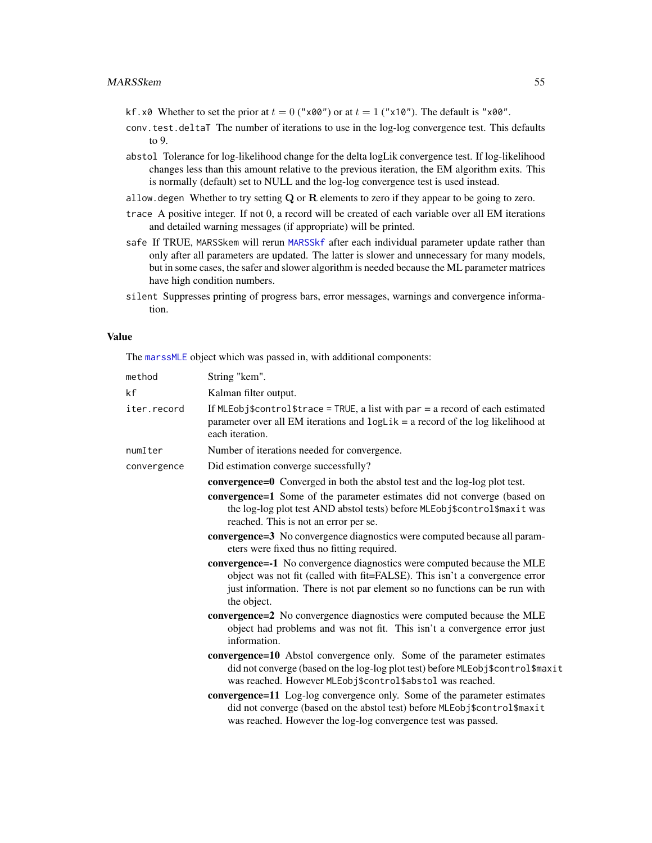- kf.x0 Whether to set the prior at  $t = 0$  ("x00") or at  $t = 1$  ("x10"). The default is "x00".
- conv.test.deltaT The number of iterations to use in the log-log convergence test. This defaults to 9.
- abstol Tolerance for log-likelihood change for the delta logLik convergence test. If log-likelihood changes less than this amount relative to the previous iteration, the EM algorithm exits. This is normally (default) set to NULL and the log-log convergence test is used instead.
- allow.degen Whether to try setting  $Q$  or  $R$  elements to zero if they appear to be going to zero.
- trace A positive integer. If not 0, a record will be created of each variable over all EM iterations and detailed warning messages (if appropriate) will be printed.
- safe If TRUE, MARSSkem will rerun [MARSSkf](#page-57-0) after each individual parameter update rather than only after all parameters are updated. The latter is slower and unnecessary for many models, but in some cases, the safer and slower algorithm is needed because the ML parameter matrices have high condition numbers.
- silent Suppresses printing of progress bars, error messages, warnings and convergence information.

### Value

The [marssMLE](#page-61-0) object which was passed in, with additional components:

| method      | String "kem".                                                                                                                                                                                                                                                                                                                                                                                                                                                                                                                                                                                                                                                                                                                                                                                                                                                                                                                                                                                                                                                                                                                                                                                                                                                                                   |
|-------------|-------------------------------------------------------------------------------------------------------------------------------------------------------------------------------------------------------------------------------------------------------------------------------------------------------------------------------------------------------------------------------------------------------------------------------------------------------------------------------------------------------------------------------------------------------------------------------------------------------------------------------------------------------------------------------------------------------------------------------------------------------------------------------------------------------------------------------------------------------------------------------------------------------------------------------------------------------------------------------------------------------------------------------------------------------------------------------------------------------------------------------------------------------------------------------------------------------------------------------------------------------------------------------------------------|
| kf          | Kalman filter output.                                                                                                                                                                                                                                                                                                                                                                                                                                                                                                                                                                                                                                                                                                                                                                                                                                                                                                                                                                                                                                                                                                                                                                                                                                                                           |
| iter.record | If MLEobj\$control\$trace = TRUE, a list with $par = a$ record of each estimated<br>parameter over all EM iterations and $logLik = a$ record of the log likelihood at<br>each iteration.                                                                                                                                                                                                                                                                                                                                                                                                                                                                                                                                                                                                                                                                                                                                                                                                                                                                                                                                                                                                                                                                                                        |
| numIter     | Number of iterations needed for convergence.                                                                                                                                                                                                                                                                                                                                                                                                                                                                                                                                                                                                                                                                                                                                                                                                                                                                                                                                                                                                                                                                                                                                                                                                                                                    |
| convergence | Did estimation converge successfully?                                                                                                                                                                                                                                                                                                                                                                                                                                                                                                                                                                                                                                                                                                                                                                                                                                                                                                                                                                                                                                                                                                                                                                                                                                                           |
|             | <b>convergence=0</b> Converged in both the abstol test and the log-log plot test.<br>convergence=1 Some of the parameter estimates did not converge (based on<br>the log-log plot test AND abstol tests) before MLEobj\$control\$maxit was<br>reached. This is not an error per se.<br>convergence=3 No convergence diagnostics were computed because all param-<br>eters were fixed thus no fitting required.<br>convergence=-1 No convergence diagnostics were computed because the MLE<br>object was not fit (called with fit=FALSE). This isn't a convergence error<br>just information. There is not par element so no functions can be run with<br>the object.<br>convergence=2 No convergence diagnostics were computed because the MLE<br>object had problems and was not fit. This isn't a convergence error just<br>information.<br>convergence=10 Abstol convergence only. Some of the parameter estimates<br>did not converge (based on the log-log plot test) before MLEobj\$control\$maxit<br>was reached. However MLEobj\$control\$abstol was reached.<br>convergence=11 Log-log convergence only. Some of the parameter estimates<br>did not converge (based on the abstol test) before MLEobj\$control\$maxit<br>was reached. However the log-log convergence test was passed. |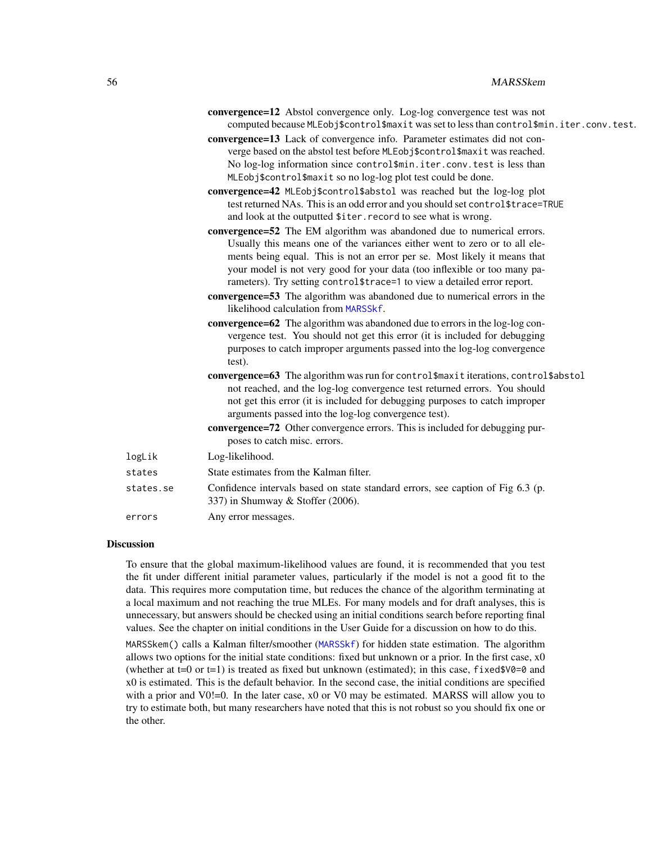|           | convergence=12 Abstol convergence only. Log-log convergence test was not<br>computed because MLEobj\$control\$maxit was set to less than control\$min.iter.conv.test. |
|-----------|-----------------------------------------------------------------------------------------------------------------------------------------------------------------------|
|           | convergence=13 Lack of convergence info. Parameter estimates did not con-<br>verge based on the abstol test before MLEobj\$control\$maxit was reached.                |
|           | No log-log information since control\$min.iter.conv.test is less than                                                                                                 |
|           | MLEobj\$control\$maxit so no log-log plot test could be done.                                                                                                         |
|           | convergence=42 MLEobj\$control\$abstol was reached but the log-log plot                                                                                               |
|           | test returned NAs. This is an odd error and you should set control\$trace=TRUE<br>and look at the outputted \$iter. record to see what is wrong.                      |
|           | convergence=52 The EM algorithm was abandoned due to numerical errors.                                                                                                |
|           | Usually this means one of the variances either went to zero or to all ele-                                                                                            |
|           | ments being equal. This is not an error per se. Most likely it means that                                                                                             |
|           | your model is not very good for your data (too inflexible or too many pa-                                                                                             |
|           | rameters). Try setting control \$trace=1 to view a detailed error report.                                                                                             |
|           | convergence=53 The algorithm was abandoned due to numerical errors in the<br>likelihood calculation from MARSSkf.                                                     |
|           | <b>convergence=62</b> The algorithm was abandoned due to errors in the log-log con-                                                                                   |
|           | vergence test. You should not get this error (it is included for debugging                                                                                            |
|           | purposes to catch improper arguments passed into the log-log convergence<br>test).                                                                                    |
|           | convergence=63 The algorithm was run for control\$maxit iterations, control\$abstol                                                                                   |
|           | not reached, and the log-log convergence test returned errors. You should                                                                                             |
|           | not get this error (it is included for debugging purposes to catch improper                                                                                           |
|           | arguments passed into the log-log convergence test).                                                                                                                  |
|           | convergence=72 Other convergence errors. This is included for debugging pur-<br>poses to catch misc. errors.                                                          |
| logLik    | Log-likelihood.                                                                                                                                                       |
| states    | State estimates from the Kalman filter.                                                                                                                               |
| states.se | Confidence intervals based on state standard errors, see caption of Fig 6.3 (p.<br>337) in Shumway & Stoffer (2006).                                                  |

#### errors Any error messages.

## Discussion

To ensure that the global maximum-likelihood values are found, it is recommended that you test the fit under different initial parameter values, particularly if the model is not a good fit to the data. This requires more computation time, but reduces the chance of the algorithm terminating at a local maximum and not reaching the true MLEs. For many models and for draft analyses, this is unnecessary, but answers should be checked using an initial conditions search before reporting final values. See the chapter on initial conditions in the User Guide for a discussion on how to do this.

MARSSkem() calls a Kalman filter/smoother ([MARSSkf](#page-57-0)) for hidden state estimation. The algorithm allows two options for the initial state conditions: fixed but unknown or a prior. In the first case, x0 (whether at t=0 or t=1) is treated as fixed but unknown (estimated); in this case, fixed \$ $\sqrt{0}$ =0 and x0 is estimated. This is the default behavior. In the second case, the initial conditions are specified with a prior and V0!=0. In the later case, x0 or V0 may be estimated. MARSS will allow you to try to estimate both, but many researchers have noted that this is not robust so you should fix one or the other.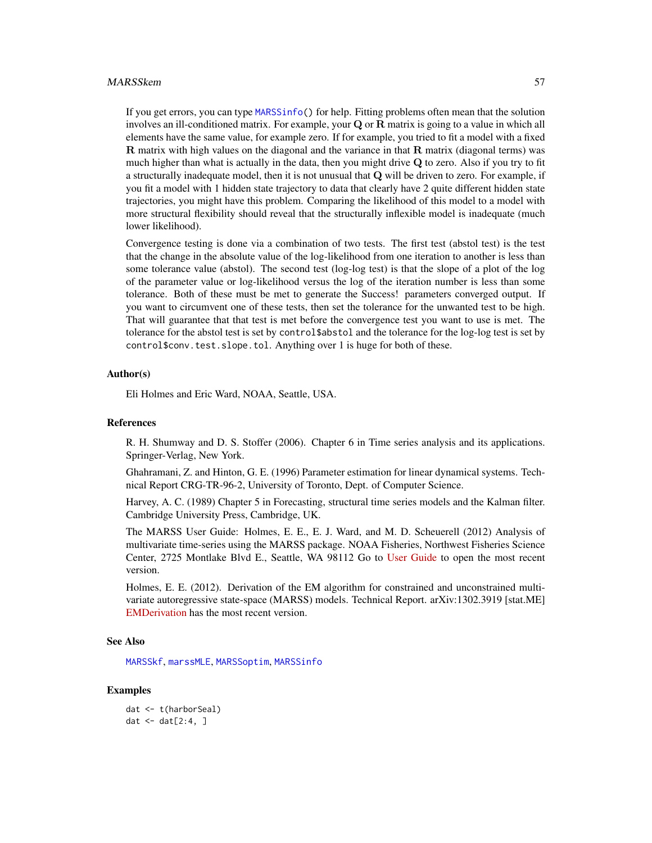#### MARSSkem 57

If you get errors, you can type [MARSSinfo\(](#page-49-0)) for help. Fitting problems often mean that the solution involves an ill-conditioned matrix. For example, your  $Q$  or  $R$  matrix is going to a value in which all elements have the same value, for example zero. If for example, you tried to fit a model with a fixed  **matrix with high values on the diagonal and the variance in that**  $**R**$  **matrix (diagonal terms) was** much higher than what is actually in the data, then you might drive  $Q$  to zero. Also if you try to fit a structurally inadequate model, then it is not unusual that Q will be driven to zero. For example, if you fit a model with 1 hidden state trajectory to data that clearly have 2 quite different hidden state trajectories, you might have this problem. Comparing the likelihood of this model to a model with more structural flexibility should reveal that the structurally inflexible model is inadequate (much lower likelihood).

Convergence testing is done via a combination of two tests. The first test (abstol test) is the test that the change in the absolute value of the log-likelihood from one iteration to another is less than some tolerance value (abstol). The second test (log-log test) is that the slope of a plot of the log of the parameter value or log-likelihood versus the log of the iteration number is less than some tolerance. Both of these must be met to generate the Success! parameters converged output. If you want to circumvent one of these tests, then set the tolerance for the unwanted test to be high. That will guarantee that that test is met before the convergence test you want to use is met. The tolerance for the abstol test is set by control\$abstol and the tolerance for the log-log test is set by control\$conv.test.slope.tol. Anything over 1 is huge for both of these.

### Author(s)

Eli Holmes and Eric Ward, NOAA, Seattle, USA.

### References

R. H. Shumway and D. S. Stoffer (2006). Chapter 6 in Time series analysis and its applications. Springer-Verlag, New York.

Ghahramani, Z. and Hinton, G. E. (1996) Parameter estimation for linear dynamical systems. Technical Report CRG-TR-96-2, University of Toronto, Dept. of Computer Science.

Harvey, A. C. (1989) Chapter 5 in Forecasting, structural time series models and the Kalman filter. Cambridge University Press, Cambridge, UK.

The MARSS User Guide: Holmes, E. E., E. J. Ward, and M. D. Scheuerell (2012) Analysis of multivariate time-series using the MARSS package. NOAA Fisheries, Northwest Fisheries Science Center, 2725 Montlake Blvd E., Seattle, WA 98112 Go to [User Guide](https://cran.r-project.org/package=MARSS/vignettes/UserGuide.pdf) to open the most recent version.

Holmes, E. E. (2012). Derivation of the EM algorithm for constrained and unconstrained multivariate autoregressive state-space (MARSS) models. Technical Report. arXiv:1302.3919 [stat.ME] [EMDerivation](https://cran.r-project.org/package=MARSS/vignettes/EMDerivation.pdf) has the most recent version.

### See Also

[MARSSkf](#page-57-0), [marssMLE](#page-61-0), [MARSSoptim](#page-64-0), [MARSSinfo](#page-49-0)

### Examples

```
dat <- t(harborSeal)
dat \leq dat[2:4, ]
```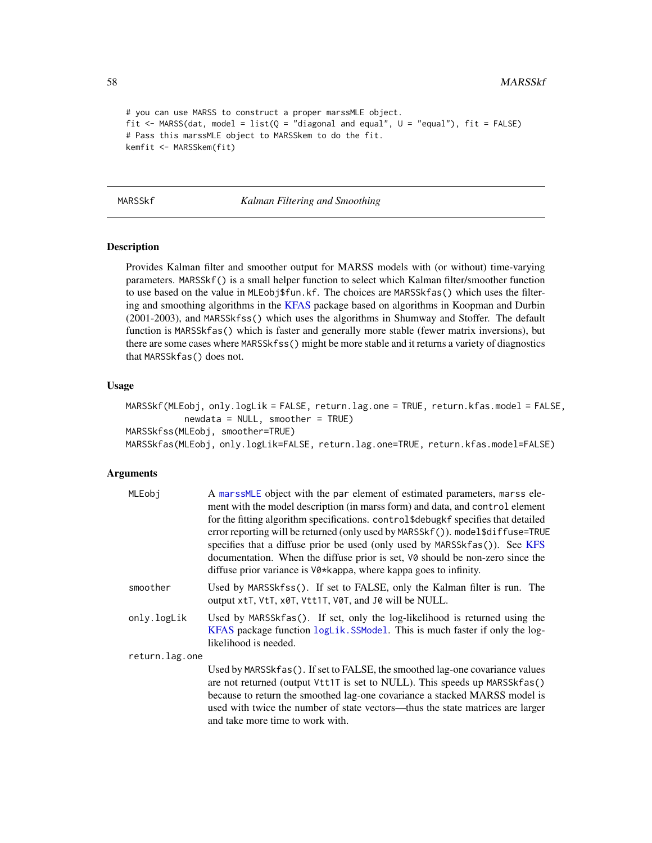```
# you can use MARSS to construct a proper marssMLE object.
fit \leq MARSS(dat, model = list(Q = "diagonal and equal", U = "equal"), fit = FALSE)
# Pass this marssMLE object to MARSSkem to do the fit.
kemfit <- MARSSkem(fit)
```
#### <span id="page-57-0"></span>MARSSkf *Kalman Filtering and Smoothing*

### Description

Provides Kalman filter and smoother output for MARSS models with (or without) time-varying parameters. MARSSkf() is a small helper function to select which Kalman filter/smoother function to use based on the value in MLEobj\$fun.kf. The choices are MARSSkfas() which uses the filtering and smoothing algorithms in the [KFAS](#page-0-0) package based on algorithms in Koopman and Durbin (2001-2003), and MARSSkfss() which uses the algorithms in Shumway and Stoffer. The default function is MARSSkfas() which is faster and generally more stable (fewer matrix inversions), but there are some cases where MARSSkfss() might be more stable and it returns a variety of diagnostics that MARSSkfas() does not.

## Usage

```
MARSSkf(MLEobj, only.logLik = FALSE, return.lag.one = TRUE, return.kfas.model = FALSE,
           newdata = NULL, smoother = TRUEMARSSkfss(MLEobj, smoother=TRUE)
MARSSkfas(MLEobj, only.logLik=FALSE, return.lag.one=TRUE, return.kfas.model=FALSE)
```
### Arguments

| MLEobj         | A marssMLE object with the par element of estimated parameters, marss ele-<br>ment with the model description (in marss form) and data, and control element<br>for the fitting algorithm specifications. control\$debugkf specifies that detailed<br>error reporting will be returned (only used by MARSSkf()). model\$diffuse=TRUE<br>specifies that a diffuse prior be used (only used by MARSSkfas()). See KFS<br>documentation. When the diffuse prior is set, V0 should be non-zero since the<br>diffuse prior variance is V0*kappa, where kappa goes to infinity. |
|----------------|-------------------------------------------------------------------------------------------------------------------------------------------------------------------------------------------------------------------------------------------------------------------------------------------------------------------------------------------------------------------------------------------------------------------------------------------------------------------------------------------------------------------------------------------------------------------------|
| smoother       | Used by MARSSkfss(). If set to FALSE, only the Kalman filter is run. The<br>output xtT, VtT, x0T, Vtt1T, V0T, and J0 will be NULL.                                                                                                                                                                                                                                                                                                                                                                                                                                      |
| only.logLik    | Used by MARSSkfas(). If set, only the log-likelihood is returned using the<br>KFAS package function logLik. SSModel. This is much faster if only the log-<br>likelihood is needed.                                                                                                                                                                                                                                                                                                                                                                                      |
| return.lag.one |                                                                                                                                                                                                                                                                                                                                                                                                                                                                                                                                                                         |
|                | Used by MARSSkfas(). If set to FALSE, the smoothed lag-one covariance values<br>are not returned (output Vtt1T is set to NULL). This speeds up MARSSkfas()<br>because to return the smoothed lag-one covariance a stacked MARSS model is<br>used with twice the number of state vectors—thus the state matrices are larger<br>and take more time to work with.                                                                                                                                                                                                          |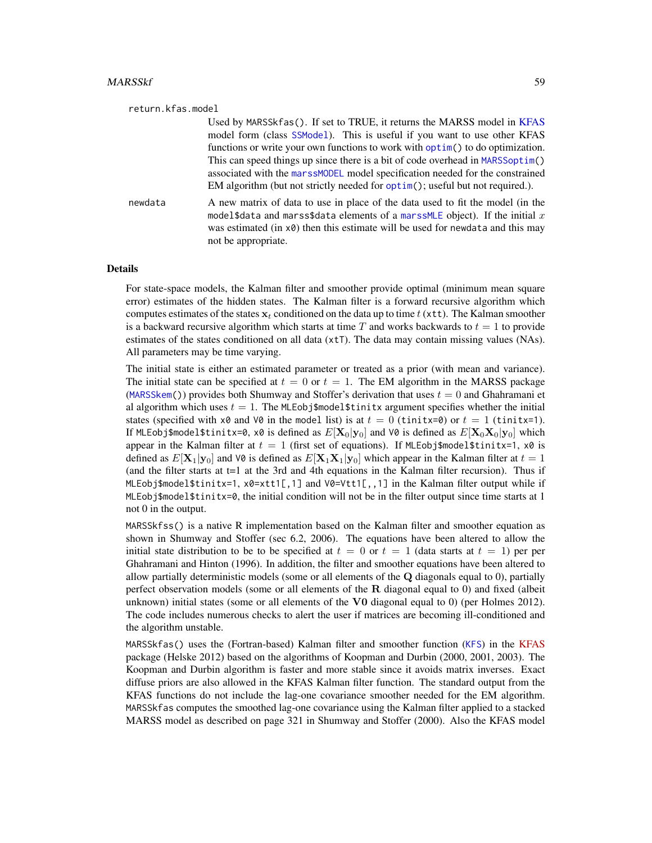| return.kfas.model |                                                                                                                                                                                                                                                                                                                                                                                                                                                                                           |
|-------------------|-------------------------------------------------------------------------------------------------------------------------------------------------------------------------------------------------------------------------------------------------------------------------------------------------------------------------------------------------------------------------------------------------------------------------------------------------------------------------------------------|
|                   | Used by MARSSkfas(). If set to TRUE, it returns the MARSS model in KFAS<br>model form (class SSModel). This is useful if you want to use other KFAS<br>functions or write your own functions to work with optim() to do optimization.<br>This can speed things up since there is a bit of code overhead in MARSSoptim()<br>associated with the marssMODEL model specification needed for the constrained<br>EM algorithm (but not strictly needed for optim(); useful but not required.). |
| newdata           | A new matrix of data to use in place of the data used to fit the model (in the<br>model\$data and marss\$data elements of a marssMLE object). If the initial $x$<br>was estimated (in x0) then this estimate will be used for newdata and this may<br>not be appropriate.                                                                                                                                                                                                                 |

#### Details

For state-space models, the Kalman filter and smoother provide optimal (minimum mean square error) estimates of the hidden states. The Kalman filter is a forward recursive algorithm which computes estimates of the states  $x_t$  conditioned on the data up to time t (xtt). The Kalman smoother is a backward recursive algorithm which starts at time  $T$  and works backwards to  $t = 1$  to provide estimates of the states conditioned on all data (xtT). The data may contain missing values (NAs). All parameters may be time varying.

The initial state is either an estimated parameter or treated as a prior (with mean and variance). The initial state can be specified at  $t = 0$  or  $t = 1$ . The EM algorithm in the MARSS package ([MARSSkem\(](#page-53-0))) provides both Shumway and Stoffer's derivation that uses  $t = 0$  and Ghahramani et al algorithm which uses  $t = 1$ . The MLEob is models tinit argument specifies whether the initial states (specified with  $x\theta$  and  $\theta$  in the model list) is at  $t = 0$  (tinitx=0) or  $t = 1$  (tinitx=1). If MLEobj\$model\$tinitx=0, x0 is defined as  $E[\mathbf{X}_0|\mathbf{y}_0]$  and V0 is defined as  $E[\mathbf{X}_0\mathbf{X}_0|\mathbf{y}_0]$  which appear in the Kalman filter at  $t = 1$  (first set of equations). If MLEobj\$model\$tinitx=1, x0 is defined as  $E[\mathbf{X}_1|\mathbf{y}_0]$  and V0 is defined as  $E[\mathbf{X}_1|\mathbf{X}_1|\mathbf{y}_0]$  which appear in the Kalman filter at  $t = 1$ (and the filter starts at t=1 at the 3rd and 4th equations in the Kalman filter recursion). Thus if MLEobj\$model\$tinitx=1, x0=xtt1[,1] and V0=Vtt1[,,1] in the Kalman filter output while if MLEobj\$model\$tinitx=0, the initial condition will not be in the filter output since time starts at 1 not 0 in the output.

MARSSkfss() is a native R implementation based on the Kalman filter and smoother equation as shown in Shumway and Stoffer (sec 6.2, 2006). The equations have been altered to allow the initial state distribution to be to be specified at  $t = 0$  or  $t = 1$  (data starts at  $t = 1$ ) per per Ghahramani and Hinton (1996). In addition, the filter and smoother equations have been altered to allow partially deterministic models (some or all elements of the  $Q$  diagonals equal to 0), partially perfect observation models (some or all elements of the  $\bf R$  diagonal equal to 0) and fixed (albeit unknown) initial states (some or all elements of the  $V0$  diagonal equal to 0) (per Holmes 2012). The code includes numerous checks to alert the user if matrices are becoming ill-conditioned and the algorithm unstable.

MARSSkfas() uses the (Fortran-based) Kalman filter and smoother function ([KFS](#page-0-0)) in the [KFAS](https://cran.r-project.org/package=KFAS) package (Helske 2012) based on the algorithms of Koopman and Durbin (2000, 2001, 2003). The Koopman and Durbin algorithm is faster and more stable since it avoids matrix inverses. Exact diffuse priors are also allowed in the KFAS Kalman filter function. The standard output from the KFAS functions do not include the lag-one covariance smoother needed for the EM algorithm. MARSSkfas computes the smoothed lag-one covariance using the Kalman filter applied to a stacked MARSS model as described on page 321 in Shumway and Stoffer (2000). Also the KFAS model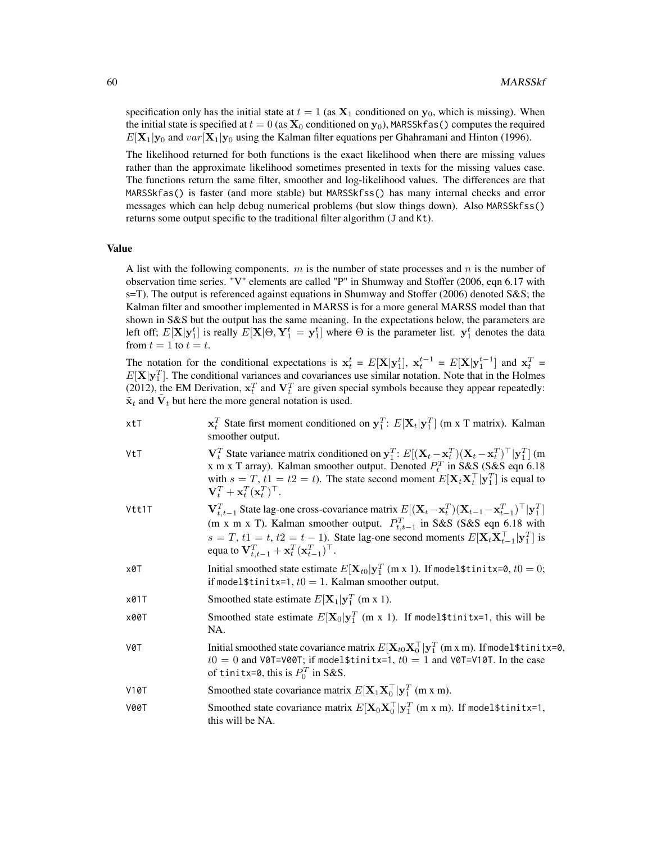specification only has the initial state at  $t = 1$  (as  $X_1$  conditioned on  $y_0$ , which is missing). When the initial state is specified at  $t = 0$  (as  $\mathbf{X}_0$  conditioned on  $\mathbf{y}_0$ ), MARSSkfas() computes the required  $E[\mathbf{X}_1|\mathbf{y}_0]$  and  $var[\mathbf{X}_1|\mathbf{y}_0]$  using the Kalman filter equations per Ghahramani and Hinton (1996).

The likelihood returned for both functions is the exact likelihood when there are missing values rather than the approximate likelihood sometimes presented in texts for the missing values case. The functions return the same filter, smoother and log-likelihood values. The differences are that MARSSkfas() is faster (and more stable) but MARSSkfss() has many internal checks and error messages which can help debug numerical problems (but slow things down). Also MARSSkfss() returns some output specific to the traditional filter algorithm (J and Kt).

### Value

A list with the following components.  $m$  is the number of state processes and  $n$  is the number of observation time series. "V" elements are called "P" in Shumway and Stoffer (2006, eqn 6.17 with s=T). The output is referenced against equations in Shumway and Stoffer (2006) denoted S&S; the Kalman filter and smoother implemented in MARSS is for a more general MARSS model than that shown in S&S but the output has the same meaning. In the expectations below, the parameters are left off;  $E[\mathbf{X}|\mathbf{y}_1^t]$  is really  $E[\mathbf{X}|\Theta,\mathbf{Y}_1^t=\mathbf{y}_1^t]$  where  $\Theta$  is the parameter list.  $\mathbf{y}_1^t$  denotes the data from  $t = 1$  to  $t = t$ .

The notation for the conditional expectations is  $x_t^t = E[X|y_1^t]$ ,  $x_t^{t-1} = E[X|y_1^{t-1}]$  and  $x_t^T =$  $E[X|y_1^T]$ . The conditional variances and covariances use similar notation. Note that in the Holmes (2012), the EM Derivation,  $x_t^T$  and  $V_t^T$  are given special symbols because they appear repeatedly:  $\tilde{\mathbf{x}}_t$  and  $\tilde{\mathbf{V}}_t$  but here the more general notation is used.

| xtT | $\mathbf{x}_t^T$ State first moment conditioned on $\mathbf{y}_1^T$ : $E[\mathbf{X}_t \mathbf{y}_1^T]$ (m x T matrix). Kalman |
|-----|-------------------------------------------------------------------------------------------------------------------------------|
|     | smoother output.                                                                                                              |

- VtT  $V_t^T$  State variance matrix conditioned on  $y_1^T$ :  $E[(X_t x_t^T)(X_t x_t^T)^T | y_1^T]$  (m x m x T array). Kalman smoother output. Denoted  $P_t^T$  in S&S (S&S eqn 6.18 with  $s = T$ ,  $t1 = t2 = t$ ). The state second moment  $E[\mathbf{X}_t \mathbf{X}_t^\top | \mathbf{y}_1^T]$  is equal to  $\mathbf{V}_t^T + \mathbf{x}_t^T (\mathbf{x}_t^T)^\top.$
- Vtt1T  $_{t,t-1}^T$  State lag-one cross-covariance matrix  $E[(\mathbf{X}_t - \mathbf{x}_t^T)(\mathbf{X}_{t-1} - \mathbf{x}_{t-1}^T)^\top | \mathbf{y}_1^T]$ (m x m x T). Kalman smoother output.  $P_{t,t-1}^T$  in S&S (S&S eqn 6.18 with  $s = T$ ,  $t1 = t$ ,  $t2 = t - 1$ ). State lag-one second moments  $E[\mathbf{X}_t \mathbf{X}_{t-1}^\top | \mathbf{y}_1^T]$  is equa to  $\mathbf{V}_{t,t-1}^T + \mathbf{x}_t^T (\mathbf{x}_{t-1}^T)^\top$ .
- x0T Initial smoothed state estimate  $E[\mathbf{X}_{t0}|\mathbf{y}_1^T \text{ (m x 1)}.$  If model\$tinitx=0,  $t0 = 0$ ; if model \$tinitx=1,  $t0 = 1$ . Kalman smoother output.
- x01T Smoothed state estimate  $E[\mathbf{X}_1|\mathbf{y}_1^T$  (m x 1).
- x00T Smoothed state estimate  $E[\mathbf{X}_0|\mathbf{y}_1^T \;(\text{m x 1}).$  If model\$tinitx=1, this will be NA.
- V0T Initial smoothed state covariance matrix  $E[\mathbf{X}_{t0}\mathbf{X}_0^\top|\mathbf{y}_1^T$  (m x m). If model\$tinitx=0,  $t0 = 0$  and V0T=V00T; if model\$tinitx=1,  $t0 = 1$  and V0T=V10T. In the case of tinitx=0, this is  $P_0^T$  in S&S.
- V10T Smoothed state covariance matrix  $E[\mathbf{X}_1 \mathbf{X}_0^\top | \mathbf{y}_1^\top \text{ (m x m)}]$ .
- V00T Smoothed state covariance matrix  $E[\mathbf{X}_0 \mathbf{X}_0^\top | \mathbf{y}_1^T \; (\text{m} \; \text{x} \; \text{m})$ . If model\$tinitx=1, this will be NA.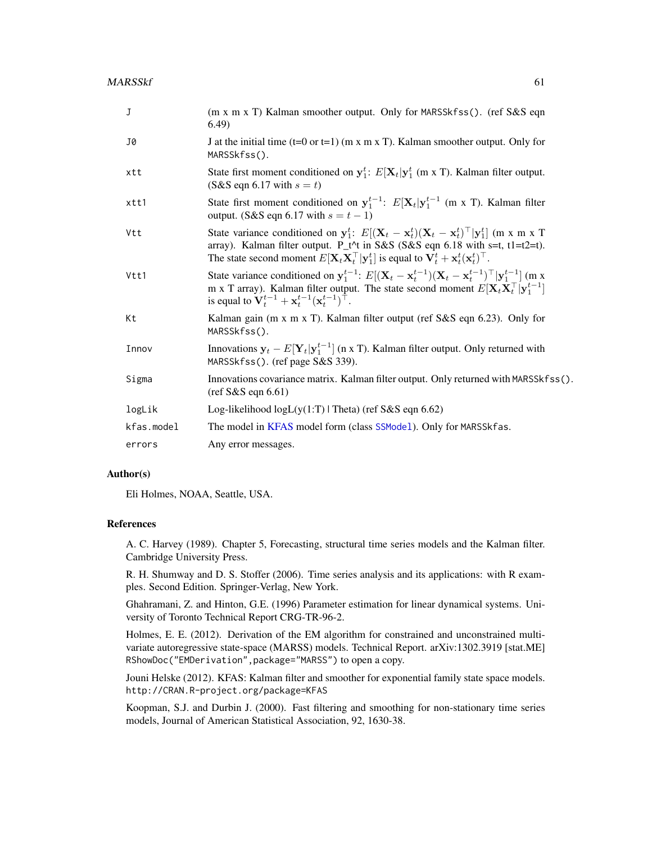| J          | (m x m x T) Kalman smoother output. Only for MARSSkfss(). (ref S&S eqn<br>(6.49)                                                                                                                                                                                                                                                      |
|------------|---------------------------------------------------------------------------------------------------------------------------------------------------------------------------------------------------------------------------------------------------------------------------------------------------------------------------------------|
| J0         | J at the initial time $(t=0 \text{ or } t=1)$ (m x m x T). Kalman smoother output. Only for<br>MARSSkfss().                                                                                                                                                                                                                           |
| xtt        | State first moment conditioned on $y_1^t$ : $E[\mathbf{X}_t   y_1^t$ (m x T). Kalman filter output.<br>$(S&S$ eqn 6.17 with $s = t$ )                                                                                                                                                                                                 |
| xtt1       | State first moment conditioned on $y_1^{t-1}$ : $E[X_t y_1^{t-1}$ (m x T). Kalman filter<br>output. (S&S eqn 6.17 with $s = t - 1$ )                                                                                                                                                                                                  |
| Vtt        | State variance conditioned on $y_1^t$ : $E[(X_t - x_t^t)(X_t - x_t^t)^\top   y_1^t]$ (m x m x T<br>array). Kalman filter output. P_t^t in S&S (S&S eqn 6.18 with s=t, t1=t2=t).<br>The state second moment $E[\mathbf{X}_t \mathbf{X}_t^\top   \mathbf{y}_1^t]$ is equal to $\mathbf{V}_t^t + \mathbf{x}_t^t (\mathbf{x}_t^t)^\top$ . |
| Vtt1       | State variance conditioned on $y_1^{t-1}$ : $E[(\mathbf{X}_t - \mathbf{x}_t^{t-1})(\mathbf{X}_t - \mathbf{x}_t^{t-1})^\top   y_1^{t-1}]$ (m x<br>m x T array). Kalman filter output. The state second moment $E[\mathbf{X}_t \mathbf{X}_t^\top   \mathbf{y}_1^{t-1}]$<br>is equal to $V_t^{t-1} + x_t^{t-1} (x_t^{t-1})^{\top}$ .     |
| Kt         | Kalman gain (m x m x T). Kalman filter output (ref S&S eqn 6.23). Only for<br>MARSSkfss().                                                                                                                                                                                                                                            |
| Innov      | Innovations $y_t - E[Y_t y_1^{t-1}]$ (n x T). Kalman filter output. Only returned with<br>MARSSkfss(). (ref page S&S 339).                                                                                                                                                                                                            |
| Sigma      | Innovations covariance matrix. Kalman filter output. Only returned with MARSSkfss().<br>$(\text{ref S&S eqn 6.61})$                                                                                                                                                                                                                   |
| logLik     | Log-likelihood $logL(y(1:T)   \text{Theta})$ (ref S&S eqn 6.62)                                                                                                                                                                                                                                                                       |
| kfas.model | The model in KFAS model form (class SSMode1). Only for MARSSkfas.                                                                                                                                                                                                                                                                     |
| errors     | Any error messages.                                                                                                                                                                                                                                                                                                                   |

#### Author(s)

Eli Holmes, NOAA, Seattle, USA.

## References

A. C. Harvey (1989). Chapter 5, Forecasting, structural time series models and the Kalman filter. Cambridge University Press.

R. H. Shumway and D. S. Stoffer (2006). Time series analysis and its applications: with R examples. Second Edition. Springer-Verlag, New York.

Ghahramani, Z. and Hinton, G.E. (1996) Parameter estimation for linear dynamical systems. University of Toronto Technical Report CRG-TR-96-2.

Holmes, E. E. (2012). Derivation of the EM algorithm for constrained and unconstrained multivariate autoregressive state-space (MARSS) models. Technical Report. arXiv:1302.3919 [stat.ME] RShowDoc("EMDerivation",package="MARSS") to open a copy.

Jouni Helske (2012). KFAS: Kalman filter and smoother for exponential family state space models. http://CRAN.R-project.org/package=KFAS

Koopman, S.J. and Durbin J. (2000). Fast filtering and smoothing for non-stationary time series models, Journal of American Statistical Association, 92, 1630-38.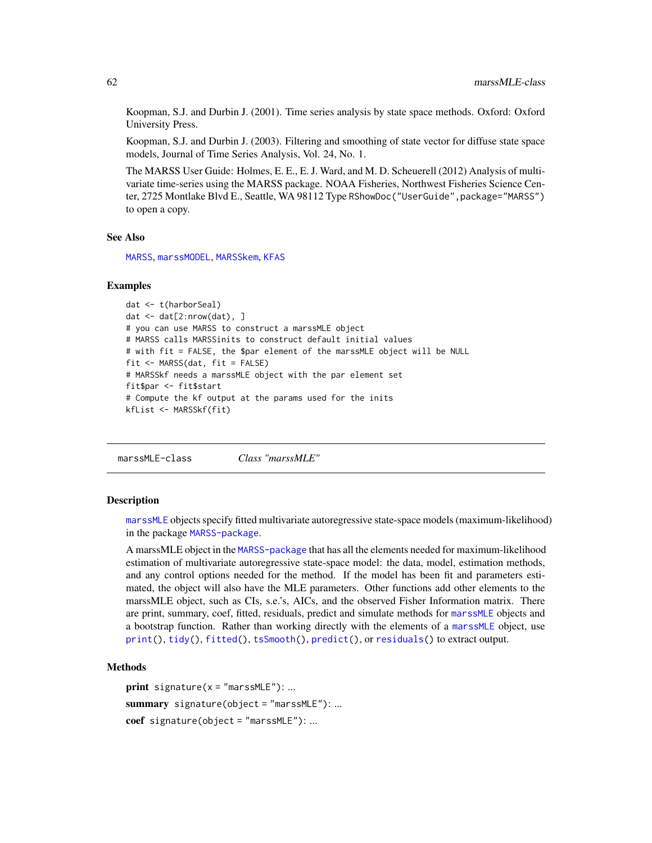Koopman, S.J. and Durbin J. (2001). Time series analysis by state space methods. Oxford: Oxford University Press.

Koopman, S.J. and Durbin J. (2003). Filtering and smoothing of state vector for diffuse state space models, Journal of Time Series Analysis, Vol. 24, No. 1.

The MARSS User Guide: Holmes, E. E., E. J. Ward, and M. D. Scheuerell (2012) Analysis of multivariate time-series using the MARSS package. NOAA Fisheries, Northwest Fisheries Science Center, 2725 Montlake Blvd E., Seattle, WA 98112 Type RShowDoc("UserGuide",package="MARSS") to open a copy.

#### See Also

[MARSS](#page-26-0), [marssMODEL](#page-62-0), [MARSSkem](#page-53-0), [KFAS](#page-0-0)

### Examples

```
dat <- t(harborSeal)
dat \leq dat[2:nrow(dat), ]
# you can use MARSS to construct a marssMLE object
# MARSS calls MARSSinits to construct default initial values
# with fit = FALSE, the $par element of the marssMLE object will be NULL
fit <- MARSS(dat, fit = FALSE)
# MARSSkf needs a marssMLE object with the par element set
fit$par <- fit$start
# Compute the kf output at the params used for the inits
kfList <- MARSSkf(fit)
```
marssMLE-class *Class "marssMLE"*

### <span id="page-61-0"></span>**Description**

[marssMLE](#page-61-0) objects specify fitted multivariate autoregressive state-space models (maximum-likelihood) in the package [MARSS-package](#page-2-0).

A marssMLE object in the [MARSS-package](#page-2-0) that has all the elements needed for maximum-likelihood estimation of multivariate autoregressive state-space model: the data, model, estimation methods, and any control options needed for the method. If the model has been fit and parameters estimated, the object will also have the MLE parameters. Other functions add other elements to the marssMLE object, such as CIs, s.e.'s, AICs, and the observed Fisher Information matrix. There are print, summary, coef, fitted, residuals, predict and simulate methods for [marssMLE](#page-61-0) objects and a bootstrap function. Rather than working directly with the elements of a [marssMLE](#page-61-0) object, use [print\(](#page-102-0)), [tidy\(](#page-111-0)), [fitted\(](#page-11-0)), [tsSmooth\(](#page-113-0)), [predict\(](#page-98-0)), or [residuals\(](#page-107-0)) to extract output.

### Methods

```
print signature(x = "marsSMLE"): ...
summary signature(object = "marsMLE"): ...
coef signature(object = "marssMLE"): ...
```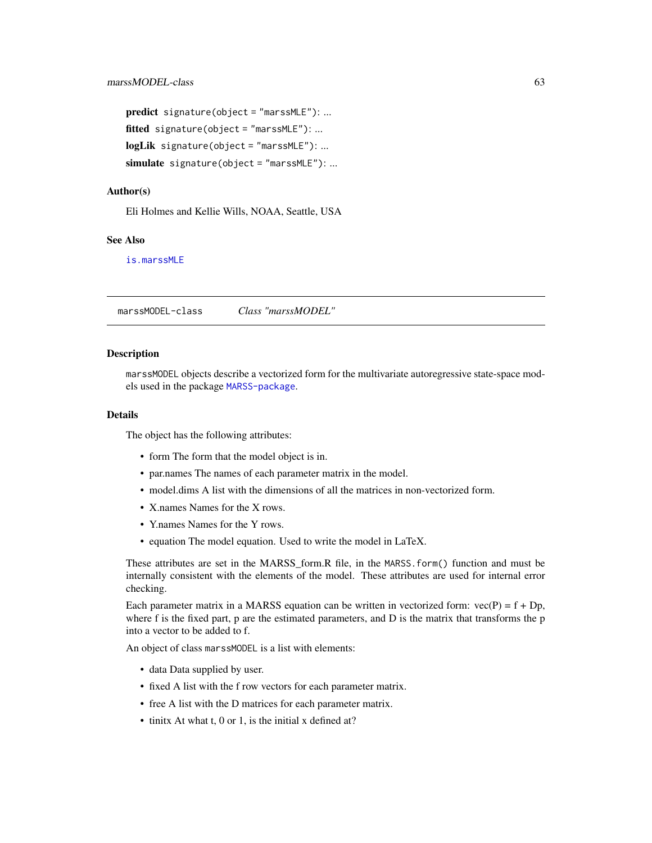```
predict signature(object = "marssMLE"): ...
fitted signature(object = "marssMLE"): ...
logLik signature(object = "marssMLE"): ...
simulate signature(object = "marssMLE"): ...
```
#### Author(s)

Eli Holmes and Kellie Wills, NOAA, Seattle, USA

## See Also

[is.marssMLE](#page-20-0)

marssMODEL-class *Class "marssMODEL"*

#### <span id="page-62-0"></span>**Description**

marssMODEL objects describe a vectorized form for the multivariate autoregressive state-space models used in the package [MARSS-package](#page-2-0).

### Details

The object has the following attributes:

- form The form that the model object is in.
- par.names The names of each parameter matrix in the model.
- model.dims A list with the dimensions of all the matrices in non-vectorized form.
- X.names Names for the X rows.
- Y.names Names for the Y rows.
- equation The model equation. Used to write the model in LaTeX.

These attributes are set in the MARSS\_form.R file, in the MARSS.form() function and must be internally consistent with the elements of the model. These attributes are used for internal error checking.

Each parameter matrix in a MARSS equation can be written in vectorized form:  $vec(P) = f + Dp$ , where f is the fixed part, p are the estimated parameters, and D is the matrix that transforms the p into a vector to be added to f.

An object of class marssMODEL is a list with elements:

- data Data supplied by user.
- fixed A list with the f row vectors for each parameter matrix.
- free A list with the D matrices for each parameter matrix.
- tinitx At what t, 0 or 1, is the initial x defined at?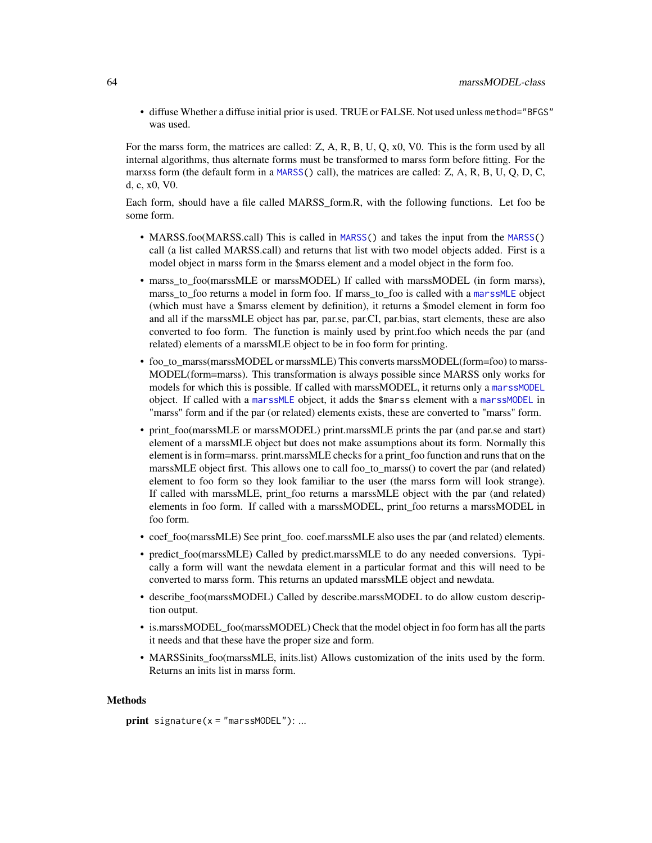• diffuse Whether a diffuse initial prior is used. TRUE or FALSE. Not used unless method="BFGS" was used.

For the marss form, the matrices are called: Z, A, R, B, U, Q, x0, V0. This is the form used by all internal algorithms, thus alternate forms must be transformed to marss form before fitting. For the marxss form (the default form in a  $MARS$  () call), the matrices are called: Z, A, R, B, U, Q, D, C, d, c, x0, V0.

Each form, should have a file called MARSS\_form.R, with the following functions. Let foo be some form.

- MARSS.foo(MARSS.call) This is called in [MARSS\(](#page-26-0)) and takes the input from the MARSS() call (a list called MARSS.call) and returns that list with two model objects added. First is a model object in marss form in the \$marss element and a model object in the form foo.
- marss to foo(marssMLE or marssMODEL) If called with marssMODEL (in form marss), marss\_to\_foo returns a model in form foo. If marss\_to\_foo is called with a [marssMLE](#page-61-0) object (which must have a \$marss element by definition), it returns a \$model element in form foo and all if the marssMLE object has par, par.se, par.CI, par.bias, start elements, these are also converted to foo form. The function is mainly used by print.foo which needs the par (and related) elements of a marssMLE object to be in foo form for printing.
- foo to marss(marssMODEL or marssMLE) This converts marssMODEL(form=foo) to marss-MODEL(form=marss). This transformation is always possible since MARSS only works for models for which this is possible. If called with marssMODEL, it returns only a [marssMODEL](#page-62-0) object. If called with a [marssMLE](#page-61-0) object, it adds the \$marss element with a [marssMODEL](#page-62-0) in "marss" form and if the par (or related) elements exists, these are converted to "marss" form.
- print foo(marssMLE or marssMODEL) print.marssMLE prints the par (and par.se and start) element of a marssMLE object but does not make assumptions about its form. Normally this element is in form=marss. print.marssMLE checks for a print\_foo function and runs that on the marssMLE object first. This allows one to call foo\_to\_marss() to covert the par (and related) element to foo form so they look familiar to the user (the marss form will look strange). If called with marssMLE, print\_foo returns a marssMLE object with the par (and related) elements in foo form. If called with a marssMODEL, print\_foo returns a marssMODEL in foo form.
- coef\_foo(marssMLE) See print\_foo. coef.marssMLE also uses the par (and related) elements.
- predict\_foo(marssMLE) Called by predict.marssMLE to do any needed conversions. Typically a form will want the newdata element in a particular format and this will need to be converted to marss form. This returns an updated marssMLE object and newdata.
- describe\_foo(marssMODEL) Called by describe.marssMODEL to do allow custom description output.
- is.marssMODEL\_foo(marssMODEL) Check that the model object in foo form has all the parts it needs and that these have the proper size and form.
- MARSSinits foo(marssMLE, inits.list) Allows customization of the inits used by the form. Returns an inits list in marss form.

#### Methods

```
print signature(x = "marsS MODEL"): ...
```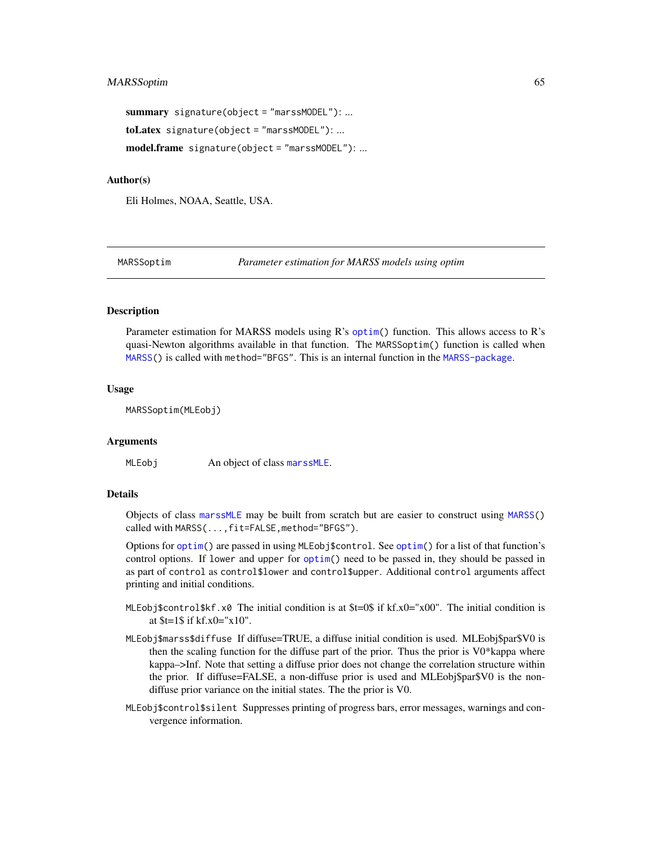```
summary signature(object = "marssMODEL"): ...
toLatex signature(object = "marssMODEL"): ...
model.frame signature(object = "marssMODEL"): ...
```
### Author(s)

Eli Holmes, NOAA, Seattle, USA.

<span id="page-64-0"></span>MARSSoptim *Parameter estimation for MARSS models using optim*

## Description

Parameter estimation for MARSS models using R's [optim\(](#page-0-0)) function. This allows access to R's quasi-Newton algorithms available in that function. The MARSSoptim() function is called when [MARSS\(](#page-26-0)) is called with method="BFGS". This is an internal function in the [MARSS-package](#page-2-0).

#### Usage

MARSSoptim(MLEobj)

### Arguments

MLEobj An object of class [marssMLE](#page-61-0).

### Details

Objects of class [marssMLE](#page-61-0) may be built from scratch but are easier to construct using [MARSS\(](#page-26-0)) called with MARSS(...,fit=FALSE,method="BFGS").

Options for [optim\(](#page-0-0)) are passed in using MLEobj\$control. See [optim\(](#page-0-0)) for a list of that function's control options. If lower and upper for [optim\(](#page-0-0)) need to be passed in, they should be passed in as part of control as control\$lower and control\$upper. Additional control arguments affect printing and initial conditions.

- MLEobj\$control\$kf.x0 The initial condition is at \$t=0\$ if kf.x0="x00". The initial condition is at \$t=1\$ if kf.x0="x10".
- MLEobj\$marss\$diffuse If diffuse=TRUE, a diffuse initial condition is used. MLEobj\$par\$V0 is then the scaling function for the diffuse part of the prior. Thus the prior is V0\*kappa where kappa–>Inf. Note that setting a diffuse prior does not change the correlation structure within the prior. If diffuse=FALSE, a non-diffuse prior is used and MLEobj\$par\$V0 is the nondiffuse prior variance on the initial states. The the prior is V0.
- MLEobj\$control\$silent Suppresses printing of progress bars, error messages, warnings and convergence information.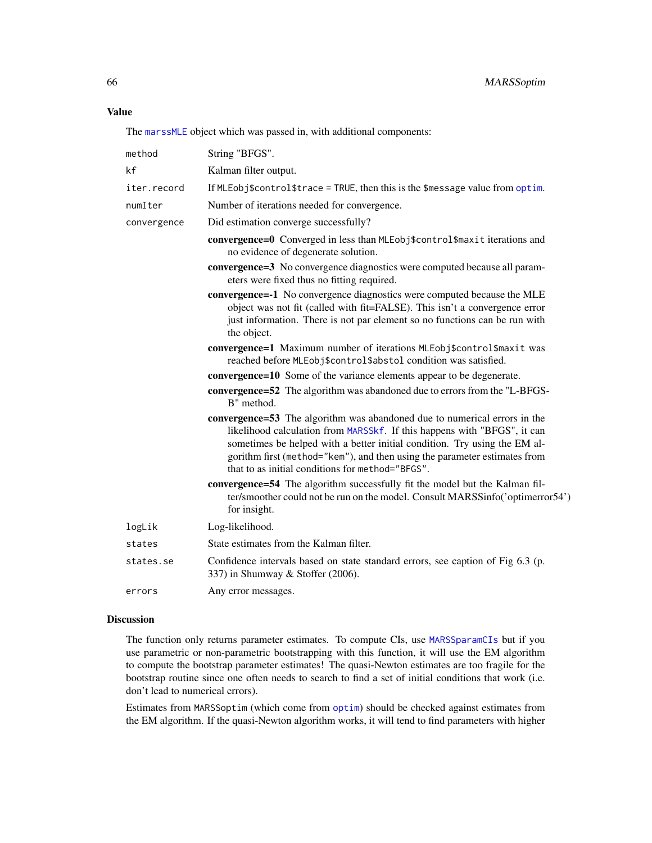### Value

The [marssMLE](#page-61-0) object which was passed in, with additional components:

| method      | String "BFGS".                                                                                                                                                                                                                                                                                                                                                      |
|-------------|---------------------------------------------------------------------------------------------------------------------------------------------------------------------------------------------------------------------------------------------------------------------------------------------------------------------------------------------------------------------|
| kf          | Kalman filter output.                                                                                                                                                                                                                                                                                                                                               |
| iter.record | If MLEobj\$control\$trace = TRUE, then this is the \$message value from optim.                                                                                                                                                                                                                                                                                      |
| numIter     | Number of iterations needed for convergence.                                                                                                                                                                                                                                                                                                                        |
| convergence | Did estimation converge successfully?                                                                                                                                                                                                                                                                                                                               |
|             | convergence=0 Converged in less than MLEobj\$control\$maxit iterations and<br>no evidence of degenerate solution.                                                                                                                                                                                                                                                   |
|             | <b>convergence=3</b> No convergence diagnostics were computed because all param-<br>eters were fixed thus no fitting required.                                                                                                                                                                                                                                      |
|             | <b>convergence=-1</b> No convergence diagnostics were computed because the MLE<br>object was not fit (called with fit=FALSE). This isn't a convergence error<br>just information. There is not par element so no functions can be run with<br>the object.                                                                                                           |
|             | convergence=1 Maximum number of iterations MLEobj\$control\$maxit was<br>reached before MLEobj\$control\$abstol condition was satisfied.                                                                                                                                                                                                                            |
|             | <b>convergence=10</b> Some of the variance elements appear to be degenerate.                                                                                                                                                                                                                                                                                        |
|             | convergence=52 The algorithm was abandoned due to errors from the "L-BFGS-<br>B" method.                                                                                                                                                                                                                                                                            |
|             | convergence=53 The algorithm was abandoned due to numerical errors in the<br>likelihood calculation from MARSSkf. If this happens with "BFGS", it can<br>sometimes be helped with a better initial condition. Try using the EM al-<br>gorithm first (method="kem"), and then using the parameter estimates from<br>that to as initial conditions for method="BFGS". |
|             | convergence=54 The algorithm successfully fit the model but the Kalman fil-<br>ter/smoother could not be run on the model. Consult MARSSinfo('optimerror54')<br>for insight.                                                                                                                                                                                        |
| logLik      | Log-likelihood.                                                                                                                                                                                                                                                                                                                                                     |
| states      | State estimates from the Kalman filter.                                                                                                                                                                                                                                                                                                                             |
| states.se   | Confidence intervals based on state standard errors, see caption of Fig 6.3 (p.<br>337) in Shumway & Stoffer (2006).                                                                                                                                                                                                                                                |
| errors      | Any error messages.                                                                                                                                                                                                                                                                                                                                                 |

## Discussion

The function only returns parameter estimates. To compute CIs, use [MARSSparamCIs](#page-67-0) but if you use parametric or non-parametric bootstrapping with this function, it will use the EM algorithm to compute the bootstrap parameter estimates! The quasi-Newton estimates are too fragile for the bootstrap routine since one often needs to search to find a set of initial conditions that work (i.e. don't lead to numerical errors).

Estimates from MARSSoptim (which come from [optim](#page-0-0)) should be checked against estimates from the EM algorithm. If the quasi-Newton algorithm works, it will tend to find parameters with higher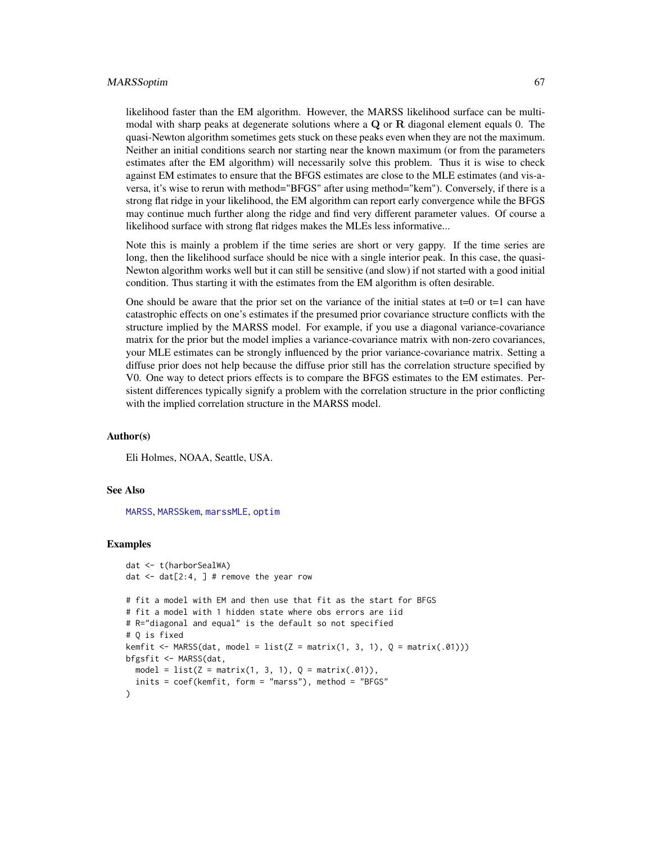#### MARSSoptim 67

likelihood faster than the EM algorithm. However, the MARSS likelihood surface can be multimodal with sharp peaks at degenerate solutions where a  $Q$  or  $R$  diagonal element equals 0. The quasi-Newton algorithm sometimes gets stuck on these peaks even when they are not the maximum. Neither an initial conditions search nor starting near the known maximum (or from the parameters estimates after the EM algorithm) will necessarily solve this problem. Thus it is wise to check against EM estimates to ensure that the BFGS estimates are close to the MLE estimates (and vis-aversa, it's wise to rerun with method="BFGS" after using method="kem"). Conversely, if there is a strong flat ridge in your likelihood, the EM algorithm can report early convergence while the BFGS may continue much further along the ridge and find very different parameter values. Of course a likelihood surface with strong flat ridges makes the MLEs less informative...

Note this is mainly a problem if the time series are short or very gappy. If the time series are long, then the likelihood surface should be nice with a single interior peak. In this case, the quasi-Newton algorithm works well but it can still be sensitive (and slow) if not started with a good initial condition. Thus starting it with the estimates from the EM algorithm is often desirable.

One should be aware that the prior set on the variance of the initial states at  $t=0$  or  $t=1$  can have catastrophic effects on one's estimates if the presumed prior covariance structure conflicts with the structure implied by the MARSS model. For example, if you use a diagonal variance-covariance matrix for the prior but the model implies a variance-covariance matrix with non-zero covariances, your MLE estimates can be strongly influenced by the prior variance-covariance matrix. Setting a diffuse prior does not help because the diffuse prior still has the correlation structure specified by V0. One way to detect priors effects is to compare the BFGS estimates to the EM estimates. Persistent differences typically signify a problem with the correlation structure in the prior conflicting with the implied correlation structure in the MARSS model.

## Author(s)

Eli Holmes, NOAA, Seattle, USA.

### See Also

[MARSS](#page-26-0), [MARSSkem](#page-53-0), [marssMLE](#page-61-0), [optim](#page-0-0)

### Examples

```
dat <- t(harborSealWA)
dat \leq dat [2:4, 1 # remove the year row
# fit a model with EM and then use that fit as the start for BFGS
# fit a model with 1 hidden state where obs errors are iid
# R="diagonal and equal" is the default so not specified
# Q is fixed
kemfit <- MARSS(dat, model = list(Z = matrix(1, 3, 1), Q = matrix(.01)))
bfgsfit <- MARSS(dat,
  model = list(Z = matrix(1, 3, 1), Q = matrix(.01)),inits = coef(kemfit, form = "marss"), method = "BFGS"
)
```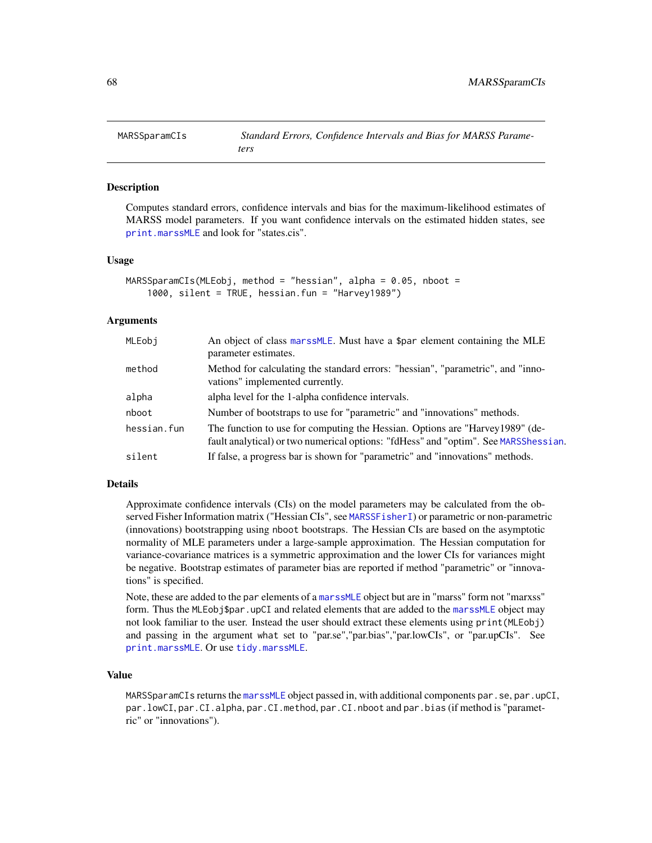<span id="page-67-0"></span>

### Description

Computes standard errors, confidence intervals and bias for the maximum-likelihood estimates of MARSS model parameters. If you want confidence intervals on the estimated hidden states, see [print.marssMLE](#page-102-0) and look for "states.cis".

#### Usage

```
MARSSparamCIs(MLEobj, method = "hessian", alpha = 0.05, nboot =
    1000, silent = TRUE, hessian.fun = "Harvey1989")
```
### Arguments

| MLEobj      | An object of class marssMLE. Must have a \$par element containing the MLE<br>parameter estimates.                                                                    |
|-------------|----------------------------------------------------------------------------------------------------------------------------------------------------------------------|
| method      | Method for calculating the standard errors: "hessian", "parametric", and "inno-<br>vations" implemented currently.                                                   |
| alpha       | alpha level for the 1-alpha confidence intervals.                                                                                                                    |
| nboot       | Number of bootstraps to use for "parametric" and "innovations" methods.                                                                                              |
| hessian.fun | The function to use for computing the Hessian. Options are "Harvey 1989" (de-<br>fault analytical) or two numerical options: "fdHess" and "optim". See MARSShessian. |
| silent      | If false, a progress bar is shown for "parametric" and "innovations" methods.                                                                                        |

#### Details

Approximate confidence intervals (CIs) on the model parameters may be calculated from the observed Fisher Information matrix ("Hessian CIs", see [MARSSFisherI](#page-42-0)) or parametric or non-parametric (innovations) bootstrapping using nboot bootstraps. The Hessian CIs are based on the asymptotic normality of MLE parameters under a large-sample approximation. The Hessian computation for variance-covariance matrices is a symmetric approximation and the lower CIs for variances might be negative. Bootstrap estimates of parameter bias are reported if method "parametric" or "innovations" is specified.

Note, these are added to the par elements of a [marssMLE](#page-61-0) object but are in "marss" form not "marxss" form. Thus the MLEobj\$par.upCI and related elements that are added to the [marssMLE](#page-61-0) object may not look familiar to the user. Instead the user should extract these elements using print(MLEobj) and passing in the argument what set to "par.se","par.bias","par.lowCIs", or "par.upCIs". See [print.marssMLE](#page-102-0). Or use [tidy.marssMLE](#page-111-0).

## Value

MARSSparamCIs returns the [marssMLE](#page-61-0) object passed in, with additional components par.se, par.upCI, par.lowCI, par.CI.alpha, par.CI.method, par.CI.nboot and par.bias (if method is "parametric" or "innovations").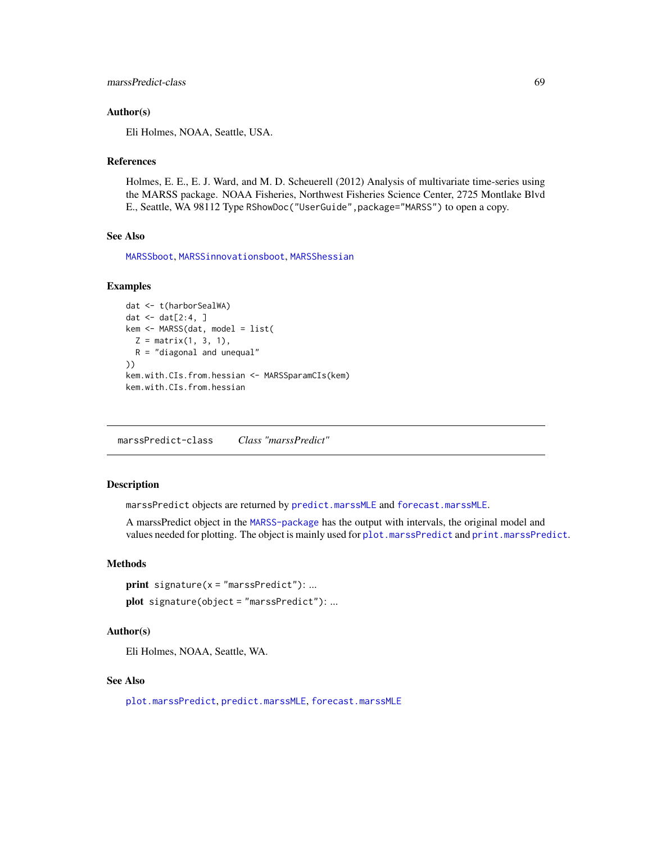```
marssPredict-class 69
```
### Author(s)

Eli Holmes, NOAA, Seattle, USA.

### References

Holmes, E. E., E. J. Ward, and M. D. Scheuerell (2012) Analysis of multivariate time-series using the MARSS package. NOAA Fisheries, Northwest Fisheries Science Center, 2725 Montlake Blvd E., Seattle, WA 98112 Type RShowDoc("UserGuide",package="MARSS") to open a copy.

## See Also

[MARSSboot](#page-40-0), [MARSSinnovationsboot](#page-52-0), [MARSShessian](#page-47-0)

### Examples

```
dat <- t(harborSealWA)
dat \leq dat[2:4, ]kem <- MARSS(dat, model = list(
 Z = matrix(1, 3, 1),R = "diagonal and unequal"))
kem.with.CIs.from.hessian <- MARSSparamCIs(kem)
kem.with.CIs.from.hessian
```
marssPredict-class *Class "marssPredict"*

## Description

marssPredict objects are returned by [predict.marssMLE](#page-98-0) and [forecast.marssMLE](#page-15-0).

A marssPredict object in the [MARSS-package](#page-2-0) has the output with intervals, the original model and values needed for plotting. The object is mainly used for [plot.marssPredict](#page-92-0) and [print.marssPredict](#page-106-0).

### Methods

```
print signature(x = "marsSPredict"): ...
plot signature(object = "marssPredict"): ...
```
### Author(s)

Eli Holmes, NOAA, Seattle, WA.

## See Also

[plot.marssPredict](#page-92-0), [predict.marssMLE](#page-98-0), [forecast.marssMLE](#page-15-0)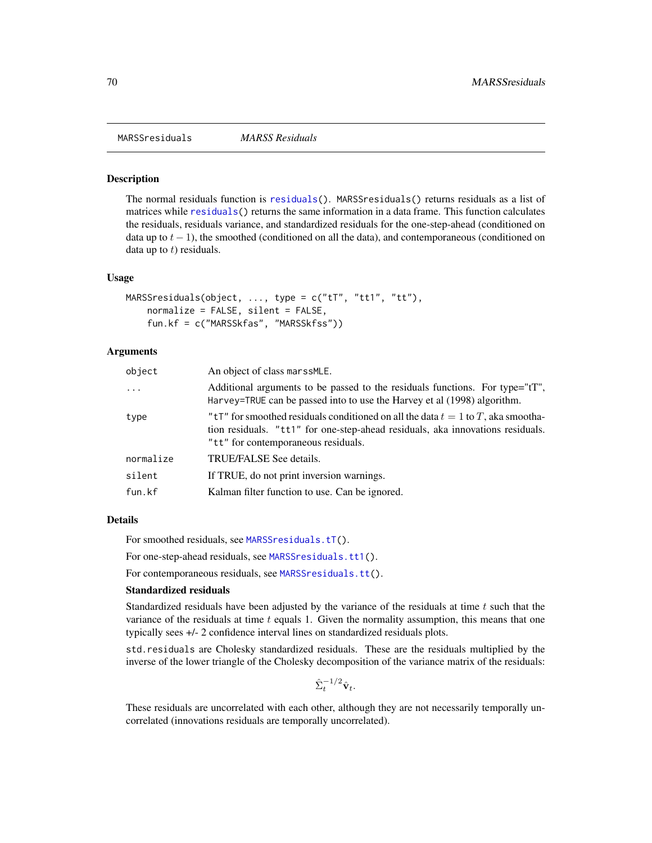MARSSresiduals *MARSS Residuals*

#### **Description**

The normal residuals function is [residuals\(](#page-107-0)). MARSSresiduals() returns residuals as a list of matrices while [residuals\(](#page-107-0)) returns the same information in a data frame. This function calculates the residuals, residuals variance, and standardized residuals for the one-step-ahead (conditioned on data up to  $t - 1$ ), the smoothed (conditioned on all the data), and contemporaneous (conditioned on data up to  $t$ ) residuals.

#### Usage

```
MARSSresiduals(object, ..., type = c("tT", "tt1", "tt"),
    normalize = FALSE, silent = FALSE,
    fun.kf = c("MARSSkfas", "MARSSkfss"))
```
## Arguments

| object    | An object of class marssMLE.                                                                                                                                                                                |
|-----------|-------------------------------------------------------------------------------------------------------------------------------------------------------------------------------------------------------------|
| $\cdots$  | Additional arguments to be passed to the residuals functions. For type="tT",<br>Harvey=TRUE can be passed into to use the Harvey et al (1998) algorithm.                                                    |
| type      | "tT" for smoothed residuals conditioned on all the data $t = 1$ to T, aka smootha-<br>tion residuals. "tt1" for one-step-ahead residuals, aka innovations residuals.<br>"tt" for contemporaneous residuals. |
| normalize | TRUE/FALSE See details.                                                                                                                                                                                     |
| silent    | If TRUE, do not print inversion warnings.                                                                                                                                                                   |
| fun.kf    | Kalman filter function to use. Can be ignored.                                                                                                                                                              |
|           |                                                                                                                                                                                                             |

#### Details

For smoothed residuals, see [MARSSresiduals.tT\(](#page-73-0)).

For one-step-ahead residuals, see [MARSSresiduals.tt1\(](#page-82-0)).

For contemporaneous residuals, see [MARSSresiduals.tt\(](#page-79-0)).

### Standardized residuals

Standardized residuals have been adjusted by the variance of the residuals at time  $t$  such that the variance of the residuals at time  $t$  equals 1. Given the normality assumption, this means that one typically sees +/- 2 confidence interval lines on standardized residuals plots.

std.residuals are Cholesky standardized residuals. These are the residuals multiplied by the inverse of the lower triangle of the Cholesky decomposition of the variance matrix of the residuals:

$$
\hat{\Sigma}_t^{-1/2} \hat{\mathbf{v}}_t.
$$

These residuals are uncorrelated with each other, although they are not necessarily temporally uncorrelated (innovations residuals are temporally uncorrelated).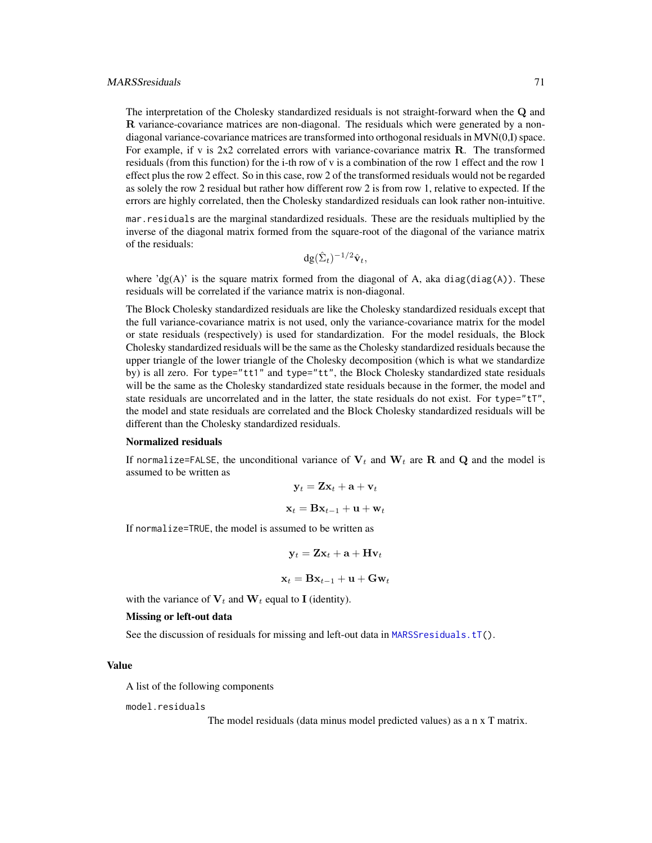#### MARSSresiduals 71

The interpretation of the Cholesky standardized residuals is not straight-forward when the Q and R variance-covariance matrices are non-diagonal. The residuals which were generated by a nondiagonal variance-covariance matrices are transformed into orthogonal residuals in MVN(0,I) space. For example, if v is  $2x2$  correlated errors with variance-covariance matrix **R**. The transformed residuals (from this function) for the i-th row of v is a combination of the row 1 effect and the row 1 effect plus the row 2 effect. So in this case, row 2 of the transformed residuals would not be regarded as solely the row 2 residual but rather how different row 2 is from row 1, relative to expected. If the errors are highly correlated, then the Cholesky standardized residuals can look rather non-intuitive.

mar.residuals are the marginal standardized residuals. These are the residuals multiplied by the inverse of the diagonal matrix formed from the square-root of the diagonal of the variance matrix of the residuals:

$$
\mathrm{dg}(\hat{\Sigma}_t)^{-1/2}\hat{\mathbf{v}}_t,
$$

where 'dg(A)' is the square matrix formed from the diagonal of A, aka diag(diag(A)). These residuals will be correlated if the variance matrix is non-diagonal.

The Block Cholesky standardized residuals are like the Cholesky standardized residuals except that the full variance-covariance matrix is not used, only the variance-covariance matrix for the model or state residuals (respectively) is used for standardization. For the model residuals, the Block Cholesky standardized residuals will be the same as the Cholesky standardized residuals because the upper triangle of the lower triangle of the Cholesky decomposition (which is what we standardize by) is all zero. For type="tt1" and type="tt", the Block Cholesky standardized state residuals will be the same as the Cholesky standardized state residuals because in the former, the model and state residuals are uncorrelated and in the latter, the state residuals do not exist. For type="tT", the model and state residuals are correlated and the Block Cholesky standardized residuals will be different than the Cholesky standardized residuals.

#### Normalized residuals

If normalize=FALSE, the unconditional variance of  $V_t$  and  $W_t$  are R and Q and the model is assumed to be written as

$$
\mathbf{y}_t = \mathbf{Z} \mathbf{x}_t + \mathbf{a} + \mathbf{v}_t
$$

$$
\mathbf{x}_t = \mathbf{B} \mathbf{x}_{t-1} + \mathbf{u} + \mathbf{w}_t
$$

If normalize=TRUE, the model is assumed to be written as

$$
\mathbf{y}_t = \mathbf{Z}\mathbf{x}_t + \mathbf{a} + \mathbf{H}\mathbf{v}_t
$$

 $\mathbf{x}_t = \mathbf{B} \mathbf{x}_{t-1} + \mathbf{u} + \mathbf{G} \mathbf{w}_t$ 

with the variance of  $V_t$  and  $W_t$  equal to I (identity).

### Missing or left-out data

See the discussion of residuals for missing and left-out data in [MARSSresiduals.tT\(](#page-73-0)).

#### Value

A list of the following components

model.residuals

The model residuals (data minus model predicted values) as a n x T matrix.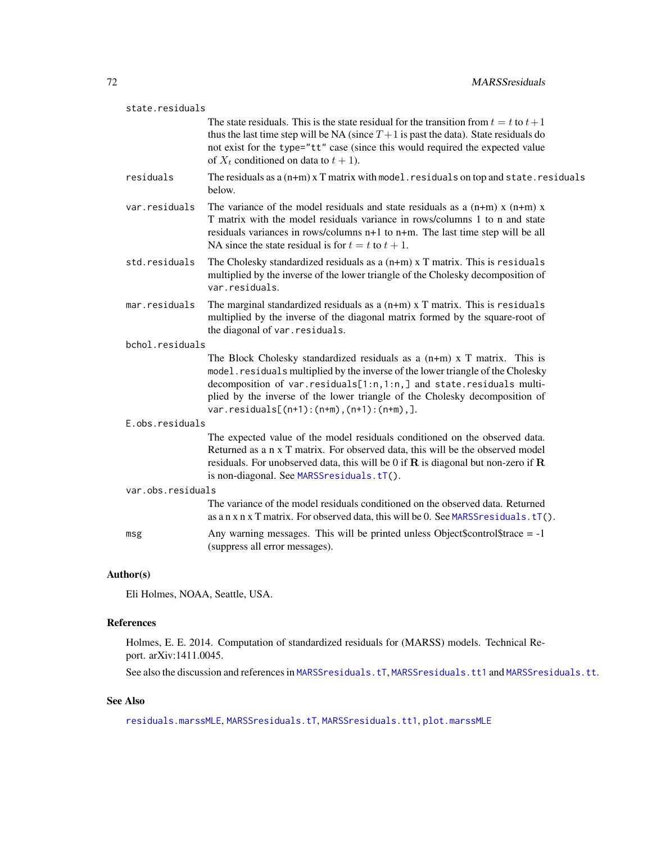| state.residuals   |                 |                                                                                                                                                                                                                                                                                                                                                                   |
|-------------------|-----------------|-------------------------------------------------------------------------------------------------------------------------------------------------------------------------------------------------------------------------------------------------------------------------------------------------------------------------------------------------------------------|
|                   |                 | The state residuals. This is the state residual for the transition from $t = t$ to $t + 1$<br>thus the last time step will be NA (since $T+1$ is past the data). State residuals do<br>not exist for the type="tt" case (since this would required the expected value<br>of $X_t$ conditioned on data to $t + 1$ ).                                               |
|                   | residuals       | The residuals as $a(n+m)$ x T matrix with model residuals on top and state residuals<br>below.                                                                                                                                                                                                                                                                    |
|                   | var.residuals   | The variance of the model residuals and state residuals as a $(n+m)$ x $(n+m)$ x<br>T matrix with the model residuals variance in rows/columns 1 to n and state<br>residuals variances in rows/columns n+1 to n+m. The last time step will be all<br>NA since the state residual is for $t = t$ to $t + 1$ .                                                      |
|                   | std.residuals   | The Cholesky standardized residuals as a $(n+m)$ x T matrix. This is residuals<br>multiplied by the inverse of the lower triangle of the Cholesky decomposition of<br>var.residuals.                                                                                                                                                                              |
|                   | mar.residuals   | The marginal standardized residuals as a $(n+m)$ x T matrix. This is residuals<br>multiplied by the inverse of the diagonal matrix formed by the square-root of<br>the diagonal of var. residuals.                                                                                                                                                                |
| bchol.residuals   |                 |                                                                                                                                                                                                                                                                                                                                                                   |
|                   |                 | The Block Cholesky standardized residuals as a $(n+m)$ x T matrix. This is<br>model.residuals multiplied by the inverse of the lower triangle of the Cholesky<br>decomposition of var.residuals[1:n,1:n,] and state.residuals multi-<br>plied by the inverse of the lower triangle of the Cholesky decomposition of<br>$var.residuals[(n+1):(n+m),(n+1):(n+m),].$ |
|                   | E.obs.residuals |                                                                                                                                                                                                                                                                                                                                                                   |
|                   |                 | The expected value of the model residuals conditioned on the observed data.<br>Returned as a n x T matrix. For observed data, this will be the observed model<br>residuals. For unobserved data, this will be 0 if $\bf{R}$ is diagonal but non-zero if $\bf{R}$<br>is non-diagonal. See MARSSresiduals.tT().                                                     |
| var.obs.residuals |                 |                                                                                                                                                                                                                                                                                                                                                                   |
|                   |                 | The variance of the model residuals conditioned on the observed data. Returned<br>as a n x n x T matrix. For observed data, this will be 0. See MARSS residuals. $tT()$ .                                                                                                                                                                                         |
|                   | msg             | Any warning messages. This will be printed unless Object\$control\$trace $= -1$<br>(suppress all error messages).                                                                                                                                                                                                                                                 |
|                   |                 |                                                                                                                                                                                                                                                                                                                                                                   |

# Author(s)

Eli Holmes, NOAA, Seattle, USA.

# References

Holmes, E. E. 2014. Computation of standardized residuals for (MARSS) models. Technical Report. arXiv:1411.0045.

See also the discussion and references in [MARSSresiduals.tT](#page-73-0), [MARSSresiduals.tt1](#page-82-0) and [MARSSresiduals.tt](#page-79-0).

## See Also

[residuals.marssMLE](#page-107-0), [MARSSresiduals.tT](#page-73-0), [MARSSresiduals.tt1](#page-82-0), [plot.marssMLE](#page-89-0)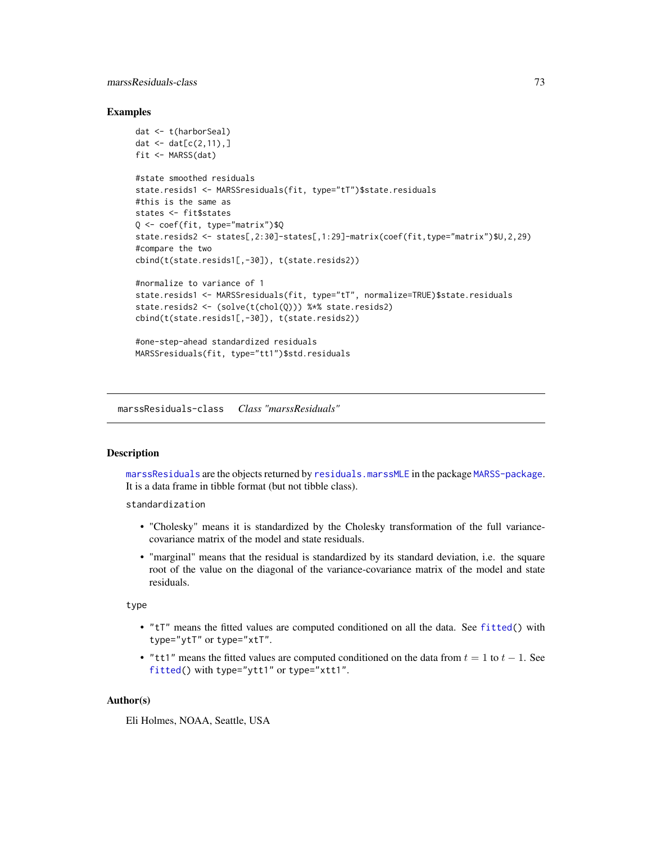## marssResiduals-class 73

### Examples

```
dat <- t(harborSeal)
dat \leq dat[c(2,11),]fit <- MARSS(dat)
#state smoothed residuals
state.resids1 <- MARSSresiduals(fit, type="tT")$state.residuals
#this is the same as
states <- fit$states
Q <- coef(fit, type="matrix")$Q
state.resids2 <- states[,2:30]-states[,1:29]-matrix(coef(fit,type="matrix")$U,2,29)
#compare the two
cbind(t(state.resids1[,-30]), t(state.resids2))
#normalize to variance of 1
state.resids1 <- MARSSresiduals(fit, type="tT", normalize=TRUE)$state.residuals
state.resids2 <- (solve(t(chol(Q))) %*% state.resids2)
cbind(t(state.resids1[,-30]), t(state.resids2))
#one-step-ahead standardized residuals
MARSSresiduals(fit, type="tt1")$std.residuals
```
marssResiduals-class *Class "marssResiduals"*

#### <span id="page-72-0"></span>**Description**

[marssResiduals](#page-72-0) are the objects returned by [residuals.marssMLE](#page-107-0) in the package [MARSS-package](#page-2-0). It is a data frame in tibble format (but not tibble class).

standardization

- "Cholesky" means it is standardized by the Cholesky transformation of the full variancecovariance matrix of the model and state residuals.
- "marginal" means that the residual is standardized by its standard deviation, i.e. the square root of the value on the diagonal of the variance-covariance matrix of the model and state residuals.

type

- "tT" means the fitted values are computed conditioned on all the data. See [fitted\(](#page-11-0)) with type="ytT" or type="xtT".
- "tt1" means the fitted values are computed conditioned on the data from  $t = 1$  to  $t 1$ . See [fitted\(](#page-11-0)) with type="ytt1" or type="xtt1".

### Author(s)

Eli Holmes, NOAA, Seattle, USA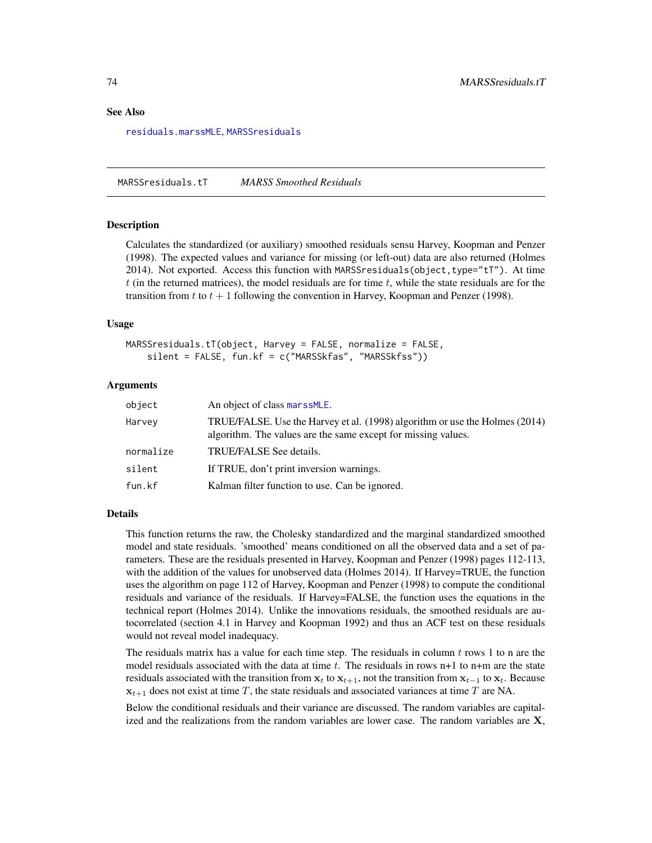### See Also

[residuals.marssMLE](#page-107-0), [MARSSresiduals](#page-69-0)

<span id="page-73-0"></span>MARSSresiduals.tT *MARSS Smoothed Residuals*

#### **Description**

Calculates the standardized (or auxiliary) smoothed residuals sensu Harvey, Koopman and Penzer (1998). The expected values and variance for missing (or left-out) data are also returned (Holmes 2014). Not exported. Access this function with MARSSresiduals(object,type="tT"). At time t (in the returned matrices), the model residuals are for time  $t$ , while the state residuals are for the transition from t to  $t + 1$  following the convention in Harvey, Koopman and Penzer (1998).

### Usage

```
MARSSresiduals.tT(object, Harvey = FALSE, normalize = FALSE,
    silent = FALSE, fun.kf = c("MARSSkfas", "MARSSkfss"))
```
# Arguments

| object    | An object of class marssMLE.                                                                                                                 |
|-----------|----------------------------------------------------------------------------------------------------------------------------------------------|
| Harvey    | TRUE/FALSE. Use the Harvey et al. (1998) algorithm or use the Holmes (2014)<br>algorithm. The values are the same except for missing values. |
| normalize | TRUE/FALSE See details.                                                                                                                      |
| silent    | If TRUE, don't print inversion warnings.                                                                                                     |
| fun.kf    | Kalman filter function to use. Can be ignored.                                                                                               |

### Details

This function returns the raw, the Cholesky standardized and the marginal standardized smoothed model and state residuals. 'smoothed' means conditioned on all the observed data and a set of parameters. These are the residuals presented in Harvey, Koopman and Penzer (1998) pages 112-113, with the addition of the values for unobserved data (Holmes 2014). If Harvey=TRUE, the function uses the algorithm on page 112 of Harvey, Koopman and Penzer (1998) to compute the conditional residuals and variance of the residuals. If Harvey=FALSE, the function uses the equations in the technical report (Holmes 2014). Unlike the innovations residuals, the smoothed residuals are autocorrelated (section 4.1 in Harvey and Koopman 1992) and thus an ACF test on these residuals would not reveal model inadequacy.

The residuals matrix has a value for each time step. The residuals in column  $t$  rows 1 to n are the model residuals associated with the data at time t. The residuals in rows  $n+1$  to  $n+m$  are the state residuals associated with the transition from  $x_t$  to  $x_{t+1}$ , not the transition from  $x_{t-1}$  to  $x_t$ . Because  $x_{t+1}$  does not exist at time T, the state residuals and associated variances at time T are NA.

Below the conditional residuals and their variance are discussed. The random variables are capitalized and the realizations from the random variables are lower case. The random variables are X,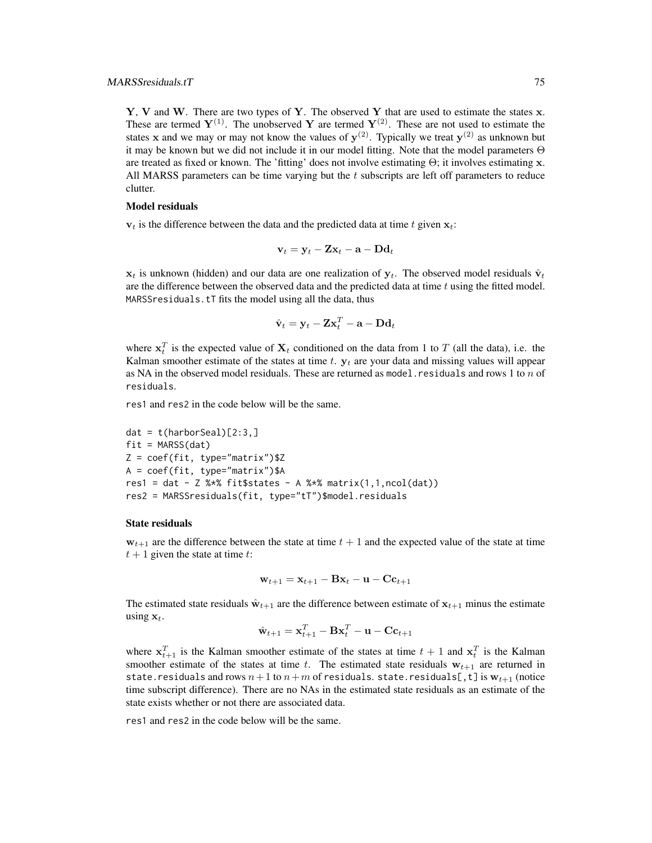Y, V and W. There are two types of Y. The observed Y that are used to estimate the states  $x$ . These are termed  $Y^{(1)}$ . The unobserved Y are termed  $Y^{(2)}$ . These are not used to estimate the states x and we may or may not know the values of  $y^{(2)}$ . Typically we treat  $y^{(2)}$  as unknown but it may be known but we did not include it in our model fitting. Note that the model parameters Θ are treated as fixed or known. The 'fitting' does not involve estimating  $\Theta$ ; it involves estimating x. All MARSS parameters can be time varying but the  $t$  subscripts are left off parameters to reduce clutter.

#### Model residuals

 $v_t$  is the difference between the data and the predicted data at time t given  $x_t$ :

$$
\mathbf{v}_t = \mathbf{y}_t - \mathbf{Z} \mathbf{x}_t - \mathbf{a} - \mathbf{D} \mathbf{d}_t
$$

 $x_t$  is unknown (hidden) and our data are one realization of  $y_t$ . The observed model residuals  $\hat{v}_t$ are the difference between the observed data and the predicted data at time  $t$  using the fitted model. MARSSresiduals.tT fits the model using all the data, thus

$$
\hat{\mathbf{v}}_t = \mathbf{y}_t - \mathbf{Z}\mathbf{x}_t^T - \mathbf{a} - \mathbf{D}\mathbf{d}_t
$$

where  $x_t^T$  is the expected value of  $X_t$  conditioned on the data from 1 to T (all the data), i.e. the Kalman smoother estimate of the states at time t.  $y_t$  are your data and missing values will appear as NA in the observed model residuals. These are returned as model. residuals and rows 1 to  $n$  of residuals.

res1 and res2 in the code below will be the same.

```
dat = t(harborSeal)[2:3,]fit = MARSS(data)Z = \text{coef}(\text{fit}, \text{type} = \text{"matrix"})$Z
A = coef(fit, type="matrix")$A
res1 = dat - Z %*% fit$states - A %*% matrix(1,1,ncol(dat))
res2 = MARSSresiduals(fit, type="tT")$model.residuals
```
#### State residuals

 $w_{t+1}$  are the difference between the state at time  $t + 1$  and the expected value of the state at time  $t + 1$  given the state at time t:

$$
\mathbf{w}_{t+1} = \mathbf{x}_{t+1} - \mathbf{B} \mathbf{x}_t - \mathbf{u} - \mathbf{C} \mathbf{c}_{t+1}
$$

The estimated state residuals  $\hat{\mathbf{w}}_{t+1}$  are the difference between estimate of  $\mathbf{x}_{t+1}$  minus the estimate using  $x_t$ .

$$
\hat{\mathbf{w}}_{t+1} = \mathbf{x}_{t+1}^T - \mathbf{B}\mathbf{x}_t^T - \mathbf{u} - \mathbf{C}\mathbf{c}_{t+1}
$$

where  $x_{t+1}^T$  is the Kalman smoother estimate of the states at time  $t + 1$  and  $x_t^T$  is the Kalman smoother estimate of the states at time t. The estimated state residuals  $w_{t+1}$  are returned in state.residuals and rows  $n+1$  to  $n+m$  of residuals. state.residuals[, t] is  $w_{t+1}$  (notice time subscript difference). There are no NAs in the estimated state residuals as an estimate of the state exists whether or not there are associated data.

res1 and res2 in the code below will be the same.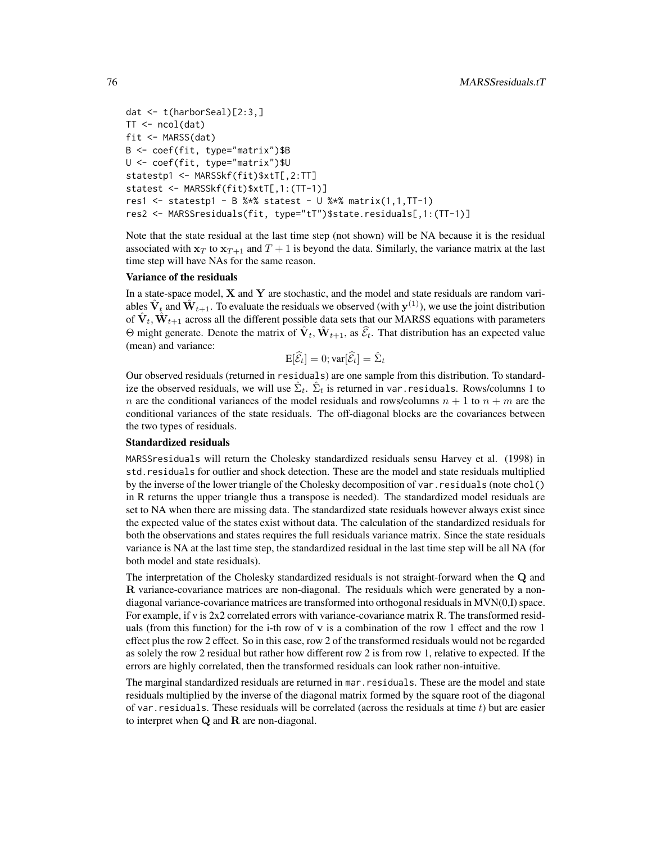```
dat <- t(harborSeal)[2:3,]
TT < - \text{ncol}(dat)fit <- MARSS(dat)
B <- coef(fit, type="matrix")$B
U <- coef(fit, type="matrix")$U
statestp1 <- MARSSkf(fit)$xtT[,2:TT]
statest <- MARSSkf(fit)$xtT[,1:(TT-1)]
res1 <- statestp1 - B %*% statest - U %*% matrix(1,1,TT-1)
res2 <- MARSSresiduals(fit, type="tT")$state.residuals[,1:(TT-1)]
```
Note that the state residual at the last time step (not shown) will be NA because it is the residual associated with  $x_T$  to  $x_{T+1}$  and  $T+1$  is beyond the data. Similarly, the variance matrix at the last time step will have NAs for the same reason.

#### Variance of the residuals

In a state-space model,  $X$  and  $Y$  are stochastic, and the model and state residuals are random variables  $\hat{V}_t$  and  $\hat{W}_{t+1}$ . To evaluate the residuals we observed (with  $y^{(1)}$ ), we use the joint distribution of  $\hat{\mathbf{V}}_t$ ,  $\hat{\mathbf{W}}_{t+1}$  across all the different possible data sets that our MARSS equations with parameters  $\Theta$  might generate. Denote the matrix of  $\hat{\mathbf{V}}_t$ ,  $\hat{\mathbf{W}}_{t+1}$ , as  $\hat{\mathcal{E}}_t$ . That distribution has an expected value (mean) and variance:

$$
\mathrm{E}[\widehat{\mathcal{E}}_t] = 0; \mathrm{var}[\widehat{\mathcal{E}}_t] = \widehat{\Sigma}_t
$$

Our observed residuals (returned in residuals) are one sample from this distribution. To standardize the observed residuals, we will use  $\hat{\Sigma}_t$ .  $\hat{\Sigma}_t$  is returned in var. residuals. Rows/columns 1 to n are the conditional variances of the model residuals and rows/columns  $n + 1$  to  $n + m$  are the conditional variances of the state residuals. The off-diagonal blocks are the covariances between the two types of residuals.

#### Standardized residuals

MARSSresiduals will return the Cholesky standardized residuals sensu Harvey et al. (1998) in std.residuals for outlier and shock detection. These are the model and state residuals multiplied by the inverse of the lower triangle of the Cholesky decomposition of var.residuals (note chol() in R returns the upper triangle thus a transpose is needed). The standardized model residuals are set to NA when there are missing data. The standardized state residuals however always exist since the expected value of the states exist without data. The calculation of the standardized residuals for both the observations and states requires the full residuals variance matrix. Since the state residuals variance is NA at the last time step, the standardized residual in the last time step will be all NA (for both model and state residuals).

The interpretation of the Cholesky standardized residuals is not straight-forward when the Q and R variance-covariance matrices are non-diagonal. The residuals which were generated by a nondiagonal variance-covariance matrices are transformed into orthogonal residuals in MVN(0,I) space. For example, if v is 2x2 correlated errors with variance-covariance matrix R. The transformed residuals (from this function) for the i-th row of  $\bf{v}$  is a combination of the row 1 effect and the row 1 effect plus the row 2 effect. So in this case, row 2 of the transformed residuals would not be regarded as solely the row 2 residual but rather how different row 2 is from row 1, relative to expected. If the errors are highly correlated, then the transformed residuals can look rather non-intuitive.

The marginal standardized residuals are returned in mar.residuals. These are the model and state residuals multiplied by the inverse of the diagonal matrix formed by the square root of the diagonal of var. residuals. These residuals will be correlated (across the residuals at time  $t$ ) but are easier to interpret when  $Q$  and  $R$  are non-diagonal.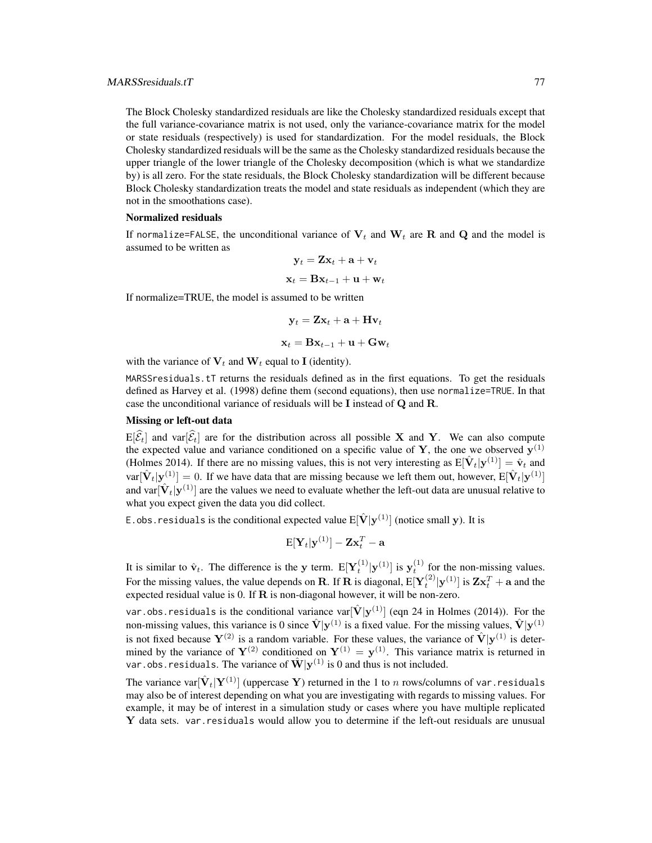The Block Cholesky standardized residuals are like the Cholesky standardized residuals except that the full variance-covariance matrix is not used, only the variance-covariance matrix for the model or state residuals (respectively) is used for standardization. For the model residuals, the Block Cholesky standardized residuals will be the same as the Cholesky standardized residuals because the upper triangle of the lower triangle of the Cholesky decomposition (which is what we standardize by) is all zero. For the state residuals, the Block Cholesky standardization will be different because Block Cholesky standardization treats the model and state residuals as independent (which they are not in the smoothations case).

### Normalized residuals

If normalize=FALSE, the unconditional variance of  $V_t$  and  $W_t$  are R and Q and the model is assumed to be written as

$$
\mathbf{y}_t = \mathbf{Z}\mathbf{x}_t + \mathbf{a} + \mathbf{v}_t
$$

$$
\mathbf{x}_t = \mathbf{B}\mathbf{x}_{t-1} + \mathbf{u} + \mathbf{w}_t
$$

If normalize=TRUE, the model is assumed to be written

$$
\mathbf{y}_t = \mathbf{Z} \mathbf{x}_t + \mathbf{a} + \mathbf{H} \mathbf{v}_t
$$

$$
\mathbf{x}_t = \mathbf{B} \mathbf{x}_{t-1} + \mathbf{u} + \mathbf{G} \mathbf{w}_t
$$

with the variance of  $V_t$  and  $W_t$  equal to I (identity).

MARSSresiduals.tT returns the residuals defined as in the first equations. To get the residuals defined as Harvey et al. (1998) define them (second equations), then use normalize=TRUE. In that case the unconditional variance of residuals will be I instead of Q and R.

# Missing or left-out data

 $E[\widehat{\mathcal{E}}_t]$  and var $[\widehat{\mathcal{E}}_t]$  are for the distribution across all possible X and Y. We can also compute the expected value and variance conditioned on a specific value of Y, the one we observed  $y^{(1)}$ (Holmes 2014). If there are no missing values, this is not very interesting as  $E[\hat{V}_t|\mathbf{y}^{(1)}] = \hat{v}_t$  and  $var[\hat{V}_t|\mathbf{y}^{(1)}] = 0$ . If we have data that are missing because we left them out, however,  $E[\hat{V}_t|\mathbf{y}^{(1)}]$ and var $[\hat{\mathbf{V}}_t|\mathbf{y}^{(1)}]$  are the values we need to evaluate whether the left-out data are unusual relative to what you expect given the data you did collect.

E.obs.residuals is the conditional expected value  $\mathrm{E}[\hat{\mathbf{V}}|\mathbf{y}^{(1)}]$  (notice small  $\mathbf{y}$ ). It is

$$
\mathrm{E}[\mathbf{Y}_t|\mathbf{y}^{(1)}]-\mathbf{Z}\mathbf{x}_t^T-\mathbf{a}
$$

It is similar to  $\hat{\mathbf{v}}_t$ . The difference is the y term.  $E[\mathbf{Y}_t^{(1)} | \mathbf{y}^{(1)}]$  is  $\mathbf{y}_t^{(1)}$  for the non-missing values. For the missing values, the value depends on R. If R is diagonal,  $E[Y_t^{(2)} | y^{(1)}]$  is  $Zx_t^T + a$  and the expected residual value is 0. If  $R$  is non-diagonal however, it will be non-zero.

var.obs.residuals is the conditional variance var $[\hat{\mathbf{V}}|\mathbf{y}^{(1)}]$  (eqn 24 in Holmes (2014)). For the non-missing values, this variance is 0 since  $\hat{V} | y^{(1)}$  is a fixed value. For the missing values,  $\hat{V} | y^{(1)}$ is not fixed because  $Y^{(2)}$  is a random variable. For these values, the variance of  $\hat{V}|y^{(1)}$  is determined by the variance of  $Y^{(2)}$  conditioned on  $Y^{(1)} = y^{(1)}$ . This variance matrix is returned in var.obs.residuals. The variance of  $\hat{\mathbf{W}}|\mathbf{y}^{(1)}$  is 0 and thus is not included.

The variance var $[\hat{\mathbf{V}}_t|\mathbf{Y}^{(1)}]$  (uppercase Y) returned in the 1 to n rows/columns of var . residuals may also be of interest depending on what you are investigating with regards to missing values. For example, it may be of interest in a simulation study or cases where you have multiple replicated  $Y$  data sets. var. residuals would allow you to determine if the left-out residuals are unusual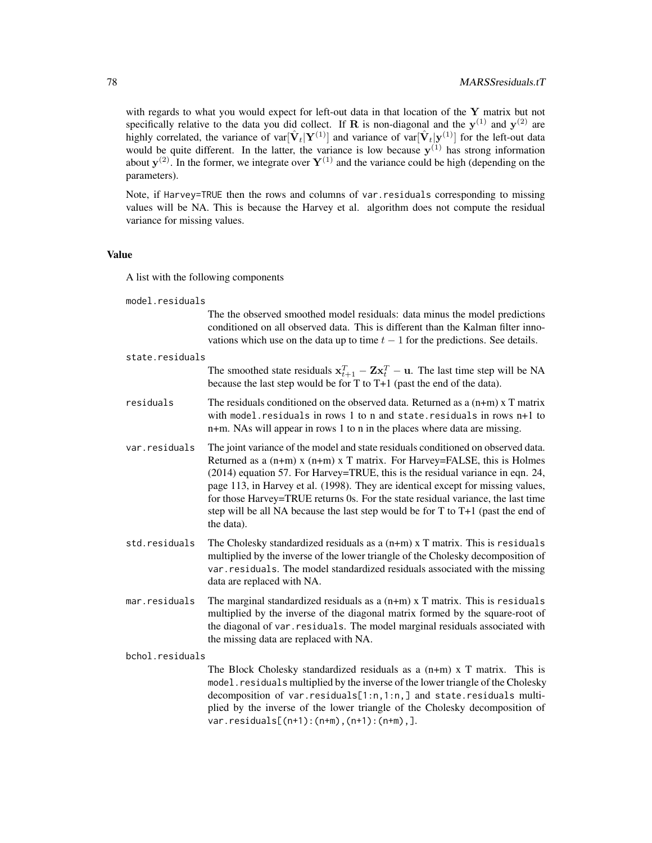with regards to what you would expect for left-out data in that location of the Y matrix but not specifically relative to the data you did collect. If **R** is non-diagonal and the  $y^{(1)}$  and  $y^{(2)}$  are highly correlated, the variance of var $[\hat{V}_t|Y^{(1)}]$  and variance of var $[\hat{V}_t|Y^{(1)}]$  for the left-out data would be quite different. In the latter, the variance is low because  $y^{(1)}$  has strong information about  $y^{(2)}$ . In the former, we integrate over  $Y^{(1)}$  and the variance could be high (depending on the parameters).

Note, if Harvey=TRUE then the rows and columns of var.residuals corresponding to missing values will be NA. This is because the Harvey et al. algorithm does not compute the residual variance for missing values.

#### Value

A list with the following components

model.residuals

The the observed smoothed model residuals: data minus the model predictions conditioned on all observed data. This is different than the Kalman filter innovations which use on the data up to time  $t - 1$  for the predictions. See details.

| state.residuals |                                                                                                                                                                                                                                                                                                                                                                                                                                                                                                                                   |  |
|-----------------|-----------------------------------------------------------------------------------------------------------------------------------------------------------------------------------------------------------------------------------------------------------------------------------------------------------------------------------------------------------------------------------------------------------------------------------------------------------------------------------------------------------------------------------|--|
|                 | The smoothed state residuals $\mathbf{x}_{t+1}^T - \mathbf{Z}\mathbf{x}_t^T - \mathbf{u}$ . The last time step will be NA<br>because the last step would be for $T$ to $T+1$ (past the end of the data).                                                                                                                                                                                                                                                                                                                          |  |
| residuals       | The residuals conditioned on the observed data. Returned as a $(n+m)$ x T matrix<br>with model. residuals in rows 1 to n and state. residuals in rows $n+1$ to<br>n+m. NAs will appear in rows 1 to n in the places where data are missing.                                                                                                                                                                                                                                                                                       |  |
| var.residuals   | The joint variance of the model and state residuals conditioned on observed data.<br>Returned as a $(n+m)$ x $(n+m)$ x T matrix. For Harvey=FALSE, this is Holmes<br>(2014) equation 57. For Harvey=TRUE, this is the residual variance in eqn. 24,<br>page 113, in Harvey et al. (1998). They are identical except for missing values,<br>for those Harvey=TRUE returns 0s. For the state residual variance, the last time<br>step will be all NA because the last step would be for $T$ to $T+1$ (past the end of<br>the data). |  |
| std.residuals   | The Cholesky standardized residuals as a $(n+m)$ x T matrix. This is residuals<br>multiplied by the inverse of the lower triangle of the Cholesky decomposition of<br>var. residuals. The model standardized residuals associated with the missing<br>data are replaced with NA.                                                                                                                                                                                                                                                  |  |
| mar.residuals   | The marginal standardized residuals as a $(n+m)$ x T matrix. This is residuals<br>multiplied by the inverse of the diagonal matrix formed by the square-root of<br>the diagonal of var. residuals. The model marginal residuals associated with<br>the missing data are replaced with NA.                                                                                                                                                                                                                                         |  |
| bchol.residuals |                                                                                                                                                                                                                                                                                                                                                                                                                                                                                                                                   |  |
|                 | The Block Cholesky standardized residuals as a $(n+m)$ x T matrix. This is<br>model. residuals multiplied by the inverse of the lower triangle of the Cholesky<br>decomposition of var.residuals[1:n,1:n,] and state.residuals multi-<br>plied by the inverse of the lower triangle of the Cholesky decomposition of<br>$var.residuals[(n+1):(n+m),(n+1):(n+m),].$                                                                                                                                                                |  |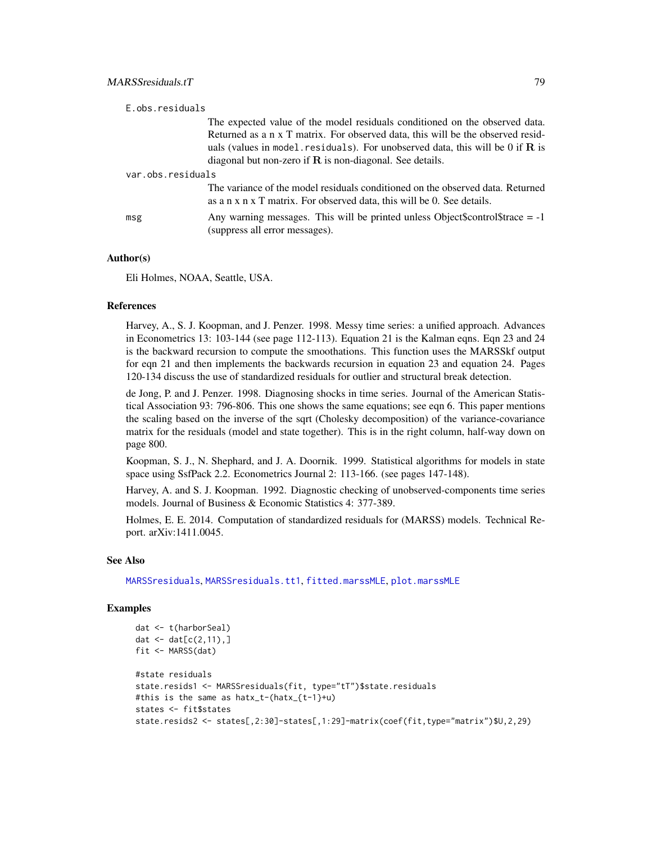| E.obs.residuals   |                                                                                                                                                                                                                                                                                                                            |
|-------------------|----------------------------------------------------------------------------------------------------------------------------------------------------------------------------------------------------------------------------------------------------------------------------------------------------------------------------|
|                   | The expected value of the model residuals conditioned on the observed data.<br>Returned as a n x T matrix. For observed data, this will be the observed resid-<br>uals (values in model, residuals). For unobserved data, this will be 0 if $\bf{R}$ is<br>diagonal but non-zero if $\bf{R}$ is non-diagonal. See details. |
| var.obs.residuals |                                                                                                                                                                                                                                                                                                                            |
|                   | The variance of the model residuals conditioned on the observed data. Returned<br>as a n x n x T matrix. For observed data, this will be 0. See details.                                                                                                                                                                   |
| msg               | Any warning messages. This will be printed unless Object\$control\$trace $= -1$<br>(suppress all error messages).                                                                                                                                                                                                          |

## Author(s)

Eli Holmes, NOAA, Seattle, USA.

### References

Harvey, A., S. J. Koopman, and J. Penzer. 1998. Messy time series: a unified approach. Advances in Econometrics 13: 103-144 (see page 112-113). Equation 21 is the Kalman eqns. Eqn 23 and 24 is the backward recursion to compute the smoothations. This function uses the MARSSkf output for eqn 21 and then implements the backwards recursion in equation 23 and equation 24. Pages 120-134 discuss the use of standardized residuals for outlier and structural break detection.

de Jong, P. and J. Penzer. 1998. Diagnosing shocks in time series. Journal of the American Statistical Association 93: 796-806. This one shows the same equations; see eqn 6. This paper mentions the scaling based on the inverse of the sqrt (Cholesky decomposition) of the variance-covariance matrix for the residuals (model and state together). This is in the right column, half-way down on page 800.

Koopman, S. J., N. Shephard, and J. A. Doornik. 1999. Statistical algorithms for models in state space using SsfPack 2.2. Econometrics Journal 2: 113-166. (see pages 147-148).

Harvey, A. and S. J. Koopman. 1992. Diagnostic checking of unobserved-components time series models. Journal of Business & Economic Statistics 4: 377-389.

Holmes, E. E. 2014. Computation of standardized residuals for (MARSS) models. Technical Report. arXiv:1411.0045.

#### See Also

[MARSSresiduals](#page-69-0), [MARSSresiduals.tt1](#page-82-0), [fitted.marssMLE](#page-11-0), [plot.marssMLE](#page-89-0)

```
dat <- t(harborSeal)
dat \le - dat[c(2, 11), ]fit <- MARSS(dat)
#state residuals
state.resids1 <- MARSSresiduals(fit, type="tT")$state.residuals
#this is the same as hatx_t-(hatx_{t-1}+u)
states <- fit$states
state.resids2 <- states[,2:30]-states[,1:29]-matrix(coef(fit,type="matrix")$U,2,29)
```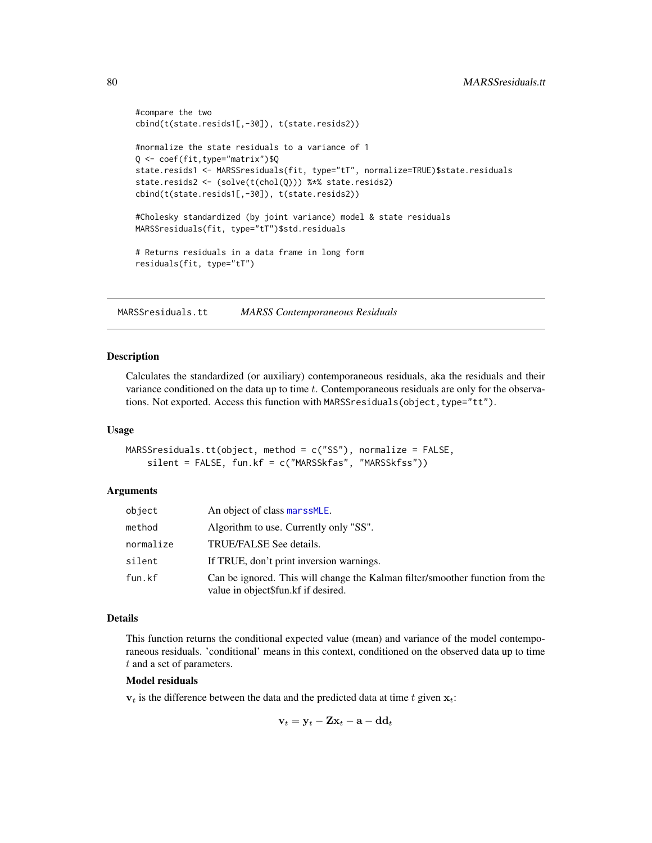```
#compare the two
cbind(t(state.resids1[,-30]), t(state.resids2))
#normalize the state residuals to a variance of 1
Q <- coef(fit,type="matrix")$Q
state.resids1 <- MARSSresiduals(fit, type="tT", normalize=TRUE)$state.residuals
state.resids2 <- (solve(t(chol(Q))) %*% state.resids2)
cbind(t(state.resids1[,-30]), t(state.resids2))
#Cholesky standardized (by joint variance) model & state residuals
MARSSresiduals(fit, type="tT")$std.residuals
# Returns residuals in a data frame in long form
residuals(fit, type="tT")
```
<span id="page-79-0"></span>MARSSresiduals.tt *MARSS Contemporaneous Residuals*

### Description

Calculates the standardized (or auxiliary) contemporaneous residuals, aka the residuals and their variance conditioned on the data up to time  $t$ . Contemporaneous residuals are only for the observations. Not exported. Access this function with MARSSresiduals(object, type="tt").

#### Usage

```
MARSSresiduals.tt(object, method = c("SS"), normalize = FALSE,
    silent = FALSE, fun.kf = c("MARSSkfas", "MARSSkfss"))
```
#### Arguments

| object    | An object of class marssMLE.                                                                                         |
|-----------|----------------------------------------------------------------------------------------------------------------------|
| method    | Algorithm to use. Currently only "SS".                                                                               |
| normalize | TRUE/FALSE See details.                                                                                              |
| silent    | If TRUE, don't print inversion warnings.                                                                             |
| fun.kf    | Can be ignored. This will change the Kalman filter/smoother function from the<br>value in object\$fun.kf if desired. |

### Details

This function returns the conditional expected value (mean) and variance of the model contemporaneous residuals. 'conditional' means in this context, conditioned on the observed data up to time t and a set of parameters.

### Model residuals

 $v_t$  is the difference between the data and the predicted data at time t given  $x_t$ .

$$
\mathbf{v}_t = \mathbf{y}_t - \mathbf{Z}\mathbf{x}_t - \mathbf{a} - \mathbf{d}\mathbf{d}_t
$$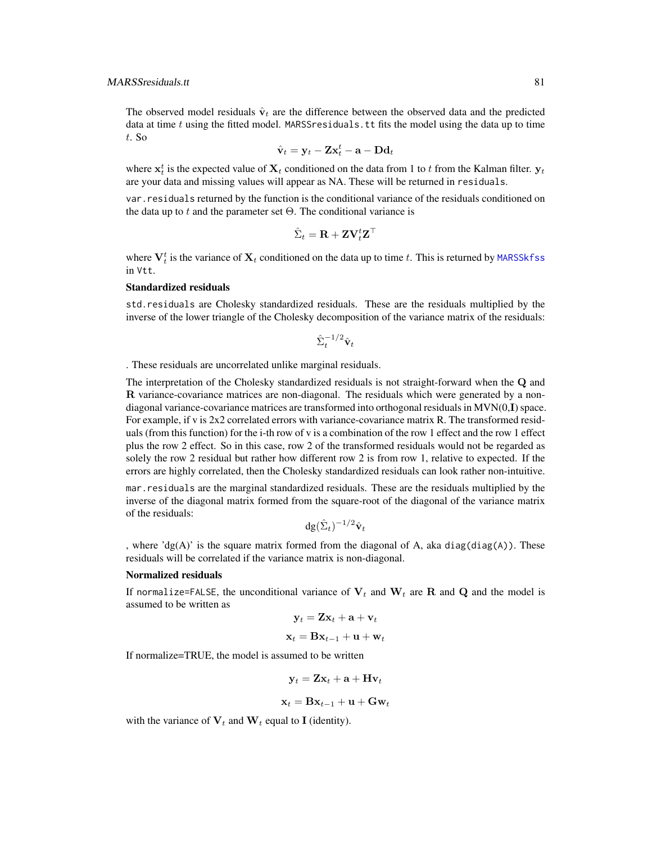The observed model residuals  $\hat{\mathbf{v}}_t$  are the difference between the observed data and the predicted data at time t using the fitted model. MARSS residuals. It fits the model using the data up to time t. So

$$
\hat{\mathbf{v}}_t = \mathbf{y}_t - \mathbf{Z} \mathbf{x}_t^t - \mathbf{a} - \mathbf{D} \mathbf{d}_t
$$

where  $\mathbf{x}_t^t$  is the expected value of  $\mathbf{X}_t$  conditioned on the data from 1 to t from the Kalman filter.  $\mathbf{y}_t$ are your data and missing values will appear as NA. These will be returned in residuals.

var.residuals returned by the function is the conditional variance of the residuals conditioned on the data up to t and the parameter set  $\Theta$ . The conditional variance is

$$
\hat{\Sigma}_t = \mathbf{R} + \mathbf{Z} \mathbf{V}_t^t \mathbf{Z}^\top
$$

where  $V_t^t$  is the variance of  $\mathbf{X}_t$  conditioned on the data up to time t. This is returned by [MARSSkfss](#page-57-0) in Vtt.

# Standardized residuals

std.residuals are Cholesky standardized residuals. These are the residuals multiplied by the inverse of the lower triangle of the Cholesky decomposition of the variance matrix of the residuals:

$$
\hat{\Sigma}_t^{-1/2} \hat{\mathbf{v}}_t
$$

. These residuals are uncorrelated unlike marginal residuals.

The interpretation of the Cholesky standardized residuals is not straight-forward when the Q and R variance-covariance matrices are non-diagonal. The residuals which were generated by a nondiagonal variance-covariance matrices are transformed into orthogonal residuals in MVN(0,I) space. For example, if v is 2x2 correlated errors with variance-covariance matrix R. The transformed residuals (from this function) for the i-th row of v is a combination of the row 1 effect and the row 1 effect plus the row 2 effect. So in this case, row 2 of the transformed residuals would not be regarded as solely the row 2 residual but rather how different row 2 is from row 1, relative to expected. If the errors are highly correlated, then the Cholesky standardized residuals can look rather non-intuitive.

mar.residuals are the marginal standardized residuals. These are the residuals multiplied by the inverse of the diagonal matrix formed from the square-root of the diagonal of the variance matrix of the residuals:

$$
\mathrm{dg}(\hat{\Sigma}_t)^{-1/2}\hat{\mathbf{v}}_t
$$

, where 'dg(A)' is the square matrix formed from the diagonal of A, aka diag(diag(A)). These residuals will be correlated if the variance matrix is non-diagonal.

#### Normalized residuals

If normalize=FALSE, the unconditional variance of  $V_t$  and  $W_t$  are R and Q and the model is assumed to be written as

$$
\mathbf{y}_t = \mathbf{Z}\mathbf{x}_t + \mathbf{a} + \mathbf{v}_t
$$

$$
\mathbf{x}_t = \mathbf{B}\mathbf{x}_{t-1} + \mathbf{u} + \mathbf{w}_t
$$

If normalize=TRUE, the model is assumed to be written

$$
\mathbf{y}_t = \mathbf{Z}\mathbf{x}_t + \mathbf{a} + \mathbf{H}\mathbf{v}_t
$$

$$
\mathbf{x}_t = \mathbf{B} \mathbf{x}_{t-1} + \mathbf{u} + \mathbf{G} \mathbf{w}_t
$$

with the variance of  $V_t$  and  $W_t$  equal to I (identity).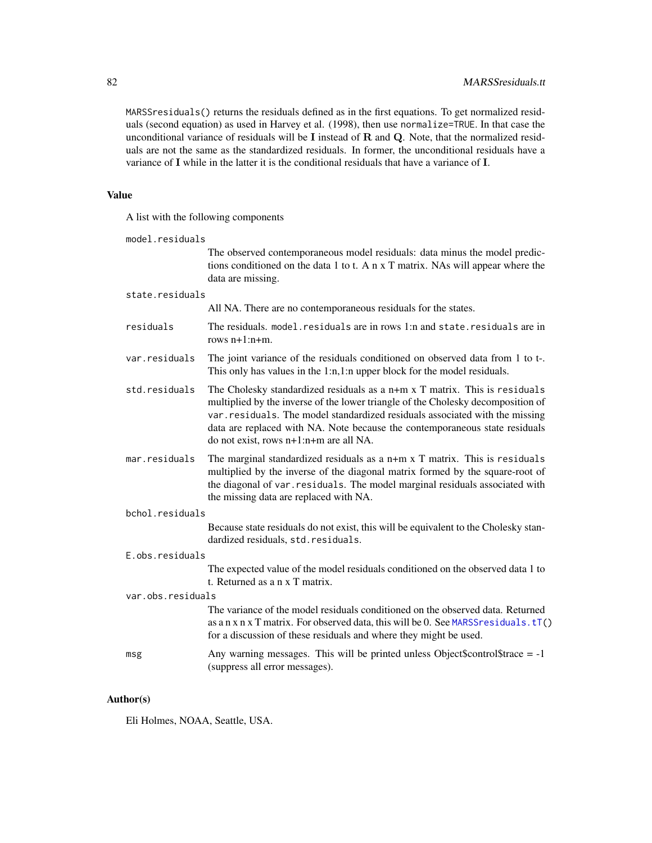MARSSresiduals() returns the residuals defined as in the first equations. To get normalized residuals (second equation) as used in Harvey et al. (1998), then use normalize=TRUE. In that case the unconditional variance of residuals will be I instead of R and Q. Note, that the normalized residuals are not the same as the standardized residuals. In former, the unconditional residuals have a variance of I while in the latter it is the conditional residuals that have a variance of I.

# Value

A list with the following components

| model.residuals   |                                                                                                                                                                                                                                                                                                                                                                           |  |
|-------------------|---------------------------------------------------------------------------------------------------------------------------------------------------------------------------------------------------------------------------------------------------------------------------------------------------------------------------------------------------------------------------|--|
|                   | The observed contemporaneous model residuals: data minus the model predic-<br>tions conditioned on the data 1 to t. A n x T matrix. NAs will appear where the<br>data are missing.                                                                                                                                                                                        |  |
| state.residuals   |                                                                                                                                                                                                                                                                                                                                                                           |  |
|                   | All NA. There are no contemporaneous residuals for the states.                                                                                                                                                                                                                                                                                                            |  |
| residuals         | The residuals. model. residuals are in rows 1:n and state. residuals are in<br>rows $n+1:n+m$ .                                                                                                                                                                                                                                                                           |  |
| var.residuals     | The joint variance of the residuals conditioned on observed data from 1 to t-.<br>This only has values in the 1:n, 1:n upper block for the model residuals.                                                                                                                                                                                                               |  |
| std.residuals     | The Cholesky standardized residuals as a n+m x T matrix. This is residuals<br>multiplied by the inverse of the lower triangle of the Cholesky decomposition of<br>var. residuals. The model standardized residuals associated with the missing<br>data are replaced with NA. Note because the contemporaneous state residuals<br>do not exist, rows $n+1:n+m$ are all NA. |  |
| mar.residuals     | The marginal standardized residuals as a n+m x T matrix. This is residuals<br>multiplied by the inverse of the diagonal matrix formed by the square-root of<br>the diagonal of var. residuals. The model marginal residuals associated with<br>the missing data are replaced with NA.                                                                                     |  |
| bchol.residuals   |                                                                                                                                                                                                                                                                                                                                                                           |  |
|                   | Because state residuals do not exist, this will be equivalent to the Cholesky stan-<br>dardized residuals, std. residuals.                                                                                                                                                                                                                                                |  |
| E.obs.residuals   |                                                                                                                                                                                                                                                                                                                                                                           |  |
|                   | The expected value of the model residuals conditioned on the observed data 1 to<br>t. Returned as a n x T matrix.                                                                                                                                                                                                                                                         |  |
| var.obs.residuals |                                                                                                                                                                                                                                                                                                                                                                           |  |
|                   | The variance of the model residuals conditioned on the observed data. Returned<br>as a n x n x T matrix. For observed data, this will be 0. See MARSS residuals. tT()<br>for a discussion of these residuals and where they might be used.                                                                                                                                |  |
| msg               | Any warning messages. This will be printed unless Object\$control\$trace = $-1$<br>(suppress all error messages).                                                                                                                                                                                                                                                         |  |

# Author(s)

Eli Holmes, NOAA, Seattle, USA.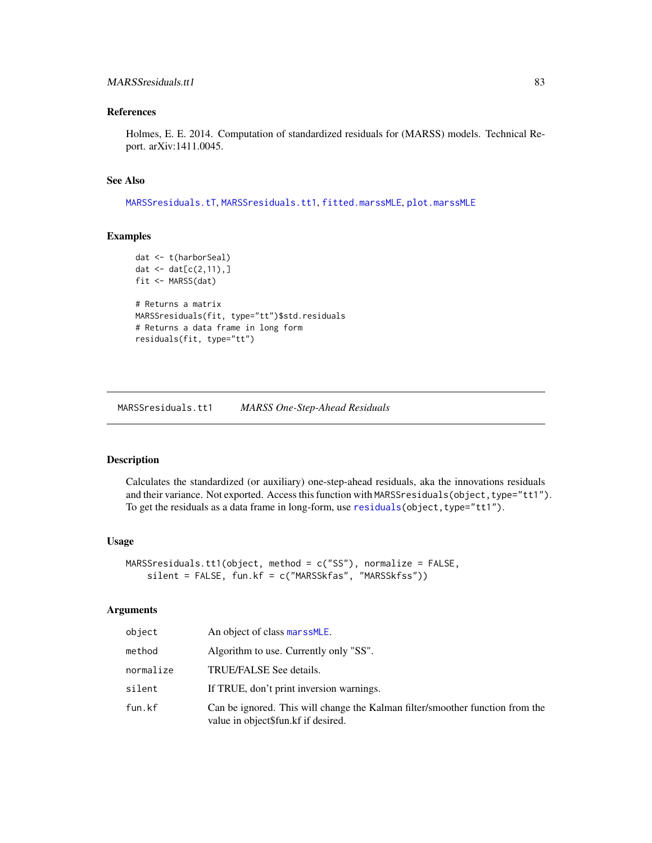## MARSSresiduals.tt1 83

## References

Holmes, E. E. 2014. Computation of standardized residuals for (MARSS) models. Technical Report. arXiv:1411.0045.

### See Also

[MARSSresiduals.tT](#page-73-0), [MARSSresiduals.tt1](#page-82-0), [fitted.marssMLE](#page-11-0), [plot.marssMLE](#page-89-0)

### Examples

```
dat <- t(harborSeal)
dat <- dat[c(2, 11), ]fit <- MARSS(dat)
# Returns a matrix
MARSSresiduals(fit, type="tt")$std.residuals
# Returns a data frame in long form
residuals(fit, type="tt")
```
<span id="page-82-0"></span>MARSSresiduals.tt1 *MARSS One-Step-Ahead Residuals*

### Description

Calculates the standardized (or auxiliary) one-step-ahead residuals, aka the innovations residuals and their variance. Not exported. Access this function with MARSSresiduals(object, type="tt1"). To get the residuals as a data frame in long-form, use [residuals\(](#page-107-0)object, type="tt1").

#### Usage

```
MARSSresiduals.tt1(object, method = c("SS"), normalize = FALSE,
    silent = FALSE, fun.kf = c("MARSSkfas", "MARSSkfss"))
```
### Arguments

| object    | An object of class marssMLE.                                                                                         |
|-----------|----------------------------------------------------------------------------------------------------------------------|
| method    | Algorithm to use. Currently only "SS".                                                                               |
| normalize | TRUE/FALSE See details.                                                                                              |
| silent    | If TRUE, don't print inversion warnings.                                                                             |
| fun.kf    | Can be ignored. This will change the Kalman filter/smoother function from the<br>value in object\$fun.kf if desired. |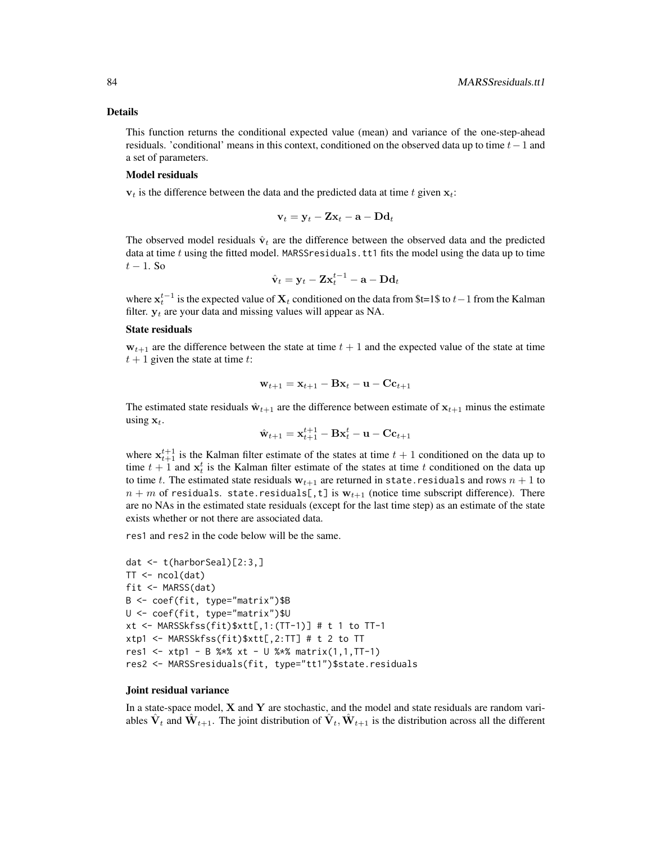#### Details

This function returns the conditional expected value (mean) and variance of the one-step-ahead residuals. 'conditional' means in this context, conditioned on the observed data up to time  $t-1$  and a set of parameters.

### Model residuals

 $v_t$  is the difference between the data and the predicted data at time t given  $x_t$ :

$$
\mathbf{v}_t = \mathbf{y}_t - \mathbf{Z} \mathbf{x}_t - \mathbf{a} - \mathbf{D} \mathbf{d}_t
$$

The observed model residuals  $\hat{\mathbf{v}}_t$  are the difference between the observed data and the predicted data at time t using the fitted model. MARSS residuals. tt1 fits the model using the data up to time  $t-1$ . So

$$
\hat{\mathbf{v}}_t = \mathbf{y}_t - \mathbf{Z} \mathbf{x}_t^{t-1} - \mathbf{a} - \mathbf{D} \mathbf{d}_t
$$

where  $x_t^{t-1}$  is the expected value of  $X_t$  conditioned on the data from \$t=1\$ to  $t-1$  from the Kalman filter.  $y_t$  are your data and missing values will appear as NA.

#### State residuals

 $w_{t+1}$  are the difference between the state at time  $t + 1$  and the expected value of the state at time  $t + 1$  given the state at time t:

$$
\mathbf{w}_{t+1} = \mathbf{x}_{t+1} - \mathbf{B}\mathbf{x}_t - \mathbf{u} - \mathbf{C}\mathbf{c}_{t+1}
$$

The estimated state residuals  $\hat{\mathbf{w}}_{t+1}$  are the difference between estimate of  $\mathbf{x}_{t+1}$  minus the estimate using  $x_t$ .

$$
\hat{\mathbf{w}}_{t+1} = \mathbf{x}_{t+1}^{t+1} - \mathbf{B} \mathbf{x}_t^{t} - \mathbf{u} - \mathbf{C} \mathbf{c}_{t+1}
$$

where  $x_{t+1}^{t+1}$  is the Kalman filter estimate of the states at time  $t + 1$  conditioned on the data up to time  $t + 1$  and  $x_t^t$  is the Kalman filter estimate of the states at time t conditioned on the data up to time t. The estimated state residuals  $w_{t+1}$  are returned in state.residuals and rows  $n + 1$  to  $n + m$  of residuals. state.residuals[,t] is  $w_{t+1}$  (notice time subscript difference). There are no NAs in the estimated state residuals (except for the last time step) as an estimate of the state exists whether or not there are associated data.

res1 and res2 in the code below will be the same.

```
dat <- t(harborSeal)[2:3,]
TT <- ncol(dat)
fit <- MARSS(dat)
B <- coef(fit, type="matrix")$B
U <- coef(fit, type="matrix")$U
xt <- MARSSkfss(fit)$xtt[,1:(TT-1)] # t 1 to TT-1
xtp1 <- MARSSkfss(fit)$xtt[,2:TT] # t 2 to TT
res1 <- xtp1 - B %*% xt - U %*% matrix(1,1,TT-1)
res2 <- MARSSresiduals(fit, type="tt1")$state.residuals
```
#### Joint residual variance

In a state-space model,  $X$  and  $Y$  are stochastic, and the model and state residuals are random variables  $\hat{\mathbf{V}}_t$  and  $\hat{\mathbf{W}}_{t+1}$ . The joint distribution of  $\hat{\mathbf{V}}_t$ ,  $\hat{\mathbf{W}}_{t+1}$  is the distribution across all the different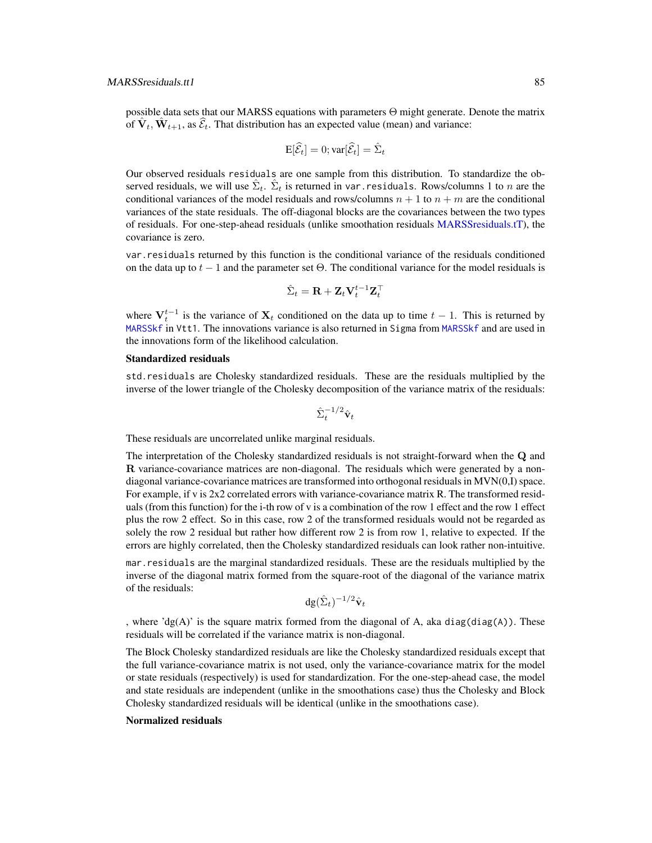possible data sets that our MARSS equations with parameters Θ might generate. Denote the matrix of  $\hat{\mathbf{V}}_t$ ,  $\hat{\mathbf{W}}_{t+1}$ , as  $\hat{\mathcal{E}}_t$ . That distribution has an expected value (mean) and variance:

$$
\mathrm{E}[\widehat{\mathcal{E}}_t] = 0; \mathrm{var}[\widehat{\mathcal{E}}_t] = \widehat{\Sigma}_t
$$

Our observed residuals residuals are one sample from this distribution. To standardize the observed residuals, we will use  $\hat{\Sigma}_t$ .  $\hat{\Sigma}_t$  is returned in var.residuals. Rows/columns 1 to  $n$  are the conditional variances of the model residuals and rows/columns  $n + 1$  to  $n + m$  are the conditional variances of the state residuals. The off-diagonal blocks are the covariances between the two types of residuals. For one-step-ahead residuals (unlike smoothation residuals [MARSSresiduals.tT\)](#page-73-0), the covariance is zero.

var.residuals returned by this function is the conditional variance of the residuals conditioned on the data up to  $t - 1$  and the parameter set  $\Theta$ . The conditional variance for the model residuals is

$$
\hat{\Sigma}_t = \mathbf{R} + \mathbf{Z}_t \mathbf{V}_t^{t-1} \mathbf{Z}_t^\top
$$

where  $V_t^{t-1}$  is the variance of  $X_t$  conditioned on the data up to time  $t-1$ . This is returned by [MARSSkf](#page-57-1) in Vtt1. The innovations variance is also returned in Sigma from [MARSSkf](#page-57-1) and are used in the innovations form of the likelihood calculation.

#### Standardized residuals

std.residuals are Cholesky standardized residuals. These are the residuals multiplied by the inverse of the lower triangle of the Cholesky decomposition of the variance matrix of the residuals:

$$
\hat{\Sigma}_t^{-1/2} \hat{\mathbf{v}}_t
$$

These residuals are uncorrelated unlike marginal residuals.

The interpretation of the Cholesky standardized residuals is not straight-forward when the Q and R variance-covariance matrices are non-diagonal. The residuals which were generated by a nondiagonal variance-covariance matrices are transformed into orthogonal residuals in MVN(0,I) space. For example, if v is 2x2 correlated errors with variance-covariance matrix R. The transformed residuals (from this function) for the i-th row of v is a combination of the row 1 effect and the row 1 effect plus the row 2 effect. So in this case, row 2 of the transformed residuals would not be regarded as solely the row 2 residual but rather how different row 2 is from row 1, relative to expected. If the errors are highly correlated, then the Cholesky standardized residuals can look rather non-intuitive.

mar.residuals are the marginal standardized residuals. These are the residuals multiplied by the inverse of the diagonal matrix formed from the square-root of the diagonal of the variance matrix of the residuals:

$$
\mathrm{dg}(\hat{\Sigma}_t)^{-1/2}\hat{\mathbf{v}}_t
$$

, where 'dg(A)' is the square matrix formed from the diagonal of A, aka diag(diag(A)). These residuals will be correlated if the variance matrix is non-diagonal.

The Block Cholesky standardized residuals are like the Cholesky standardized residuals except that the full variance-covariance matrix is not used, only the variance-covariance matrix for the model or state residuals (respectively) is used for standardization. For the one-step-ahead case, the model and state residuals are independent (unlike in the smoothations case) thus the Cholesky and Block Cholesky standardized residuals will be identical (unlike in the smoothations case).

## Normalized residuals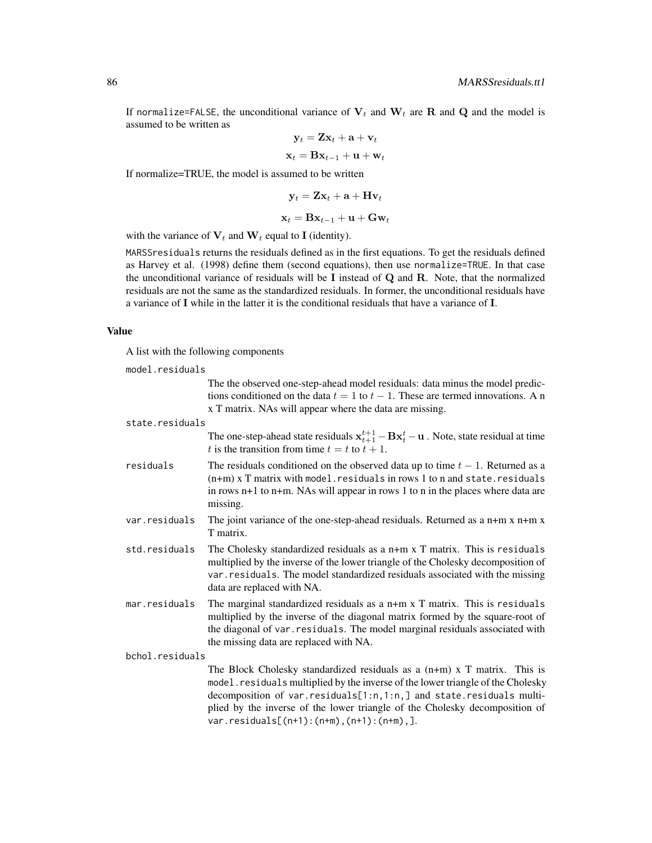If normalize=FALSE, the unconditional variance of  $V_t$  and  $W_t$  are R and Q and the model is assumed to be written as

$$
\mathbf{y}_t = \mathbf{Z} \mathbf{x}_t + \mathbf{a} + \mathbf{v}_t
$$

$$
\mathbf{x}_t = \mathbf{B} \mathbf{x}_{t-1} + \mathbf{u} + \mathbf{w}_t
$$

If normalize=TRUE, the model is assumed to be written

$$
\mathbf{y}_t = \mathbf{Z}\mathbf{x}_t + \mathbf{a} + \mathbf{H}\mathbf{v}_t
$$

$$
\mathbf{x}_t = \mathbf{B}\mathbf{x}_{t-1} + \mathbf{u} + \mathbf{G}\mathbf{w}_t
$$

with the variance of  $V_t$  and  $W_t$  equal to I (identity).

MARSSresiduals returns the residuals defined as in the first equations. To get the residuals defined as Harvey et al. (1998) define them (second equations), then use normalize=TRUE. In that case the unconditional variance of residuals will be I instead of  $Q$  and  $R$ . Note, that the normalized residuals are not the same as the standardized residuals. In former, the unconditional residuals have a variance of I while in the latter it is the conditional residuals that have a variance of I.

#### Value

A list with the following components

| model.residuals |                                                                                                                                                                                                                                                                                                                                                                    |
|-----------------|--------------------------------------------------------------------------------------------------------------------------------------------------------------------------------------------------------------------------------------------------------------------------------------------------------------------------------------------------------------------|
|                 | The the observed one-step-ahead model residuals: data minus the model predic-<br>tions conditioned on the data $t = 1$ to $t - 1$ . These are termed innovations. A n<br>x T matrix. NAs will appear where the data are missing.                                                                                                                                   |
| state.residuals |                                                                                                                                                                                                                                                                                                                                                                    |
|                 | The one-step-ahead state residuals $x_{t+1}^{t+1} - Bx_t^t - u$ . Note, state residual at time<br>t is the transition from time $t = t$ to $t + 1$ .                                                                                                                                                                                                               |
| residuals       | The residuals conditioned on the observed data up to time $t-1$ . Returned as a<br>$(n+m)$ x T matrix with model. residuals in rows 1 to n and state. residuals<br>in rows $n+1$ to $n+m$ . NAs will appear in rows 1 to n in the places where data are<br>missing.                                                                                                |
| var.residuals   | The joint variance of the one-step-ahead residuals. Returned as a $n+m x n+m x$<br>T matrix.                                                                                                                                                                                                                                                                       |
| std.residuals   | The Cholesky standardized residuals as a $n+m \times T$ matrix. This is residuals<br>multiplied by the inverse of the lower triangle of the Cholesky decomposition of<br>var. residuals. The model standardized residuals associated with the missing<br>data are replaced with NA.                                                                                |
| mar.residuals   | The marginal standardized residuals as a $n+m \times T$ matrix. This is residuals<br>multiplied by the inverse of the diagonal matrix formed by the square-root of<br>the diagonal of var. residuals. The model marginal residuals associated with<br>the missing data are replaced with NA.                                                                       |
| bchol.residuals |                                                                                                                                                                                                                                                                                                                                                                    |
|                 | The Block Cholesky standardized residuals as a $(n+m)$ x T matrix. This is<br>model. residuals multiplied by the inverse of the lower triangle of the Cholesky<br>decomposition of var.residuals[1:n,1:n,] and state.residuals multi-<br>plied by the inverse of the lower triangle of the Cholesky decomposition of<br>$var.residuals[(n+1):(n+m),(n+1):(n+m),].$ |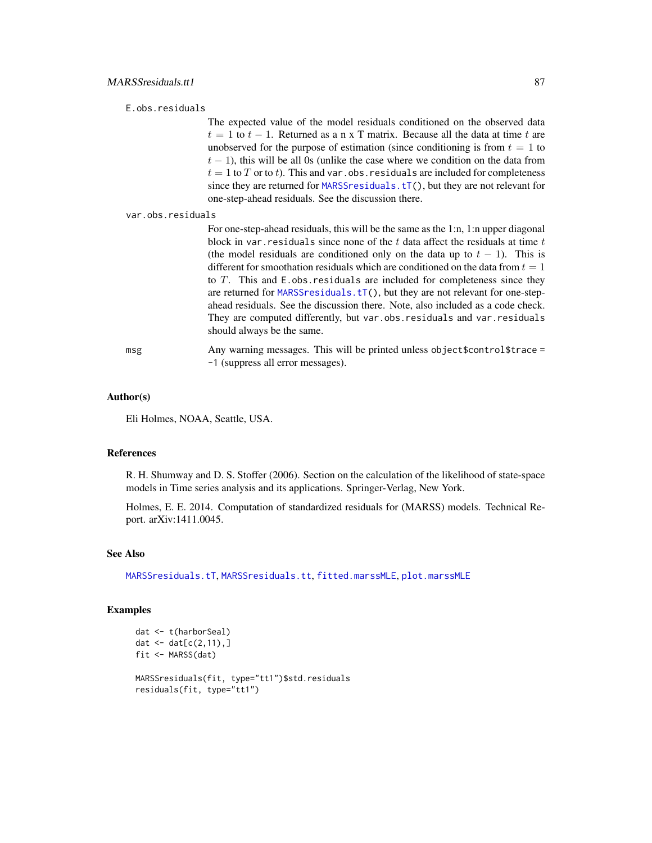### E.obs.residuals

The expected value of the model residuals conditioned on the observed data  $t = 1$  to  $t - 1$ . Returned as a n x T matrix. Because all the data at time t are unobserved for the purpose of estimation (since conditioning is from  $t = 1$  to  $t - 1$ ), this will be all 0s (unlike the case where we condition on the data from  $t = 1$  to T or to t). This and var.obs. residuals are included for completeness since they are returned for [MARSSresiduals.tT\(](#page-73-0)), but they are not relevant for one-step-ahead residuals. See the discussion there.

var.obs.residuals

For one-step-ahead residuals, this will be the same as the 1:n, 1:n upper diagonal block in var. residuals since none of the  $t$  data affect the residuals at time  $t$ (the model residuals are conditioned only on the data up to  $t - 1$ ). This is different for smoothation residuals which are conditioned on the data from  $t = 1$ to  $T$ . This and  $E$  obs. residuals are included for completeness since they are returned for [MARSSresiduals.tT\(](#page-73-0)), but they are not relevant for one-stepahead residuals. See the discussion there. Note, also included as a code check. They are computed differently, but var.obs.residuals and var.residuals should always be the same.

msg Any warning messages. This will be printed unless object \$control \$trace = -1 (suppress all error messages).

### Author(s)

Eli Holmes, NOAA, Seattle, USA.

#### References

R. H. Shumway and D. S. Stoffer (2006). Section on the calculation of the likelihood of state-space models in Time series analysis and its applications. Springer-Verlag, New York.

Holmes, E. E. 2014. Computation of standardized residuals for (MARSS) models. Technical Report. arXiv:1411.0045.

#### See Also

[MARSSresiduals.tT](#page-73-0), [MARSSresiduals.tt](#page-79-0), [fitted.marssMLE](#page-11-0), [plot.marssMLE](#page-89-0)

```
dat <- t(harborSeal)
dat \leq - dat[c(2, 11), ]fit <- MARSS(dat)
MARSSresiduals(fit, type="tt1")$std.residuals
residuals(fit, type="tt1")
```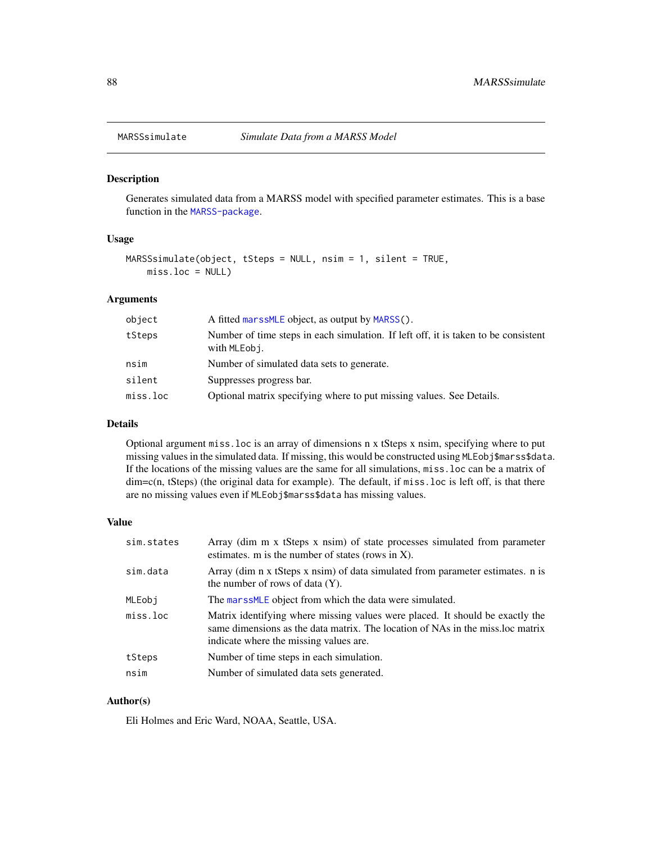#### Description

Generates simulated data from a MARSS model with specified parameter estimates. This is a base function in the [MARSS-package](#page-2-0).

## Usage

```
MARSSsimulate(object, tSteps = NULL, nsim = 1, silent = TRUE,
   miss.loc = NULL)
```
# Arguments

| object   | A fitted marss MLE object, as output by MARSS().                                                   |
|----------|----------------------------------------------------------------------------------------------------|
| tSteps   | Number of time steps in each simulation. If left off, it is taken to be consistent<br>with MLEobj. |
| nsim     | Number of simulated data sets to generate.                                                         |
| silent   | Suppresses progress bar.                                                                           |
| miss.loc | Optional matrix specifying where to put missing values. See Details.                               |

### Details

Optional argument miss.loc is an array of dimensions n x tSteps x nsim, specifying where to put missing values in the simulated data. If missing, this would be constructed using MLEobj\$marss\$data. If the locations of the missing values are the same for all simulations, miss.loc can be a matrix of dim=c(n, tSteps) (the original data for example). The default, if miss.loc is left off, is that there are no missing values even if MLEobj\$marss\$data has missing values.

## Value

| sim.states | Array (dim m x tSteps x nsim) of state processes simulated from parameter<br>estimates. $m$ is the number of states (rows in X).                                                                          |
|------------|-----------------------------------------------------------------------------------------------------------------------------------------------------------------------------------------------------------|
| sim.data   | Array (dim n x tSteps x nsim) of data simulated from parameter estimates. n is<br>the number of rows of data $(Y)$ .                                                                                      |
| MLEobi     | The marssMLE object from which the data were simulated.                                                                                                                                                   |
| miss.loc   | Matrix identifying where missing values were placed. It should be exactly the<br>same dimensions as the data matrix. The location of NAs in the miss loc matrix<br>indicate where the missing values are. |
| tSteps     | Number of time steps in each simulation.                                                                                                                                                                  |
| nsim       | Number of simulated data sets generated.                                                                                                                                                                  |

### Author(s)

Eli Holmes and Eric Ward, NOAA, Seattle, USA.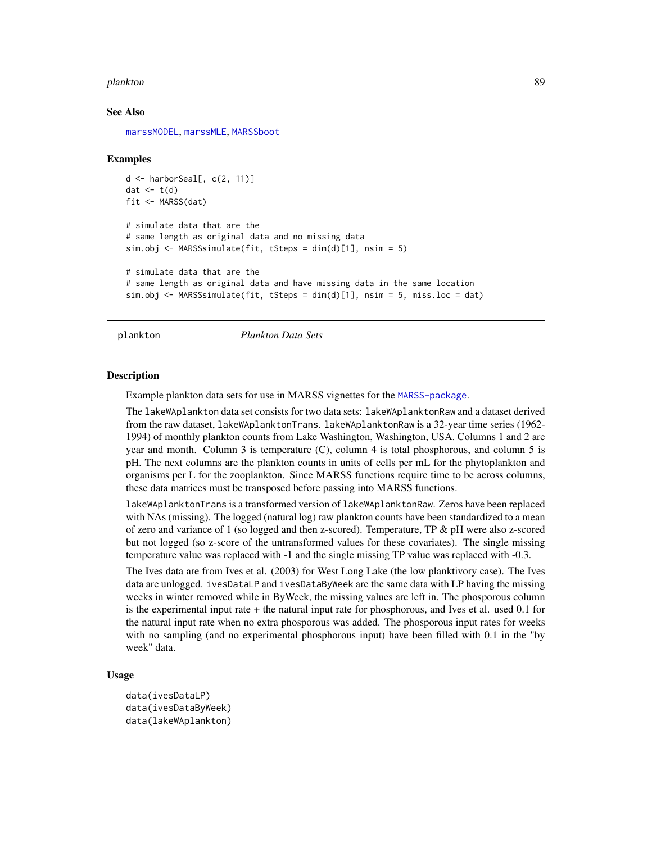#### plankton 89

#### See Also

[marssMODEL](#page-62-0), [marssMLE](#page-61-0), [MARSSboot](#page-40-0)

#### Examples

```
d \leq - harborSeal[, c(2, 11)]
dat \leftarrow t(d)
fit <- MARSS(dat)
# simulate data that are the
# same length as original data and no missing data
sim.obj <- MARSSsimulate(fit, tSteps = dim(d)[1], nsim = 5)
# simulate data that are the
# same length as original data and have missing data in the same location
sim.obj <- MARSSsimulate(fit, tSteps = dim(d)[1], nsim = 5, miss.loc = dat)
```
plankton *Plankton Data Sets*

### **Description**

Example plankton data sets for use in MARSS vignettes for the [MARSS-package](#page-2-0).

The lakeWAplankton data set consists for two data sets: lakeWAplanktonRaw and a dataset derived from the raw dataset, lakeWAplanktonTrans. lakeWAplanktonRaw is a 32-year time series (1962- 1994) of monthly plankton counts from Lake Washington, Washington, USA. Columns 1 and 2 are year and month. Column 3 is temperature (C), column 4 is total phosphorous, and column 5 is pH. The next columns are the plankton counts in units of cells per mL for the phytoplankton and organisms per L for the zooplankton. Since MARSS functions require time to be across columns, these data matrices must be transposed before passing into MARSS functions.

lakeWAplanktonTrans is a transformed version of lakeWAplanktonRaw. Zeros have been replaced with NAs (missing). The logged (natural log) raw plankton counts have been standardized to a mean of zero and variance of 1 (so logged and then z-scored). Temperature, TP & pH were also z-scored but not logged (so z-score of the untransformed values for these covariates). The single missing temperature value was replaced with -1 and the single missing TP value was replaced with -0.3.

The Ives data are from Ives et al. (2003) for West Long Lake (the low planktivory case). The Ives data are unlogged. ivesDataLP and ivesDataByWeek are the same data with LP having the missing weeks in winter removed while in ByWeek, the missing values are left in. The phosporous column is the experimental input rate + the natural input rate for phosphorous, and Ives et al. used 0.1 for the natural input rate when no extra phosporous was added. The phosporous input rates for weeks with no sampling (and no experimental phosphorous input) have been filled with 0.1 in the "by week" data.

### Usage

```
data(ivesDataLP)
data(ivesDataByWeek)
data(lakeWAplankton)
```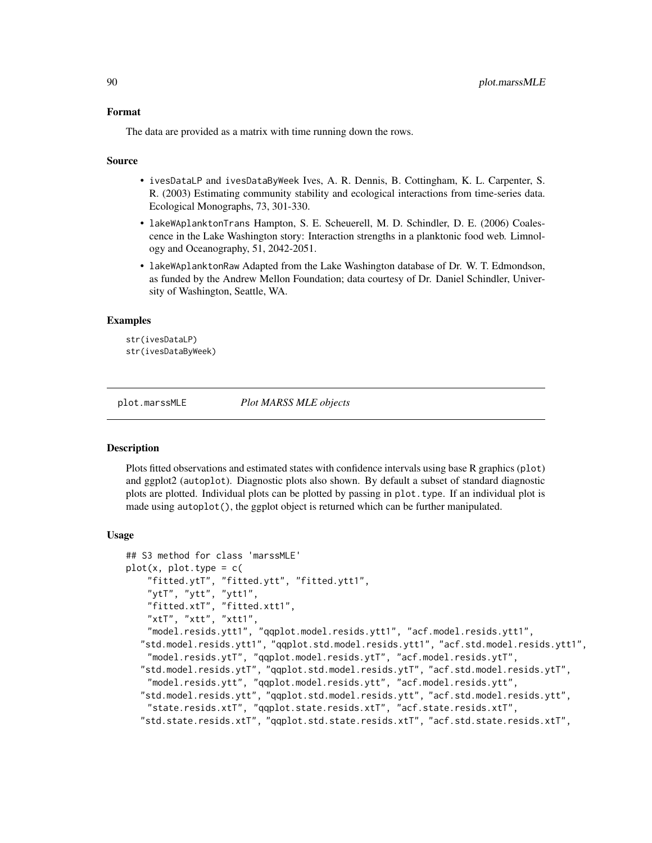### Format

The data are provided as a matrix with time running down the rows.

#### Source

- ivesDataLP and ivesDataByWeek Ives, A. R. Dennis, B. Cottingham, K. L. Carpenter, S. R. (2003) Estimating community stability and ecological interactions from time-series data. Ecological Monographs, 73, 301-330.
- lakeWAplanktonTrans Hampton, S. E. Scheuerell, M. D. Schindler, D. E. (2006) Coalescence in the Lake Washington story: Interaction strengths in a planktonic food web. Limnology and Oceanography, 51, 2042-2051.
- lakeWAplanktonRaw Adapted from the Lake Washington database of Dr. W. T. Edmondson, as funded by the Andrew Mellon Foundation; data courtesy of Dr. Daniel Schindler, University of Washington, Seattle, WA.

### Examples

```
str(ivesDataLP)
str(ivesDataByWeek)
```
<span id="page-89-0"></span>

plot.marssMLE *Plot MARSS MLE objects*

#### **Description**

Plots fitted observations and estimated states with confidence intervals using base R graphics (plot) and ggplot2 (autoplot). Diagnostic plots also shown. By default a subset of standard diagnostic plots are plotted. Individual plots can be plotted by passing in plot.type. If an individual plot is made using autoplot(), the ggplot object is returned which can be further manipulated.

#### Usage

```
## S3 method for class 'marssMLE'
plot(x, plot_type = c()"fitted.ytT", "fitted.ytt", "fitted.ytt1",
    "ytT", "ytt", "ytt1",
   "fitted.xtT", "fitted.xtt1",
    "xtT", "xtt", "xtt1",
    "model.resids.ytt1", "qqplot.model.resids.ytt1", "acf.model.resids.ytt1",
  "std.model.resids.ytt1", "qqplot.std.model.resids.ytt1", "acf.std.model.resids.ytt1",
    "model.resids.ytT", "qqplot.model.resids.ytT", "acf.model.resids.ytT",
  "std.model.resids.ytT", "qqplot.std.model.resids.ytT", "acf.std.model.resids.ytT",
    "model.resids.ytt", "qqplot.model.resids.ytt", "acf.model.resids.ytt",
  "std.model.resids.ytt", "qqplot.std.model.resids.ytt", "acf.std.model.resids.ytt",
   "state.resids.xtT", "qqplot.state.resids.xtT", "acf.state.resids.xtT",
  "std.state.resids.xtT", "qqplot.std.state.resids.xtT", "acf.std.state.resids.xtT",
```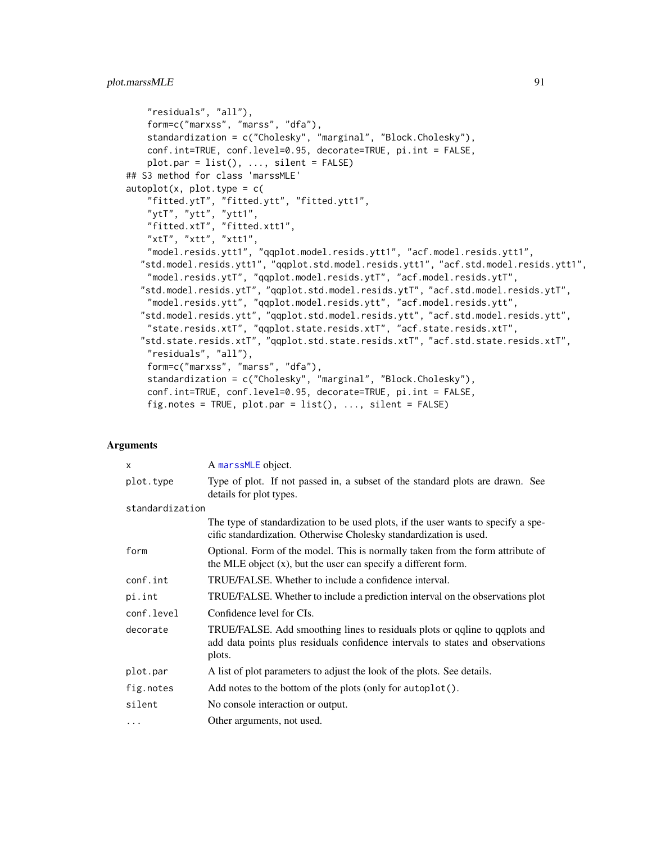```
"residuals", "all"),
    form=c("marxss", "marss", "dfa"),
    standardization = c("Cholesky", "marginal", "Block.Cholesky"),
   conf.int=TRUE, conf.level=0.95, decorate=TRUE, pi.int = FALSE,
   plot.par = list(), ..., silent = FALSE)## S3 method for class 'marssMLE'
autoplot(x, plot-type = c("fitted.ytT", "fitted.ytt", "fitted.ytt1",
    "ytT", "ytt", "ytt1",
    "fitted.xtT", "fitted.xtt1",
    "xtT", "xtt", "xtt1",
    "model.resids.ytt1", "qqplot.model.resids.ytt1", "acf.model.resids.ytt1",
  "std.model.resids.ytt1", "qqplot.std.model.resids.ytt1", "acf.std.model.resids.ytt1",
    "model.resids.ytT", "qqplot.model.resids.ytT", "acf.model.resids.ytT",
  "std.model.resids.ytT", "qqplot.std.model.resids.ytT", "acf.std.model.resids.ytT",
   "model.resids.ytt", "qqplot.model.resids.ytt", "acf.model.resids.ytt",
  "std.model.resids.ytt", "qqplot.std.model.resids.ytt", "acf.std.model.resids.ytt",
   "state.resids.xtT", "qqplot.state.resids.xtT", "acf.state.resids.xtT",
   "std.state.resids.xtT", "qqplot.std.state.resids.xtT", "acf.std.state.resids.xtT",
    "residuals", "all"),
   form=c("marxss", "marss", "dfa"),
   standardization = c("Cholesky", "marginal", "Block.Cholesky"),
   conf.int=TRUE, conf.level=0.95, decorate=TRUE, pi.int = FALSE,
   fig.notes = TRUE, plot.par = list(), ..., silent = FALSE)
```
## Arguments

| X               | A marssMLE object.                                                                                                                                                      |
|-----------------|-------------------------------------------------------------------------------------------------------------------------------------------------------------------------|
| plot.type       | Type of plot. If not passed in, a subset of the standard plots are drawn. See<br>details for plot types.                                                                |
| standardization |                                                                                                                                                                         |
|                 | The type of standardization to be used plots, if the user wants to specify a spe-<br>cific standardization. Otherwise Cholesky standardization is used.                 |
| form            | Optional. Form of the model. This is normally taken from the form attribute of<br>the MLE object $(x)$ , but the user can specify a different form.                     |
| conf.int        | TRUE/FALSE. Whether to include a confidence interval.                                                                                                                   |
| pi.int          | TRUE/FALSE. Whether to include a prediction interval on the observations plot                                                                                           |
| conf.level      | Confidence level for CIs.                                                                                                                                               |
| decorate        | TRUE/FALSE. Add smoothing lines to residuals plots or qqline to qqplots and<br>add data points plus residuals confidence intervals to states and observations<br>plots. |
| plot.par        | A list of plot parameters to adjust the look of the plots. See details.                                                                                                 |
| fig.notes       | Add notes to the bottom of the plots (only for autoplot().                                                                                                              |
| silent          | No console interaction or output.                                                                                                                                       |
| .               | Other arguments, not used.                                                                                                                                              |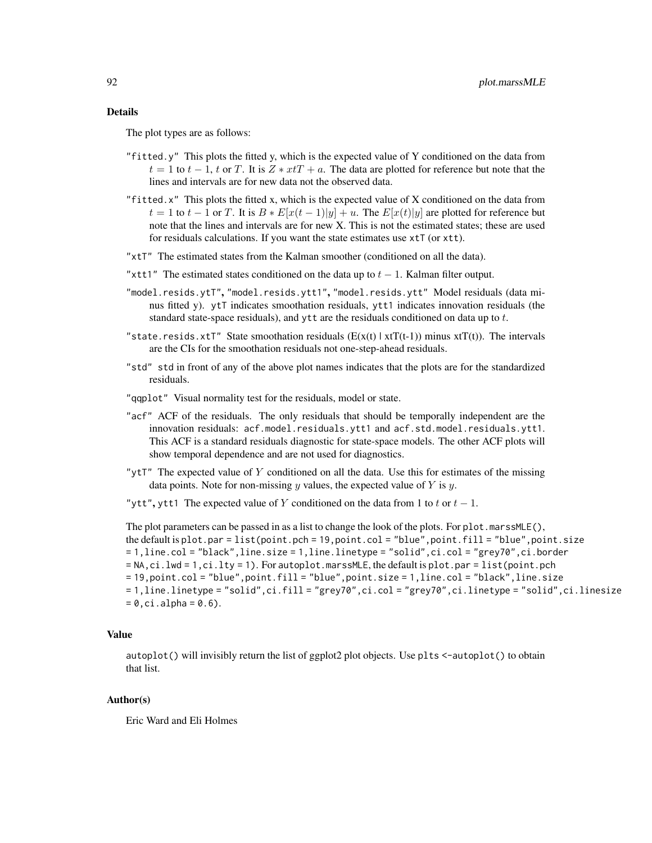The plot types are as follows:

- "fitted.y" This plots the fitted y, which is the expected value of Y conditioned on the data from  $t = 1$  to  $t - 1$ , t or T. It is  $Z * xtT + a$ . The data are plotted for reference but note that the lines and intervals are for new data not the observed data.
- "fitted.x" This plots the fitted x, which is the expected value of X conditioned on the data from  $t = 1$  to  $t - 1$  or T. It is  $B * E[x(t-1)|y] + u$ . The  $E[x(t)|y]$  are plotted for reference but note that the lines and intervals are for new X. This is not the estimated states; these are used for residuals calculations. If you want the state estimates use xtT (or xtt).
- "xtT" The estimated states from the Kalman smoother (conditioned on all the data).
- "xtt1" The estimated states conditioned on the data up to  $t 1$ . Kalman filter output.
- "model.resids.ytT", "model.resids.ytt1", "model.resids.ytt" Model residuals (data minus fitted y). ytT indicates smoothation residuals, ytt1 indicates innovation residuals (the standard state-space residuals), and ytt are the residuals conditioned on data up to t.
- "state.resids.xtT" State smoothation residuals  $(E(x(t) | x(T(t-1)))$  minus  $x(T(t))$ . The intervals are the CIs for the smoothation residuals not one-step-ahead residuals.
- "std" std in front of any of the above plot names indicates that the plots are for the standardized residuals.
- "qqplot" Visual normality test for the residuals, model or state.
- "acf" ACF of the residuals. The only residuals that should be temporally independent are the innovation residuals: acf.model.residuals.ytt1 and acf.std.model.residuals.ytt1. This ACF is a standard residuals diagnostic for state-space models. The other ACF plots will show temporal dependence and are not used for diagnostics.
- " $y$ tT" The expected value of Y conditioned on all the data. Use this for estimates of the missing data points. Note for non-missing  $y$  values, the expected value of  $Y$  is  $y$ .

"ytt", ytt1 The expected value of Y conditioned on the data from 1 to t or  $t - 1$ .

The plot parameters can be passed in as a list to change the look of the plots. For plot.marssMLE(), the default is plot.par = list(point.pch = 19,point.col = "blue",point.fill = "blue",point.size = 1,line.col = "black",line.size = 1,line.linetype = "solid",ci.col = "grey70",ci.border  $=$  NA,ci.lwd  $= 1$ ,ci.lty  $= 1$ ). For autoplot.marssMLE, the default is plot.par  $=$  list(point.pch = 19,point.col = "blue",point.fill = "blue",point.size = 1,line.col = "black",line.size = 1,line.linetype = "solid",ci.fill = "grey70",ci.col = "grey70",ci.linetype = "solid",ci.linesize  $= 0$ , ci.alpha = 0.6).

#### Value

autoplot() will invisibly return the list of ggplot2 plot objects. Use plts <-autoplot() to obtain that list.

### Author(s)

Eric Ward and Eli Holmes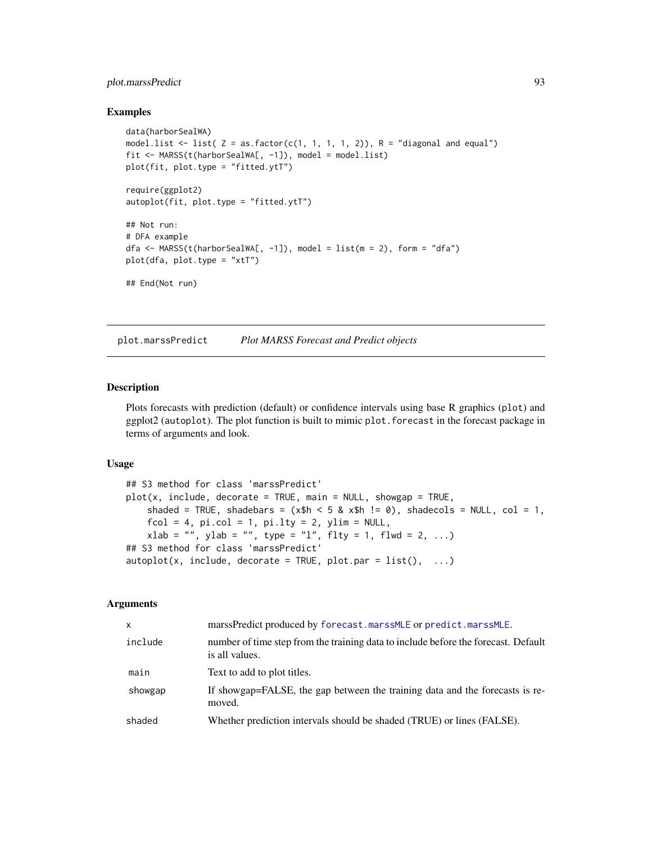# plot.marssPredict 93

### Examples

```
data(harborSealWA)
model.list \le list( Z = as.factor(c(1, 1, 1, 1, 2)), R = "diagonal and equal")
fit <- MARSS(t(harborSealWA[, -1]), model = model.list)
plot(fit, plot.type = "fitted.ytT")
require(ggplot2)
autoplot(fit, plot.type = "fitted.ytT")
## Not run:
# DFA example
dfa <- MARSS(t(harborSealWA[, -1]), model = list(m = 2), form = "dfa")
plot(dfa, plot.type = "xtT")
## End(Not run)
```
<span id="page-92-0"></span>plot.marssPredict *Plot MARSS Forecast and Predict objects*

### <span id="page-92-1"></span>Description

Plots forecasts with prediction (default) or confidence intervals using base R graphics (plot) and ggplot2 (autoplot). The plot function is built to mimic plot. forecast in the forecast package in terms of arguments and look.

### Usage

```
## S3 method for class 'marssPredict'
plot(x, include, decorate = TRUE, main = NULL, showing p = TRUE,shaded = TRUE, shadebars = (x$h < 5 & x$h != 0), shadecols = NULL, col = 1,
    fcol = 4, pi.col = 1, pi.lty = 2, ylim = NULL,
   xlab = "", ylab = "", type = "l", flty = 1, flwd = 2, ...)
## S3 method for class 'marssPredict'
autoplot(x, include, decorate = TRUE, plotpar = list(), ...)
```
### Arguments

| X.      | marssPredict produced by forecast.marssMLE or predict.marssMLE.                                      |
|---------|------------------------------------------------------------------------------------------------------|
| include | number of time step from the training data to include before the forecast. Default<br>is all values. |
| main    | Text to add to plot titles.                                                                          |
| showgap | If showgap=FALSE, the gap between the training data and the forecasts is re-<br>moved.               |
| shaded  | Whether prediction intervals should be shaded (TRUE) or lines (FALSE).                               |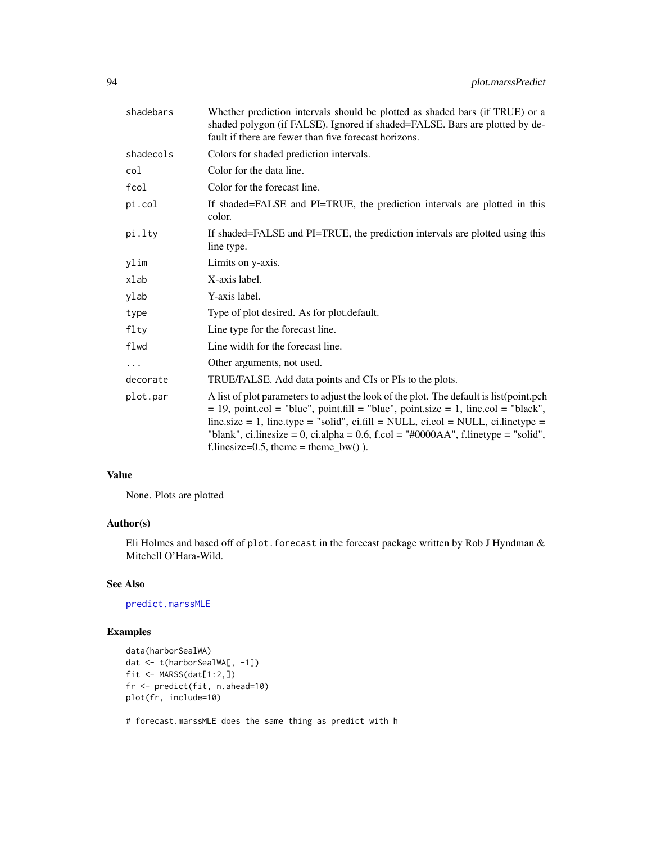| shadebars | Whether prediction intervals should be plotted as shaded bars (if TRUE) or a<br>shaded polygon (if FALSE). Ignored if shaded=FALSE. Bars are plotted by de-<br>fault if there are fewer than five forecast horizons.                                                                                                                                                                                           |
|-----------|----------------------------------------------------------------------------------------------------------------------------------------------------------------------------------------------------------------------------------------------------------------------------------------------------------------------------------------------------------------------------------------------------------------|
| shadecols | Colors for shaded prediction intervals.                                                                                                                                                                                                                                                                                                                                                                        |
| col       | Color for the data line.                                                                                                                                                                                                                                                                                                                                                                                       |
| fcol      | Color for the forecast line.                                                                                                                                                                                                                                                                                                                                                                                   |
| pi.col    | If shaded=FALSE and PI=TRUE, the prediction intervals are plotted in this<br>color.                                                                                                                                                                                                                                                                                                                            |
| pi.lty    | If shaded=FALSE and PI=TRUE, the prediction intervals are plotted using this<br>line type.                                                                                                                                                                                                                                                                                                                     |
| ylim      | Limits on y-axis.                                                                                                                                                                                                                                                                                                                                                                                              |
| xlab      | X-axis label.                                                                                                                                                                                                                                                                                                                                                                                                  |
| ylab      | Y-axis label.                                                                                                                                                                                                                                                                                                                                                                                                  |
| type      | Type of plot desired. As for plot default.                                                                                                                                                                                                                                                                                                                                                                     |
| flty      | Line type for the forecast line.                                                                                                                                                                                                                                                                                                                                                                               |
| flwd      | Line width for the forecast line.                                                                                                                                                                                                                                                                                                                                                                              |
| $\cdots$  | Other arguments, not used.                                                                                                                                                                                                                                                                                                                                                                                     |
| decorate  | TRUE/FALSE. Add data points and CIs or PIs to the plots.                                                                                                                                                                                                                                                                                                                                                       |
| plot.par  | A list of plot parameters to adjust the look of the plot. The default is list (point.pch<br>$= 19$ , point.col = "blue", point.fill = "blue", point.size = 1, line.col = "black",<br>line.size = 1, line.type = "solid", ci.fill = NULL, ci.col = NULL, ci.linetype =<br>"blank", ci.linesize = 0, ci.alpha = $0.6$ , f.col = "#0000AA", f.linetype = "solid",<br>f.linesize= $0.5$ , theme = theme_bw() $)$ . |

## Value

None. Plots are plotted

## Author(s)

Eli Holmes and based off of plot. forecast in the forecast package written by Rob J Hyndman  $\&$ Mitchell O'Hara-Wild.

# See Also

[predict.marssMLE](#page-98-0)

# Examples

```
data(harborSealWA)
dat <- t(harborSealWA[, -1])
fit <- MARSS(dat[1:2,])
fr <- predict(fit, n.ahead=10)
plot(fr, include=10)
```
# forecast.marssMLE does the same thing as predict with h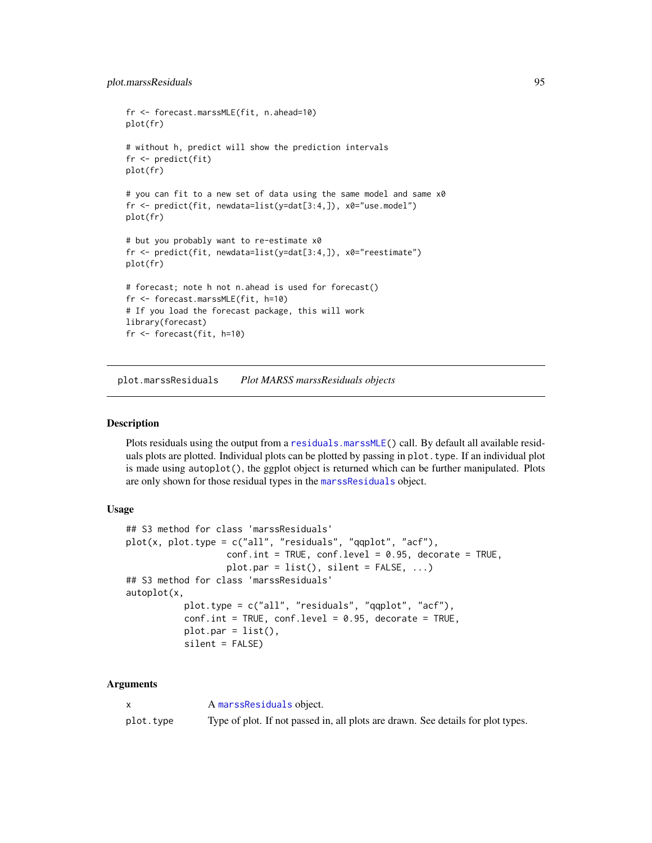```
fr <- forecast.marssMLE(fit, n.ahead=10)
plot(fr)
# without h, predict will show the prediction intervals
fr <- predict(fit)
plot(fr)
# you can fit to a new set of data using the same model and same x0
fr <- predict(fit, newdata=list(y=dat[3:4,]), x0="use.model")
plot(fr)
# but you probably want to re-estimate x0
fr <- predict(fit, newdata=list(y=dat[3:4,]), x0="reestimate")
plot(fr)
# forecast; note h not n.ahead is used for forecast()
fr <- forecast.marssMLE(fit, h=10)
# If you load the forecast package, this will work
library(forecast)
fr <- forecast(fit, h=10)
```
plot.marssResiduals *Plot MARSS marssResiduals objects*

### Description

Plots residuals using the output from a [residuals.marssMLE\(](#page-107-0)) call. By default all available residuals plots are plotted. Individual plots can be plotted by passing in plot.type. If an individual plot is made using autoplot(), the ggplot object is returned which can be further manipulated. Plots are only shown for those residual types in the [marssResiduals](#page-72-0) object.

### Usage

```
## S3 method for class 'marssResiduals'
plot(x, plot-type = c("all", "residuals", "qqplot", "acf"),conf.int = TRUE, conf.level = 0.95, decorate = TRUE,plot.par = list(), silent = FALSE, ...)
## S3 method for class 'marssResiduals'
autoplot(x,
           plot.type = c("all", "residuals", "qqplot", "acf"),
           conf.int = TRUE, conf.level = 0.95, decorate = TRUE,plot.par = list(),
          silent = FALSE)
```
#### Arguments

|           | A marss Residuals object.                                                        |
|-----------|----------------------------------------------------------------------------------|
| plot.tvpe | Type of plot. If not passed in, all plots are drawn. See details for plot types. |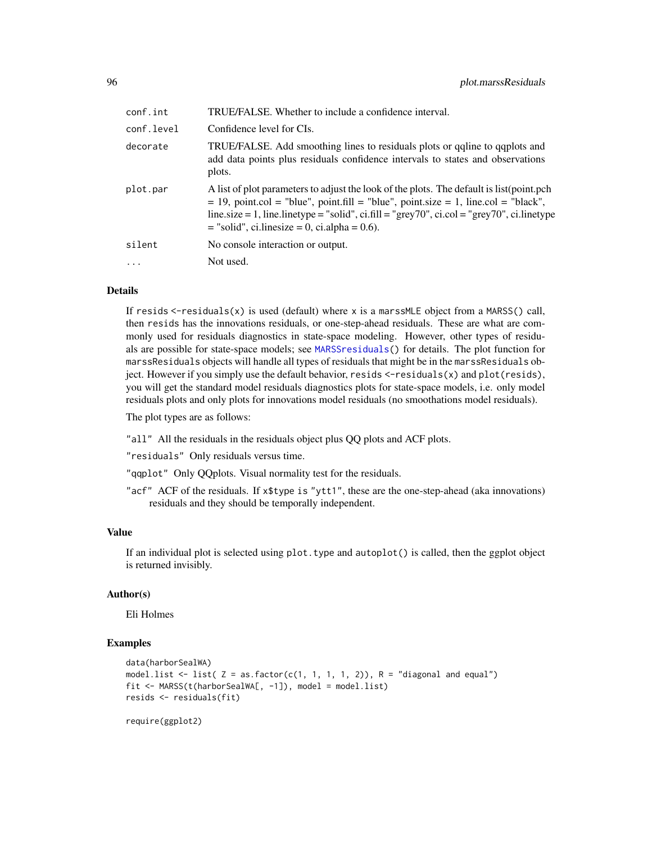| conf.int   | TRUE/FALSE. Whether to include a confidence interval.                                                                                                                                                                                                                                                                                    |  |
|------------|------------------------------------------------------------------------------------------------------------------------------------------------------------------------------------------------------------------------------------------------------------------------------------------------------------------------------------------|--|
| conf.level | Confidence level for CIs.                                                                                                                                                                                                                                                                                                                |  |
| decorate   | TRUE/FALSE. Add smoothing lines to residuals plots or galine to gaplots and<br>add data points plus residuals confidence intervals to states and observations<br>plots.                                                                                                                                                                  |  |
| plot.par   | A list of plot parameters to adjust the look of the plots. The default is list (point.pch<br>$= 19$ , point.col = "blue", point.fill = "blue", point.size = 1, line.col = "black",<br>line.size = 1, line.linetype = "solid", ci.fill = "grey70", ci.col = "grey70", ci.linetype<br>$=$ "solid", ci.linesize $= 0$ , ci.alpha $= 0.6$ ). |  |
| silent     | No console interaction or output.                                                                                                                                                                                                                                                                                                        |  |
| $\ddots$   | Not used.                                                                                                                                                                                                                                                                                                                                |  |
|            |                                                                                                                                                                                                                                                                                                                                          |  |

### Details

If resids  $\le$ -residuals $(x)$  is used (default) where x is a marssMLE object from a MARSS() call, then resids has the innovations residuals, or one-step-ahead residuals. These are what are commonly used for residuals diagnostics in state-space modeling. However, other types of residuals are possible for state-space models; see [MARSSresiduals\(](#page-69-0)) for details. The plot function for marssResiduals objects will handle all types of residuals that might be in the marssResiduals object. However if you simply use the default behavior, resids <-residuals(x) and plot(resids), you will get the standard model residuals diagnostics plots for state-space models, i.e. only model residuals plots and only plots for innovations model residuals (no smoothations model residuals).

The plot types are as follows:

"all" All the residuals in the residuals object plus QQ plots and ACF plots.

"residuals" Only residuals versus time.

"qqplot" Only QQplots. Visual normality test for the residuals.

"acf" ACF of the residuals. If x\$type is "ytt1", these are the one-step-ahead (aka innovations) residuals and they should be temporally independent.

## Value

If an individual plot is selected using plot.type and autoplot() is called, then the ggplot object is returned invisibly.

## Author(s)

Eli Holmes

#### Examples

```
data(harborSealWA)
model.list \le list( Z = as.factor(c(1, 1, 1, 1, 2)), R = "diagonal and equal")
fit <- MARSS(t(harborSealWA[, -1]), model = model.list)
resids <- residuals(fit)
```
require(ggplot2)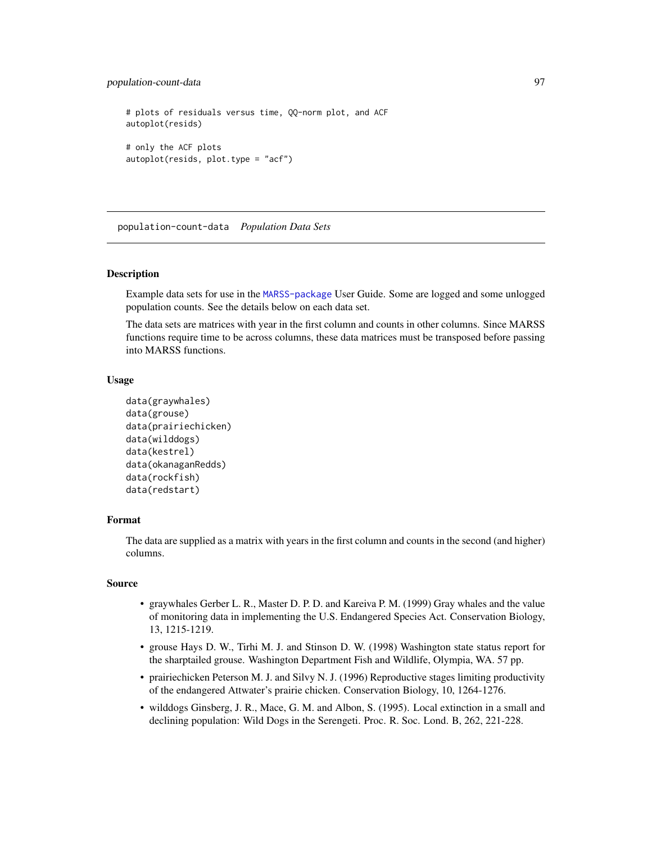```
# plots of residuals versus time, QQ-norm plot, and ACF
autoplot(resids)
# only the ACF plots
autoplot(resids, plot.type = "acf")
```
population-count-data *Population Data Sets*

#### **Description**

Example data sets for use in the [MARSS-package](#page-2-0) User Guide. Some are logged and some unlogged population counts. See the details below on each data set.

The data sets are matrices with year in the first column and counts in other columns. Since MARSS functions require time to be across columns, these data matrices must be transposed before passing into MARSS functions.

## Usage

```
data(graywhales)
data(grouse)
data(prairiechicken)
data(wilddogs)
data(kestrel)
data(okanaganRedds)
data(rockfish)
data(redstart)
```
# Format

The data are supplied as a matrix with years in the first column and counts in the second (and higher) columns.

### Source

- graywhales Gerber L. R., Master D. P. D. and Kareiva P. M. (1999) Gray whales and the value of monitoring data in implementing the U.S. Endangered Species Act. Conservation Biology, 13, 1215-1219.
- grouse Hays D. W., Tirhi M. J. and Stinson D. W. (1998) Washington state status report for the sharptailed grouse. Washington Department Fish and Wildlife, Olympia, WA. 57 pp.
- prairiechicken Peterson M. J. and Silvy N. J. (1996) Reproductive stages limiting productivity of the endangered Attwater's prairie chicken. Conservation Biology, 10, 1264-1276.
- wilddogs Ginsberg, J. R., Mace, G. M. and Albon, S. (1995). Local extinction in a small and declining population: Wild Dogs in the Serengeti. Proc. R. Soc. Lond. B, 262, 221-228.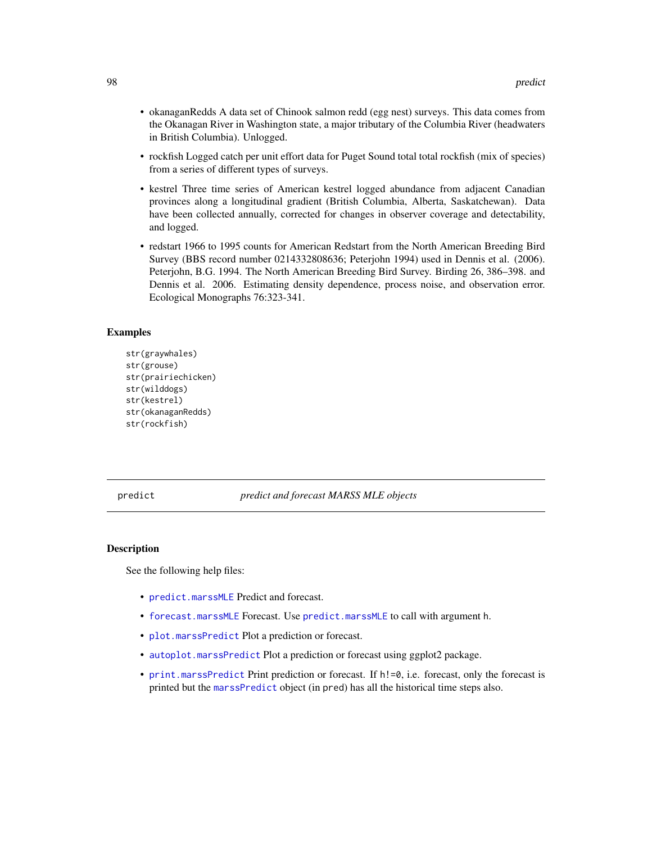- okanaganRedds A data set of Chinook salmon redd (egg nest) surveys. This data comes from the Okanagan River in Washington state, a major tributary of the Columbia River (headwaters in British Columbia). Unlogged.
- rockfish Logged catch per unit effort data for Puget Sound total total rockfish (mix of species) from a series of different types of surveys.
- kestrel Three time series of American kestrel logged abundance from adjacent Canadian provinces along a longitudinal gradient (British Columbia, Alberta, Saskatchewan). Data have been collected annually, corrected for changes in observer coverage and detectability, and logged.
- redstart 1966 to 1995 counts for American Redstart from the North American Breeding Bird Survey (BBS record number 0214332808636; Peterjohn 1994) used in Dennis et al. (2006). Peterjohn, B.G. 1994. The North American Breeding Bird Survey. Birding 26, 386–398. and Dennis et al. 2006. Estimating density dependence, process noise, and observation error. Ecological Monographs 76:323-341.

### Examples

```
str(graywhales)
str(grouse)
str(prairiechicken)
str(wilddogs)
str(kestrel)
str(okanaganRedds)
str(rockfish)
```
## predict *predict and forecast MARSS MLE objects*

#### Description

See the following help files:

- [predict.marssMLE](#page-98-0) Predict and forecast.
- [forecast.marssMLE](#page-15-0) Forecast. Use [predict.marssMLE](#page-98-0) to call with argument h.
- [plot.marssPredict](#page-92-0) Plot a prediction or forecast.
- [autoplot.marssPredict](#page-92-1) Plot a prediction or forecast using ggplot2 package.
- [print.marssPredict](#page-106-0) Print prediction or forecast. If  $h!=0$ , i.e. forecast, only the forecast is printed but the [marssPredict](#page-68-0) object (in pred) has all the historical time steps also.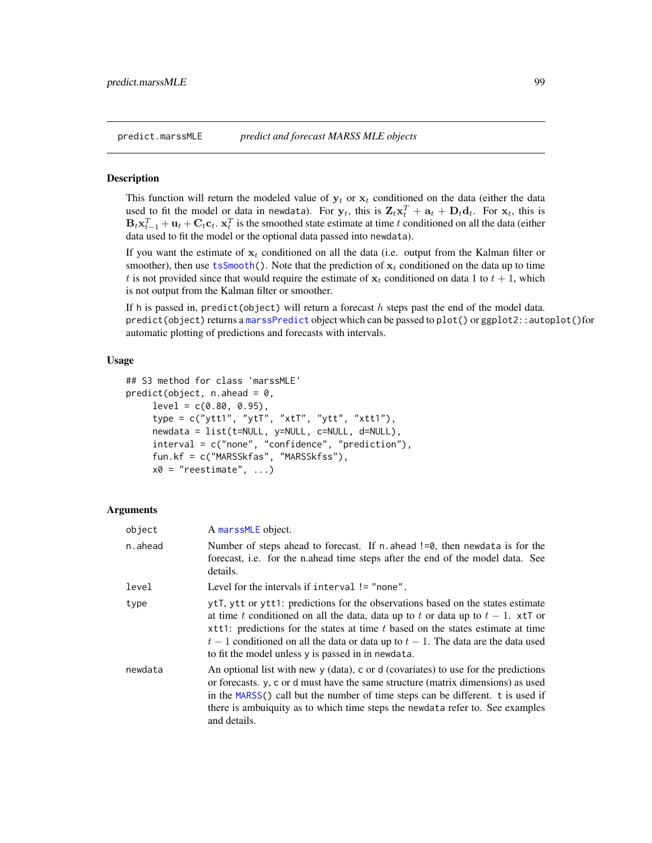<span id="page-98-0"></span>

#### Description

This function will return the modeled value of  $y_t$  or  $x_t$  conditioned on the data (either the data used to fit the model or data in newdata). For  $y_t$ , this is  $\mathbf{Z}_t \mathbf{x}_t^T + \mathbf{a}_t + \mathbf{D}_t \mathbf{d}_t$ . For  $\mathbf{x}_t$ , this is  $B_t \mathbf{x}_{t-1}^T + \mathbf{u}_t + \mathbf{C}_t \mathbf{c}_t$ .  $\mathbf{x}_t^T$  is the smoothed state estimate at time t conditioned on all the data (either data used to fit the model or the optional data passed into newdata).

If you want the estimate of  $x_t$  conditioned on all the data (i.e. output from the Kalman filter or smoother), then use [tsSmooth\(](#page-113-0)). Note that the prediction of  $x_t$  conditioned on the data up to time t is not provided since that would require the estimate of  $x_t$  conditioned on data 1 to  $t + 1$ , which is not output from the Kalman filter or smoother.

If h is passed in, predict(object) will return a forecast  $h$  steps past the end of the model data.  $predict(objject)$  returns a [marssPredict](#page-68-0) object which can be passed to  $plot()$  or  $ggplot2$ : autoplot()for automatic plotting of predictions and forecasts with intervals.

# Usage

```
## S3 method for class 'marssMLE'
predict(object, n.ahead = 0,
     level = c(0.80, 0.95),
     type = c("ytt1", "ytT", "xtT", "ytt", "xtt1"),
     newdata = list(t=NULL, y=NULL, c=NULL, d=NULL),
     interval = c("none", "confidence", "prediction"),
     fun.kf = c("MARSSkfas", "MARSSkfss"),
     x0 = "reestimate", ...
```
## Arguments

| object  | A marssMLE object.                                                                                                                                                                                                                                                                                                                                                                                    |
|---------|-------------------------------------------------------------------------------------------------------------------------------------------------------------------------------------------------------------------------------------------------------------------------------------------------------------------------------------------------------------------------------------------------------|
| n.ahead | Number of steps ahead to forecast. If n ahead $!=0$ , then newdata is for the<br>forecast, i.e. for the n.ahead time steps after the end of the model data. See<br>details.                                                                                                                                                                                                                           |
| level   | Level for the intervals if interval $!=$ "none".                                                                                                                                                                                                                                                                                                                                                      |
| type    | ytT, ytt or ytt1: predictions for the observations based on the states estimate<br>at time t conditioned on all the data, data up to t or data up to $t-1$ . xtT or<br>$x$ tt1: predictions for the states at time t based on the states estimate at time<br>$t-1$ conditioned on all the data or data up to $t-1$ . The data are the data used<br>to fit the model unless y is passed in in newdata. |
| newdata | An optional list with new y (data), c or d (covariates) to use for the predictions<br>or forecasts. y, c or d must have the same structure (matrix dimensions) as used<br>in the MARSS() call but the number of time steps can be different. t is used if<br>there is ambuiquity as to which time steps the newdata refer to. See examples<br>and details.                                            |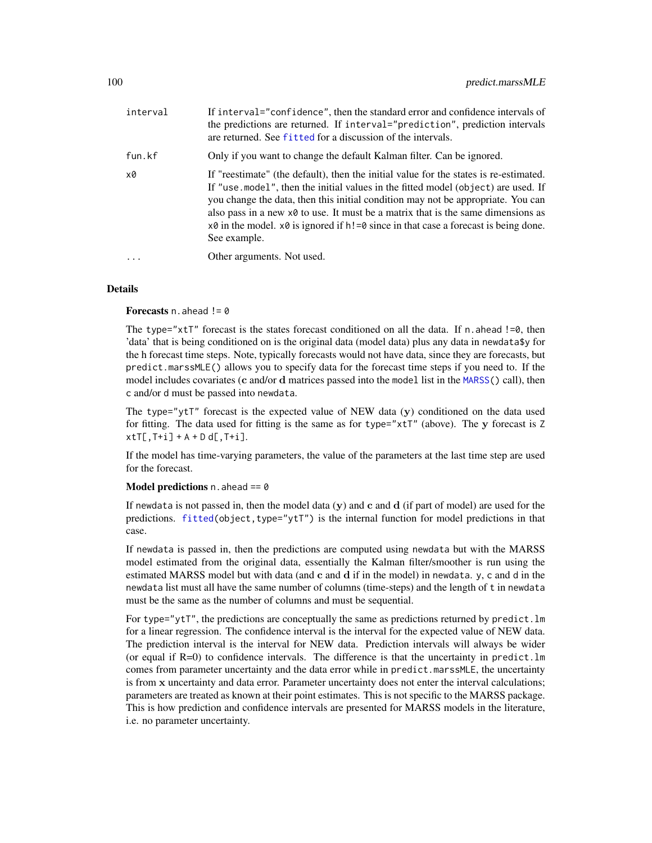| interval | If interval="confidence", then the standard error and confidence intervals of<br>the predictions are returned. If interval="prediction", prediction intervals<br>are returned. See fitted for a discussion of the intervals.                                                                                                                                                                                                                                                                      |
|----------|---------------------------------------------------------------------------------------------------------------------------------------------------------------------------------------------------------------------------------------------------------------------------------------------------------------------------------------------------------------------------------------------------------------------------------------------------------------------------------------------------|
| fun.kf   | Only if you want to change the default Kalman filter. Can be ignored.                                                                                                                                                                                                                                                                                                                                                                                                                             |
| x0       | If "reestimate" (the default), then the initial value for the states is re-estimated.<br>If "use model", then the initial values in the fitted model (object) are used. If<br>you change the data, then this initial condition may not be appropriate. You can<br>also pass in a new $x \theta$ to use. It must be a matrix that is the same dimensions as<br>$x\vartheta$ in the model. $x\vartheta$ is ignored if $h! = \vartheta$ since in that case a forecast is being done.<br>See example. |
| $\cdots$ | Other arguments. Not used.                                                                                                                                                                                                                                                                                                                                                                                                                                                                        |
|          |                                                                                                                                                                                                                                                                                                                                                                                                                                                                                                   |

### Details

Forecasts  $n$ . ahead  $!= 0$ 

The type=" $x$ tT" forecast is the states forecast conditioned on all the data. If n.ahead !=0, then 'data' that is being conditioned on is the original data (model data) plus any data in newdata\$y for the h forecast time steps. Note, typically forecasts would not have data, since they are forecasts, but predict.marssMLE() allows you to specify data for the forecast time steps if you need to. If the model includes covariates (c and/or d matrices passed into the model list in the [MARSS\(](#page-26-0)) call), then c and/or d must be passed into newdata.

The type="ytT" forecast is the expected value of NEW data  $(y)$  conditioned on the data used for fitting. The data used for fitting is the same as for type="xtT" (above). The y forecast is Z  $xtT[, T+i]+A+D d[, T+i].$ 

If the model has time-varying parameters, the value of the parameters at the last time step are used for the forecast.

### Model predictions  $n$ . ahead == 0

If newdata is not passed in, then the model data  $(v)$  and c and d (if part of model) are used for the predictions. [fitted\(](#page-11-0)object,type="ytT") is the internal function for model predictions in that case.

If newdata is passed in, then the predictions are computed using newdata but with the MARSS model estimated from the original data, essentially the Kalman filter/smoother is run using the estimated MARSS model but with data (and c and d if in the model) in newdata. y, c and d in the newdata list must all have the same number of columns (time-steps) and the length of t in newdata must be the same as the number of columns and must be sequential.

For type="ytT", the predictions are conceptually the same as predictions returned by predict.  $lm$ for a linear regression. The confidence interval is the interval for the expected value of NEW data. The prediction interval is the interval for NEW data. Prediction intervals will always be wider (or equal if  $R=0$ ) to confidence intervals. The difference is that the uncertainty in predict.  $\text{Im }$ comes from parameter uncertainty and the data error while in predict.marssMLE, the uncertainty is from x uncertainty and data error. Parameter uncertainty does not enter the interval calculations; parameters are treated as known at their point estimates. This is not specific to the MARSS package. This is how prediction and confidence intervals are presented for MARSS models in the literature, i.e. no parameter uncertainty.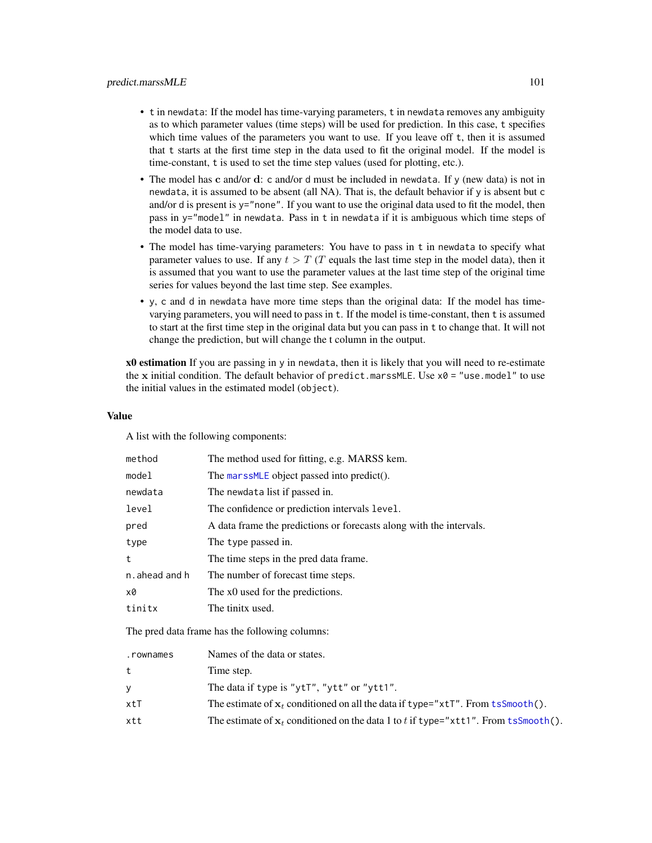## predict.marssMLE 101

- t in newdata: If the model has time-varying parameters, t in newdata removes any ambiguity as to which parameter values (time steps) will be used for prediction. In this case, t specifies which time values of the parameters you want to use. If you leave off t, then it is assumed that t starts at the first time step in the data used to fit the original model. If the model is time-constant, t is used to set the time step values (used for plotting, etc.).
- The model has c and/or d: c and/or d must be included in newdata. If y (new data) is not in newdata, it is assumed to be absent (all NA). That is, the default behavior if y is absent but c and/or d is present is y="none". If you want to use the original data used to fit the model, then pass in y="model" in newdata. Pass in t in newdata if it is ambiguous which time steps of the model data to use.
- The model has time-varying parameters: You have to pass in t in newdata to specify what parameter values to use. If any  $t > T$  (T equals the last time step in the model data), then it is assumed that you want to use the parameter values at the last time step of the original time series for values beyond the last time step. See examples.
- y, c and d in newdata have more time steps than the original data: If the model has timevarying parameters, you will need to pass in t. If the model is time-constant, then t is assumed to start at the first time step in the original data but you can pass in t to change that. It will not change the prediction, but will change the t column in the output.

x0 estimation If you are passing in y in newdata, then it is likely that you will need to re-estimate the x initial condition. The default behavior of predict.marssMLE. Use  $x0 =$  "use.model" to use the initial values in the estimated model (object).

### Value

A list with the following components:

| method         | The method used for fitting, e.g. MARSS kem.                        |
|----------------|---------------------------------------------------------------------|
| model          | The marssMLE object passed into predict().                          |
| newdata        | The newdata list if passed in.                                      |
| level          | The confidence or prediction intervals level.                       |
| pred           | A data frame the predictions or forecasts along with the intervals. |
| type           | The type passed in.                                                 |
| t              | The time steps in the pred data frame.                              |
| n. ahead and h | The number of forecast time steps.                                  |
| x0             | The x0 used for the predictions.                                    |
| tinitx         | The tinitx used.                                                    |
|                |                                                                     |

The pred data frame has the following columns:

| .rownames | Names of the data or states.                                                          |
|-----------|---------------------------------------------------------------------------------------|
| t         | Time step.                                                                            |
| У         | The data if type is "ytT", "ytt" or "ytt1".                                           |
| xtT       | The estimate of $x_t$ conditioned on all the data if type=" $x$ tT". From tsSmooth(). |
| xtt       | The estimate of $x_t$ conditioned on the data 1 to t if type="xtt1". From tsSmooth(). |
|           |                                                                                       |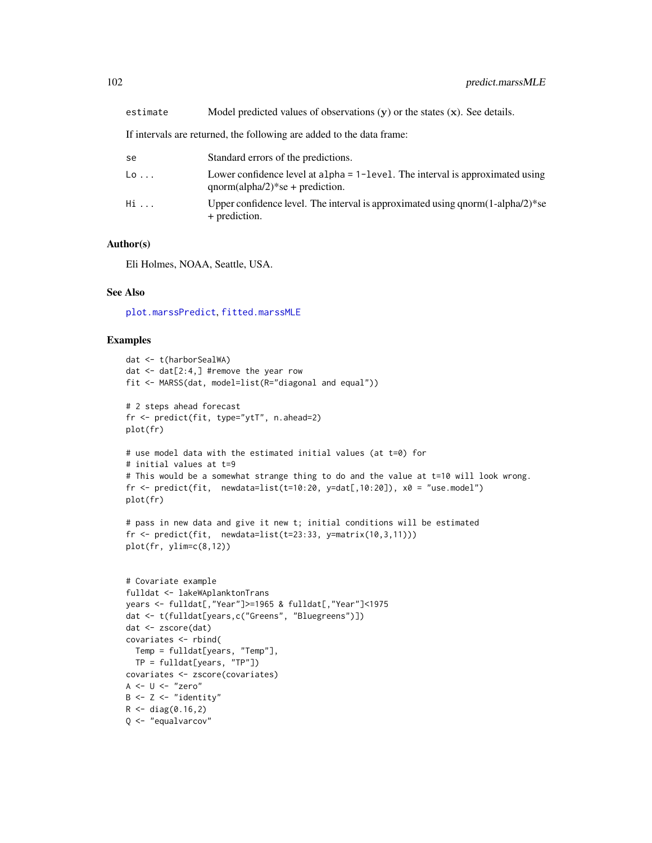| se                          | Standard errors of the predictions.                                                                                     |
|-----------------------------|-------------------------------------------------------------------------------------------------------------------------|
| $\mathsf{L}\mathsf{o}\dots$ | Lower confidence level at $alpha = 1 - level$ . The interval is approximated using<br>$qnorm(alpha/2)*se + prediction.$ |
| Hi                          | Upper confidence level. The interval is approximated using $qnorm(1-\alpha/2)*se$<br>+ prediction.                      |

### Author(s)

Eli Holmes, NOAA, Seattle, USA.

### See Also

[plot.marssPredict](#page-92-0), [fitted.marssMLE](#page-11-0)

```
dat <- t(harborSealWA)
dat <- dat[2:4,] #remove the year row
fit <- MARSS(dat, model=list(R="diagonal and equal"))
# 2 steps ahead forecast
fr <- predict(fit, type="ytT", n.ahead=2)
plot(fr)
# use model data with the estimated initial values (at t=0) for
# initial values at t=9
# This would be a somewhat strange thing to do and the value at t=10 will look wrong.
fr <- predict(fit, newdata=list(t=10:20, y=dat[,10:20]), x0 = "use.model")
plot(fr)
# pass in new data and give it new t; initial conditions will be estimated
fr \leq predict(fit, newdata=list(t=23:33, y=matrix(10,3,11)))
plot(fr, ylim=c(8,12))
# Covariate example
fulldat <- lakeWAplanktonTrans
years <- fulldat[,"Year"]>=1965 & fulldat[,"Year"]<1975
dat <- t(fulldat[years,c("Greens", "Bluegreens")])
dat <- zscore(dat)
covariates <- rbind(
  Temp = fulldat[years, "Temp"],
  TP = fulldat[years, "TP"])
covariates <- zscore(covariates)
A \leftarrow U \leftarrow "zero"B \le -Z \le -'' \text{identity}''R < - diag(0.16,2)
Q <- "equalvarcov"
```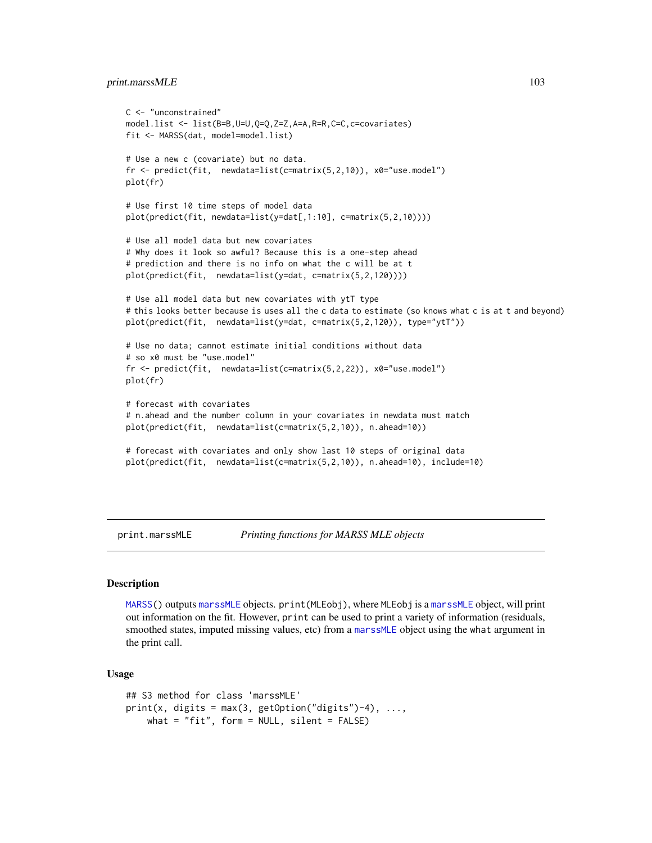## print.marssMLE 103

```
C <- "unconstrained"
model.list <- list(B=B,U=U,Q=Q,Z=Z,A=A,R=R,C=C,c=covariates)
fit <- MARSS(dat, model=model.list)
# Use a new c (covariate) but no data.
fr <- predict(fit, newdata=list(c=matrix(5,2,10)), x0="use.model")
plot(fr)
# Use first 10 time steps of model data
plot(predict(fit, newdata=list(y=dat[,1:10], c=matrix(5,2,10))))
# Use all model data but new covariates
# Why does it look so awful? Because this is a one-step ahead
# prediction and there is no info on what the c will be at t
plot(predict(fit, newdata=list(y=dat, c=matrix(5,2,120))))
# Use all model data but new covariates with ytT type
# this looks better because is uses all the c data to estimate (so knows what c is at t and beyond)
plot(predict(fit, newdata=list(y=dat, c=matrix(5,2,120)), type="ytT"))
# Use no data; cannot estimate initial conditions without data
# so x0 must be "use.model"
fr <- predict(fit, newdata=list(c=matrix(5,2,22)), x0="use.model")
plot(fr)
# forecast with covariates
# n.ahead and the number column in your covariates in newdata must match
plot(predict(fit, newdata=list(c=matrix(5,2,10)), n.ahead=10))
# forecast with covariates and only show last 10 steps of original data
plot(predict(fit, newdata=list(c=matrix(5,2,10)), n.ahead=10), include=10)
```
print.marssMLE *Printing functions for MARSS MLE objects*

#### Description

[MARSS\(](#page-26-0)) outputs [marssMLE](#page-61-0) objects. print(MLEobj), where MLEobj is a [marssMLE](#page-61-0) object, will print out information on the fit. However, print can be used to print a variety of information (residuals, smoothed states, imputed missing values, etc) from a [marssMLE](#page-61-0) object using the what argument in the print call.

### Usage

```
## S3 method for class 'marssMLE'
print(x, digits = max(3, getOption("digits")-4), ...,what = "fit", form = NULL, silent = FALSE)
```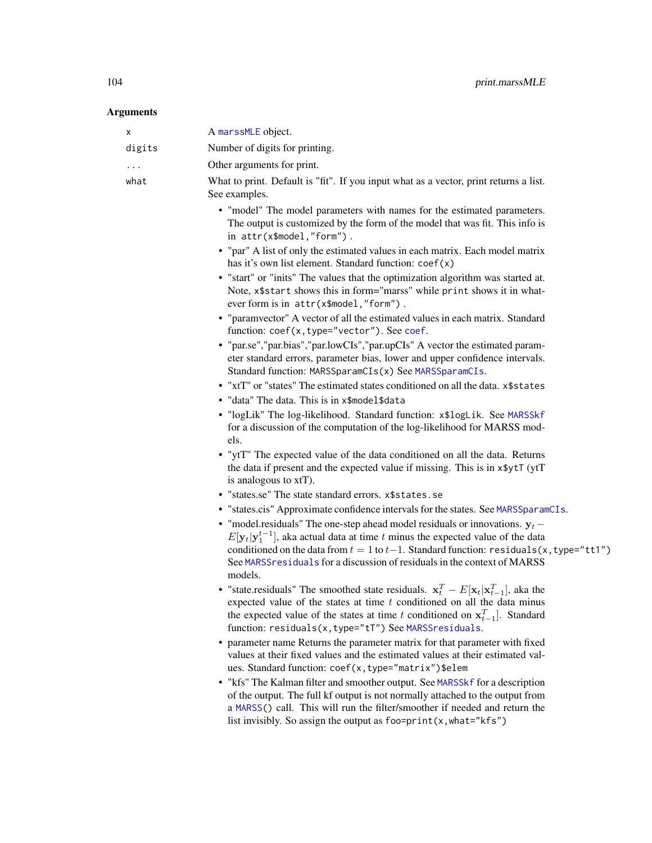# Arguments

| х      | A marssMLE object.                                                                                                                                                                                                                                                                                                                                                             |
|--------|--------------------------------------------------------------------------------------------------------------------------------------------------------------------------------------------------------------------------------------------------------------------------------------------------------------------------------------------------------------------------------|
| digits | Number of digits for printing.                                                                                                                                                                                                                                                                                                                                                 |
|        | Other arguments for print.                                                                                                                                                                                                                                                                                                                                                     |
| what   | What to print. Default is "fit". If you input what as a vector, print returns a list.<br>See examples.                                                                                                                                                                                                                                                                         |
|        | • "model" The model parameters with names for the estimated parameters.<br>The output is customized by the form of the model that was fit. This info is<br>in attr(x\$model,"form").                                                                                                                                                                                           |
|        | • "par" A list of only the estimated values in each matrix. Each model matrix<br>has it's own list element. Standard function: coef(x)                                                                                                                                                                                                                                         |
|        | • "start" or "inits" The values that the optimization algorithm was started at.<br>Note, x\$start shows this in form="marss" while print shows it in what-<br>ever form is in attr(x\$model,"form").                                                                                                                                                                           |
|        | • "paramvector" A vector of all the estimated values in each matrix. Standard<br>function: coef(x, type="vector"). See coef.                                                                                                                                                                                                                                                   |
|        | • "par.se","par.bias","par.lowCIs","par.upCIs" A vector the estimated param-<br>eter standard errors, parameter bias, lower and upper confidence intervals.<br>Standard function: MARSSparamCIs(x) See MARSSparamCIs.                                                                                                                                                          |
|        | • "xtT" or "states" The estimated states conditioned on all the data. x\$states                                                                                                                                                                                                                                                                                                |
|        | • "data" The data. This is in x\$model\$data                                                                                                                                                                                                                                                                                                                                   |
|        | . "logLik" The log-likelihood. Standard function: x\$logLik. See MARSSkf<br>for a discussion of the computation of the log-likelihood for MARSS mod-<br>els.                                                                                                                                                                                                                   |
|        | • "ytT" The expected value of the data conditioned on all the data. Returns<br>the data if present and the expected value if missing. This is in x \$ yt T (yt T<br>is analogous to xtT).                                                                                                                                                                                      |
|        | • "states.se" The state standard errors. x\$states.se                                                                                                                                                                                                                                                                                                                          |
|        | • "states.cis" Approximate confidence intervals for the states. See MARSSparamCIs.                                                                                                                                                                                                                                                                                             |
|        | • "model.residuals" The one-step ahead model residuals or innovations. $y_t$ –<br>$E[\mathbf{y}_t \mathbf{y}_1^{t-1}]$ , aka actual data at time t minus the expected value of the data<br>conditioned on the data from $t = 1$ to $t-1$ . Standard function: residuals(x, type="tt1")<br>See MARSS residuals for a discussion of residuals in the context of MARSS<br>models. |
|        | • "state.residuals" The smoothed state residuals. $x_t^T - E[x_t   x_{t-1}^T]$ , aka the<br>expected value of the states at time $t$ conditioned on all the data minus<br>the expected value of the states at time t conditioned on $x_{t-1}^T$ ]. Standard<br>function: residuals(x, type="tT") See MARSSresiduals.                                                           |
|        | • parameter name Returns the parameter matrix for that parameter with fixed<br>values at their fixed values and the estimated values at their estimated val-<br>ues. Standard function: coef(x, type="matrix")\$elem                                                                                                                                                           |
|        | • "kfs" The Kalman filter and smoother output. See MARSSkf for a description<br>of the output. The full kf output is not normally attached to the output from<br>a MARSS() call. This will run the filter/smoother if needed and return the                                                                                                                                    |

list invisibly. So assign the output as foo=print(x,what="kfs")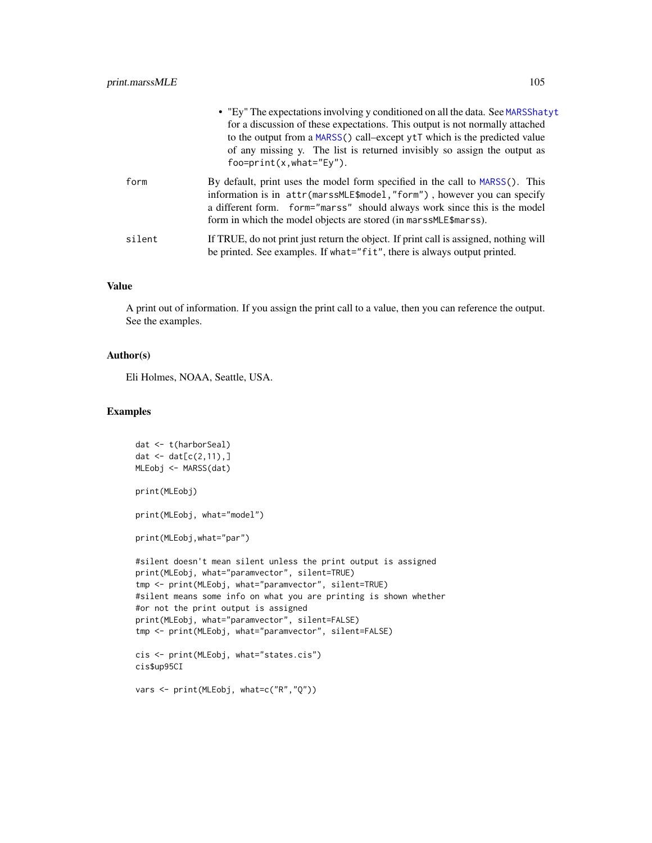|        | • "Ey" The expectations involving y conditioned on all the data. See MARSShatyt<br>for a discussion of these expectations. This output is not normally attached<br>to the output from a MARSS() call-except ytT which is the predicted value<br>of any missing y. The list is returned invisibly so assign the output as<br>$foo=print(x, what="Ev").$ |
|--------|--------------------------------------------------------------------------------------------------------------------------------------------------------------------------------------------------------------------------------------------------------------------------------------------------------------------------------------------------------|
| form   | By default, print uses the model form specified in the call to MARSS(). This<br>information is in attr(marssMLE\$model,"form"), however you can specify<br>a different form. form="marss" should always work since this is the model<br>form in which the model objects are stored (in marssMLE\$marss).                                               |
| silent | If TRUE, do not print just return the object. If print call is assigned, nothing will<br>be printed. See examples. If what="fit", there is always output printed.                                                                                                                                                                                      |

## Value

A print out of information. If you assign the print call to a value, then you can reference the output. See the examples.

### Author(s)

Eli Holmes, NOAA, Seattle, USA.

```
dat <- t(harborSeal)
dat \leq - dat[c(2, 11), ]MLEobj <- MARSS(dat)
print(MLEobj)
print(MLEobj, what="model")
print(MLEobj,what="par")
#silent doesn't mean silent unless the print output is assigned
print(MLEobj, what="paramvector", silent=TRUE)
tmp <- print(MLEobj, what="paramvector", silent=TRUE)
#silent means some info on what you are printing is shown whether
#or not the print output is assigned
print(MLEobj, what="paramvector", silent=FALSE)
tmp <- print(MLEobj, what="paramvector", silent=FALSE)
cis <- print(MLEobj, what="states.cis")
cis$up95CI
```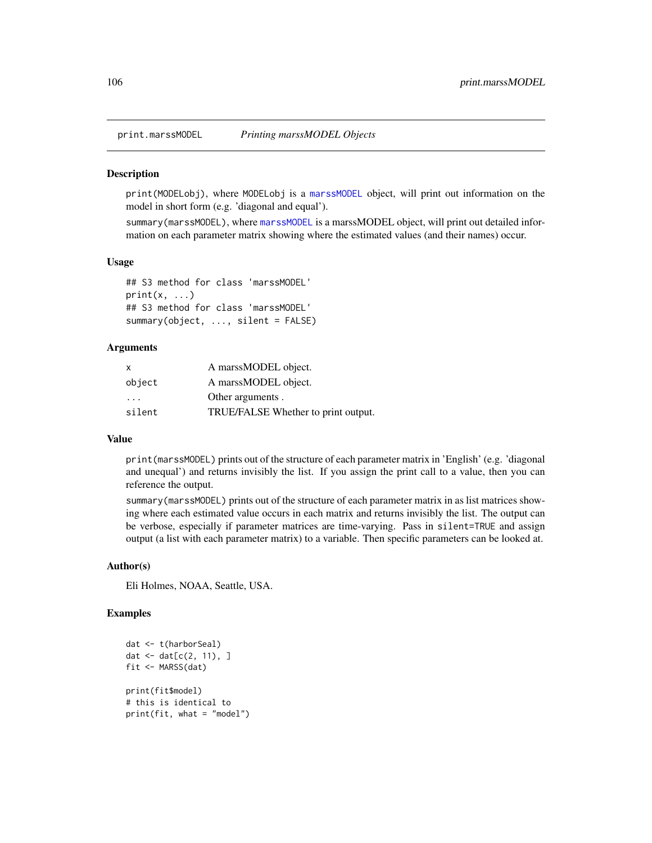#### **Description**

print(MODELobj), where MODELobj is a [marssMODEL](#page-62-0) object, will print out information on the model in short form (e.g. 'diagonal and equal').

summary(marssMODEL), where [marssMODEL](#page-62-0) is a marssMODEL object, will print out detailed information on each parameter matrix showing where the estimated values (and their names) occur.

## Usage

```
## S3 method for class 'marssMODEL'
print(x, \ldots)## S3 method for class 'marssMODEL'
summary(object, ..., silent = FALSE)
```
### Arguments

| $\mathsf{x}$            | A marssMODEL object.                |
|-------------------------|-------------------------------------|
| object                  | A marssMODEL object.                |
| $\cdot$ $\cdot$ $\cdot$ | Other arguments.                    |
| silent                  | TRUE/FALSE Whether to print output. |

### Value

print(marssMODEL) prints out of the structure of each parameter matrix in 'English' (e.g. 'diagonal and unequal') and returns invisibly the list. If you assign the print call to a value, then you can reference the output.

summary(marssMODEL) prints out of the structure of each parameter matrix in as list matrices showing where each estimated value occurs in each matrix and returns invisibly the list. The output can be verbose, especially if parameter matrices are time-varying. Pass in silent=TRUE and assign output (a list with each parameter matrix) to a variable. Then specific parameters can be looked at.

### Author(s)

Eli Holmes, NOAA, Seattle, USA.

```
dat <- t(harborSeal)
dat <- dat[c(2, 11), ]
fit <- MARSS(dat)
print(fit$model)
# this is identical to
print(fit, what = "model")
```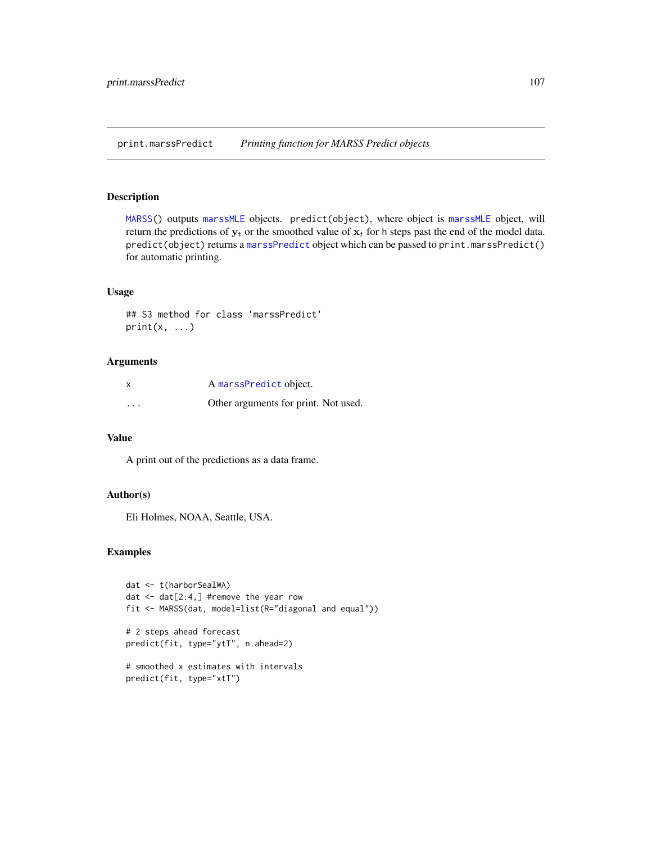<span id="page-106-0"></span>print.marssPredict *Printing function for MARSS Predict objects*

### Description

[MARSS\(](#page-26-0)) outputs [marssMLE](#page-61-0) objects. predict(object), where object is [marssMLE](#page-61-0) object, will return the predictions of  $y_t$  or the smoothed value of  $x_t$  for h steps past the end of the model data. predict(object) returns a [marssPredict](#page-68-0) object which can be passed to print.marssPredict() for automatic printing.

## Usage

```
## S3 method for class 'marssPredict'
print(x, \ldots)
```
### Arguments

|                         | A marssPredict object.               |
|-------------------------|--------------------------------------|
| $\cdot$ $\cdot$ $\cdot$ | Other arguments for print. Not used. |

### Value

A print out of the predictions as a data frame.

### Author(s)

Eli Holmes, NOAA, Seattle, USA.

```
dat <- t(harborSealWA)
dat <- dat[2:4,] #remove the year row
fit <- MARSS(dat, model=list(R="diagonal and equal"))
# 2 steps ahead forecast
predict(fit, type="ytT", n.ahead=2)
```

```
# smoothed x estimates with intervals
predict(fit, type="xtT")
```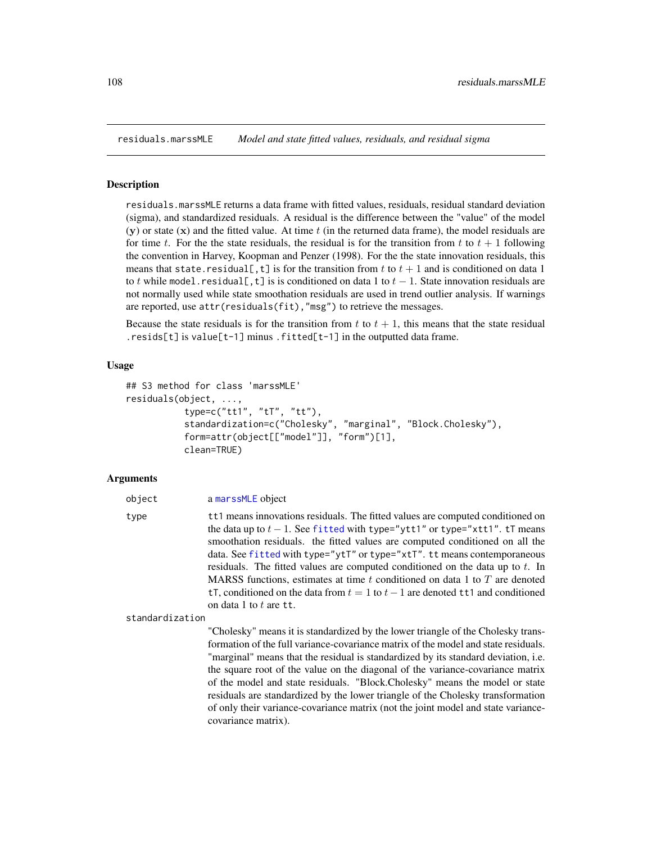<span id="page-107-0"></span>

#### Description

residuals.marssMLE returns a data frame with fitted values, residuals, residual standard deviation (sigma), and standardized residuals. A residual is the difference between the "value" of the model  $(y)$  or state  $(x)$  and the fitted value. At time t (in the returned data frame), the model residuals are for time t. For the the state residuals, the residual is for the transition from t to  $t + 1$  following the convention in Harvey, Koopman and Penzer (1998). For the the state innovation residuals, this means that state.residual [,t] is for the transition from t to  $t + 1$  and is conditioned on data 1 to t while model.residual[,t] is is conditioned on data 1 to  $t - 1$ . State innovation residuals are not normally used while state smoothation residuals are used in trend outlier analysis. If warnings are reported, use attr(residuals(fit),"msg") to retrieve the messages.

Because the state residuals is for the transition from t to  $t + 1$ , this means that the state residual . resids[t] is value[t-1] minus . fitted[t-1] in the outputted data frame.

### Usage

```
## S3 method for class 'marssMLE'
residuals(object, ...,
           type=c("tt1", "tT", "tt"),
           standardization=c("Cholesky", "marginal", "Block.Cholesky"),
           form=attr(object[["model"]], "form")[1],
           clean=TRUE)
```
### Arguments

| type | tt1 means innovations residuals. The fitted values are computed conditioned on      |
|------|-------------------------------------------------------------------------------------|
|      | the data up to $t-1$ . See fitted with type="ytt1" or type="xtt1". tT means         |
|      | smoothation residuals. the fitted values are computed conditioned on all the        |
|      | data. See fitted with type="ytT" or type="xtT". tt means contemporaneous            |
|      | residuals. The fitted values are computed conditioned on the data up to t. In       |
|      | MARSS functions, estimates at time t conditioned on data 1 to T are denoted         |
|      | tT, conditioned on the data from $t = 1$ to $t - 1$ are denoted tt1 and conditioned |
|      | on data 1 to t are tt.                                                              |
|      |                                                                                     |

standardization

object a [marssMLE](#page-61-0) object

"Cholesky" means it is standardized by the lower triangle of the Cholesky transformation of the full variance-covariance matrix of the model and state residuals. "marginal" means that the residual is standardized by its standard deviation, i.e. the square root of the value on the diagonal of the variance-covariance matrix of the model and state residuals. "Block.Cholesky" means the model or state residuals are standardized by the lower triangle of the Cholesky transformation of only their variance-covariance matrix (not the joint model and state variancecovariance matrix).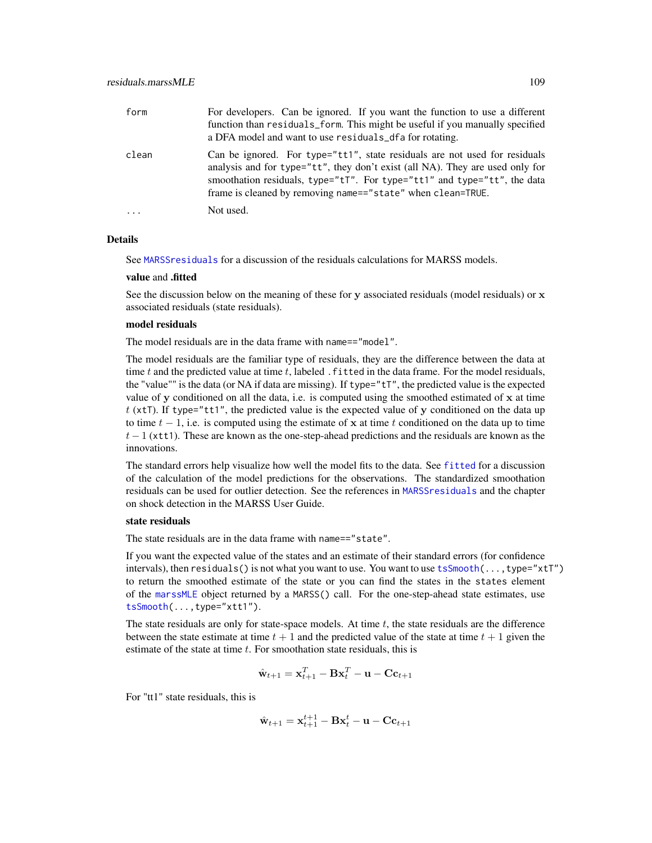<span id="page-108-0"></span>

| form    | For developers. Can be ignored. If you want the function to use a different<br>function than residuals_form. This might be useful if you manually specified<br>a DFA model and want to use residuals dela for rotating.                                                                                           |
|---------|-------------------------------------------------------------------------------------------------------------------------------------------------------------------------------------------------------------------------------------------------------------------------------------------------------------------|
| clean   | Can be ignored. For type="tt1", state residuals are not used for residuals<br>analysis and for type="tt", they don't exist (all NA). They are used only for<br>smoothation residuals, type=" $tT$ ". For type=" $tT$ " and type=" $tT$ ", the data<br>frame is cleaned by removing name=="state" when clean=TRUE. |
| $\cdot$ | Not used.                                                                                                                                                                                                                                                                                                         |

#### Details

See [MARSSresiduals](#page-69-0) for a discussion of the residuals calculations for MARSS models.

#### value and .fitted

See the discussion below on the meaning of these for y associated residuals (model residuals) or  $x$ associated residuals (state residuals).

#### model residuals

The model residuals are in the data frame with name=="model".

The model residuals are the familiar type of residuals, they are the difference between the data at time  $t$  and the predicted value at time  $t$ , labeled . fitted in the data frame. For the model residuals, the "value"" is the data (or NA if data are missing). If type=" $tT$ ", the predicted value is the expected value of y conditioned on all the data, i.e. is computed using the smoothed estimated of x at time t (xtT). If type="tt1", the predicted value is the expected value of y conditioned on the data up to time  $t - 1$ , i.e. is computed using the estimate of x at time t conditioned on the data up to time  $t - 1$  (xtt1). These are known as the one-step-ahead predictions and the residuals are known as the innovations.

The standard errors help visualize how well the model fits to the data. See [fitted](#page-11-0) for a discussion of the calculation of the model predictions for the observations. The standardized smoothation residuals can be used for outlier detection. See the references in [MARSSresiduals](#page-69-0) and the chapter on shock detection in the MARSS User Guide.

# state residuals

The state residuals are in the data frame with name=="state".

If you want the expected value of the states and an estimate of their standard errors (for confidence intervals), then residuals() is not what you want to use. You want to use [tsSmooth\(](#page-113-0)...,type="xtT") to return the smoothed estimate of the state or you can find the states in the states element of the [marssMLE](#page-61-0) object returned by a MARSS() call. For the one-step-ahead state estimates, use [tsSmooth\(](#page-113-0)...,type="xtt1").

The state residuals are only for state-space models. At time  $t$ , the state residuals are the difference between the state estimate at time  $t + 1$  and the predicted value of the state at time  $t + 1$  given the estimate of the state at time  $t$ . For smoothation state residuals, this is

$$
\hat{\mathbf{w}}_{t+1} = \mathbf{x}_{t+1}^T - \mathbf{B}\mathbf{x}_t^T - \mathbf{u} - \mathbf{C}\mathbf{c}_{t+1}
$$

For "tt1" state residuals, this is

$$
\hat{\mathbf{w}}_{t+1} = \mathbf{x}_{t+1}^{t+1} - \mathbf{B}\mathbf{x}_t^t - \mathbf{u} - \mathbf{C}\mathbf{c}_{t+1}
$$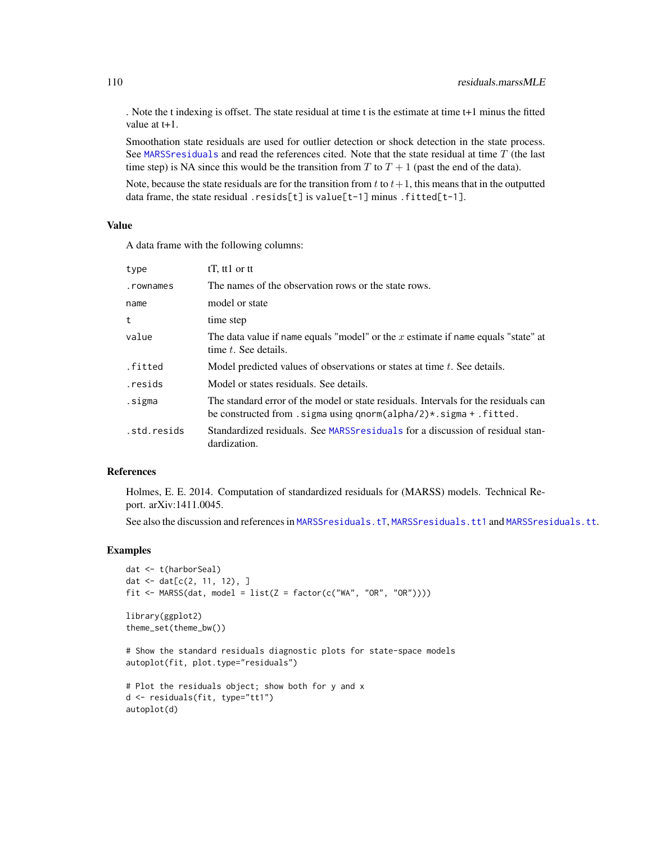. Note the t indexing is offset. The state residual at time t is the estimate at time t+1 minus the fitted value at t+1.

Smoothation state residuals are used for outlier detection or shock detection in the state process. See [MARSSresiduals](#page-69-0) and read the references cited. Note that the state residual at time T (the last time step) is NA since this would be the transition from T to  $T + 1$  (past the end of the data).

Note, because the state residuals are for the transition from t to  $t+1$ , this means that in the outputted data frame, the state residual .resids[t] is value[t-1] minus .fitted[t-1].

#### Value

A data frame with the following columns:

| type        | $tT$ , ttl or tt                                                                                                                                                    |
|-------------|---------------------------------------------------------------------------------------------------------------------------------------------------------------------|
| .rownames   | The names of the observation rows or the state rows.                                                                                                                |
| name        | model or state                                                                                                                                                      |
| t           | time step                                                                                                                                                           |
| value       | The data value if name equals "model" or the $x$ estimate if name equals "state" at<br>time t. See details.                                                         |
| .fitted     | Model predicted values of observations or states at time t. See details.                                                                                            |
| .resids     | Model or states residuals. See details.                                                                                                                             |
| .sigma      | The standard error of the model or state residuals. Intervals for the residuals can<br>be constructed from . sigma using qnorm(alpha/2) $\star$ . sigma + . fitted. |
| .std.resids | Standardized residuals. See MARSS residuals for a discussion of residual stan-<br>dardization.                                                                      |

#### References

Holmes, E. E. 2014. Computation of standardized residuals for (MARSS) models. Technical Report. arXiv:1411.0045.

See also the discussion and references in [MARSSresiduals.tT](#page-73-0), [MARSSresiduals.tt1](#page-82-0) and [MARSSresiduals.tt](#page-79-0).

## Examples

```
dat <- t(harborSeal)
dat \leq - dat[c(2, 11, 12), ]fit <- MARSS(dat, model = list(Z = factor(c("WA", "OR", "OR"))))
library(ggplot2)
theme_set(theme_bw())
# Show the standard residuals diagnostic plots for state-space models
autoplot(fit, plot.type="residuals")
# Plot the residuals object; show both for y and x
d <- residuals(fit, type="tt1")
autoplot(d)
```
<span id="page-109-0"></span>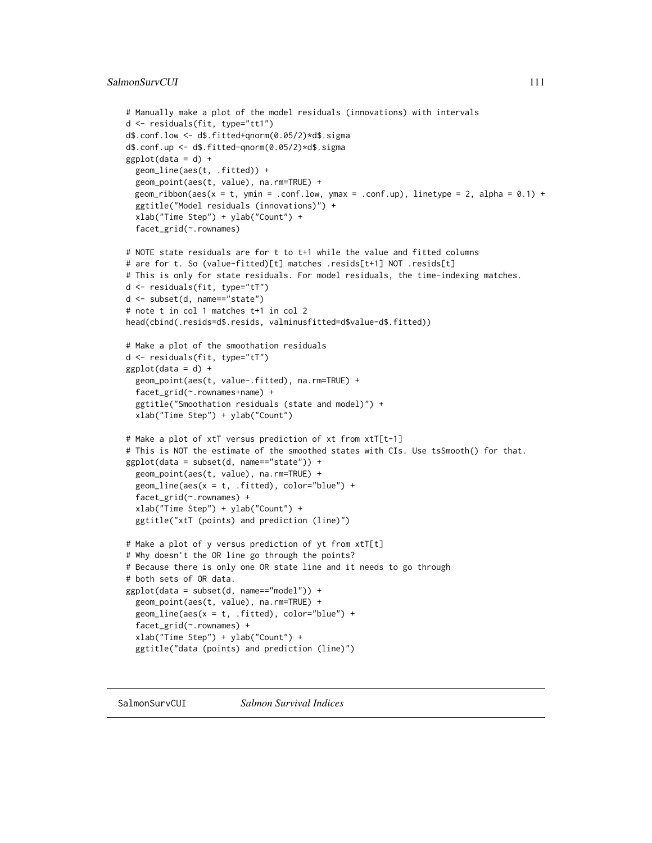```
# Manually make a plot of the model residuals (innovations) with intervals
d <- residuals(fit, type="tt1")
d$.conf.low <- d$.fitted+qnorm(0.05/2)*d$.sigma
d$.conf.up <- d$.fitted-qnorm(0.05/2)*d$.sigma
ggplot(data = d) +geom_line(aes(t, .fitted)) +
 geom_point(aes(t, value), na.rm=TRUE) +
 geom_ribbon(aes(x = t, ymin = .conf.low, ymax = .conf.up), linetype = 2, alpha = 0.1) +
 ggtitle("Model residuals (innovations)") +
 xlab("Time Step") + ylab("Count") +
 facet_grid(~.rownames)
# NOTE state residuals are for t to t+1 while the value and fitted columns
# are for t. So (value-fitted)[t] matches .resids[t+1] NOT .resids[t]
# This is only for state residuals. For model residuals, the time-indexing matches.
d <- residuals(fit, type="tT")
d <- subset(d, name=="state")
# note t in col 1 matches t+1 in col 2
head(cbind(.resids=d$.resids, valminusfitted=d$value-d$.fitted))
# Make a plot of the smoothation residuals
d <- residuals(fit, type="tT")
ggplot(data = d) +geom_point(aes(t, value-.fitted), na.rm=TRUE) +
 facet_grid(~.rownames+name) +
 ggtitle("Smoothation residuals (state and model)") +
 xlab("Time Step") + ylab("Count")
# Make a plot of xtT versus prediction of xt from xtT[t-1]
# This is NOT the estimate of the smoothed states with CIs. Use tsSmooth() for that.
ggplot(data = subset(d, name=="state")) +geom_point(aes(t, value), na.rm=TRUE) +
 geom\_line(aes(x = t, .fitted), color='blue") +facet_grid(~.rownames) +
 xlab("Time Step") + ylab("Count") +
 ggtitle("xtT (points) and prediction (line)")
# Make a plot of y versus prediction of yt from xtT[t]
# Why doesn't the OR line go through the points?
# Because there is only one OR state line and it needs to go through
# both sets of OR data.
ggplot(data = subset(d, name=="model")) +
 geom_point(aes(t, value), na.rm=TRUE) +
 geom\_line(aes(x = t, .fitted), color='blue") +facet_grid(~.rownames) +
 xlab("Time Step") + ylab("Count") +
 ggtitle("data (points) and prediction (line)")
```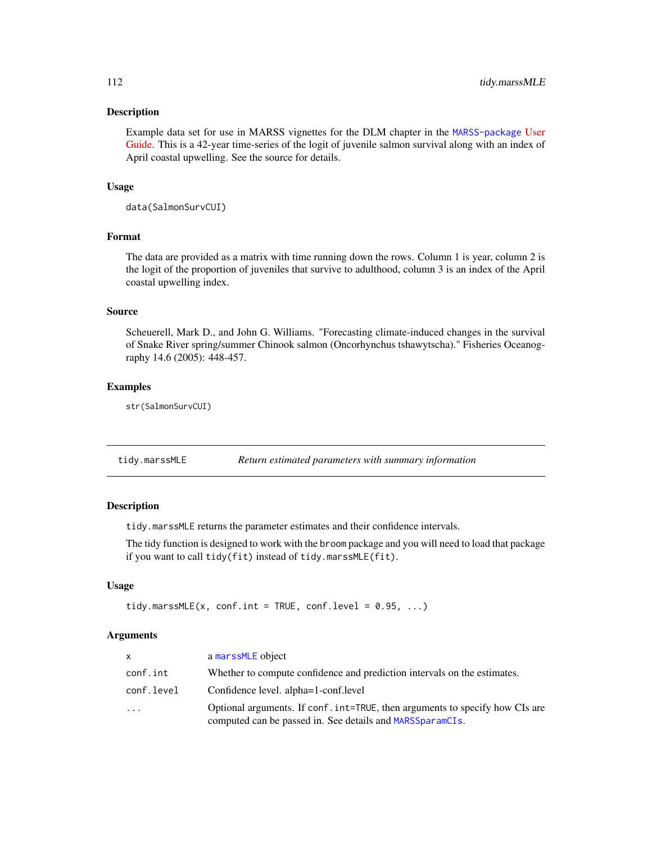#### <span id="page-111-0"></span>Description

Example data set for use in MARSS vignettes for the DLM chapter in the [MARSS-package](#page-2-0) [User](https://cran.r-project.org/package=MARSS/vignettes/UserGuide.pdf) [Guide.](https://cran.r-project.org/package=MARSS/vignettes/UserGuide.pdf) This is a 42-year time-series of the logit of juvenile salmon survival along with an index of April coastal upwelling. See the source for details.

# Usage

data(SalmonSurvCUI)

# Format

The data are provided as a matrix with time running down the rows. Column 1 is year, column 2 is the logit of the proportion of juveniles that survive to adulthood, column 3 is an index of the April coastal upwelling index.

#### Source

Scheuerell, Mark D., and John G. Williams. "Forecasting climate-induced changes in the survival of Snake River spring/summer Chinook salmon (Oncorhynchus tshawytscha)." Fisheries Oceanography 14.6 (2005): 448-457.

#### Examples

str(SalmonSurvCUI)

| tidy.marssMLE | Return estimated parameters with summary information |
|---------------|------------------------------------------------------|
|               |                                                      |

#### Description

tidy.marssMLE returns the parameter estimates and their confidence intervals.

The tidy function is designed to work with the broom package and you will need to load that package if you want to call tidy(fit) instead of tidy.marssMLE(fit).

# Usage

```
tidy.marssMLE(x, conf.int = TRUE, conf.level = 0.95, ...)
```
#### Arguments

| X.         | a marssMLE object                                                                                                                         |
|------------|-------------------------------------------------------------------------------------------------------------------------------------------|
| conf.int   | Whether to compute confidence and prediction intervals on the estimates.                                                                  |
| conf.level | Confidence level. alpha=1-conf.level                                                                                                      |
| $\ddots$ . | Optional arguments. If conf. int=TRUE, then arguments to specify how CIs are<br>computed can be passed in. See details and MARSSparamCIs. |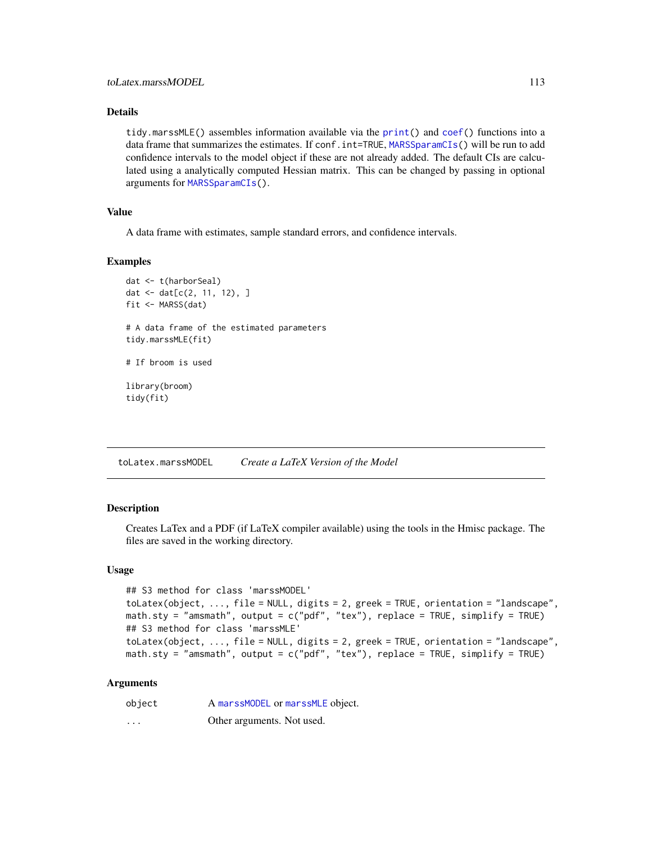# <span id="page-112-0"></span>Details

tidy.marssMLE() assembles information available via the [print\(](#page-102-0)) and [coef\(](#page-6-0)) functions into a data frame that summarizes the estimates. If conf. int=TRUE, [MARSSparamCIs\(](#page-67-0)) will be run to add confidence intervals to the model object if these are not already added. The default CIs are calculated using a analytically computed Hessian matrix. This can be changed by passing in optional arguments for [MARSSparamCIs\(](#page-67-0)).

# Value

A data frame with estimates, sample standard errors, and confidence intervals.

# Examples

```
dat <- t(harborSeal)
dat <- dat[c(2, 11, 12), ]
fit <- MARSS(dat)
# A data frame of the estimated parameters
tidy.marssMLE(fit)
# If broom is used
library(broom)
tidy(fit)
```
toLatex.marssMODEL *Create a LaTeX Version of the Model*

### Description

Creates LaTex and a PDF (if LaTeX compiler available) using the tools in the Hmisc package. The files are saved in the working directory.

#### Usage

```
## S3 method for class 'marssMODEL'
toLatex(object, ..., file = NULL, digits = 2, greek = TRUE, orientation = "landscape",
math.sty = "amsmath", output = c("pdf", "tex"), replace = TRUE, simplify = TRUE)
## S3 method for class 'marssMLE'
toLatex(object, ..., file = NULL, digits = 2, greek = TRUE, orientation = "landscape",
math.sty = "amsmath", output = c("pdf", "tex"), replace = TRUE, simplify = TRUE)
```
#### Arguments

| object   | A marssMODEL or marssMLE object. |
|----------|----------------------------------|
| $\cdots$ | Other arguments. Not used.       |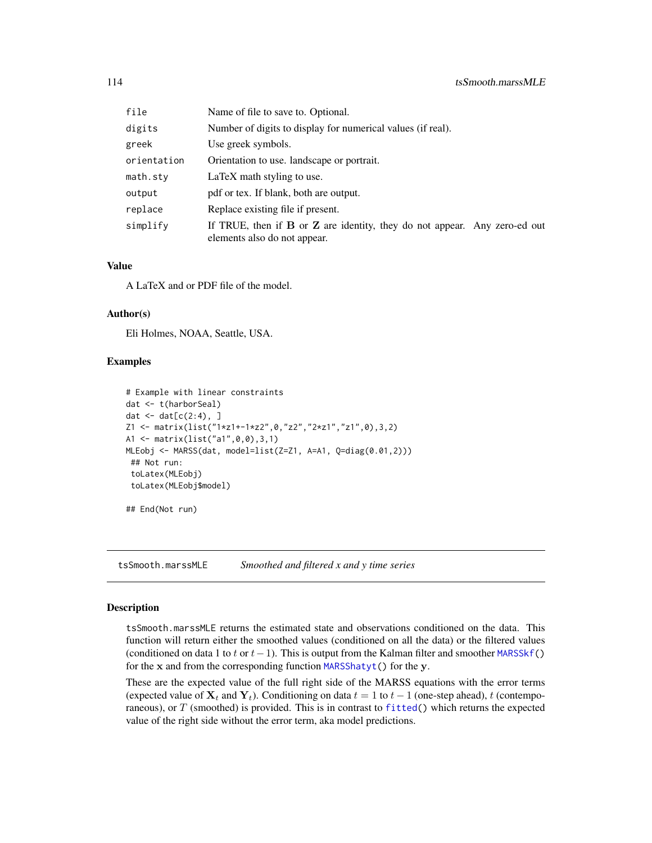<span id="page-113-1"></span>

| file        | Name of file to save to. Optional.                                                                            |  |
|-------------|---------------------------------------------------------------------------------------------------------------|--|
| digits      | Number of digits to display for numerical values (if real).                                                   |  |
| greek       | Use greek symbols.                                                                                            |  |
| orientation | Orientation to use. landscape or portrait.                                                                    |  |
| math.stv    | LaTeX math styling to use.                                                                                    |  |
| output      | pdf or tex. If blank, both are output.                                                                        |  |
| replace     | Replace existing file if present.                                                                             |  |
| simplify    | If TRUE, then if $B$ or $Z$ are identity, they do not appear. Any zero-ed out<br>elements also do not appear. |  |

# Value

A LaTeX and or PDF file of the model.

#### Author(s)

Eli Holmes, NOAA, Seattle, USA.

#### Examples

```
# Example with linear constraints
dat <- t(harborSeal)
dat \leq dat[c(2:4), ]Z1 <- matrix(list("1*z1+-1*z2",0,"z2","2*z1","z1",0),3,2)
A1 <- matrix(list("a1",0,0),3,1)
MLEobj <- MARSS(dat, model=list(Z=Z1, A=A1, Q=diag(0.01,2)))
## Not run:
 toLatex(MLEobj)
 toLatex(MLEobj$model)
## End(Not run)
```
<span id="page-113-0"></span>tsSmooth.marssMLE *Smoothed and filtered x and y time series*

# Description

tsSmooth.marssMLE returns the estimated state and observations conditioned on the data. This function will return either the smoothed values (conditioned on all the data) or the filtered values (conditioned on data 1 to t or  $t-1$ ). This is output from the Kalman filter and smoother MARSSk f() for the x and from the corresponding function [MARSShatyt\(](#page-45-0)) for the y.

These are the expected value of the full right side of the MARSS equations with the error terms (expected value of  $X_t$  and  $Y_t$ ). Conditioning on data  $t = 1$  to  $t - 1$  (one-step ahead), t (contemporaneous), or  $T$  (smoothed) is provided. This is in contrast to [fitted\(](#page-11-0)) which returns the expected value of the right side without the error term, aka model predictions.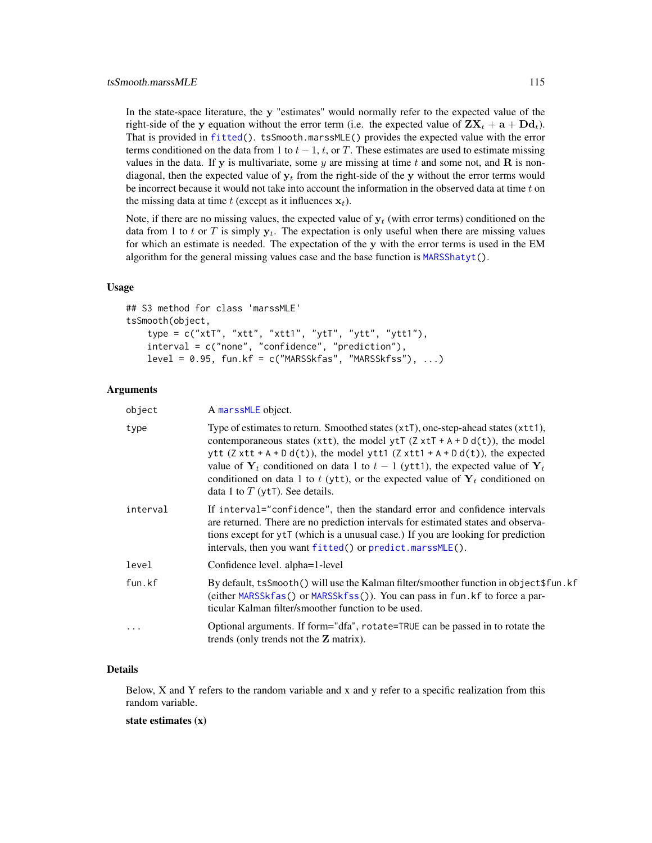<span id="page-114-0"></span>In the state-space literature, the y "estimates" would normally refer to the expected value of the right-side of the y equation without the error term (i.e. the expected value of  $\mathbf{Z}\mathbf{X}_t + \mathbf{a} + \mathbf{D}\mathbf{d}_t$ ). That is provided in [fitted\(](#page-11-0)). tsSmooth.marssMLE() provides the expected value with the error terms conditioned on the data from 1 to  $t - 1$ ,  $t$ , or T. These estimates are used to estimate missing values in the data. If y is multivariate, some y are missing at time t and some not, and  $\bf{R}$  is nondiagonal, then the expected value of  $y_t$  from the right-side of the y without the error terms would be incorrect because it would not take into account the information in the observed data at time  $t$  on the missing data at time t (except as it influences  $x_t$ ).

Note, if there are no missing values, the expected value of  $v_t$  (with error terms) conditioned on the data from 1 to t or T is simply  $y_t$ . The expectation is only useful when there are missing values for which an estimate is needed. The expectation of the y with the error terms is used in the EM algorithm for the general missing values case and the base function is [MARSShatyt\(](#page-45-0)).

#### Usage

```
## S3 method for class 'marssMLE'
tsSmooth(object,
   type = c("xtT", "xtt", "xtt1", "ytT", "ytt", "ytt1"),
   interval = c("none", "confidence", "prediction"),
   level = 0.95, fun.kf = c("MARSSkfas", "MARSSkfss"), ...
```
#### Arguments

| object     | A marssMLE object.                                                                                                                                                                                                                                                                                                                                                                                                                                                                               |
|------------|--------------------------------------------------------------------------------------------------------------------------------------------------------------------------------------------------------------------------------------------------------------------------------------------------------------------------------------------------------------------------------------------------------------------------------------------------------------------------------------------------|
| type       | Type of estimates to return. Smoothed states $(x \tau)$ , one-step-ahead states $(x \tau)$ ,<br>contemporaneous states (xtt), the model ytT $(Z \times tT + A + D d(t))$ , the model<br>ytt $(Z \times t + A + D d(t))$ , the model ytt1 $(Z \times t + A + D d(t))$ , the expected<br>value of $Y_t$ conditioned on data 1 to $t-1$ (ytt1), the expected value of $Y_t$<br>conditioned on data 1 to t (ytt), or the expected value of $Y_t$ conditioned on<br>data 1 to $T$ (ytT). See details. |
| interval   | If interval="confidence", then the standard error and confidence intervals<br>are returned. There are no prediction intervals for estimated states and observa-<br>tions except for ytT (which is a unusual case.) If you are looking for prediction<br>intervals, then you want fitted() or predict.marssMLE().                                                                                                                                                                                 |
| level      | Confidence level. alpha=1-level                                                                                                                                                                                                                                                                                                                                                                                                                                                                  |
| fun.kf     | By default, tsSmooth() will use the Kalman filter/smoother function in object \$fun.kf<br>(either MARSSkfas() or MARSSkfss()). You can pass in fun. kf to force a par-<br>ticular Kalman filter/smoother function to be used.                                                                                                                                                                                                                                                                    |
| $\ddots$ . | Optional arguments. If form="dfa", rotate=TRUE can be passed in to rotate the<br>trends (only trends not the $Z$ matrix).                                                                                                                                                                                                                                                                                                                                                                        |

#### Details

Below, X and Y refers to the random variable and x and y refer to a specific realization from this random variable.

## state estimates (x)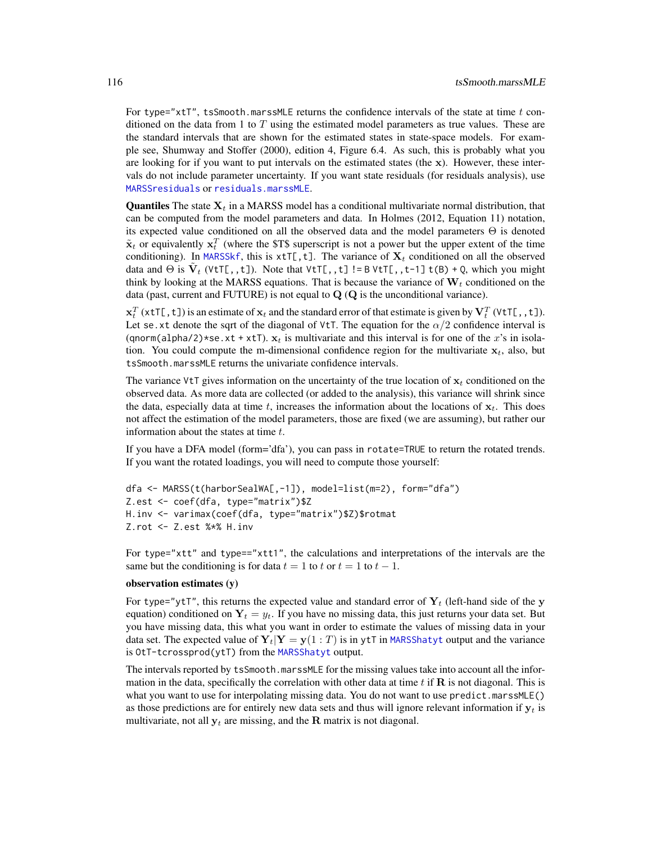<span id="page-115-0"></span>For type="xtT", tsSmooth.marssMLE returns the confidence intervals of the state at time  $t$  conditioned on the data from 1 to T using the estimated model parameters as true values. These are the standard intervals that are shown for the estimated states in state-space models. For example see, Shumway and Stoffer (2000), edition 4, Figure 6.4. As such, this is probably what you are looking for if you want to put intervals on the estimated states (the  $x$ ). However, these intervals do not include parameter uncertainty. If you want state residuals (for residuals analysis), use [MARSSresiduals](#page-69-0) or [residuals.marssMLE](#page-107-0).

**Quantiles** The state  $X_t$  in a MARSS model has a conditional multivariate normal distribution, that can be computed from the model parameters and data. In Holmes (2012, Equation 11) notation, its expected value conditioned on all the observed data and the model parameters  $\Theta$  is denoted  $\tilde{\mathbf{x}}_t$  or equivalently  $\mathbf{x}_t^T$  (where the \$T\$ superscript is not a power but the upper extent of the time conditioning). In [MARSSkf](#page-57-0), this is  $xtT[,t]$ . The variance of  $X_t$  conditioned on all the observed data and  $\Theta$  is  $\tilde{V}_t$  (VtT[,,t]). Note that VtT[,,t]!=BVtT[,,t-1]t(B) + Q, which you might think by looking at the MARSS equations. That is because the variance of  $W_t$  conditioned on the data (past, current and FUTURE) is not equal to  $Q(Q)$  is the unconditional variance).

 $\mathbf{x}_t^T$  (xtT[,t]) is an estimate of  $\mathbf{x}_t$  and the standard error of that estimate is given by  $\mathbf{V}_t^T$  (VtT[,,t]). Let se.xt denote the sqrt of the diagonal of VtT. The equation for the  $\alpha/2$  confidence interval is (qnorm(alpha/2)\*se.xt + xtT).  $x_t$  is multivariate and this interval is for one of the x's in isolation. You could compute the m-dimensional confidence region for the multivariate  $x_t$ , also, but tsSmooth.marssMLE returns the univariate confidence intervals.

The variance VtT gives information on the uncertainty of the true location of  $x_t$  conditioned on the observed data. As more data are collected (or added to the analysis), this variance will shrink since the data, especially data at time t, increases the information about the locations of  $x_t$ . This does not affect the estimation of the model parameters, those are fixed (we are assuming), but rather our information about the states at time  $t$ .

If you have a DFA model (form='dfa'), you can pass in rotate=TRUE to return the rotated trends. If you want the rotated loadings, you will need to compute those yourself:

```
dfa <- MARSS(t(harborSealWA[,-1]), model=list(m=2), form="dfa")
Z.est <- coef(dfa, type="matrix")$Z
H.inv <- varimax(coef(dfa, type="matrix")$Z)$rotmat
Z.rot <- Z.est %*% H.inv
```
For type="xtt" and type=="xtt1", the calculations and interpretations of the intervals are the same but the conditioning is for data  $t = 1$  to  $t = 1$  to  $t - 1$ .

#### observation estimates (y)

For type="ytT", this returns the expected value and standard error of  $Y_t$  (left-hand side of the y equation) conditioned on  $Y_t = y_t$ . If you have no missing data, this just returns your data set. But you have missing data, this what you want in order to estimate the values of missing data in your data set. The expected value of  $Y_t|Y = y(1:T)$  is in ytT in [MARSShatyt](#page-45-0) output and the variance is OtT-tcrossprod( $y$ tT) from the [MARSShatyt](#page-45-0) output.

The intervals reported by tsSmooth.marssMLE for the missing values take into account all the information in the data, specifically the correlation with other data at time t if  $\bf{R}$  is not diagonal. This is what you want to use for interpolating missing data. You do not want to use predict.marssMLE() as those predictions are for entirely new data sets and thus will ignore relevant information if  $y_t$  is multivariate, not all  $y_t$  are missing, and the R matrix is not diagonal.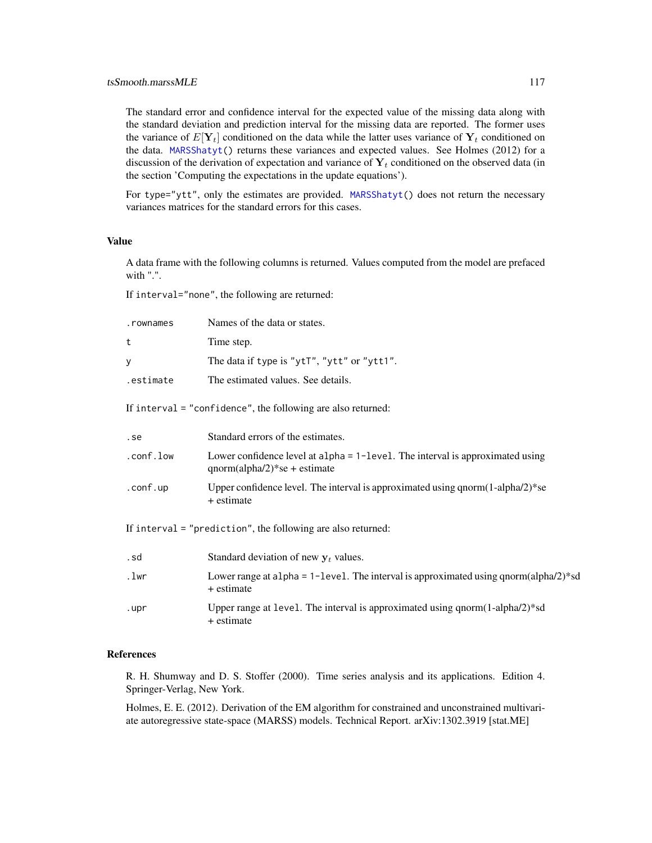### <span id="page-116-0"></span>tsSmooth.marssMLE 117

The standard error and confidence interval for the expected value of the missing data along with the standard deviation and prediction interval for the missing data are reported. The former uses the variance of  $E[Y_t]$  conditioned on the data while the latter uses variance of  $Y_t$  conditioned on the data. [MARSShatyt\(](#page-45-0)) returns these variances and expected values. See Holmes (2012) for a discussion of the derivation of expectation and variance of  $Y_t$  conditioned on the observed data (in the section 'Computing the expectations in the update equations').

For type="ytt", only the estimates are provided. [MARSShatyt\(](#page-45-0)) does not return the necessary variances matrices for the standard errors for this cases.

#### Value

A data frame with the following columns is returned. Values computed from the model are prefaced with ".".

If interval="none", the following are returned:

| .rownames    | Names of the data or states.                |
|--------------|---------------------------------------------|
| $\mathbf{t}$ | Time step.                                  |
| y            | The data if type is "ytT", "ytt" or "ytt1". |
| estimate     | The estimated values. See details.          |

If interval = "confidence", the following are also returned:

| .se       | Standard errors of the estimates.                                                                                    |
|-----------|----------------------------------------------------------------------------------------------------------------------|
| .conf.low | Lower confidence level at $alpha = 1 - level$ . The interval is approximated using<br>$qnorm(alpha/2)*se + estimate$ |
| .conf.up  | Upper confidence level. The interval is approximated using $qnorm(1-alpha/2)*se$<br>+ estimate                       |

If interval = "prediction", the following are also returned:

| .sd  | Standard deviation of new $v_t$ values.                                                                      |
|------|--------------------------------------------------------------------------------------------------------------|
| .lwr | Lower range at a 1 pha = 1-1 evel. The interval is approximated using q norm (alpha $(2)^*$ sd<br>+ estimate |
| .upr | Upper range at level. The interval is approximated using $qnorm(1-alpha/2)*sd$<br>+ estimate                 |

#### References

R. H. Shumway and D. S. Stoffer (2000). Time series analysis and its applications. Edition 4. Springer-Verlag, New York.

Holmes, E. E. (2012). Derivation of the EM algorithm for constrained and unconstrained multivariate autoregressive state-space (MARSS) models. Technical Report. arXiv:1302.3919 [stat.ME]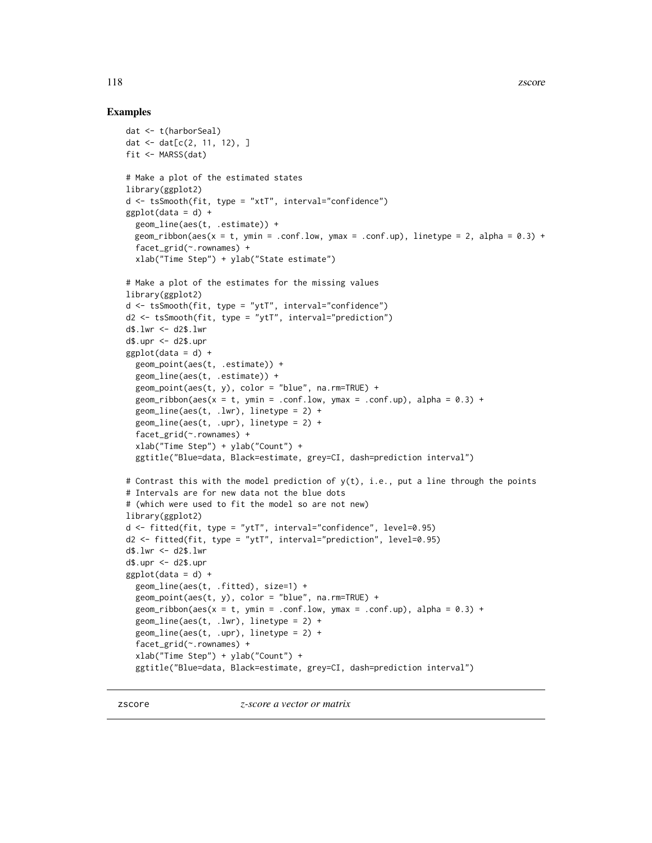#### <span id="page-117-0"></span>Examples

```
dat <- t(harborSeal)
dat \leq - dat[c(2, 11, 12), ]fit <- MARSS(dat)
# Make a plot of the estimated states
library(ggplot2)
d <- tsSmooth(fit, type = "xtT", interval="confidence")
ggplot(data = d) +geom_line(aes(t, .estimate)) +
  geom_ribbon(aes(x = t, ymin = .conf.low, ymax = .conf.up), linetype = 2, alpha = 0.3) +
  facet_grid(~.rownames) +
  xlab("Time Step") + ylab("State estimate")
# Make a plot of the estimates for the missing values
library(ggplot2)
d \leq t ssmooth(fit, type = "ytT", interval="confidence")
d2 <- tsSmooth(fit, type = "ytT", interval="prediction")
d$.lwr <- d2$.lwr
d$.upr <- d2$.upr
ggplot(data = d) +geom_point(aes(t, .estimate)) +
  geom_line(aes(t, .estimate)) +
  geom\_point(aes(t, y), color = "blue", na.rm=TRUE) +geom_ribbon(aes(x = t, ymin = .conf.low, ymax = .conf.up), alpha = 0.3) +
  geom\_line(aes(t, .lw), linetype = 2) +geom_line(aes(t, .upr), linetype = 2) +
  facet_grid(~.rownames) +
  xlab("Time Step") + ylab("Count") +
  ggtitle("Blue=data, Black=estimate, grey=CI, dash=prediction interval")
# Contrast this with the model prediction of y(t), i.e., put a line through the points
# Intervals are for new data not the blue dots
# (which were used to fit the model so are not new)
library(ggplot2)
d <- fitted(fit, type = "ytT", interval="confidence", level=0.95)
d2 \leq fitted(fit, type = "ytr", interval='prediction", level=0.95)d$.lwr <- d2$.lwr
d$.upr <- d2$.upr
ggplot(data = d) +geom_line(aes(t, .fitted), size=1) +
  geom\_point(aes(t, y), color = "blue", na.rm=TRUE) +geom_ribbon(aes(x = t, ymin = .conf.low, ymax = .conf.up), alpha = 0.3) +
  geom\_line(aes(t, .lwr), linetype = 2) +geom\_line(aes(t, .upr), linetype = 2) +facet_grid(~.rownames) +
  xlab("Time Step") + ylab("Count") +
  ggtitle("Blue=data, Black=estimate, grey=CI, dash=prediction interval")
```
zscore *z-score a vector or matrix*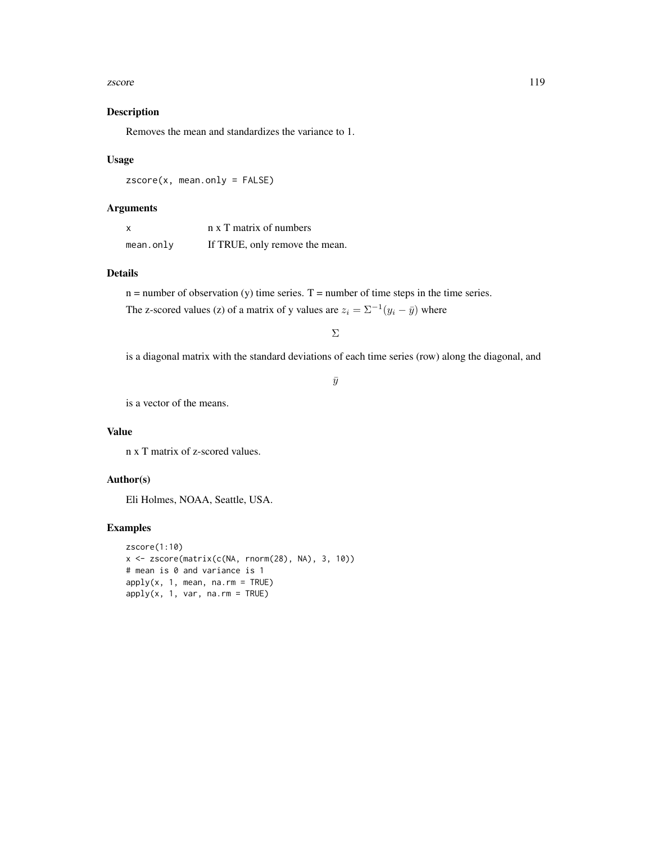#### zscore and the set of the set of the set of the set of the set of the set of the set of the set of the set of the set of the set of the set of the set of the set of the set of the set of the set of the set of the set of th

# Description

Removes the mean and standardizes the variance to 1.

### Usage

zscore(x, mean.only = FALSE)

## Arguments

| $\times$ | n x T matrix of numbers        |
|----------|--------------------------------|
| mean.out | If TRUE, only remove the mean. |

# Details

 $n =$  number of observation (y) time series.  $T =$  number of time steps in the time series.

The z-scored values (z) of a matrix of y values are  $z_i = \sum_{i=1}^{i} (y_i - \bar{y})$  where

Σ

is a diagonal matrix with the standard deviations of each time series (row) along the diagonal, and

 $\bar{y}$ 

is a vector of the means.

# Value

n x T matrix of z-scored values.

# Author(s)

Eli Holmes, NOAA, Seattle, USA.

# Examples

```
zscore(1:10)
x <- zscore(matrix(c(NA, rnorm(28), NA), 3, 10))
# mean is 0 and variance is 1
apply(x, 1, mean, na.rm = TRUE)apply(x, 1, var, na.rm = TRUE)
```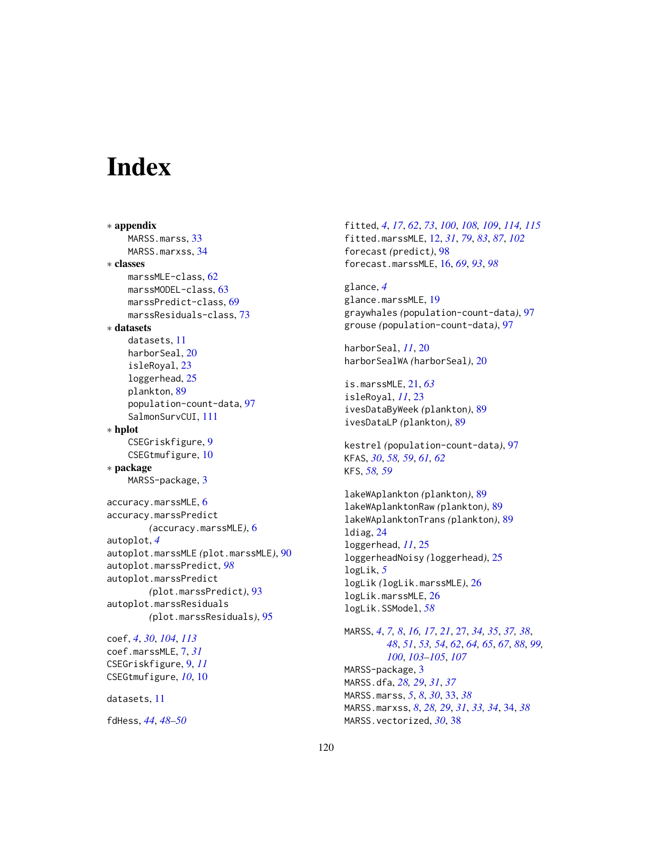# **Index**

∗ appendix MARSS.marss, [33](#page-32-0) MARSS.marxss, [34](#page-33-0) ∗ classes marssMLE-class, [62](#page-61-1) marssMODEL-class, [63](#page-62-1) marssPredict-class, [69](#page-68-0) marssResiduals-class, [73](#page-72-0) ∗ datasets datasets, [11](#page-10-0) harborSeal, [20](#page-19-0) isleRoyal, [23](#page-22-0) loggerhead, [25](#page-24-0) plankton, [89](#page-88-0) population-count-data, [97](#page-96-0) SalmonSurvCUI, [111](#page-110-0) ∗ hplot CSEGriskfigure, [9](#page-8-0) CSEGtmufigure, [10](#page-9-0) ∗ package MARSS-package, [3](#page-2-1) accuracy.marssMLE, [6](#page-5-0) accuracy.marssPredict *(*accuracy.marssMLE*)*, [6](#page-5-0) autoplot, *[4](#page-3-0)* autoplot.marssMLE *(*plot.marssMLE*)*, [90](#page-89-0) autoplot.marssPredict, *[98](#page-97-0)* autoplot.marssPredict *(*plot.marssPredict*)*, [93](#page-92-0) autoplot.marssResiduals *(*plot.marssResiduals*)*, [95](#page-94-0) coef, *[4](#page-3-0)*, *[30](#page-29-0)*, *[104](#page-103-0)*, *[113](#page-112-0)* coef.marssMLE, [7,](#page-6-1) *[31](#page-30-0)* CSEGriskfigure, [9,](#page-8-0) *[11](#page-10-0)* CSEGtmufigure, *[10](#page-9-0)*, [10](#page-9-0)

datasets, [11](#page-10-0)

fdHess, *[44](#page-43-0)*, *[48](#page-47-0)[–50](#page-49-0)*

fitted, *[4](#page-3-0)*, *[17](#page-16-0)*, *[62](#page-61-1)*, *[73](#page-72-0)*, *[100](#page-99-0)*, *[108,](#page-107-1) [109](#page-108-0)*, *[114,](#page-113-1) [115](#page-114-0)* fitted.marssMLE, [12,](#page-11-1) *[31](#page-30-0)*, *[79](#page-78-0)*, *[83](#page-82-1)*, *[87](#page-86-0)*, *[102](#page-101-0)* forecast *(*predict*)*, [98](#page-97-0) forecast.marssMLE, [16,](#page-15-0) *[69](#page-68-0)*, *[93](#page-92-0)*, *[98](#page-97-0)*

glance, *[4](#page-3-0)* glance.marssMLE, [19](#page-18-0) graywhales *(*population-count-data*)*, [97](#page-96-0) grouse *(*population-count-data*)*, [97](#page-96-0)

harborSeal, *[11](#page-10-0)*, [20](#page-19-0) harborSealWA *(*harborSeal*)*, [20](#page-19-0)

is.marssMLE, [21,](#page-20-0) *[63](#page-62-1)* isleRoyal, *[11](#page-10-0)*, [23](#page-22-0) ivesDataByWeek *(*plankton*)*, [89](#page-88-0) ivesDataLP *(*plankton*)*, [89](#page-88-0)

kestrel *(*population-count-data*)*, [97](#page-96-0) KFAS, *[30](#page-29-0)*, *[58,](#page-57-2) [59](#page-58-0)*, *[61,](#page-60-0) [62](#page-61-1)* KFS, *[58,](#page-57-2) [59](#page-58-0)*

lakeWAplankton *(*plankton*)*, [89](#page-88-0) lakeWAplanktonRaw *(*plankton*)*, [89](#page-88-0) lakeWAplanktonTrans *(*plankton*)*, [89](#page-88-0) ldiag, [24](#page-23-0) loggerhead, *[11](#page-10-0)*, [25](#page-24-0) loggerheadNoisy *(*loggerhead*)*, [25](#page-24-0) logLik, *[5](#page-4-0)* logLik *(*logLik.marssMLE*)*, [26](#page-25-0) logLik.marssMLE, [26](#page-25-0) logLik.SSModel, *[58](#page-57-2)*

MARSS, *[4](#page-3-0)*, *[7,](#page-6-1) [8](#page-7-0)*, *[16,](#page-15-0) [17](#page-16-0)*, *[21](#page-20-0)*, [27,](#page-26-0) *[34,](#page-33-0) [35](#page-34-0)*, *[37,](#page-36-0) [38](#page-37-0)*, *[48](#page-47-0)*, *[51](#page-50-0)*, *[53,](#page-52-0) [54](#page-53-0)*, *[62](#page-61-1)*, *[64,](#page-63-0) [65](#page-64-0)*, *[67](#page-66-0)*, *[88](#page-87-0)*, *[99,](#page-98-1) [100](#page-99-0)*, *[103](#page-102-1)[–105](#page-104-0)*, *[107](#page-106-0)* MARSS-package, [3](#page-2-1) MARSS.dfa, *[28,](#page-27-0) [29](#page-28-0)*, *[31](#page-30-0)*, *[37](#page-36-0)* MARSS.marss, *[5](#page-4-0)*, *[8](#page-7-0)*, *[30](#page-29-0)*, [33,](#page-32-0) *[38](#page-37-0)* MARSS.marxss, *[8](#page-7-0)*, *[28,](#page-27-0) [29](#page-28-0)*, *[31](#page-30-0)*, *[33,](#page-32-0) [34](#page-33-0)*, [34,](#page-33-0) *[38](#page-37-0)* MARSS.vectorized, *[30](#page-29-0)*, [38](#page-37-0)